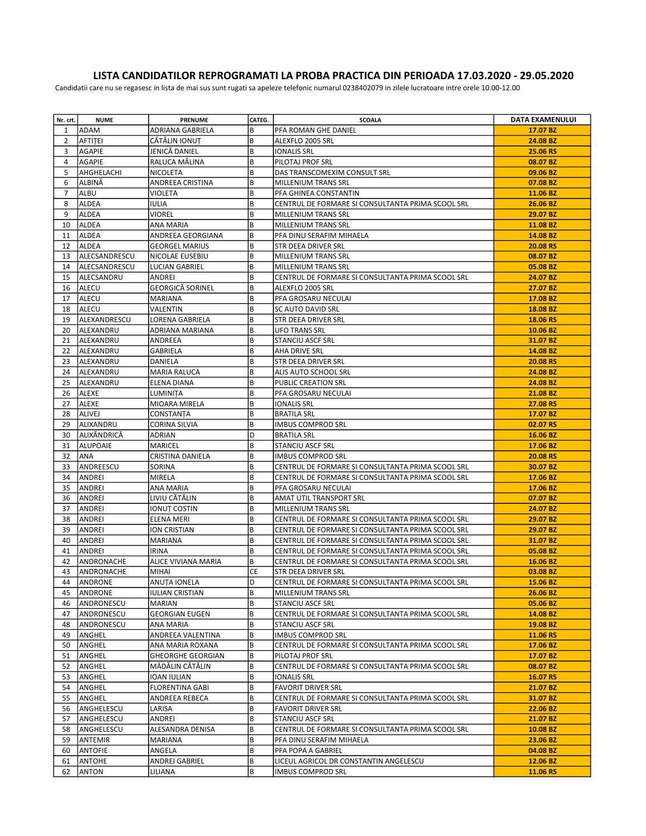## LISTA CANDIDATILOR REPROGRAMATI LA PROBA PRACTICA DIN PERIOADA 17.03.2020 - 29.05.2020

Candidatii care nu se regasesc in lista de mai sus sunt rugati sa apeleze telefonic numarul 0238402079 in zilele lucratoare intre orele 10.00-12.00

| Nr. crt. | <b>NUME</b>       | <b>PRENUME</b>                    | CATEG. | <b>SCOALA</b>                                     | DATA EXAMENULUI |
|----------|-------------------|-----------------------------------|--------|---------------------------------------------------|-----------------|
| 1        | ADAM              | <b>ADRIANA GABRIELA</b>           | B      | PFA ROMAN GHE DANIEL                              | 17.07 BZ        |
| 2        | AFTITEI           | CĂTĂLIN IONUT                     | B      | ALEXFLO 2005 SRL                                  | 24.08 BZ        |
| 3        | AGAPIE            | JENICĂ DANIEL                     | B      | IONALIS SRL                                       | 25.06 RS        |
| 4        | AGAPIE            | RALUCA MĂLINA                     | B      | PILOTAJ PROF SRL                                  | 08.07 BZ        |
| 5        | AHGHELACHI        | NICOLETA                          | B      | DAS TRANSCOMEXIM CONSULT SRL                      | 09.06 BZ        |
| 6        | ALBINĂ            | ANDREEA CRISTINA                  | B      | MILLENIUM TRANS SRL                               | 07.08 BZ        |
| 7        | ALBU              | VIOLETA                           | B      | PFA GHINEA CONSTANTIN                             | 11.06 BZ        |
| 8        | <b>ALDEA</b>      | <b>IULIA</b>                      | B      | CENTRUL DE FORMARE SI CONSULTANTA PRIMA SCOOL SRL | 26.06 BZ        |
| 9        | ALDEA             | <b>VIOREL</b>                     | B      | MILLENIUM TRANS SRL                               | 29.07 BZ        |
| 10       | ALDEA             | ANA MARIA                         | B      | MILLENIUM TRANS SRL                               | 11.08 BZ        |
| 11       | ALDEA             | ANDREEA GEORGIANA                 | B      | PFA DINU SERAFIM MIHAELA                          | 14.08 BZ        |
| 12       | ALDEA             | <b>GEORGEL MARIUS</b>             | B      | STR DEEA DRIVER SRL                               | 20.08 RS        |
| 13       | ALECSANDRESCU     | NICOLAE EUSEBIU                   | B      | MILLENIUM TRANS SRL                               | 08.07 BZ        |
| 14       | ALECSANDRESCU     | LUCIAN GABRIEL                    | B      | MILLENIUM TRANS SRL                               | 05.08 BZ        |
| 15       | ALECSANDRU        |                                   | B      | CENTRUL DE FORMARE SI CONSULTANTA PRIMA SCOOL SRL | 24.07 BZ        |
| 16       | ALECU             | ANDREI<br><b>GEORGICĂ SORINEL</b> | B      | ALEXFLO 2005 SRL                                  | 27.07 BZ        |
|          |                   |                                   | B      |                                                   |                 |
| 17       | ALECU             | <b>MARIANA</b>                    |        | PFA GROSARU NECULAI                               | 17.08 BZ        |
| 18       | <b>ALECU</b>      | VALENTIN                          | B<br>B | SC AUTO DAVID SRL                                 | 18.08 BZ        |
| 19       | ALEXANDRESCU      | LORENA GABRIELA                   |        | STR DEEA DRIVER SRL                               | 18.06 RS        |
| 20       | ALEXANDRU         | <b>ADRIANA MARIANA</b>            | B      | <b>UFO TRANS SRL</b>                              | 10.06 BZ        |
| 21       | ALEXANDRU         | ANDREEA                           | B      | STANCIU ASCF SRL                                  | 31.07 BZ        |
| 22       | <b>ALEXANDRU</b>  | <b>GABRIELA</b>                   | B      | AHA DRIVE SRL                                     | 14.08 BZ        |
| 23       | lalexandru        | DANIELA                           | B      | STR DEEA DRIVER SRL                               | 20.08 RS        |
| 24       | ALEXANDRU         | <b>MARIA RALUCA</b>               | B      | ALIS AUTO SCHOOL SRL                              | 24.08 BZ        |
| 25       | ALEXANDRU         | ELENA DIANA                       | B      | PUBLIC CREATION SRL                               | 24.08 BZ        |
| 26       | ALEXE             | <b>LUMINITA</b>                   | B      | PFA GROSARU NECULAI                               | 21.08 BZ        |
| 27       | ALEXE             | MIOARA MIRELA                     | B      | <b>IONALIS SRL</b>                                | 27.08 RS        |
| 28       | ALIVEJ            | CONSTANTA                         | B      | <b>BRATILA SRL</b>                                | 17.07 BZ        |
| 29       | ALIXANDRU         | CORINA SILVIA                     | B      | <b>IMBUS COMPROD SRL</b>                          | 02.07 RS        |
| 30       | ALIXĂNDRICĂ       | ADRIAN                            | D      | <b>BRATILA SRL</b>                                | 16.06 BZ        |
| 31       | ALUPOAIE          | MARICEL                           | B      | <b>STANCIU ASCF SRL</b>                           | 17.06 BZ        |
| 32       | ANA               | CRISTINA DANIELA                  | B      | <b>IMBUS COMPROD SRL</b>                          | 20.08 RS        |
| 33       | ANDREESCU         | SORINA                            | B      | CENTRUL DE FORMARE SI CONSULTANTA PRIMA SCOOL SRL | 30.07 BZ        |
| 34       | ANDREI            | <b>MIRELA</b>                     | B      | CENTRUL DE FORMARE SI CONSULTANTA PRIMA SCOOL SRL | 17.06 BZ        |
| 35       | ANDREI            | ANA MARIA                         | B      | PFA GROSARU NECULAI                               | 17.06 BZ        |
| 36       | ANDREI            | LIVIU CĂTĂLIN                     | B      | AMAT UTIL TRANSPORT SRL                           | 07.07 BZ        |
| 37       | ANDREI            | IONUT COSTIN                      | B      | MILLENIUM TRANS SRL                               | 24.07 BZ        |
| 38       | ANDREI            | ELENA MERI                        | B      | CENTRUL DE FORMARE SI CONSULTANTA PRIMA SCOOL SRL | 29.07 BZ        |
| 39       | ANDREI            | ION CRISTIAN                      | B      | CENTRUL DE FORMARE SI CONSULTANTA PRIMA SCOOL SRL | 29.07 BZ        |
| 40       | ANDREI            | <b>MARIANA</b>                    | B      | CENTRUL DE FORMARE SI CONSULTANTA PRIMA SCOOL SRL | 31.07 BZ        |
| 41       | ANDREI            | <b>IRINA</b>                      | B      | CENTRUL DE FORMARE SI CONSULTANTA PRIMA SCOOL SRL | 05.08 BZ        |
| 42       | <b>ANDRONACHE</b> | ALICE VIVIANA MARIA               | B      | CENTRUL DE FORMARE SI CONSULTANTA PRIMA SCOOL SRL | 16.06 BZ        |
| 43       | ANDRONACHE        | MIHAI                             | CE     | STR DEEA DRIVER SRL                               | 03.08 BZ        |
| 44       | <b>ANDRONE</b>    | <b>ANUTA IONELA</b>               | D      | CENTRUL DE FORMARE SI CONSULTANTA PRIMA SCOOL SRL | 15.06 BZ        |
| 45       | ANDRONE           | <b>IULIAN CRISTIAN</b>            | B      | MILLENIUM TRANS SRL                               | 26.06 BZ        |
| 46       | ANDRONESCU        | <b>MARIAN</b>                     | B      | STANCIU ASCF SRL                                  | 05.06 BZ        |
| 47       | ANDRONESCU        | <b>GEORGIAN EUGEN</b>             | B      | CENTRUL DE FORMARE SI CONSULTANTA PRIMA SCOOL SRL | 14.08 BZ        |
| 48       | ANDRONESCU        | ANA MARIA                         | B      | <b>STANCIU ASCF SRL</b>                           | 19.08 BZ        |
| 49       | ANGHEL            | ANDREEA VALENTINA                 | B      | <b>IMBUS COMPROD SRL</b>                          | 11.06 RS        |
| 50       | ANGHEL            | ANA MARIA ROXANA                  | B      | CENTRUL DE FORMARE SI CONSULTANTA PRIMA SCOOL SRL | 17.06 BZ        |
| 51       | ANGHEL            | <b>GHEORGHE GEORGIAN</b>          | B      | PILOTAJ PROF SRL                                  | 17.07 BZ        |
| 52       | ANGHEL            | MĂDĂLIN CĂTĂLIN                   | B      | CENTRUL DE FORMARE SI CONSULTANTA PRIMA SCOOL SRL | 08.07 BZ        |
| 53       | ANGHEL            | IOAN IULIAN                       | B      | <b>IONALIS SRL</b>                                | 16.07 RS        |
| 54       | ANGHEL            | <b>FLORENTINA GABI</b>            | B      | <b>FAVORIT DRIVER SRL</b>                         | 21.07 BZ        |
| 55       | ANGHEL            | ANDREEA REBECA                    | B      | CENTRUL DE FORMARE SI CONSULTANTA PRIMA SCOOL SRL | 31.07 BZ        |
| 56       | ANGHELESCU        | LARISA                            | B      | <b>FAVORIT DRIVER SRL</b>                         | 22.06 BZ        |
| 57       | ANGHELESCU        | ANDREI                            | B      | <b>STANCIU ASCF SRL</b>                           | 21.07 BZ        |
| 58       | ANGHELESCU        | ALESANDRA DENISA                  | B      | CENTRUL DE FORMARE SI CONSULTANTA PRIMA SCOOL SRL | 10.08 BZ        |
| 59       | ANTEMIR           | MARIANA                           | B      | PFA DINU SERAFIM MIHAELA                          | 23.06 BZ        |
| 60       | <b>ANTOFIE</b>    | ANGELA                            | B      | PFA POPA A GABRIEL                                | 04.08 BZ        |
| 61       | <b>ANTOHE</b>     | ANDREI GABRIEL                    | B      | LICEUL AGRICOL DR CONSTANTIN ANGELESCU            | 12.06 BZ        |
| 62       | <b>ANTON</b>      | LILIANA                           | B      | <b>IMBUS COMPROD SRL</b>                          | 11.06 RS        |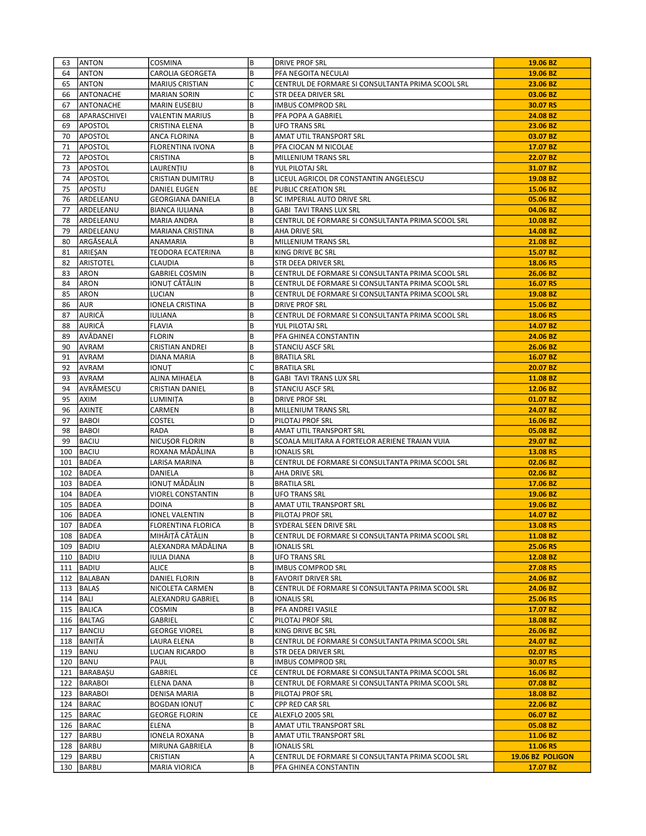| 63  | <b>ANTON</b>     | COSMINA                   | B       | <b>DRIVE PROF SRL</b>                             | 19.06 BZ         |
|-----|------------------|---------------------------|---------|---------------------------------------------------|------------------|
| 64  | <b>ANTON</b>     | CAROLIA GEORGETA          | B       | PFA NEGOITA NECULAI                               | 19.06 BZ         |
| 65  | ANTON            | <b>MARIUS CRISTIAN</b>    | C       | CENTRUL DE FORMARE SI CONSULTANTA PRIMA SCOOL SRL | 23.06 BZ         |
| 66  | ANTONACHE        | <b>MARIAN SORIN</b>       | С       | STR DEEA DRIVER SRL                               | 03.06 BZ         |
| 67  | <b>ANTONACHE</b> | <b>MARIN EUSEBIU</b>      | B       | <b>IMBUS COMPROD SRL</b>                          | 30.07 RS         |
| 68  | APARASCHIVEI     | <b>VALENTIN MARIUS</b>    | B       | PFA POPA A GABRIEL                                | 24.08 BZ         |
| 69  | <b>APOSTOL</b>   | CRISTINA ELENA            | B       | <b>UFO TRANS SRL</b>                              | 23.06 BZ         |
| 70  | <b>APOSTOL</b>   | ANCA FLORINA              | B       | AMAT UTIL TRANSPORT SRL                           | 03.07 BZ         |
| 71  | <b>APOSTOL</b>   | <b>FLORENTINA IVONA</b>   | B       | PFA CIOCAN M NICOLAE                              | 17.07 BZ         |
| 72  | <b>APOSTOL</b>   | CRISTINA                  | B       | MILLENIUM TRANS SRL                               | 22.07 BZ         |
| 73  | <b>APOSTOL</b>   | LAURENȚIU                 | B       | YUL PILOTAJ SRL                                   | 31.07 BZ         |
| 74  | <b>APOSTOL</b>   | <b>CRISTIAN DUMITRU</b>   | B       | LICEUL AGRICOL DR CONSTANTIN ANGELESCU            | 19.08 BZ         |
| 75  | <b>APOSTU</b>    | DANIEL EUGEN              | BE      | PUBLIC CREATION SRL                               | 15.06 BZ         |
| 76  | ARDELEANU        | <b>GEORGIANA DANIELA</b>  | B       | SC IMPERIAL AUTO DRIVE SRL                        | 05.06 BZ         |
| 77  | ARDELEANU        | <b>BIANCA IULIANA</b>     | B       | <b>GABI TAVI TRANS LUX SRL</b>                    | 04.06 BZ         |
| 78  | ARDELEANU        | MARIA ANDRA               | B       | CENTRUL DE FORMARE SI CONSULTANTA PRIMA SCOOL SRL | 10.08 BZ         |
| 79  | ARDELEANU        | MARIANA CRISTINA          | B       | AHA DRIVE SRL                                     | 14.08 BZ         |
| 80  | ARGĂSEALĂ        | ANAMARIA                  | B       | MILLENIUM TRANS SRL                               | 21.08 BZ         |
| 81  | ARIEȘAN          | TEODORA ECATERINA         | B       | KING DRIVE BC SRL                                 | 15.07 BZ         |
| 82  | ARISTOTEL        | CLAUDIA                   | B       | STR DEEA DRIVER SRL                               | 18.06 RS         |
| 83  | <b>ARON</b>      | <b>GABRIEL COSMIN</b>     | B       | CENTRUL DE FORMARE SI CONSULTANTA PRIMA SCOOL SRL | 26.06 BZ         |
| 84  | <b>ARON</b>      | IONUȚ CĂTĂLIN             | B       | CENTRUL DE FORMARE SI CONSULTANTA PRIMA SCOOL SRL | 16.07 RS         |
| 85  | ARON             | LUCIAN                    | B       | CENTRUL DE FORMARE SI CONSULTANTA PRIMA SCOOL SRL | 19.08 BZ         |
| 86  | <b>AUR</b>       | IONELA CRISTINA           | B       | <b>DRIVE PROF SRL</b>                             | 15.06 BZ         |
| 87  | AURICĂ           | <b>IULIANA</b>            | B       | CENTRUL DE FORMARE SI CONSULTANTA PRIMA SCOOL SRL | 18.06 RS         |
| 88  | laurică          | <b>FLAVIA</b>             | B       | YUL PILOTAJ SRL                                   | 14.07 BZ         |
| 89  | <b>JAVĂDANEI</b> | <b>FLORIN</b>             | B       | PFA GHINEA CONSTANTIN                             | 24.06 BZ         |
| 90  | AVRAM            | CRISTIAN ANDREI           | B       | STANCIU ASCF SRL                                  | 26.06 BZ         |
| 91  | AVRAM            | DIANA MARIA               | B       | <b>BRATILA SRL</b>                                | 16.07 BZ         |
| 92  | <b>AVRAM</b>     | ionuț                     | C       | <b>BRATILA SRL</b>                                | 20.07 BZ         |
| 93  | lavram           | ALINA MIHAELA             | B       | <b>GABI TAVI TRANS LUX SRL</b>                    | 11.08 BZ         |
| 94  | <b>AVRĂMESCU</b> | <b>CRISTIAN DANIEL</b>    | B       | <b>STANCIU ASCF SRL</b>                           | 12.06 BZ         |
| 95  | <b>AXIM</b>      | LUMINITA                  | B       | <b>DRIVE PROF SRL</b>                             | 01.07 BZ         |
| 96  | <b>AXINTE</b>    | CARMEN                    | B       | MILLENIUM TRANS SRL                               | 24.07 BZ         |
| 97  | <b>BABOI</b>     | <b>COSTEL</b>             | D       | PILOTAJ PROF SRL                                  | 16.06 BZ         |
| 98  | <b>BABOI</b>     | RADA                      | B       | AMAT UTIL TRANSPORT SRL                           | 05.08 BZ         |
| 99  | <b>BACIU</b>     | NICUȘOR FLORIN            | B       | SCOALA MILITARA A FORTELOR AERIENE TRAIAN VUIA    | 29.07 BZ         |
| 100 | BACIU            | ROXANA MĂDĂLINA           | B       | <b>IONALIS SRL</b>                                | 13.08 RS         |
| 101 | BADEA            | LARISA MARINA             | B       | CENTRUL DE FORMARE SI CONSULTANTA PRIMA SCOOL SRL | 02.06 BZ         |
|     | 102 BADEA        | DANIELA                   | B       | AHA DRIVE SRL                                     | 02.06 BZ         |
| 103 | <b>BADEA</b>     | IONUȚ MĂDĂLIN             | B       | <b>BRATILA SRL</b>                                | 17.06 BZ         |
| 104 | BADEA            | VIOREL CONSTANTIN         | B       | <b>UFO TRANS SRL</b>                              | 19.06 BZ         |
| 105 | BADEA            | <b>DOINA</b>              | B       | AMAT UTIL TRANSPORT SRL                           | 19.06 BZ         |
| 106 | BADEA            | IONEL VALENTIN            | B       | PILOTAJ PROF SRL                                  | 14.07 BZ         |
| 107 | BADEA            | <b>FLORENTINA FLORICA</b> | B       | SYDERAL SEEN DRIVE SRL                            | 13.08 RS         |
|     | 108 BADEA        | MIHĂIȚĂ CĂTĂLIN           | B       | CENTRUL DE FORMARE SI CONSULTANTA PRIMA SCOOL SRL | 11.08 BZ         |
| 109 | BADIU            | ALEXANDRA MĂDĂLINA        | B       | <b>IONALIS SRL</b>                                | 25.06 RS         |
|     | 110   BADIU      | IULIA DIANA               | B       | UFO TRANS SRL                                     | 12.08 BZ         |
|     | 111   BADIU      | <b>ALICE</b>              | B       | <b>IMBUS COMPROD SRL</b>                          | 27.08 RS         |
|     | 112 BALABAN      | DANIEL FLORIN             | B       | <b>FAVORIT DRIVER SRL</b>                         | 24.06 BZ         |
|     | 113   BALAŞ      | NICOLETA CARMEN           | B       | CENTRUL DE FORMARE SI CONSULTANTA PRIMA SCOOL SRL | 24.06 BZ         |
|     | $114$  BALI      | ALEXANDRU GABRIEL         | B       | <b>IONALIS SRL</b>                                | 25.06 RS         |
|     | 115   BALICA     | COSMIN                    | B<br>C  | PFA ANDREI VASILE                                 | 17.07 BZ         |
|     | 116   BALTAG     | GABRIEL                   |         | PILOTAJ PROF SRL                                  | 18.08 BZ         |
|     | 117 BANCIU       | <b>GEORGE VIOREL</b>      | B       | KING DRIVE BC SRL                                 | 26.06 BZ         |
|     | 118 BANIȚĂ       | LAURA ELENA               | B       | CENTRUL DE FORMARE SI CONSULTANTA PRIMA SCOOL SRL | 24.07 BZ         |
|     | 119   BANU       | LUCIAN RICARDO            | B       | STR DEEA DRIVER SRL                               | 02.07 RS         |
| 120 | BANU             | PAUL                      | B       | <b>IMBUS COMPROD SRL</b>                          | 30.07 RS         |
|     | 121   BARABAŞU   | GABRIEL                   | CE      | CENTRUL DE FORMARE SI CONSULTANTA PRIMA SCOOL SRL | 16.06 BZ         |
|     | 122   BARABOI    | ELENA DANA                | B       | CENTRUL DE FORMARE SI CONSULTANTA PRIMA SCOOL SRL | 07.08 BZ         |
|     | 123   BARABOI    | DENISA MARIA              | B       | PILOTAJ PROF SRL                                  | 18.08 BZ         |
|     | 124   BARAC      | <b>BOGDAN IONUT</b>       | C<br>CE | CPP RED CAR SRL                                   | 22.06 BZ         |
|     | 125 BARAC        | <b>GEORGE FLORIN</b>      |         | ALEXFLO 2005 SRL                                  | 06.07 BZ         |
| 126 | BARAC            | <b>ELENA</b>              | B       | AMAT UTIL TRANSPORT SRL                           | 05.08 BZ         |
|     | 127   BARBU      | IONELA ROXANA             | B       | AMAT UTIL TRANSPORT SRL                           | 11.06 BZ         |
|     | 128   BARBU      | MIRUNA GABRIELA           | B       | <b>IONALIS SRL</b>                                | 11.06 RS         |
|     | 129   BARBU      | CRISTIAN                  | А       | CENTRUL DE FORMARE SI CONSULTANTA PRIMA SCOOL SRL | 19.06 BZ POLIGON |
|     | 130   BARBU      | <b>MARIA VIORICA</b>      | B       | PFA GHINEA CONSTANTIN                             | 17.07 BZ         |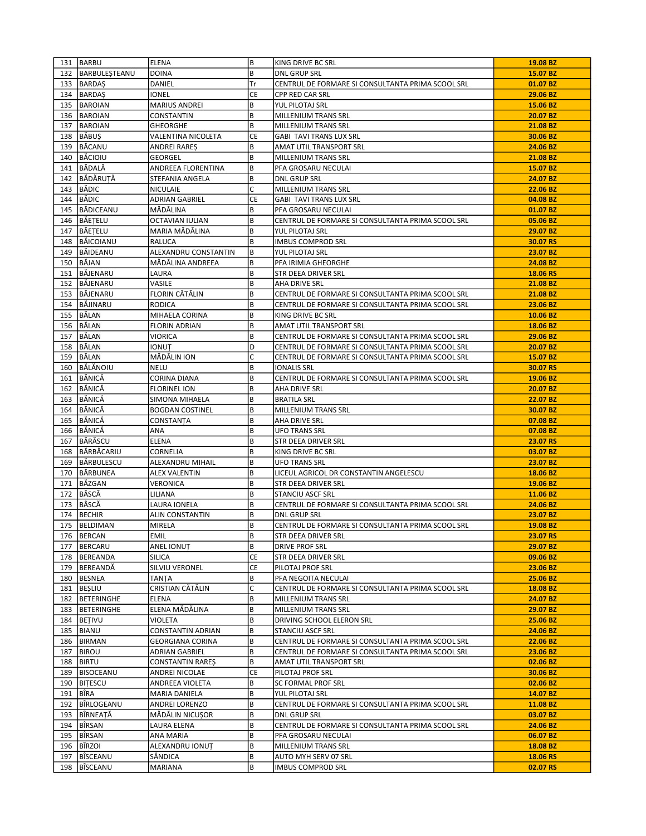|     | 131 BARBU           | <b>ELENA</b>            | B         | KING DRIVE BC SRL                                 | 19.08 BZ |
|-----|---------------------|-------------------------|-----------|---------------------------------------------------|----------|
|     | 132   BARBULESTEANU | <b>DOINA</b>            | B         | <b>DNL GRUP SRL</b>                               | 15.07 BZ |
|     | 133 BARDAS          | DANIEL                  | Tr        | CENTRUL DE FORMARE SI CONSULTANTA PRIMA SCOOL SRL | 01.07 BZ |
|     | 134 BARDAŞ          | IONEL                   | CE        | CPP RED CAR SRL                                   | 29.06 BZ |
|     | 135 BAROIAN         | <b>MARIUS ANDREI</b>    | B         | YUL PILOTAJ SRL                                   | 15.06 BZ |
|     | 136 BAROIAN         | CONSTANTIN              | B         | MILLENIUM TRANS SRL                               | 20.07 BZ |
| 137 | BAROIAN             | GHEORGHE                | B         | MILLENIUM TRANS SRL                               | 21.08 BZ |
|     | 138 BĂBUS           | VALENTINA NICOLETA      | <b>CE</b> | <b>GABI TAVI TRANS LUX SRL</b>                    | 30.06 BZ |
|     | 139 BĂCANU          | ANDREI RAREȘ            | B         | AMAT UTIL TRANSPORT SRL                           | 24.06 BZ |
|     | 140 BĂCIOIU         | GEORGEL                 | B         | MILLENIUM TRANS SRL                               | 21.08 BZ |
| 141 | <b>BĂDALĂ</b>       | ANDREEA FLORENTINA      | B         | PFA GROSARU NECULAI                               | 15.07 BZ |
|     | 142 BĂDĂRUTĂ        | STEFANIA ANGELA         | B         | <b>DNL GRUP SRL</b>                               | 24.07 BZ |
|     | 143 BĂDIC           | <b>NICULAIE</b>         | C         | MILLENIUM TRANS SRL                               | 22.06 BZ |
|     | 144 BĂDIC           | ADRIAN GABRIEL          | CE        | <b>GABI TAVI TRANS LUX SRL</b>                    | 04.08 BZ |
|     | 145 BĂDICEANU       | MĂDĂLINA                | B         | PFA GROSARU NECULAI                               | 01.07 BZ |
|     | 146 BĂEȚELU         | OCTAVIAN IULIAN         | B         | CENTRUL DE FORMARE SI CONSULTANTA PRIMA SCOOL SRL | 05.06 BZ |
|     |                     |                         |           |                                                   |          |
|     | 147   BĂEȚELU       | MARIA MĂDĂLINA          | B         | YUL PILOTAJ SRL                                   | 29.07 BZ |
|     | 148   BĂICOIANU     | RALUCA                  | B         | <b>IMBUS COMPROD SRL</b>                          | 30.07 RS |
|     | 149 BĂIDEANU        | ALEXANDRU CONSTANTIN    | B         | YUL PILOTAJ SRL                                   | 23.07 BZ |
|     | 150 BĂJAN           | MĂDĂLINA ANDREEA        | B         | PFA IRIMIA GHEORGHE                               | 24.08 BZ |
|     | 151 BÅJENARU        | LAURA                   | B         | STR DEEA DRIVER SRL                               | 18.06 RS |
|     | 152 BĂJENARU        | VASILE                  | B         | AHA DRIVE SRL                                     | 21.08 BZ |
|     | 153 BÄJENARU        | FLORIN CĂTĂLIN          | B         | CENTRUL DE FORMARE SI CONSULTANTA PRIMA SCOOL SRL | 21.08 BZ |
|     | 154 BÅJINARU        | <b>RODICA</b>           | B         | CENTRUL DE FORMARE SI CONSULTANTA PRIMA SCOOL SRL | 23.06 BZ |
|     | 155 BÅLAN           | MIHAELA CORINA          | B         | KING DRIVE BC SRL                                 | 10.06 BZ |
|     | 156 BĂLAN           | FLORIN ADRIAN           | B         | AMAT UTIL TRANSPORT SRL                           | 18.06 BZ |
|     | 157 BÅLAN           | VIORICA                 | B         | CENTRUL DE FORMARE SI CONSULTANTA PRIMA SCOOL SRL | 29.06 BZ |
|     | 158 BĂLAN           | IONUT                   | D         | CENTRUL DE FORMARE SI CONSULTANTA PRIMA SCOOL SRL | 20.07 BZ |
|     | 159 BĂLAN           | MĂDĂLIN ION             | C         | CENTRUL DE FORMARE SI CONSULTANTA PRIMA SCOOL SRL | 15.07 BZ |
|     | 160 BĂLĂNOIU        | <b>NELU</b>             | В         | <b>IONALIS SRL</b>                                | 30.07 RS |
|     | 161 BĂNICĂ          | CORINA DIANA            | B         | CENTRUL DE FORMARE SI CONSULTANTA PRIMA SCOOL SRL | 19.06 BZ |
| 162 | <b>BĂNICĂ</b>       | <b>FLORINEL ION</b>     | B         | AHA DRIVE SRL                                     | 20.07 BZ |
|     | 163 BĂNICĂ          | SIMONA MIHAELA          | В         | <b>BRATILA SRL</b>                                | 22.07 BZ |
|     | 164 BĂNICĂ          | <b>BOGDAN COSTINEL</b>  | B         | MILLENIUM TRANS SRL                               | 30.07 BZ |
|     | 165 BĂNICĂ          | CONSTANȚA               | B         | AHA DRIVE SRL                                     | 07.08 BZ |
|     | 166 BĂNICĂ          | ANA                     | B         | <b>UFO TRANS SRL</b>                              | 07.08 BZ |
|     | 167 BĂRĂSCU         | <b>ELENA</b>            | B         | <b>STR DEEA DRIVER SRL</b>                        | 23.07 RS |
|     | 168 BĂRBĂCARIU      | CORNELIA                | B         | KING DRIVE BC SRL                                 | 03.07 BZ |
|     | 169 BÅRBULESCU      | ALEXANDRU MIHAIL        | В         | UFO TRANS SRL                                     | 23.07 BZ |
|     | 170 BĂRBUNEA        | <b>ALEX VALENTIN</b>    | B         | LICEUL AGRICOL DR CONSTANTIN ANGELESCU            | 18.06 BZ |
| 171 | BĂZGAN              | VERONICA                | B         | STR DEEA DRIVER SRL                               | 19.06 BZ |
| 172 | <b>BÂSCĂ</b>        | LILIANA                 | B         | <b>STANCIU ASCF SRL</b>                           | 11.06 BZ |
| 173 | BÂSCĂ               | LAURA IONELA            | B         | CENTRUL DE FORMARE SI CONSULTANTA PRIMA SCOOL SRL | 24.06 BZ |
| 174 | <b>BECHIR</b>       | ALIN CONSTANTIN         | B         | <b>DNL GRUP SRL</b>                               | 23.07 BZ |
|     | 175 BELDIMAN        | MIRELA                  | B         | CENTRUL DE FORMARE SI CONSULTANTA PRIMA SCOOL SRL | 19.08 BZ |
|     | 176   BERCAN        | EMIL                    | B         | STR DEEA DRIVER SRL                               | 23.07 RS |
|     | 177   BERCARU       | <b>ANEL IONUT</b>       | B         | <b>DRIVE PROF SRL</b>                             | 29.07 BZ |
|     | 178   BEREANDA      | SILICA                  | CE        | STR DEEA DRIVER SRL                               | 09.06 BZ |
|     | 179 BEREANDĂ        | SILVIU VERONEL          | CE        | PILOTAJ PROF SRL                                  | 23.06 BZ |
|     | 180 BESNEA          | <b>TANTA</b>            | B         | PFA NEGOITA NECULAI                               | 25.06 BZ |
|     | 181   BEŞLIU        | CRISTIAN CĂTĂLIN        | C         | CENTRUL DE FORMARE SI CONSULTANTA PRIMA SCOOL SRL | 18.08 BZ |
|     | 182 BETERINGHE      | <b>ELENA</b>            | B         | MILLENIUM TRANS SRL                               | 24.07 BZ |
|     |                     | ELENA MĂDĂLINA          |           |                                                   |          |
|     | 183   BETERINGHE    |                         | B         | MILLENIUM TRANS SRL                               | 29.07 BZ |
|     | 184   BETIVU        | VIOLETA                 | B         | DRIVING SCHOOL ELERON SRL                         | 25.06 BZ |
|     | 185 BIANU           | CONSTANTIN ADRIAN       | B         | <b>STANCIU ASCF SRL</b>                           | 24.06 BZ |
|     | 186 BIRMAN          | <b>GEORGIANA CORINA</b> | B         | CENTRUL DE FORMARE SI CONSULTANTA PRIMA SCOOL SRL | 22.06 BZ |
| 187 | <b>BIROU</b>        | ADRIAN GABRIEL          | B         | CENTRUL DE FORMARE SI CONSULTANTA PRIMA SCOOL SRL | 23.06 BZ |
|     | 188   BIRTU         | CONSTANTIN RARES        | B         | AMAT UTIL TRANSPORT SRL                           | 02.06 BZ |
|     | 189   BISOCEANU     | ANDREI NICOLAE          | CE        | PILOTAJ PROF SRL                                  | 30.06 BZ |
|     | 190   BITESCU       | ANDREEA VIOLETA         | B         | SC FORMAL PROF SRL                                | 02.06 BZ |
| 191 | BÎRA                | MARIA DANIELA           | B         | YUL PILOTAJ SRL                                   | 14.07 BZ |
|     | 192   BÎRLOGEANU    | ANDREI LORENZO          | B         | CENTRUL DE FORMARE SI CONSULTANTA PRIMA SCOOL SRL | 11.08 BZ |
| 193 | BÎRNEATĂ            | MĂDĂLIN NICUȘOR         | B         | <b>DNL GRUP SRL</b>                               | 03.07 BZ |
| 194 | BÎRSAN              | LAURA ELENA             | B         | CENTRUL DE FORMARE SI CONSULTANTA PRIMA SCOOL SRL | 24.06 BZ |
|     | 195   BÎRSAN        | ANA MARIA               | B         | PFA GROSARU NECULAI                               | 06.07 BZ |
|     | 196   BÎRZOI        | ALEXANDRU IONUȚ         | B         | MILLENIUM TRANS SRL                               | 18.08 BZ |
| 197 | BÎSCEANU            | SĂNDICA                 | B         | AUTO MYH SERV 07 SRL                              | 18.06 RS |
|     | 198   BÎSCEANU      | <b>MARIANA</b>          | B         | <b>IMBUS COMPROD SRL</b>                          | 02.07 RS |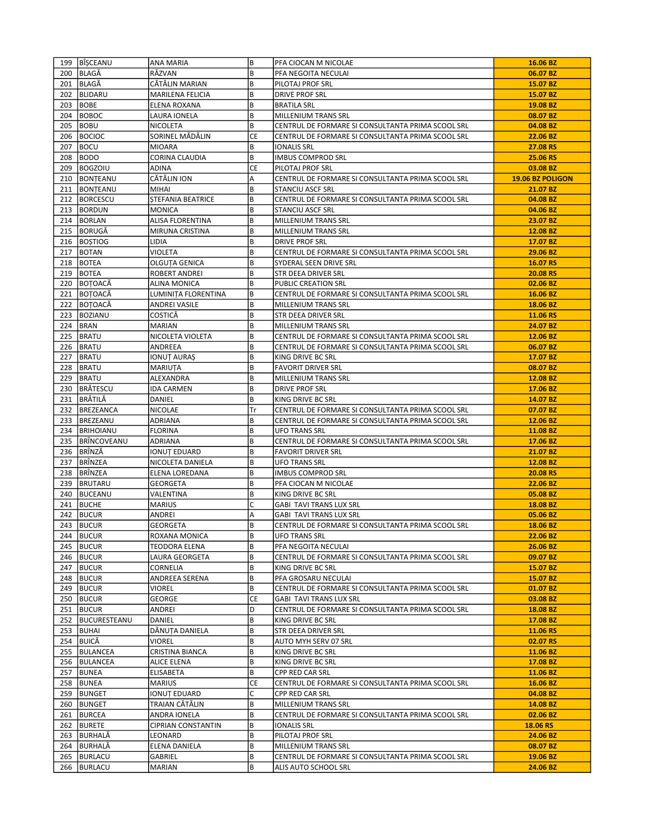|     | 199   BÎŞCEANU   | ANA MARIA                 | B         | PFA CIOCAN M NICOLAE                              | 16.06 BZ         |
|-----|------------------|---------------------------|-----------|---------------------------------------------------|------------------|
| 200 | BLAGĂ            | RĂZVAN                    | B         | PFA NEGOITA NECULAI                               | 06.07 BZ         |
|     | 201 BLAGĂ        | CĂTĂLIN MARIAN            | B         | PILOTAJ PROF SRL                                  | 15.07 BZ         |
| 202 | BLIDARU          | MARILENA FELICIA          | B         | DRIVE PROF SRL                                    | 15.07 BZ         |
| 203 | IBOBE            | ELENA ROXANA              | B         | <b>BRATILA SRL</b>                                | 19.08 BZ         |
| 204 | <b>BOBOC</b>     | LAURA IONELA              | B         | MILLENIUM TRANS SRL                               | 08.07 BZ         |
| 205 | BOBU             | NICOLETA                  | B         | CENTRUL DE FORMARE SI CONSULTANTA PRIMA SCOOL SRL | 04.08 BZ         |
| 206 | <b>BOCIOC</b>    | SORINEL MĂDĂLIN           | <b>CE</b> | CENTRUL DE FORMARE SI CONSULTANTA PRIMA SCOOL SRL | 22.06 BZ         |
| 207 | <b>BOCU</b>      | <b>MIOARA</b>             | B         | <b>IONALIS SRL</b>                                | 27.08 RS         |
| 208 | <b>BODO</b>      | CORINA CLAUDIA            | B         | <b>IMBUS COMPROD SRL</b>                          | 25.06 RS         |
| 209 | <b>BOGZOIU</b>   | ADINA                     | <b>CE</b> | PILOTAJ PROF SRL                                  | 03.08 BZ         |
| 210 | BONTEANU         | CĂTĂLIN ION               | Α         | CENTRUL DE FORMARE SI CONSULTANTA PRIMA SCOOL SRL | 19.06 BZ POLIGON |
|     | 211   BONTEANU   | <b>MIHAI</b>              | B         | <b>STANCIU ASCF SRL</b>                           | 21.07 BZ         |
| 212 | BORCESCU         | <b>STEFANIA BEATRICE</b>  | B         | CENTRUL DE FORMARE SI CONSULTANTA PRIMA SCOOL SRL | 04.08 BZ         |
|     | 213   BORDUN     | <b>MONICA</b>             | B         | <b>STANCIU ASCF SRL</b>                           | 04.06 BZ         |
|     | 214 BORLAN       | ALISA FLORENTINA          | B         | MILLENIUM TRANS SRL                               | 23.07 BZ         |
| 215 | BORUGĂ           | MIRUNA CRISTINA           | B         | MILLENIUM TRANS SRL                               | 12.08 BZ         |
|     | 216   BOȘTIOG    | LIDIA                     | B         | DRIVE PROF SRL                                    | 17.07 BZ         |
|     | 217 BOTAN        | VIOLETA                   | B         | CENTRUL DE FORMARE SI CONSULTANTA PRIMA SCOOL SRL | 29.06 BZ         |
| 218 | <b>BOTEA</b>     | OLGUȚA GENICA             | B         | SYDERAL SEEN DRIVE SRL                            | 16.07 RS         |
|     | 219 BOTEA        | ROBERT ANDREI             | B         | STR DEEA DRIVER SRL                               | 20.08 RS         |
|     | 220 BOTOACĂ      | ALINA MONICA              | B         | PUBLIC CREATION SRL                               | 02.06 BZ         |
| 221 | BOTOACĂ          | LUMINITA FLORENTINA       | B         | CENTRUL DE FORMARE SI CONSULTANTA PRIMA SCOOL SRL | 16.06 BZ         |
|     | 222 BOTOACĂ      | ANDREI VASILE             | B         | MILLENIUM TRANS SRL                               | 18.06 BZ         |
| 223 | <b>BOZIANU</b>   | COSTICĂ                   | B         | STR DEEA DRIVER SRL                               | 11.06 RS         |
| 224 | BRAN             | <b>MARIAN</b>             | B         | MILLENIUM TRANS SRL                               | 24.07 BZ         |
| 225 | BRATU            | NICOLETA VIOLETA          | B         | CENTRUL DE FORMARE SI CONSULTANTA PRIMA SCOOL SRL | 12.06 BZ         |
|     | 226 BRATU        | ANDREEA                   | B         | CENTRUL DE FORMARE SI CONSULTANTA PRIMA SCOOL SRL | 06.07 BZ         |
| 227 | <b>BRATU</b>     | IONUT AURAȘ               | B         | KING DRIVE BC SRL                                 | 17.07 BZ         |
| 228 | <b>BRATU</b>     | MARIUTA                   | B         | <b>FAVORIT DRIVER SRL</b>                         | 08.07 BZ         |
| 229 | BRATU            | ALEXANDRA                 | B         | MILLENIUM TRANS SRL                               | 12.08 BZ         |
| 230 | <b>BRĂTESCU</b>  | IDA CARMEN                | B         | <b>DRIVE PROF SRL</b>                             | 17.06 BZ         |
|     | 231 BRĂTILĂ      | DANIEL                    | B         | KING DRIVE BC SRL                                 | 14.07 BZ         |
|     | 232 BREZEANCA    | <b>NICOLAE</b>            | ΙTr       | CENTRUL DE FORMARE SI CONSULTANTA PRIMA SCOOL SRL | 07.07 BZ         |
| 233 | BREZEANU         | <b>ADRIANA</b>            | B         | CENTRUL DE FORMARE SI CONSULTANTA PRIMA SCOOL SRL | 12.06 BZ         |
|     | 234   BRIHOIANU  | <b>FLORINA</b>            | B         | UFO TRANS SRL                                     | 11.08 BZ         |
|     | 235 BRÎNCOVEANU  | ADRIANA                   | B         | CENTRUL DE FORMARE SI CONSULTANTA PRIMA SCOOL SRL | 17.06 BZ         |
| 236 | BRÎNZĂ           | IONUȚ EDUARD              | B         | <b>FAVORIT DRIVER SRL</b>                         | 21.07 BZ         |
| 237 | BRÎNZEA          | NICOLETA DANIELA          | B         | UFO TRANS SRL                                     | 12.08 BZ         |
|     | 238 BRÎNZEA      | ELENA LOREDANA            | B         | <b>IMBUS COMPROD SRL</b>                          | 20.08 RS         |
| 239 | BRUTARU          | GEORGETA                  | B         | PFA CIOCAN M NICOLAE                              | 22.06 BZ         |
| 240 | BUCEANU          | VALENTINA                 | B         | KING DRIVE BC SRL                                 | 05.08 BZ         |
| 241 | <b>BUCHE</b>     | <b>MARIUS</b>             | C         | <b>GABI TAVI TRANS LUX SRL</b>                    | 18.08 BZ         |
| 242 | BUCUR            | ANDREI                    | Α         | <b>GABI TAVI TRANS LUX SRL</b>                    | 05.06 BZ         |
|     | 243 BUCUR        | <b>GEORGETA</b>           | B         | CENTRUL DE FORMARE SI CONSULTANTA PRIMA SCOOL SRL | 18.06 BZ         |
|     | 244 BUCUR        | ROXANA MONICA             | B         | <b>UFO TRANS SRL</b>                              | 22.06 BZ         |
|     | 245 BUCUR        | TEODORA ELENA             | B         | PFA NEGOITA NECULAI                               | 26.06 BZ         |
|     | 246   BUCUR      | LAURA GEORGETA            | B         | CENTRUL DE FORMARE SI CONSULTANTA PRIMA SCOOL SRL | 09.07 BZ         |
|     | 247 BUCUR        | CORNELIA                  | B         | KING DRIVE BC SRL                                 | 15.07 BZ         |
|     | 248   BUCUR      | ANDREEA SERENA            | B         | PFA GROSARU NECULAI                               | 15.07 BZ         |
|     | 249   BUCUR      | VIOREL                    | B         | CENTRUL DE FORMARE SI CONSULTANTA PRIMA SCOOL SRL | 01.07 BZ         |
|     | 250 BUCUR        | GEORGE                    | CE        | GABI TAVI TRANS LUX SRL                           | 03.08 BZ         |
|     | 251   BUCUR      | ANDREI                    | D         | CENTRUL DE FORMARE SI CONSULTANTA PRIMA SCOOL SRL | 18.08 BZ         |
|     | 252 BUCURESTEANU | DANIEL                    | B         | KING DRIVE BC SRL                                 | 17.08 BZ         |
|     | 253 BUHAI        | DĂNUȚA DANIELA            | B         | STR DEEA DRIVER SRL                               | 11.06 RS         |
|     | 254 BUICĂ        | <b>VIOREL</b>             | B         | AUTO MYH SERV 07 SRL                              | 02.07 RS         |
|     | 255 BULANCEA     | CRISTINA BIANCA           | B         | KING DRIVE BC SRL                                 | 11.06 BZ         |
|     | 256 BULANCEA     | <b>ALICE ELENA</b>        | B         | KING DRIVE BC SRL                                 | 17.08 BZ         |
|     | 257 BUNEA        | ELISABETA                 | B         | CPP RED CAR SRL                                   | 11.06 BZ         |
|     | 258 BUNEA        | <b>MARIUS</b>             | CE        | CENTRUL DE FORMARE SI CONSULTANTA PRIMA SCOOL SRL | 16.06 BZ         |
|     | 259 BUNGET       | IONUȚ EDUARD              | C         | CPP RED CAR SRL                                   | 04.08 BZ         |
|     | 260 BUNGET       | TRAIAN CĂTĂLIN            | B         | MILLENIUM TRANS SRL                               | 14.08 BZ         |
|     | 261 BURCEA       | ANDRA IONELA              | B         | CENTRUL DE FORMARE SI CONSULTANTA PRIMA SCOOL SRL | 02.06 BZ         |
|     | 262   BURETE     | <b>CIPRIAN CONSTANTIN</b> | B         | <b>IONALIS SRL</b>                                | 18.06 RS         |
|     | 263 BURHALĂ      | LEONARD                   | B         | PILOTAJ PROF SRL                                  | 24.06 BZ         |
|     | 264 BURHALĂ      | ELENA DANIELA             | B         | MILLENIUM TRANS SRL                               | 08.07 BZ         |
|     | 265   BURLACU    | GABRIEL                   | B         | CENTRUL DE FORMARE SI CONSULTANTA PRIMA SCOOL SRL | 19.06 BZ         |
|     | 266   BURLACU    | MARIAN                    | B         | ALIS AUTO SCHOOL SRL                              | 24.06 BZ         |
|     |                  |                           |           |                                                   |                  |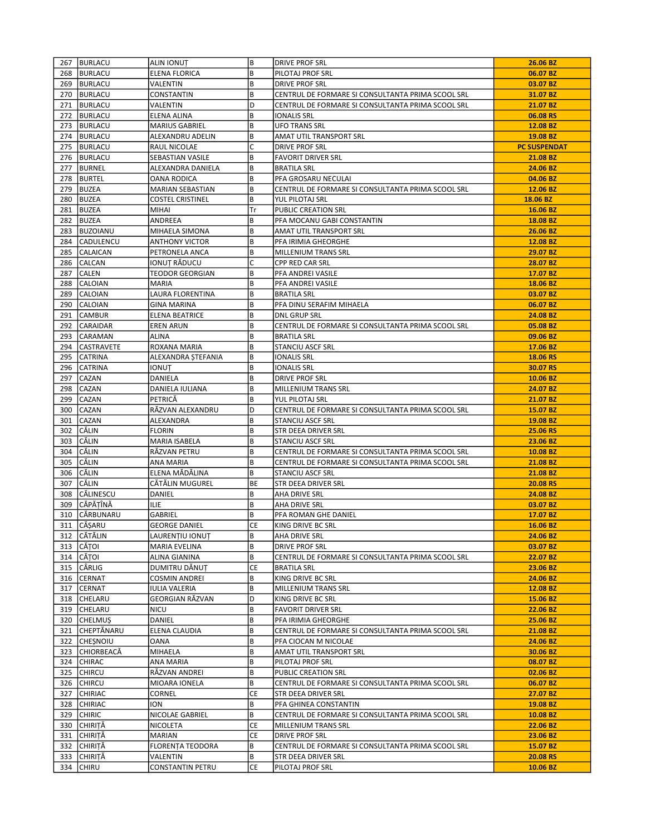|     | 267 BURLACU            | <b>ALIN IONUT</b>                | B         | <b>DRIVE PROF SRL</b>                                                      | 26.06 BZ             |
|-----|------------------------|----------------------------------|-----------|----------------------------------------------------------------------------|----------------------|
|     | 268 BURLACU            | ELENA FLORICA                    | B         | PILOTAJ PROF SRL                                                           | 06.07 BZ             |
|     | 269 BURLACU            | VALENTIN                         | B         | <b>DRIVE PROF SRL</b>                                                      | 03.07 BZ             |
|     | 270 BURLACU            | CONSTANTIN                       | B         | CENTRUL DE FORMARE SI CONSULTANTA PRIMA SCOOL SRL                          | 31.07 BZ             |
| 271 | BURLACU                | VALENTIN                         | D         | CENTRUL DE FORMARE SI CONSULTANTA PRIMA SCOOL SRL                          | 21.07 BZ             |
|     | 272 BURLACU            | ELENA ALINA                      | B         | <b>IONALIS SRL</b>                                                         | 06.08 RS             |
|     | 273 BURLACU            | MARIUS GABRIEL                   | B         | UFO TRANS SRL                                                              | 12.08 BZ             |
| 274 | BURLACU                | ALEXANDRU ADELIN                 | B         | AMAT UTIL TRANSPORT SRL                                                    | 19.08 BZ             |
|     | 275   BURLACU          | RAUL NICOLAE                     | С         | <b>DRIVE PROF SRL</b>                                                      | <b>PC SUSPENDAT</b>  |
|     | 276 BURLACU            | SEBASTIAN VASILE                 | B         | FAVORIT DRIVER SRL                                                         | 21.08 BZ             |
| 277 | BURNEL                 | ALEXANDRA DANIELA                | B         | <b>BRATILA SRL</b>                                                         | 24.06 BZ             |
|     | 278   BURTEL           | OANA RODICA                      | B         | PFA GROSARU NECULAI                                                        | 04.06 BZ             |
| 279 | BUZEA                  | MARIAN SEBASTIAN                 | B         | CENTRUL DE FORMARE SI CONSULTANTA PRIMA SCOOL SRL                          | 12.06 BZ             |
| 280 | <b>BUZEA</b>           | <b>COSTEL CRISTINEL</b>          | B         | YUL PILOTAJ SRL                                                            | 18.06 BZ             |
|     | 281 BUZEA              |                                  | Tr        |                                                                            | 16.06 BZ             |
|     | 282 BUZEA              | MIHAI<br>ANDREEA                 | B         | PUBLIC CREATION SRL<br>PFA MOCANU GABI CONSTANTIN                          | 18.08 BZ             |
|     |                        |                                  | B         |                                                                            |                      |
| 283 | <b>BUZOIANU</b>        | MIHAELA SIMONA                   |           | AMAT UTIL TRANSPORT SRL                                                    | 26.06 BZ             |
|     | 284 CADULENCU          | <b>ANTHONY VICTOR</b>            | B         | PFA IRIMIA GHEORGHE                                                        | 12.08 BZ             |
| 285 | <b>CALAICAN</b>        | PETRONELA ANCA                   | B         | MILLENIUM TRANS SRL                                                        | 29.07 BZ             |
| 286 | <b>CALCAN</b>          | IONUȚ RĂDUCU                     | C         | CPP RED CAR SRL                                                            | 28.07 BZ             |
|     | 287 CALEN              | TEODOR GEORGIAN                  | B         | PFA ANDREI VASILE                                                          | 17.07 BZ             |
| 288 | CALOIAN                | <b>MARIA</b>                     | B         | PFA ANDREI VASILE                                                          | 18.06 BZ             |
| 289 | <b>CALOIAN</b>         | LAURA FLORENTINA                 | B         | <b>BRATILA SRL</b>                                                         | 03.07 BZ             |
|     | 290 CALOIAN            | <b>GINA MARINA</b>               | B         | PFA DINU SERAFIM MIHAELA                                                   | 06.07 BZ             |
| 291 | <b>CAMBUR</b>          | <b>ELENA BEATRICE</b>            | B         | <b>DNL GRUP SRL</b>                                                        | 24.08 BZ             |
| 292 | <b>CARAIDAR</b>        | <b>EREN ARUN</b>                 | B         | CENTRUL DE FORMARE SI CONSULTANTA PRIMA SCOOL SRL                          | 05.08 BZ             |
|     | 293 CARAMAN            | ALINA                            | B         | <b>BRATILA SRL</b>                                                         | 09.06 BZ             |
|     | 294 CASTRAVETE         | ROXANA MARIA                     | B         | <b>STANCIU ASCF SRL</b>                                                    | 17.06 BZ             |
| 295 | CATRINA                | ALEXANDRA ȘTEFANIA               | B         | IONALIS SRL                                                                | 18.06 RS             |
|     | 296 CATRINA            | ionuț                            | В         | <b>IONALIS SRL</b>                                                         | 30.07 RS             |
| 297 | <b>CAZAN</b>           | DANIELA                          | B         | <b>DRIVE PROF SRL</b>                                                      | 10.06 BZ             |
| 298 | CAZAN                  | DANIELA IULIANA                  | B         | MILLENIUM TRANS SRL                                                        | 24.07 BZ             |
| 299 | <b>CAZAN</b>           | PETRICĂ                          | B         | YUL PILOTAJ SRL                                                            | 21.07 BZ             |
| 300 | <b>CAZAN</b>           | RĂZVAN ALEXANDRU                 | D         | CENTRUL DE FORMARE SI CONSULTANTA PRIMA SCOOL SRL                          | 15.07 BZ             |
| 301 | <b>CAZAN</b>           | ALEXANDRA                        | B         | <b>STANCIU ASCF SRL</b>                                                    | 19.08 BZ             |
| 302 | CĂLIN                  | <b>FLORIN</b>                    | В         | STR DEEA DRIVER SRL                                                        | 25.06 RS             |
| 303 | CĂLIN                  | MARIA ISABELA                    | B         | <b>STANCIU ASCF SRL</b>                                                    | 23.06 BZ             |
| 304 | CĂLIN                  | RĂZVAN PETRU                     | B         | CENTRUL DE FORMARE SI CONSULTANTA PRIMA SCOOL SRL                          | 10.08 BZ             |
| 305 | CĂLIN                  | ANA MARIA                        | B         | CENTRUL DE FORMARE SI CONSULTANTA PRIMA SCOOL SRL                          | 21.08 BZ             |
| 306 | <b>CĂLIN</b>           | ELENA MĂDĂLINA                   | B         | STANCIU ASCF SRL                                                           | 21.08 BZ             |
| 307 | lcălin                 | CĂTĂLIN MUGUREL                  | <b>BE</b> | STR DEEA DRIVER SRL                                                        | 20.08 RS             |
| 308 | CĂLINESCU              | DANIEL                           | В         | AHA DRIVE SRL                                                              | 24.08 BZ             |
|     | 309  CĂPĂȚÎNĂ          | <b>ILIE</b>                      | B         | AHA DRIVE SRL                                                              | 03.07 BZ             |
| 310 | CĂRBUNARU              | GABRIEL                          | B         | PFA ROMAN GHE DANIEL                                                       | 17.07 BZ             |
|     | 311 CĂSARU             | <b>GEORGE DANIEL</b>             | СE        | <b>KING DRIVE BC SRL</b>                                                   | 16.06 BZ             |
|     | 312 CĂTĂLIN            | LAURENTIU IONUT                  | B         | AHA DRIVE SRL                                                              | 24.06 BZ             |
|     |                        |                                  | B         |                                                                            |                      |
|     | 313 CĂTOI<br>314 CĂTOI | MARIA EVELINA<br>ALINA GIANINA   | B         | <b>DRIVE PROF SRL</b><br>CENTRUL DE FORMARE SI CONSULTANTA PRIMA SCOOL SRL | 03.07 BZ<br>22.07 BZ |
|     |                        |                                  |           |                                                                            |                      |
|     | 315 CÂRLIG             | DUMITRU DĂNUȚ                    | СE        | <b>BRATILA SRL</b>                                                         | 23.06 BZ             |
|     | 316 CERNAT             | COSMIN ANDREI                    | В         | KING DRIVE BC SRL                                                          | 24.06 BZ             |
|     | 317 CERNAT             | IULIA VALERIA<br>GEORGIAN RĂZVAN | B         | MILLENIUM TRANS SRL                                                        | 12.08 BZ             |
|     | 318 CHELARU            |                                  | D         | KING DRIVE BC SRL                                                          | 15.06 BZ             |
|     | 319 CHELARU            | <b>NICU</b>                      | B         | <b>FAVORIT DRIVER SRL</b>                                                  | 22.06 BZ             |
|     | 320 CHELMUS            | DANIEL                           | B         | PFA IRIMIA GHEORGHE                                                        | 25.06 BZ             |
|     | 321 CHEPTĂNARU         | ELENA CLAUDIA                    | B         | CENTRUL DE FORMARE SI CONSULTANTA PRIMA SCOOL SRL                          | 21.08 BZ             |
|     | 322 CHESNOIU           | OANA                             | B         | PFA CIOCAN M NICOLAE                                                       | 24.06 BZ             |
|     | 323 CHIORBEACĂ         | MIHAELA                          | B         | AMAT UTIL TRANSPORT SRL                                                    | 30.06 BZ             |
| 324 | CHIRAC                 | ANA MARIA                        | B         | PILOTAJ PROF SRL                                                           | 08.07 BZ             |
|     | 325 CHIRCU             | RĂZVAN ANDREI                    | B         | PUBLIC CREATION SRL                                                        | 02.06 BZ             |
|     | 326 CHIRCU             | MIOARA IONELA                    | B         | CENTRUL DE FORMARE SI CONSULTANTA PRIMA SCOOL SRL                          | 06.07 BZ             |
| 327 | CHIRIAC                | CORNEL                           | CE        | STR DEEA DRIVER SRL                                                        | 27.07 BZ             |
|     | 328 CHIRIAC            | ION                              | B         | PFA GHINEA CONSTANTIN                                                      | 19.08 BZ             |
| 329 | <b>CHIRIC</b>          | NICOLAE GABRIEL                  | B         | CENTRUL DE FORMARE SI CONSULTANTA PRIMA SCOOL SRL                          | 10.08 BZ             |
| 330 | CHIRIȚĂ                | NICOLETA                         | СE        | MILLENIUM TRANS SRL                                                        | 22.06 BZ             |
|     | 331 CHIRITĂ            | MARIAN                           | CE        | <b>DRIVE PROF SRL</b>                                                      | 23.06 BZ             |
|     | 332 CHIRITĂ            | FLORENȚA TEODORA                 | В         | CENTRUL DE FORMARE SI CONSULTANTA PRIMA SCOOL SRL                          | 15.07 BZ             |
|     | 333 CHIRIȚĂ            | VALENTIN                         | B         | STR DEEA DRIVER SRL                                                        | 20.08 RS             |
|     | 334 CHIRU              | CONSTANTIN PETRU                 | CE        | PILOTAJ PROF SRL                                                           | 10.06 BZ             |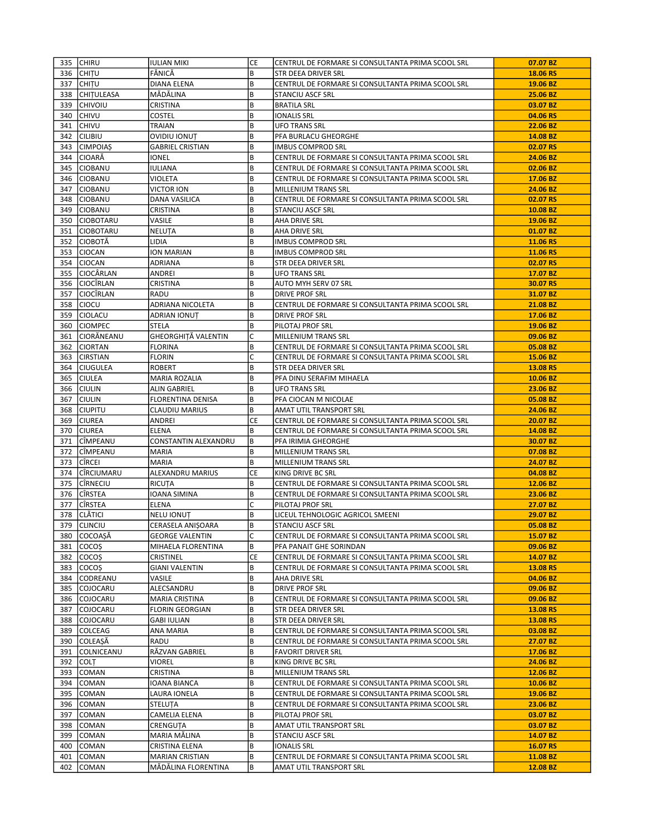|     | 335 CHIRU         | <b>IULIAN MIKI</b>      | CE        | CENTRUL DE FORMARE SI CONSULTANTA PRIMA SCOOL SRL | 07.07 BZ |
|-----|-------------------|-------------------------|-----------|---------------------------------------------------|----------|
| 336 | <b>CHITU</b>      | FĂNICĂ                  | B         | STR DEEA DRIVER SRL                               | 18.06 RS |
|     | 337 CHITU         | DIANA ELENA             | B         | CENTRUL DE FORMARE SI CONSULTANTA PRIMA SCOOL SRL | 19.06 BZ |
| 338 | <b>CHITULEASA</b> | MĂDĂLINA                | B         | <b>STANCIU ASCF SRL</b>                           | 25.06 BZ |
| 339 | <b>CHIVOIU</b>    | CRISTINA                | B         | <b>BRATILA SRL</b>                                | 03.07 BZ |
| 340 | <b>CHIVU</b>      | <b>COSTEL</b>           | B         | <b>IONALIS SRL</b>                                | 04.06 RS |
| 341 | CHIVU             | TRAIAN                  | B         | <b>UFO TRANS SRL</b>                              | 22.06 BZ |
| 342 | <b>CILIBIU</b>    | <b>OVIDIU IONUT</b>     | B         | PFA BURLACU GHEORGHE                              | 14.08 BZ |
| 343 | <b>CIMPOIAS</b>   | <b>GABRIEL CRISTIAN</b> | B         | <b>IMBUS COMPROD SRL</b>                          | 02.07 RS |
| 344 | CIOARĂ            | <b>IONEL</b>            | B         | CENTRUL DE FORMARE SI CONSULTANTA PRIMA SCOOL SRL | 24.06 BZ |
| 345 | <b>CIOBANU</b>    | <b>IULIANA</b>          | B         | CENTRUL DE FORMARE SI CONSULTANTA PRIMA SCOOL SRL | 02.06 BZ |
|     | 346 CIOBANU       | VIOLETA                 | B         | CENTRUL DE FORMARE SI CONSULTANTA PRIMA SCOOL SRL | 17.06 BZ |
| 347 | <b>CIOBANU</b>    | <b>VICTOR ION</b>       | B         | <b>MILLENIUM TRANS SRL</b>                        | 24.06 BZ |
| 348 | <b>CIOBANU</b>    | <b>DANA VASILICA</b>    | B         | CENTRUL DE FORMARE SI CONSULTANTA PRIMA SCOOL SRL | 02.07 RS |
|     |                   |                         |           |                                                   |          |
|     | 349 CIOBANU       | CRISTINA                | B<br>B    | STANCIU ASCF SRL                                  | 10.08 BZ |
|     | 350 CIOBOTARU     | VASILE                  |           | AHA DRIVE SRL                                     | 19.06 BZ |
| 351 | <b>CIOBOTARU</b>  | NELUȚA                  | B         | AHA DRIVE SRL                                     | 01.07 BZ |
| 352 | <b>CIOBOTĂ</b>    | LIDIA                   | B         | <b>IMBUS COMPROD SRL</b>                          | 11.06 RS |
| 353 | <b>CIOCAN</b>     | ION MARIAN              | B         | <b>IMBUS COMPROD SRL</b>                          | 11.06 RS |
| 354 | <b>CIOCAN</b>     | ADRIANA                 | B         | STR DEEA DRIVER SRL                               | 02.07 RS |
|     | 355 CIOCÂRLAN     | ANDREI                  | B         | <b>UFO TRANS SRL</b>                              | 17.07 BZ |
|     | 356 CIOCIRLAN     | CRISTINA                | B         | AUTO MYH SERV 07 SRL                              | 30.07 RS |
| 357 | CIOCÎRLAN         | <b>RADU</b>             | B         | <b>DRIVE PROF SRL</b>                             | 31.07 BZ |
| 358 | <b>CIOCU</b>      | ADRIANA NICOLETA        | B         | CENTRUL DE FORMARE SI CONSULTANTA PRIMA SCOOL SRL | 21.08 BZ |
| 359 | <b>CIOLACU</b>    | ADRIAN IONUT            | B         | DRIVE PROF SRL                                    | 17.06 BZ |
| 360 | <b>CIOMPEC</b>    | <b>STELA</b>            | B         | PILOTAJ PROF SRL                                  | 19.06 BZ |
| 361 | CIORĂNEANU        | GHEORGHITĂ VALENTIN     | C         | MILLENIUM TRANS SRL                               | 09.06 BZ |
| 362 | <b>CIORTAN</b>    | <b>FLORINA</b>          | B         | CENTRUL DE FORMARE SI CONSULTANTA PRIMA SCOOL SRL | 05.08 BZ |
| 363 | <b>CIRSTIAN</b>   | <b>FLORIN</b>           | C         | CENTRUL DE FORMARE SI CONSULTANTA PRIMA SCOOL SRL | 15.06 BZ |
| 364 | <b>CIUGULEA</b>   | <b>ROBERT</b>           | B         | STR DEEA DRIVER SRL                               | 13.08 RS |
| 365 | <b>CIULEA</b>     | MARIA ROZALIA           | B         | PFA DINU SERAFIM MIHAELA                          | 10.06 BZ |
| 366 | <b>CIULIN</b>     | <b>ALIN GABRIEL</b>     | B         | <b>UFO TRANS SRL</b>                              | 23.06 BZ |
| 367 | <b>CIULIN</b>     | FLORENTINA DENISA       | B         | PFA CIOCAN M NICOLAE                              | 05.08 BZ |
| 368 | CIUPITU           | CLAUDIU MARIUS          | B         | AMAT UTIL TRANSPORT SRL                           | 24.06 BZ |
| 369 | <b>CIUREA</b>     | ANDREI                  | <b>CE</b> | CENTRUL DE FORMARE SI CONSULTANTA PRIMA SCOOL SRL | 20.07 BZ |
| 370 | <b>CIUREA</b>     | <b>ELENA</b>            | B         | CENTRUL DE FORMARE SI CONSULTANTA PRIMA SCOOL SRL | 14.08 BZ |
| 371 | CÎMPEANU          | CONSTANTIN ALEXANDRU    | B         | PFA IRIMIA GHEORGHE                               | 30.07 BZ |
| 372 | <b>CÎMPEANU</b>   | <b>MARIA</b>            | B         | MILLENIUM TRANS SRL                               | 07.08 BZ |
| 373 | <b>CÎRCEI</b>     | <b>MARIA</b>            | B         | MILLENIUM TRANS SRL                               | 24.07 BZ |
| 374 | CÎRCIUMARU        | ALEXANDRU MARIUS        | CE        | KING DRIVE BC SRL                                 | 04.08 BZ |
| 375 | <b>CÎRNECIU</b>   | <b>RICUTA</b>           | B         | CENTRUL DE FORMARE SI CONSULTANTA PRIMA SCOOL SRL | 12.06 BZ |
| 376 | <b>CIRSTEA</b>    | IOANA SIMINA            | B         | CENTRUL DE FORMARE SI CONSULTANTA PRIMA SCOOL SRL | 23.06 BZ |
| 377 | CÎRSTEA           | <b>ELENA</b>            | C         | PILOTAJ PROF SRL                                  | 27.07 BZ |
|     |                   |                         |           |                                                   |          |
| 378 | ICLĂTICI          | <b>NELU IONUT</b>       | B         | LICEUL TEHNOLOGIC AGRICOL SMEENI                  | 29.07 BZ |
| 379 | <b>CLINCIU</b>    | CERASELA ANIȘOARA       | B         | <b>STANCIU ASCF SRL</b>                           | 05.08 BZ |
|     | 380 COCOAȘĂ       | <b>GEORGE VALENTIN</b>  | lC.       | CENTRUL DE FORMARE SI CONSULTANTA PRIMA SCOOL SRL | 15.07 BZ |
| 381 | cocos             | MIHAELA FLORENTINA      | B         | PFA PANAIT GHE SORINDAN                           | 09.06 BZ |
| 382 | cocoș             | CRISTINEL               | СE        | CENTRUL DE FORMARE SI CONSULTANTA PRIMA SCOOL SRL | 14.07 BZ |
| 383 | cocos             | <b>GIANI VALENTIN</b>   | B         | CENTRUL DE FORMARE SI CONSULTANTA PRIMA SCOOL SRL | 13.08 RS |
|     | 384 CODREANU      | VASILE                  | B         | AHA DRIVE SRL                                     | 04.06 BZ |
| 385 | COJOCARU          | ALECSANDRU              | B         | <b>DRIVE PROF SRL</b>                             | 09.06 BZ |
| 386 | COJOCARU          | MARIA CRISTINA          | B         | CENTRUL DE FORMARE SI CONSULTANTA PRIMA SCOOL SRL | 09.06 BZ |
| 387 | COJOCARU          | <b>FLORIN GEORGIAN</b>  | B         | STR DEEA DRIVER SRL                               | 13.08 RS |
| 388 | COJOCARU          | <b>GABI IULIAN</b>      | B         | STR DEEA DRIVER SRL                               | 13.08 RS |
| 389 | COLCEAG           | ANA MARIA               | B         | CENTRUL DE FORMARE SI CONSULTANTA PRIMA SCOOL SRL | 03.08 BZ |
| 390 | <b>COLEASĂ</b>    | RADU                    | B         | CENTRUL DE FORMARE SI CONSULTANTA PRIMA SCOOL SRL | 27.07 BZ |
| 391 | COLNICEANU        | RĂZVAN GABRIEL          | B         | <b>FAVORIT DRIVER SRL</b>                         | 17.06 BZ |
| 392 | <b>COLT</b>       | VIOREL                  | B         | KING DRIVE BC SRL                                 | 24.06 BZ |
| 393 | COMAN             | CRISTINA                | B         | MILLENIUM TRANS SRL                               | 12.06 BZ |
| 394 | COMAN             | IOANA BIANCA            | B         | CENTRUL DE FORMARE SI CONSULTANTA PRIMA SCOOL SRL | 10.06 BZ |
| 395 | COMAN             | LAURA IONELA            | B         | CENTRUL DE FORMARE SI CONSULTANTA PRIMA SCOOL SRL | 19.06 BZ |
|     | 396 COMAN         | STELUTA                 | B         | CENTRUL DE FORMARE SI CONSULTANTA PRIMA SCOOL SRL | 23.06 BZ |
| 397 | COMAN             | CAMELIA ELENA           | B         | PILOTAJ PROF SRL                                  | 03.07 BZ |
| 398 |                   |                         | B         | AMAT UTIL TRANSPORT SRL                           | 03.07 BZ |
|     | COMAN             | CRENGUTA                |           |                                                   |          |
| 399 | COMAN             | MARIA MĂLINA            | B         | <b>STANCIU ASCF SRL</b>                           | 14.07 BZ |
| 400 | COMAN             | CRISTINA ELENA          | B         | <b>IONALIS SRL</b>                                | 16.07 RS |
| 401 | COMAN             | <b>MARIAN CRISTIAN</b>  | B         | CENTRUL DE FORMARE SI CONSULTANTA PRIMA SCOOL SRL | 11.08 BZ |
| 402 | COMAN             | MĂDĂLINA FLORENTINA     | B         | AMAT UTIL TRANSPORT SRL                           | 12.08 BZ |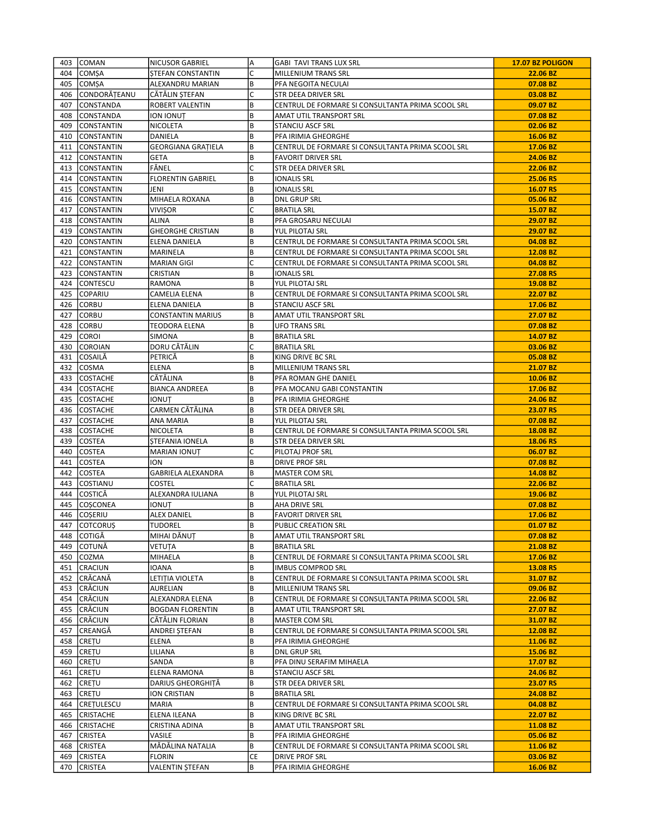| 403 | <b>COMAN</b>      | <b>NICUSOR GABRIEL</b>    | A   | <b>GABI TAVI TRANS LUX SRL</b>                    | 17.07 BZ POLIGON |
|-----|-------------------|---------------------------|-----|---------------------------------------------------|------------------|
| 404 | <b>COMSA</b>      | STEFAN CONSTANTIN         | lC. | MILLENIUM TRANS SRL                               | 22.06 BZ         |
| 405 | COMȘA             | ALEXANDRU MARIAN          | B   | PFA NEGOITA NECULAI                               | 07.08 BZ         |
| 406 | CONDORĂȚEANU      | CĂTĂLIN ȘTEFAN            | C   | STR DEEA DRIVER SRL                               | 03.08 BZ         |
| 407 | <b>CONSTANDA</b>  | <b>ROBERT VALENTIN</b>    | B   | CENTRUL DE FORMARE SI CONSULTANTA PRIMA SCOOL SRL | 09.07 BZ         |
| 408 | <b>CONSTANDA</b>  | <b>ION IONUT</b>          | B   | AMAT UTIL TRANSPORT SRL                           | 07.08 BZ         |
| 409 | CONSTANTIN        | NICOLETA                  | B   | STANCIU ASCF SRL                                  | 02.06 BZ         |
| 410 | CONSTANTIN        | DANIELA                   | B   | PFA IRIMIA GHEORGHE                               | 16.06 BZ         |
| 411 | CONSTANTIN        | <b>GEORGIANA GRATIELA</b> | B   | CENTRUL DE FORMARE SI CONSULTANTA PRIMA SCOOL SRL | 17.06 BZ         |
| 412 | CONSTANTIN        | <b>GETA</b>               | B   | <b>FAVORIT DRIVER SRL</b>                         | 24.06 BZ         |
| 413 | CONSTANTIN        | FĂNEL                     | C   | STR DEEA DRIVER SRL                               | 22.06 BZ         |
| 414 | CONSTANTIN        | <b>FLORENTIN GABRIEL</b>  | B   | <b>IONALIS SRL</b>                                | 25.06 RS         |
| 415 | CONSTANTIN        | JENI                      | B   | IONALIS SRL                                       | 16.07 RS         |
| 416 | CONSTANTIN        | MIHAELA ROXANA            | B   | <b>DNL GRUP SRL</b>                               | 05.06 BZ         |
| 417 | CONSTANTIN        | <b>VIVIŞOR</b>            | lC. | <b>BRATILA SRL</b>                                | 15.07 BZ         |
| 418 | CONSTANTIN        | <b>ALINA</b>              | B   | PFA GROSARU NECULAI                               | 29.07 BZ         |
| 419 | CONSTANTIN        | <b>GHEORGHE CRISTIAN</b>  | B   | YUL PILOTAJ SRL                                   | 29.07 BZ         |
| 420 | <b>CONSTANTIN</b> | ELENA DANIELA             | B   | CENTRUL DE FORMARE SI CONSULTANTA PRIMA SCOOL SRL | 04.08 BZ         |
| 421 | CONSTANTIN        | MARINELA                  | B   | CENTRUL DE FORMARE SI CONSULTANTA PRIMA SCOOL SRL | 12.08 BZ         |
| 422 | CONSTANTIN        | <b>MARIAN GIGI</b>        | C   | CENTRUL DE FORMARE SI CONSULTANTA PRIMA SCOOL SRL | 04.08 BZ         |
|     | 423 CONSTANTIN    | CRISTIAN                  | B   | <b>IONALIS SRL</b>                                | 27.08 RS         |
| 424 | CONTESCU          | <b>RAMONA</b>             | B   | YUL PILOTAJ SRL                                   | 19.08 BZ         |
| 425 | COPARIU           | CAMELIA ELENA             | B   | CENTRUL DE FORMARE SI CONSULTANTA PRIMA SCOOL SRL | 22.07 BZ         |
| 426 | CORBU             | ELENA DANIELA             | B   | <b>STANCIU ASCF SRL</b>                           | 17.06 BZ         |
| 427 | CORBU             | <b>CONSTANTIN MARIUS</b>  | B   | AMAT UTIL TRANSPORT SRL                           | 27.07 BZ         |
| 428 | CORBU             | <b>TEODORA ELENA</b>      | B   | <b>UFO TRANS SRL</b>                              | 07.08 BZ         |
| 429 | COROI             | SIMONA                    | B   | <b>BRATILA SRL</b>                                | 14.07 BZ         |
| 430 | COROIAN           | DORU CĂTĂLIN              | C   | <b>BRATILA SRL</b>                                | 03.06 BZ         |
| 431 | <b>COSAILĂ</b>    | PETRICĂ                   | B   | KING DRIVE BC SRL                                 | 05.08 BZ         |
| 432 | COSMA             | <b>ELENA</b>              | B   | MILLENIUM TRANS SRL                               | 21.07 BZ         |
| 433 | <b>COSTACHE</b>   | CĂTĂLINA                  | B   | PFA ROMAN GHE DANIEL                              | 10.06 BZ         |
| 434 | <b>COSTACHE</b>   | <b>BIANCA ANDREEA</b>     | B   | PFA MOCANU GABI CONSTANTIN                        | 17.06 BZ         |
| 435 | <b>COSTACHE</b>   | <b>IONUT</b>              | B   | PFA IRIMIA GHEORGHE                               | 24.06 BZ         |
|     | 436 COSTACHE      | CARMEN CĂTĂLINA           | B   | STR DEEA DRIVER SRL                               | 23.07 RS         |
| 437 | <b>COSTACHE</b>   | ANA MARIA                 | B   | YUL PILOTAJ SRL                                   | 07.08 BZ         |
| 438 | <b>COSTACHE</b>   | NICOLETA                  | B   | CENTRUL DE FORMARE SI CONSULTANTA PRIMA SCOOL SRL | 18.08 BZ         |
| 439 | <b>COSTEA</b>     | <b>STEFANIA IONELA</b>    | B   | STR DEEA DRIVER SRL                               | 18.06 RS         |
| 440 | <b>COSTEA</b>     | <b>MARIAN IONUT</b>       | C   | PILOTAJ PROF SRL                                  | 06.07 BZ         |
| 441 | COSTEA            | ION                       | B   | DRIVE PROF SRL                                    | 07.08 BZ         |
| 442 | <b>COSTEA</b>     | GABRIELA ALEXANDRA        | B   | <b>MASTER COM SRL</b>                             | 14.08 BZ         |
| 443 | COSTIANU          | <b>COSTEL</b>             | C   | <b>BRATILA SRL</b>                                | 22.06 BZ         |
| 444 | COSTICĂ           | ALEXANDRA IULIANA         | B   | YUL PILOTAJ SRL                                   | 19.06 BZ         |
| 445 | COȘCONEA          | <b>IONUT</b>              | B   | AHA DRIVE SRL                                     | 07.08 BZ         |
| 446 | lcoseriu          | <b>ALEX DANIEL</b>        | B   | <b>FAVORIT DRIVER SRL</b>                         | 17.06 BZ         |
| 447 | COTCORUS          | <b>TUDOREL</b>            | B   | <b>PUBLIC CREATION SRL</b>                        | 01.07 BZ         |
|     | 448 COTIGĂ        | MIHAI DĂNUȚ               | B   | AMAT UTIL TRANSPORT SRL                           | 07.08 BZ         |
| 449 | lcotună           | <b>VETUTA</b>             | B   | <b>BRATILA SRL</b>                                | 21.08 BZ         |
|     | 450 COZMA         | MIHAELA                   | B   | CENTRUL DE FORMARE SI CONSULTANTA PRIMA SCOOL SRL | 17.06 BZ         |
|     | 451 CRACIUN       | IOANA                     | B   | <b>IMBUS COMPROD SRL</b>                          | 13.08 RS         |
| 452 | CRĂCANĂ           | LETIȚIA VIOLETA           | B   | CENTRUL DE FORMARE SI CONSULTANTA PRIMA SCOOL SRL | 31.07 BZ         |
|     | 453 CRĂCIUN       | AURELIAN                  | B   | MILLENIUM TRANS SRL                               | 09.06 BZ         |
| 454 | CRĂCIUN           | ALEXANDRA ELENA           | B   | CENTRUL DE FORMARE SI CONSULTANTA PRIMA SCOOL SRL | 22.06 BZ         |
| 455 | <b>CRĂCIUN</b>    | <b>BOGDAN FLORENTIN</b>   | B   | AMAT UTIL TRANSPORT SRL                           | 27.07 BZ         |
|     | 456 CRĂCIUN       | CĂTĂLIN FLORIAN           | B   | MASTER COM SRL                                    | 31.07 BZ         |
| 457 | CREANGĂ           | ANDREI ȘTEFAN             | B   | CENTRUL DE FORMARE SI CONSULTANTA PRIMA SCOOL SRL | 12.08 BZ         |
| 458 | <b>CRETU</b>      | ELENA                     | B   | PFA IRIMIA GHEORGHE                               | 11.06 BZ         |
| 459 | CRETU             | LILIANA                   | B   | <b>DNL GRUP SRL</b>                               | 15.06 BZ         |
| 460 | CREȚU             | SANDA                     | B   | PFA DINU SERAFIM MIHAELA                          | 17.07 BZ         |
| 461 | CRETU             | ELENA RAMONA              | B   | <b>STANCIU ASCF SRL</b>                           | 24.06 BZ         |
| 462 | CREȚU             | DARIUS GHEORGHITĂ         | B   | STR DEEA DRIVER SRL                               | 23.07 RS         |
| 463 | CREȚU             | ION CRISTIAN              | B   | <b>BRATILA SRL</b>                                | 24.08 BZ         |
| 464 | CRETULESCU        | <b>MARIA</b>              | B   | CENTRUL DE FORMARE SI CONSULTANTA PRIMA SCOOL SRL | 04.08 BZ         |
| 465 | <b>CRISTACHE</b>  | ELENA ILEANA              | B   | KING DRIVE BC SRL                                 | 22.07 BZ         |
| 466 | <b>CRISTACHE</b>  | CRISTINA ADINA            | B   | AMAT UTIL TRANSPORT SRL                           | 11.08 BZ         |
| 467 | <b>CRISTEA</b>    | VASILE                    | B   | PFA IRIMIA GHEORGHE                               | 05.06 BZ         |
| 468 | <b>CRISTEA</b>    | MĂDĂLINA NATALIA          | B   | CENTRUL DE FORMARE SI CONSULTANTA PRIMA SCOOL SRL | 11.06 BZ         |
| 469 | CRISTEA           | <b>FLORIN</b>             | CE  | DRIVE PROF SRL                                    | 03.06 BZ         |
| 470 | <b>CRISTEA</b>    | <b>VALENTIN ȘTEFAN</b>    | B   | PFA IRIMIA GHEORGHE                               | 16.06 BZ         |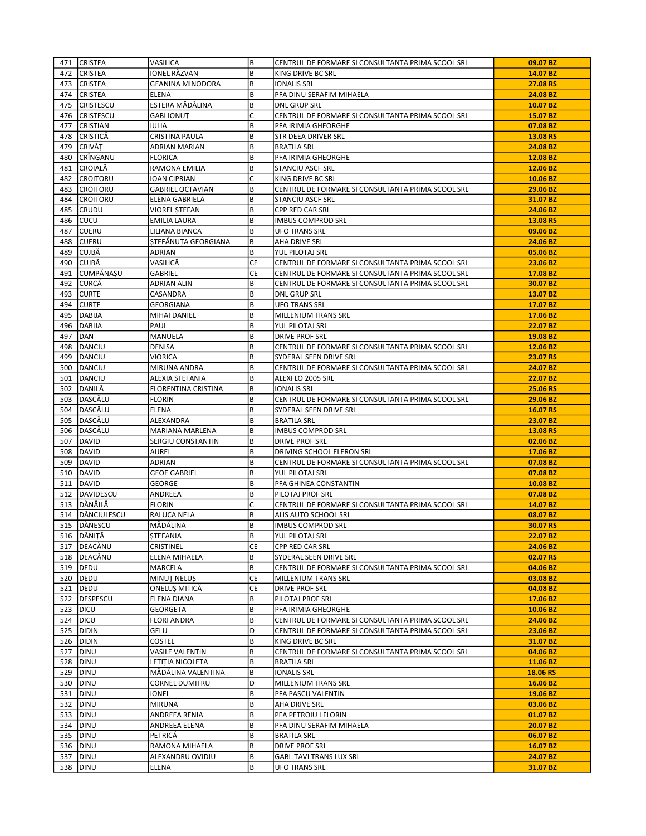|     | 471 CRISTEA       | VASILICA                 | B         | CENTRUL DE FORMARE SI CONSULTANTA PRIMA SCOOL SRL | 09.07 BZ             |
|-----|-------------------|--------------------------|-----------|---------------------------------------------------|----------------------|
| 472 | <b>CRISTEA</b>    | IONEL RĂZVAN             | B         | KING DRIVE BC SRL                                 | 14.07 BZ             |
|     | 473 CRISTEA       | <b>GEANINA MINODORA</b>  | B         | <b>IONALIS SRL</b>                                | 27.08 RS             |
|     | 474 CRISTEA       | <b>ELENA</b>             | B         | PFA DINU SERAFIM MIHAELA                          | 24.08 BZ             |
| 475 | <b>CRISTESCU</b>  | ESTERA MĂDĂLINA          | B         | <b>DNL GRUP SRL</b>                               | 10.07 BZ             |
| 476 | <b>CRISTESCU</b>  | <b>GABI IONUT</b>        | С         | CENTRUL DE FORMARE SI CONSULTANTA PRIMA SCOOL SRL | 15.07 BZ             |
| 477 | <b>CRISTIAN</b>   | <b>IULIA</b>             | B         | PFA IRIMIA GHEORGHE                               | 07.08 BZ             |
| 478 | CRISTICĂ          | CRISTINA PAULA           | B         | STR DEEA DRIVER SRL                               | 13.08 RS             |
| 479 | CRIVĂT            | ADRIAN MARIAN            | B         | <b>BRATILA SRL</b>                                | 24.08 BZ             |
| 480 | CRÎNGANU          | <b>FLORICA</b>           | B         | PFA IRIMIA GHEORGHE                               | 12.08 BZ             |
| 481 | CROIALĂ           | RAMONA EMILIA            | B         | <b>STANCIU ASCF SRL</b>                           | 12.06 BZ             |
| 482 | <b>CROITORU</b>   | IOAN CIPRIAN             | С         | KING DRIVE BC SRL                                 | 10.06 BZ             |
| 483 | <b>CROITORU</b>   | <b>GABRIEL OCTAVIAN</b>  | B         | CENTRUL DE FORMARE SI CONSULTANTA PRIMA SCOOL SRL | 29.06 BZ             |
| 484 | <b>CROITORU</b>   | ELENA GABRIELA           | B         | STANCIU ASCF SRL                                  | 31.07 BZ             |
| 485 | <b>CRUDU</b>      |                          | B         |                                                   | 24.06 BZ             |
| 486 | Icucu             | VIOREL ȘTEFAN            | B         | <b>CPP RED CAR SRL</b>                            |                      |
|     |                   | <b>EMILIA LAURA</b>      |           | <b>IMBUS COMPROD SRL</b>                          | 13.08 RS             |
| 487 | <b>CUERU</b>      | LILIANA BIANCA           | B         | <b>UFO TRANS SRL</b>                              | 09.06 BZ             |
| 488 | CUERU             | STEFĂNUȚA GEORGIANA      | B         | AHA DRIVE SRL                                     | 24.06 BZ             |
| 489 | CUJBĂ             | <b>ADRIAN</b>            | B         | YUL PILOTAJ SRL                                   | 05.06 BZ             |
| 490 | CUJBĂ             | VASILICĂ                 | CE        | CENTRUL DE FORMARE SI CONSULTANTA PRIMA SCOOL SRL | 23.06 BZ             |
| 491 | CUMPĂNAȘU         | GABRIEL                  | <b>CE</b> | CENTRUL DE FORMARE SI CONSULTANTA PRIMA SCOOL SRL | 17.08 BZ             |
| 492 | CURCĂ             | ADRIAN ALIN              | B         | CENTRUL DE FORMARE SI CONSULTANTA PRIMA SCOOL SRL | 30.07 BZ             |
| 493 | <b>CURTE</b>      | CASANDRA                 | B         | <b>DNL GRUP SRL</b>                               | 13.07 BZ             |
| 494 | <b>CURTE</b>      | GEORGIANA                | B         | <b>UFO TRANS SRL</b>                              | 17.07 BZ             |
| 495 | DABIJA            | <b>MIHAI DANIEL</b>      | B         | <b>MILLENIUM TRANS SRL</b>                        | 17.06 BZ             |
| 496 | DABIJA            | PAUL                     | B         | YUL PILOTAJ SRL                                   | 22.07 BZ             |
| 497 | DAN               | MANUELA                  | B         | <b>DRIVE PROF SRL</b>                             | 19.08 BZ             |
| 498 | DANCIU            | <b>DENISA</b>            | B         | CENTRUL DE FORMARE SI CONSULTANTA PRIMA SCOOL SRL | 12.06 BZ             |
| 499 | DANCIU            | VIORICA                  | B         | SYDERAL SEEN DRIVE SRL                            | 23.07 RS             |
| 500 | DANCIU            | MIRUNA ANDRA             | B         | CENTRUL DE FORMARE SI CONSULTANTA PRIMA SCOOL SRL | 24.07 BZ             |
| 501 | DANCIU            | ALEXIA STEFANIA          | B         | ALEXFLO 2005 SRL                                  | 22.07 BZ             |
|     | 502 DANILĂ        | FLORENTINA CRISTINA      | B         | <b>IONALIS SRL</b>                                | 25.06 RS             |
| 503 | DASCĂLU           | <b>FLORIN</b>            | B         | CENTRUL DE FORMARE SI CONSULTANTA PRIMA SCOOL SRL | 29.06 BZ             |
| 504 | DASCĂLU           | <b>ELENA</b>             | B         | SYDERAL SEEN DRIVE SRL                            | 16.07 RS             |
| 505 | DASCĂLU           | ALEXANDRA                | B         | <b>BRATILA SRL</b>                                | 23.07 BZ             |
|     | 506 DASCĂLU       | MARIANA MARLENA          | B         | <b>IMBUS COMPROD SRL</b>                          | 13.08 RS             |
| 507 | DAVID             | SERGIU CONSTANTIN        | B         | <b>DRIVE PROF SRL</b>                             | 02.06 BZ             |
| 508 | DAVID             | AUREL                    | B         | DRIVING SCHOOL ELERON SRL                         | 17.06 BZ             |
| 509 | DAVID             | ADRIAN                   | B         | CENTRUL DE FORMARE SI CONSULTANTA PRIMA SCOOL SRL | 07.08 BZ             |
| 510 | DAVID             | <b>GEOE GABRIEL</b>      | B         | YUL PILOTAJ SRL                                   | 07.08 BZ             |
| 511 | DAVID             | GEORGE                   | B         | PFA GHINEA CONSTANTIN                             | 10.08 BZ             |
|     | 512 DAVIDESCU     |                          | B         | PILOTAJ PROF SRL                                  |                      |
|     | 513 DĂNĂILĂ       | ANDREEA<br><b>FLORIN</b> | C         |                                                   | 07.08 BZ<br>14.07 BZ |
|     |                   |                          |           | CENTRUL DE FORMARE SI CONSULTANTA PRIMA SCOOL SRL |                      |
|     | 514   DĂNCIULESCU | <b>RALUCA NELA</b>       | B         | ALIS AUTO SCHOOL SRL                              | 08.07 BZ             |
|     | 515 DĂNESCU       | MĂDĂLINA                 | B         | <b>IMBUS COMPROD SRL</b>                          | 30.07 RS             |
|     | 516 DĂNIȚĂ        | ŞTEFANIA                 | B         | YUL PILOTAJ SRL                                   | 22.07 BZ             |
|     | 517   DEACĂNU     | CRISTINEL                | CE        | CPP RED CAR SRL                                   | 24.06 BZ             |
|     | 518 DEACĂNU       | ELENA MIHAELA            | B         | SYDERAL SEEN DRIVE SRL                            | 02.07 RS             |
|     | 519   DEDU        | MARCELA                  | B         | CENTRUL DE FORMARE SI CONSULTANTA PRIMA SCOOL SRL | 04.06 BZ             |
|     | 520   DEDU        | MINUT NELUS              | CE        | MILLENIUM TRANS SRL                               | 03.08 BZ             |
|     | 521 DEDU          | ONELUS MITICĂ            | CE        | <b>DRIVE PROF SRL</b>                             | 04.08 BZ             |
|     | 522 DESPESCU      | ELENA DIANA              | B         | PILOTAJ PROF SRL                                  | 17.06 BZ             |
|     | 523   DICU        | <b>GEORGETA</b>          | B         | PFA IRIMIA GHEORGHE                               | 10.06 BZ             |
|     | 524 DICU          | <b>FLORI ANDRA</b>       | B         | CENTRUL DE FORMARE SI CONSULTANTA PRIMA SCOOL SRL | 24.06 BZ             |
| 525 | DIDIN             | GELU                     | D         | CENTRUL DE FORMARE SI CONSULTANTA PRIMA SCOOL SRL | 23.06 BZ             |
|     | 526 DIDIN         | COSTEL                   | B         | KING DRIVE BC SRL                                 | 31.07 BZ             |
|     | 527   DINU        | <b>VASILE VALENTIN</b>   | B         | CENTRUL DE FORMARE SI CONSULTANTA PRIMA SCOOL SRL | 04.06 BZ             |
| 528 | <b>DINU</b>       | LETITIA NICOLETA         | B         | <b>BRATILA SRL</b>                                | 11.06 BZ             |
|     | 529   DINU        | MĂDĂLINA VALENTINA       | B         | <b>IONALIS SRL</b>                                | 18.06 RS             |
|     | 530   DINU        | <b>CORNEL DUMITRU</b>    | D         | MILLENIUM TRANS SRL                               | 16.06 BZ             |
| 531 | DINU              | IONEL                    | B         | PFA PASCU VALENTIN                                | 19.06 BZ             |
|     | 532   DINU        | MIRUNA                   | B         | AHA DRIVE SRL                                     | 03.06 BZ             |
|     | 533   DINU        | ANDREEA RENIA            | B         | PFA PETROIU I FLORIN                              | 01.07 BZ             |
| 534 | DINU              | ANDREEA ELENA            | B         | PFA DINU SERAFIM MIHAELA                          | 20.07 BZ             |
|     | 535   DINU        | PETRICĂ                  | B         | <b>BRATILA SRL</b>                                | 06.07 BZ             |
|     | 536   DINU        | RAMONA MIHAELA           | B         | <b>DRIVE PROF SRL</b>                             | 16.07 BZ             |
| 537 | <b>DINU</b>       | ALEXANDRU OVIDIU         | B         | GABI TAVI TRANS LUX SRL                           | 24.07 BZ             |
|     | 538   DINU        | ELENA                    | B         | UFO TRANS SRL                                     | 31.07 BZ             |
|     |                   |                          |           |                                                   |                      |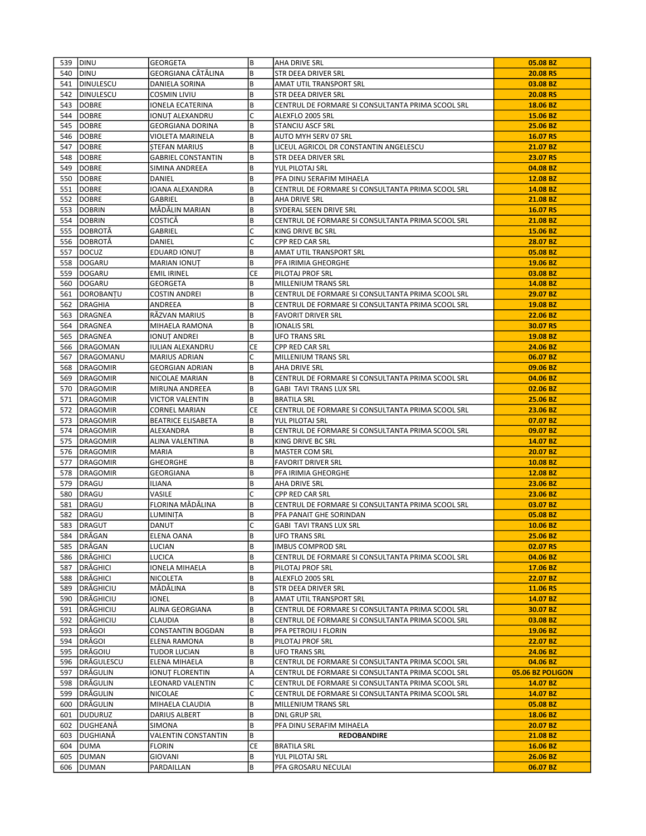| GEORGIANA CĂTĂLINA<br>B<br>20.08 RS<br>540 DINU<br><b>STR DEEA DRIVER SRL</b><br>541<br><b>DINULESCU</b><br>DANIELA SORINA<br>B<br>AMAT UTIL TRANSPORT SRL<br>03.08 BZ<br>DINULESCU<br>B<br>542<br><b>COSMIN LIVIU</b><br>STR DEEA DRIVER SRL<br>20.08 RS<br>543<br>B<br>18.06 BZ<br><b>IDOBRE</b><br>IONELA ECATERINA<br>CENTRUL DE FORMARE SI CONSULTANTA PRIMA SCOOL SRL<br>544<br><b>DOBRE</b><br>IONUT ALEXANDRU<br>C<br>15.06 BZ<br>ALEXFLO 2005 SRL<br>B<br>545<br><b>DOBRE</b><br>STANCIU ASCF SRL<br>25.06 BZ<br><b>GEORGIANA DORINA</b><br>B<br>16.07 RS<br>546<br><b>DOBRE</b><br>AUTO MYH SERV 07 SRL<br>VIOLETA MARINELA<br>547<br><b>DOBRE</b><br>B<br>LICEUL AGRICOL DR CONSTANTIN ANGELESCU<br>21.07 BZ<br><b>STEFAN MARIUS</b><br>548<br><b>DOBRE</b><br>B<br><b>GABRIEL CONSTANTIN</b><br>STR DEEA DRIVER SRL<br>23.07 RS<br>04.08 BZ<br>549<br><b>DOBRE</b><br>SIMINA ANDREEA<br>B<br>YUL PILOTAJ SRL<br>550<br><b>DOBRE</b><br>B<br>PFA DINU SERAFIM MIHAELA<br>12.08 BZ<br>DANIEL<br>551<br><b>DOBRE</b><br>IOANA ALEXANDRA<br>B<br>CENTRUL DE FORMARE SI CONSULTANTA PRIMA SCOOL SRL<br>14.08 BZ<br>21.08 BZ<br>552<br><b>DOBRE</b><br>GABRIEL<br>B<br>AHA DRIVE SRL<br>553<br><b>IDOBRIN</b><br>MĂDĂLIN MARIAN<br>B<br>SYDERAL SEEN DRIVE SRL<br>16.07 RS<br>554<br><b>DOBRIN</b><br>B<br>CENTRUL DE FORMARE SI CONSULTANTA PRIMA SCOOL SRL<br>COSTICĂ<br>21.08 BZ<br>555<br> DOBROTĂ<br>GABRIEL<br>C<br>15.06 BZ<br>KING DRIVE BC SRL<br>C<br>556 DOBROTĂ<br>28.07 BZ<br>DANIEL<br>CPP RED CAR SRL<br>557  DOCUZ<br>B<br>EDUARD IONUT<br>AMAT UTIL TRANSPORT SRL<br>05.08 BZ<br>558<br>DOGARU<br>MARIAN IONUȚ<br>B<br>PFA IRIMIA GHEORGHE<br>19.06 BZ<br>559   DOGARU<br><b>CE</b><br>PILOTAJ PROF SRL<br>03.08 BZ<br><b>EMIL IRINEL</b><br>B<br>560   DOGARU<br><b>MILLENIUM TRANS SRL</b><br>14.08 BZ<br>GEORGETA<br>561<br>DOROBANTU<br><b>COSTIN ANDREI</b><br>B<br>CENTRUL DE FORMARE SI CONSULTANTA PRIMA SCOOL SRL<br>29.07 BZ<br>DRAGHIA<br>B<br>19.08 BZ<br>562<br>ANDREEA<br>CENTRUL DE FORMARE SI CONSULTANTA PRIMA SCOOL SRL<br>B<br>563<br><b>DRAGNEA</b><br>RĂZVAN MARIUS<br><b>FAVORIT DRIVER SRL</b><br>22.06 BZ<br>564<br><b>DRAGNEA</b><br>MIHAELA RAMONA<br>B<br><b>IONALIS SRL</b><br>30.07 RS<br>565 DRAGNEA<br>B<br><b>UFO TRANS SRL</b><br>19.08 BZ<br>IONUȚ ANDREI<br>566   DRAGOMAN<br>CE<br>24.06 BZ<br>IULIAN ALEXANDRU<br><b>CPP RED CAR SRL</b><br>C<br>567<br>IDRAGOMANU<br><b>MARIUS ADRIAN</b><br>MILLENIUM TRANS SRL<br>06.07 BZ<br>568<br><b>DRAGOMIR</b><br>B<br>AHA DRIVE SRL<br>09.06 BZ<br><b>GEORGIAN ADRIAN</b><br>B<br>569<br>DRAGOMIR<br>CENTRUL DE FORMARE SI CONSULTANTA PRIMA SCOOL SRL<br>04.06 BZ<br>NICOLAE MARIAN<br>570<br>DRAGOMIR<br>B<br><b>GABI TAVI TRANS LUX SRL</b><br>02.06 BZ<br>MIRUNA ANDREEA<br>571<br>DRAGOMIR<br>25.06 BZ<br>VICTOR VALENTIN<br>B<br><b>BRATILA SRL</b><br>DRAGOMIR<br>CE<br>CENTRUL DE FORMARE SI CONSULTANTA PRIMA SCOOL SRL<br>23.06 BZ<br>572<br><b>CORNEL MARIAN</b><br>DRAGOMIR<br><b>BEATRICE ELISABETA</b><br>B<br>07.07 BZ<br>573<br>YUL PILOTAJ SRL<br>574<br>DRAGOMIR<br>B<br>CENTRUL DE FORMARE SI CONSULTANTA PRIMA SCOOL SRL<br>09.07 BZ<br>ALEXANDRA<br>B<br>575<br>DRAGOMIR<br>14.07 BZ<br>ALINA VALENTINA<br>KING DRIVE BC SRL<br><b>DRAGOMIR</b><br><b>MARIA</b><br>B<br><b>MASTER COM SRL</b><br>20.07 BZ<br>576<br>577<br>DRAGOMIR<br>B<br>10.08 BZ<br>GHEORGHE<br><b>FAVORIT DRIVER SRL</b><br>B<br>578<br>DRAGOMIR<br><b>GEORGIANA</b><br>PFA IRIMIA GHEORGHE<br>12.08 BZ<br>B<br>579<br>DRAGU<br><b>ILIANA</b><br>AHA DRIVE SRL<br>23.06 BZ<br>580<br><b>DRAGU</b><br>VASILE<br>C<br>23.06 BZ<br><b>CPP RED CAR SRL</b><br>FLORINA MĂDĂLINA<br>B<br>DRAGU<br>CENTRUL DE FORMARE SI CONSULTANTA PRIMA SCOOL SRL<br>03.07 BZ<br>581<br>582<br>B<br>DRAGU<br>LUMINITA<br>PFA PANAIT GHE SORINDAN<br>05.08 BZ<br>C<br>583 DRAGUT<br>DANUT<br><b>GABI TAVI TRANS LUX SRL</b><br>10.06 BZ<br>584   DRĂGAN<br>B<br><b>UFO TRANS SRL</b><br>25.06 BZ<br>ELENA OANA<br>B<br>DRĂGAN<br>585<br>LUCIAN<br><b>IMBUS COMPROD SRL</b><br>02.07 RS<br>586   DRĂGHICI<br>B<br>LUCICA<br>CENTRUL DE FORMARE SI CONSULTANTA PRIMA SCOOL SRL<br>04.06 BZ<br>587   DRĂGHICI<br>B<br>17.06 BZ<br>IONELA MIHAELA<br>PILOTAJ PROF SRL<br> DRĂGHICI<br>B<br>588<br>NICOLETA<br>ALEXFLO 2005 SRL<br>22.07 BZ<br>589 DRĂGHICIU<br>MĂDĂLINA<br>B<br>STR DEEA DRIVER SRL<br>11.06 RS<br> DRĂGHICIU<br>IONEL<br>B<br>14.07 BZ<br>590<br>AMAT UTIL TRANSPORT SRL<br> DRĂGHICIU<br>B<br>ALINA GEORGIANA<br>CENTRUL DE FORMARE SI CONSULTANTA PRIMA SCOOL SRL<br>30.07 BZ<br>591<br>592 DRĂGHICIU<br>B<br>CLAUDIA<br>CENTRUL DE FORMARE SI CONSULTANTA PRIMA SCOOL SRL<br>03.08 BZ<br>593 IDRĂGOI<br>B<br>19.06 BZ<br>CONSTANTIN BOGDAN<br>PFA PETROIU I FLORIN<br> DRĂGOI<br>B<br>594<br><b>ELENA RAMONA</b><br>PILOTAJ PROF SRL<br>22.07 BZ<br>595   DRĂGOIU<br>B<br>TUDOR LUCIAN<br><b>UFO TRANS SRL</b><br>24.06 BZ<br>596 DRĂGULESCU<br>B<br>04.06 BZ<br>ELENA MIHAELA<br>CENTRUL DE FORMARE SI CONSULTANTA PRIMA SCOOL SRL<br>597 DRĂGULIN<br>A<br>05.06 BZ POLIGON<br><b>IONUT FLORENTIN</b><br>CENTRUL DE FORMARE SI CONSULTANTA PRIMA SCOOL SRL<br>598 DRĂGULIN<br>C<br>LEONARD VALENTIN<br>CENTRUL DE FORMARE SI CONSULTANTA PRIMA SCOOL SRL<br>14.07 BZ<br>DRĂGULIN<br>C<br>599<br>NICOLAE<br>CENTRUL DE FORMARE SI CONSULTANTA PRIMA SCOOL SRL<br>14.07 BZ<br>DRĂGULIN<br>B<br>MIHAELA CLAUDIA<br>05.08 BZ<br>600<br>MILLENIUM TRANS SRL<br>DUDURUZ<br>B<br><b>DNL GRUP SRL</b><br>DARIUS ALBERT<br>18.06 BZ<br>601<br>DUGHEANĂ<br>20.07 BZ<br>602<br>SIMONA<br>B<br>PFA DINU SERAFIM MIHAELA<br>B<br>603<br> DUGHIANĂ<br>VALENTIN CONSTANTIN<br><b>REDOBANDIRE</b><br>21.08 BZ<br>DUMA <br>СE<br>604<br><b>FLORIN</b><br><b>BRATILA SRL</b><br>16.06 BZ<br>26.06 BZ<br>605<br>DUMAN<br>GIOVANI<br>B<br>YUL PILOTAJ SRL<br>B<br>606<br>DUMAN<br>PFA GROSARU NECULAI<br>06.07 BZ<br>PARDAILLAN | 539 DINU | GEORGETA | lв | AHA DRIVE SRL | 05.08 BZ |
|---------------------------------------------------------------------------------------------------------------------------------------------------------------------------------------------------------------------------------------------------------------------------------------------------------------------------------------------------------------------------------------------------------------------------------------------------------------------------------------------------------------------------------------------------------------------------------------------------------------------------------------------------------------------------------------------------------------------------------------------------------------------------------------------------------------------------------------------------------------------------------------------------------------------------------------------------------------------------------------------------------------------------------------------------------------------------------------------------------------------------------------------------------------------------------------------------------------------------------------------------------------------------------------------------------------------------------------------------------------------------------------------------------------------------------------------------------------------------------------------------------------------------------------------------------------------------------------------------------------------------------------------------------------------------------------------------------------------------------------------------------------------------------------------------------------------------------------------------------------------------------------------------------------------------------------------------------------------------------------------------------------------------------------------------------------------------------------------------------------------------------------------------------------------------------------------------------------------------------------------------------------------------------------------------------------------------------------------------------------------------------------------------------------------------------------------------------------------------------------------------------------------------------------------------------------------------------------------------------------------------------------------------------------------------------------------------------------------------------------------------------------------------------------------------------------------------------------------------------------------------------------------------------------------------------------------------------------------------------------------------------------------------------------------------------------------------------------------------------------------------------------------------------------------------------------------------------------------------------------------------------------------------------------------------------------------------------------------------------------------------------------------------------------------------------------------------------------------------------------------------------------------------------------------------------------------------------------------------------------------------------------------------------------------------------------------------------------------------------------------------------------------------------------------------------------------------------------------------------------------------------------------------------------------------------------------------------------------------------------------------------------------------------------------------------------------------------------------------------------------------------------------------------------------------------------------------------------------------------------------------------------------------------------------------------------------------------------------------------------------------------------------------------------------------------------------------------------------------------------------------------------------------------------------------------------------------------------------------------------------------------------------------------------------------------------------------------------------------------------------------------------------------------------------------------------------------------------------------------------------------------------------------------------------------------------------------------------------------------------------------------------------------------------------------------------------------------------------------------------------------------------------------------------------------------------------------------------------------------------------------------------------------------------------------------------------------------------------------------------------------------------------------------------------------------------------------------------------------------------------------------------------------------------------------------------------------------------------------------------------------------------------------------------------------------------------------------------------------------------------------------------------------------------------------------------------------------------------------------------------------------------------------------|----------|----------|----|---------------|----------|
|                                                                                                                                                                                                                                                                                                                                                                                                                                                                                                                                                                                                                                                                                                                                                                                                                                                                                                                                                                                                                                                                                                                                                                                                                                                                                                                                                                                                                                                                                                                                                                                                                                                                                                                                                                                                                                                                                                                                                                                                                                                                                                                                                                                                                                                                                                                                                                                                                                                                                                                                                                                                                                                                                                                                                                                                                                                                                                                                                                                                                                                                                                                                                                                                                                                                                                                                                                                                                                                                                                                                                                                                                                                                                                                                                                                                                                                                                                                                                                                                                                                                                                                                                                                                                                                                                                                                                                                                                                                                                                                                                                                                                                                                                                                                                                                                                                                                                                                                                                                                                                                                                                                                                                                                                                                                                                                                                                                                                                                                                                                                                                                                                                                                                                                                                                                                                                                                                                         |          |          |    |               |          |
|                                                                                                                                                                                                                                                                                                                                                                                                                                                                                                                                                                                                                                                                                                                                                                                                                                                                                                                                                                                                                                                                                                                                                                                                                                                                                                                                                                                                                                                                                                                                                                                                                                                                                                                                                                                                                                                                                                                                                                                                                                                                                                                                                                                                                                                                                                                                                                                                                                                                                                                                                                                                                                                                                                                                                                                                                                                                                                                                                                                                                                                                                                                                                                                                                                                                                                                                                                                                                                                                                                                                                                                                                                                                                                                                                                                                                                                                                                                                                                                                                                                                                                                                                                                                                                                                                                                                                                                                                                                                                                                                                                                                                                                                                                                                                                                                                                                                                                                                                                                                                                                                                                                                                                                                                                                                                                                                                                                                                                                                                                                                                                                                                                                                                                                                                                                                                                                                                                         |          |          |    |               |          |
|                                                                                                                                                                                                                                                                                                                                                                                                                                                                                                                                                                                                                                                                                                                                                                                                                                                                                                                                                                                                                                                                                                                                                                                                                                                                                                                                                                                                                                                                                                                                                                                                                                                                                                                                                                                                                                                                                                                                                                                                                                                                                                                                                                                                                                                                                                                                                                                                                                                                                                                                                                                                                                                                                                                                                                                                                                                                                                                                                                                                                                                                                                                                                                                                                                                                                                                                                                                                                                                                                                                                                                                                                                                                                                                                                                                                                                                                                                                                                                                                                                                                                                                                                                                                                                                                                                                                                                                                                                                                                                                                                                                                                                                                                                                                                                                                                                                                                                                                                                                                                                                                                                                                                                                                                                                                                                                                                                                                                                                                                                                                                                                                                                                                                                                                                                                                                                                                                                         |          |          |    |               |          |
|                                                                                                                                                                                                                                                                                                                                                                                                                                                                                                                                                                                                                                                                                                                                                                                                                                                                                                                                                                                                                                                                                                                                                                                                                                                                                                                                                                                                                                                                                                                                                                                                                                                                                                                                                                                                                                                                                                                                                                                                                                                                                                                                                                                                                                                                                                                                                                                                                                                                                                                                                                                                                                                                                                                                                                                                                                                                                                                                                                                                                                                                                                                                                                                                                                                                                                                                                                                                                                                                                                                                                                                                                                                                                                                                                                                                                                                                                                                                                                                                                                                                                                                                                                                                                                                                                                                                                                                                                                                                                                                                                                                                                                                                                                                                                                                                                                                                                                                                                                                                                                                                                                                                                                                                                                                                                                                                                                                                                                                                                                                                                                                                                                                                                                                                                                                                                                                                                                         |          |          |    |               |          |
|                                                                                                                                                                                                                                                                                                                                                                                                                                                                                                                                                                                                                                                                                                                                                                                                                                                                                                                                                                                                                                                                                                                                                                                                                                                                                                                                                                                                                                                                                                                                                                                                                                                                                                                                                                                                                                                                                                                                                                                                                                                                                                                                                                                                                                                                                                                                                                                                                                                                                                                                                                                                                                                                                                                                                                                                                                                                                                                                                                                                                                                                                                                                                                                                                                                                                                                                                                                                                                                                                                                                                                                                                                                                                                                                                                                                                                                                                                                                                                                                                                                                                                                                                                                                                                                                                                                                                                                                                                                                                                                                                                                                                                                                                                                                                                                                                                                                                                                                                                                                                                                                                                                                                                                                                                                                                                                                                                                                                                                                                                                                                                                                                                                                                                                                                                                                                                                                                                         |          |          |    |               |          |
|                                                                                                                                                                                                                                                                                                                                                                                                                                                                                                                                                                                                                                                                                                                                                                                                                                                                                                                                                                                                                                                                                                                                                                                                                                                                                                                                                                                                                                                                                                                                                                                                                                                                                                                                                                                                                                                                                                                                                                                                                                                                                                                                                                                                                                                                                                                                                                                                                                                                                                                                                                                                                                                                                                                                                                                                                                                                                                                                                                                                                                                                                                                                                                                                                                                                                                                                                                                                                                                                                                                                                                                                                                                                                                                                                                                                                                                                                                                                                                                                                                                                                                                                                                                                                                                                                                                                                                                                                                                                                                                                                                                                                                                                                                                                                                                                                                                                                                                                                                                                                                                                                                                                                                                                                                                                                                                                                                                                                                                                                                                                                                                                                                                                                                                                                                                                                                                                                                         |          |          |    |               |          |
|                                                                                                                                                                                                                                                                                                                                                                                                                                                                                                                                                                                                                                                                                                                                                                                                                                                                                                                                                                                                                                                                                                                                                                                                                                                                                                                                                                                                                                                                                                                                                                                                                                                                                                                                                                                                                                                                                                                                                                                                                                                                                                                                                                                                                                                                                                                                                                                                                                                                                                                                                                                                                                                                                                                                                                                                                                                                                                                                                                                                                                                                                                                                                                                                                                                                                                                                                                                                                                                                                                                                                                                                                                                                                                                                                                                                                                                                                                                                                                                                                                                                                                                                                                                                                                                                                                                                                                                                                                                                                                                                                                                                                                                                                                                                                                                                                                                                                                                                                                                                                                                                                                                                                                                                                                                                                                                                                                                                                                                                                                                                                                                                                                                                                                                                                                                                                                                                                                         |          |          |    |               |          |
|                                                                                                                                                                                                                                                                                                                                                                                                                                                                                                                                                                                                                                                                                                                                                                                                                                                                                                                                                                                                                                                                                                                                                                                                                                                                                                                                                                                                                                                                                                                                                                                                                                                                                                                                                                                                                                                                                                                                                                                                                                                                                                                                                                                                                                                                                                                                                                                                                                                                                                                                                                                                                                                                                                                                                                                                                                                                                                                                                                                                                                                                                                                                                                                                                                                                                                                                                                                                                                                                                                                                                                                                                                                                                                                                                                                                                                                                                                                                                                                                                                                                                                                                                                                                                                                                                                                                                                                                                                                                                                                                                                                                                                                                                                                                                                                                                                                                                                                                                                                                                                                                                                                                                                                                                                                                                                                                                                                                                                                                                                                                                                                                                                                                                                                                                                                                                                                                                                         |          |          |    |               |          |
|                                                                                                                                                                                                                                                                                                                                                                                                                                                                                                                                                                                                                                                                                                                                                                                                                                                                                                                                                                                                                                                                                                                                                                                                                                                                                                                                                                                                                                                                                                                                                                                                                                                                                                                                                                                                                                                                                                                                                                                                                                                                                                                                                                                                                                                                                                                                                                                                                                                                                                                                                                                                                                                                                                                                                                                                                                                                                                                                                                                                                                                                                                                                                                                                                                                                                                                                                                                                                                                                                                                                                                                                                                                                                                                                                                                                                                                                                                                                                                                                                                                                                                                                                                                                                                                                                                                                                                                                                                                                                                                                                                                                                                                                                                                                                                                                                                                                                                                                                                                                                                                                                                                                                                                                                                                                                                                                                                                                                                                                                                                                                                                                                                                                                                                                                                                                                                                                                                         |          |          |    |               |          |
|                                                                                                                                                                                                                                                                                                                                                                                                                                                                                                                                                                                                                                                                                                                                                                                                                                                                                                                                                                                                                                                                                                                                                                                                                                                                                                                                                                                                                                                                                                                                                                                                                                                                                                                                                                                                                                                                                                                                                                                                                                                                                                                                                                                                                                                                                                                                                                                                                                                                                                                                                                                                                                                                                                                                                                                                                                                                                                                                                                                                                                                                                                                                                                                                                                                                                                                                                                                                                                                                                                                                                                                                                                                                                                                                                                                                                                                                                                                                                                                                                                                                                                                                                                                                                                                                                                                                                                                                                                                                                                                                                                                                                                                                                                                                                                                                                                                                                                                                                                                                                                                                                                                                                                                                                                                                                                                                                                                                                                                                                                                                                                                                                                                                                                                                                                                                                                                                                                         |          |          |    |               |          |
|                                                                                                                                                                                                                                                                                                                                                                                                                                                                                                                                                                                                                                                                                                                                                                                                                                                                                                                                                                                                                                                                                                                                                                                                                                                                                                                                                                                                                                                                                                                                                                                                                                                                                                                                                                                                                                                                                                                                                                                                                                                                                                                                                                                                                                                                                                                                                                                                                                                                                                                                                                                                                                                                                                                                                                                                                                                                                                                                                                                                                                                                                                                                                                                                                                                                                                                                                                                                                                                                                                                                                                                                                                                                                                                                                                                                                                                                                                                                                                                                                                                                                                                                                                                                                                                                                                                                                                                                                                                                                                                                                                                                                                                                                                                                                                                                                                                                                                                                                                                                                                                                                                                                                                                                                                                                                                                                                                                                                                                                                                                                                                                                                                                                                                                                                                                                                                                                                                         |          |          |    |               |          |
|                                                                                                                                                                                                                                                                                                                                                                                                                                                                                                                                                                                                                                                                                                                                                                                                                                                                                                                                                                                                                                                                                                                                                                                                                                                                                                                                                                                                                                                                                                                                                                                                                                                                                                                                                                                                                                                                                                                                                                                                                                                                                                                                                                                                                                                                                                                                                                                                                                                                                                                                                                                                                                                                                                                                                                                                                                                                                                                                                                                                                                                                                                                                                                                                                                                                                                                                                                                                                                                                                                                                                                                                                                                                                                                                                                                                                                                                                                                                                                                                                                                                                                                                                                                                                                                                                                                                                                                                                                                                                                                                                                                                                                                                                                                                                                                                                                                                                                                                                                                                                                                                                                                                                                                                                                                                                                                                                                                                                                                                                                                                                                                                                                                                                                                                                                                                                                                                                                         |          |          |    |               |          |
|                                                                                                                                                                                                                                                                                                                                                                                                                                                                                                                                                                                                                                                                                                                                                                                                                                                                                                                                                                                                                                                                                                                                                                                                                                                                                                                                                                                                                                                                                                                                                                                                                                                                                                                                                                                                                                                                                                                                                                                                                                                                                                                                                                                                                                                                                                                                                                                                                                                                                                                                                                                                                                                                                                                                                                                                                                                                                                                                                                                                                                                                                                                                                                                                                                                                                                                                                                                                                                                                                                                                                                                                                                                                                                                                                                                                                                                                                                                                                                                                                                                                                                                                                                                                                                                                                                                                                                                                                                                                                                                                                                                                                                                                                                                                                                                                                                                                                                                                                                                                                                                                                                                                                                                                                                                                                                                                                                                                                                                                                                                                                                                                                                                                                                                                                                                                                                                                                                         |          |          |    |               |          |
|                                                                                                                                                                                                                                                                                                                                                                                                                                                                                                                                                                                                                                                                                                                                                                                                                                                                                                                                                                                                                                                                                                                                                                                                                                                                                                                                                                                                                                                                                                                                                                                                                                                                                                                                                                                                                                                                                                                                                                                                                                                                                                                                                                                                                                                                                                                                                                                                                                                                                                                                                                                                                                                                                                                                                                                                                                                                                                                                                                                                                                                                                                                                                                                                                                                                                                                                                                                                                                                                                                                                                                                                                                                                                                                                                                                                                                                                                                                                                                                                                                                                                                                                                                                                                                                                                                                                                                                                                                                                                                                                                                                                                                                                                                                                                                                                                                                                                                                                                                                                                                                                                                                                                                                                                                                                                                                                                                                                                                                                                                                                                                                                                                                                                                                                                                                                                                                                                                         |          |          |    |               |          |
|                                                                                                                                                                                                                                                                                                                                                                                                                                                                                                                                                                                                                                                                                                                                                                                                                                                                                                                                                                                                                                                                                                                                                                                                                                                                                                                                                                                                                                                                                                                                                                                                                                                                                                                                                                                                                                                                                                                                                                                                                                                                                                                                                                                                                                                                                                                                                                                                                                                                                                                                                                                                                                                                                                                                                                                                                                                                                                                                                                                                                                                                                                                                                                                                                                                                                                                                                                                                                                                                                                                                                                                                                                                                                                                                                                                                                                                                                                                                                                                                                                                                                                                                                                                                                                                                                                                                                                                                                                                                                                                                                                                                                                                                                                                                                                                                                                                                                                                                                                                                                                                                                                                                                                                                                                                                                                                                                                                                                                                                                                                                                                                                                                                                                                                                                                                                                                                                                                         |          |          |    |               |          |
|                                                                                                                                                                                                                                                                                                                                                                                                                                                                                                                                                                                                                                                                                                                                                                                                                                                                                                                                                                                                                                                                                                                                                                                                                                                                                                                                                                                                                                                                                                                                                                                                                                                                                                                                                                                                                                                                                                                                                                                                                                                                                                                                                                                                                                                                                                                                                                                                                                                                                                                                                                                                                                                                                                                                                                                                                                                                                                                                                                                                                                                                                                                                                                                                                                                                                                                                                                                                                                                                                                                                                                                                                                                                                                                                                                                                                                                                                                                                                                                                                                                                                                                                                                                                                                                                                                                                                                                                                                                                                                                                                                                                                                                                                                                                                                                                                                                                                                                                                                                                                                                                                                                                                                                                                                                                                                                                                                                                                                                                                                                                                                                                                                                                                                                                                                                                                                                                                                         |          |          |    |               |          |
|                                                                                                                                                                                                                                                                                                                                                                                                                                                                                                                                                                                                                                                                                                                                                                                                                                                                                                                                                                                                                                                                                                                                                                                                                                                                                                                                                                                                                                                                                                                                                                                                                                                                                                                                                                                                                                                                                                                                                                                                                                                                                                                                                                                                                                                                                                                                                                                                                                                                                                                                                                                                                                                                                                                                                                                                                                                                                                                                                                                                                                                                                                                                                                                                                                                                                                                                                                                                                                                                                                                                                                                                                                                                                                                                                                                                                                                                                                                                                                                                                                                                                                                                                                                                                                                                                                                                                                                                                                                                                                                                                                                                                                                                                                                                                                                                                                                                                                                                                                                                                                                                                                                                                                                                                                                                                                                                                                                                                                                                                                                                                                                                                                                                                                                                                                                                                                                                                                         |          |          |    |               |          |
|                                                                                                                                                                                                                                                                                                                                                                                                                                                                                                                                                                                                                                                                                                                                                                                                                                                                                                                                                                                                                                                                                                                                                                                                                                                                                                                                                                                                                                                                                                                                                                                                                                                                                                                                                                                                                                                                                                                                                                                                                                                                                                                                                                                                                                                                                                                                                                                                                                                                                                                                                                                                                                                                                                                                                                                                                                                                                                                                                                                                                                                                                                                                                                                                                                                                                                                                                                                                                                                                                                                                                                                                                                                                                                                                                                                                                                                                                                                                                                                                                                                                                                                                                                                                                                                                                                                                                                                                                                                                                                                                                                                                                                                                                                                                                                                                                                                                                                                                                                                                                                                                                                                                                                                                                                                                                                                                                                                                                                                                                                                                                                                                                                                                                                                                                                                                                                                                                                         |          |          |    |               |          |
|                                                                                                                                                                                                                                                                                                                                                                                                                                                                                                                                                                                                                                                                                                                                                                                                                                                                                                                                                                                                                                                                                                                                                                                                                                                                                                                                                                                                                                                                                                                                                                                                                                                                                                                                                                                                                                                                                                                                                                                                                                                                                                                                                                                                                                                                                                                                                                                                                                                                                                                                                                                                                                                                                                                                                                                                                                                                                                                                                                                                                                                                                                                                                                                                                                                                                                                                                                                                                                                                                                                                                                                                                                                                                                                                                                                                                                                                                                                                                                                                                                                                                                                                                                                                                                                                                                                                                                                                                                                                                                                                                                                                                                                                                                                                                                                                                                                                                                                                                                                                                                                                                                                                                                                                                                                                                                                                                                                                                                                                                                                                                                                                                                                                                                                                                                                                                                                                                                         |          |          |    |               |          |
|                                                                                                                                                                                                                                                                                                                                                                                                                                                                                                                                                                                                                                                                                                                                                                                                                                                                                                                                                                                                                                                                                                                                                                                                                                                                                                                                                                                                                                                                                                                                                                                                                                                                                                                                                                                                                                                                                                                                                                                                                                                                                                                                                                                                                                                                                                                                                                                                                                                                                                                                                                                                                                                                                                                                                                                                                                                                                                                                                                                                                                                                                                                                                                                                                                                                                                                                                                                                                                                                                                                                                                                                                                                                                                                                                                                                                                                                                                                                                                                                                                                                                                                                                                                                                                                                                                                                                                                                                                                                                                                                                                                                                                                                                                                                                                                                                                                                                                                                                                                                                                                                                                                                                                                                                                                                                                                                                                                                                                                                                                                                                                                                                                                                                                                                                                                                                                                                                                         |          |          |    |               |          |
|                                                                                                                                                                                                                                                                                                                                                                                                                                                                                                                                                                                                                                                                                                                                                                                                                                                                                                                                                                                                                                                                                                                                                                                                                                                                                                                                                                                                                                                                                                                                                                                                                                                                                                                                                                                                                                                                                                                                                                                                                                                                                                                                                                                                                                                                                                                                                                                                                                                                                                                                                                                                                                                                                                                                                                                                                                                                                                                                                                                                                                                                                                                                                                                                                                                                                                                                                                                                                                                                                                                                                                                                                                                                                                                                                                                                                                                                                                                                                                                                                                                                                                                                                                                                                                                                                                                                                                                                                                                                                                                                                                                                                                                                                                                                                                                                                                                                                                                                                                                                                                                                                                                                                                                                                                                                                                                                                                                                                                                                                                                                                                                                                                                                                                                                                                                                                                                                                                         |          |          |    |               |          |
|                                                                                                                                                                                                                                                                                                                                                                                                                                                                                                                                                                                                                                                                                                                                                                                                                                                                                                                                                                                                                                                                                                                                                                                                                                                                                                                                                                                                                                                                                                                                                                                                                                                                                                                                                                                                                                                                                                                                                                                                                                                                                                                                                                                                                                                                                                                                                                                                                                                                                                                                                                                                                                                                                                                                                                                                                                                                                                                                                                                                                                                                                                                                                                                                                                                                                                                                                                                                                                                                                                                                                                                                                                                                                                                                                                                                                                                                                                                                                                                                                                                                                                                                                                                                                                                                                                                                                                                                                                                                                                                                                                                                                                                                                                                                                                                                                                                                                                                                                                                                                                                                                                                                                                                                                                                                                                                                                                                                                                                                                                                                                                                                                                                                                                                                                                                                                                                                                                         |          |          |    |               |          |
|                                                                                                                                                                                                                                                                                                                                                                                                                                                                                                                                                                                                                                                                                                                                                                                                                                                                                                                                                                                                                                                                                                                                                                                                                                                                                                                                                                                                                                                                                                                                                                                                                                                                                                                                                                                                                                                                                                                                                                                                                                                                                                                                                                                                                                                                                                                                                                                                                                                                                                                                                                                                                                                                                                                                                                                                                                                                                                                                                                                                                                                                                                                                                                                                                                                                                                                                                                                                                                                                                                                                                                                                                                                                                                                                                                                                                                                                                                                                                                                                                                                                                                                                                                                                                                                                                                                                                                                                                                                                                                                                                                                                                                                                                                                                                                                                                                                                                                                                                                                                                                                                                                                                                                                                                                                                                                                                                                                                                                                                                                                                                                                                                                                                                                                                                                                                                                                                                                         |          |          |    |               |          |
|                                                                                                                                                                                                                                                                                                                                                                                                                                                                                                                                                                                                                                                                                                                                                                                                                                                                                                                                                                                                                                                                                                                                                                                                                                                                                                                                                                                                                                                                                                                                                                                                                                                                                                                                                                                                                                                                                                                                                                                                                                                                                                                                                                                                                                                                                                                                                                                                                                                                                                                                                                                                                                                                                                                                                                                                                                                                                                                                                                                                                                                                                                                                                                                                                                                                                                                                                                                                                                                                                                                                                                                                                                                                                                                                                                                                                                                                                                                                                                                                                                                                                                                                                                                                                                                                                                                                                                                                                                                                                                                                                                                                                                                                                                                                                                                                                                                                                                                                                                                                                                                                                                                                                                                                                                                                                                                                                                                                                                                                                                                                                                                                                                                                                                                                                                                                                                                                                                         |          |          |    |               |          |
|                                                                                                                                                                                                                                                                                                                                                                                                                                                                                                                                                                                                                                                                                                                                                                                                                                                                                                                                                                                                                                                                                                                                                                                                                                                                                                                                                                                                                                                                                                                                                                                                                                                                                                                                                                                                                                                                                                                                                                                                                                                                                                                                                                                                                                                                                                                                                                                                                                                                                                                                                                                                                                                                                                                                                                                                                                                                                                                                                                                                                                                                                                                                                                                                                                                                                                                                                                                                                                                                                                                                                                                                                                                                                                                                                                                                                                                                                                                                                                                                                                                                                                                                                                                                                                                                                                                                                                                                                                                                                                                                                                                                                                                                                                                                                                                                                                                                                                                                                                                                                                                                                                                                                                                                                                                                                                                                                                                                                                                                                                                                                                                                                                                                                                                                                                                                                                                                                                         |          |          |    |               |          |
|                                                                                                                                                                                                                                                                                                                                                                                                                                                                                                                                                                                                                                                                                                                                                                                                                                                                                                                                                                                                                                                                                                                                                                                                                                                                                                                                                                                                                                                                                                                                                                                                                                                                                                                                                                                                                                                                                                                                                                                                                                                                                                                                                                                                                                                                                                                                                                                                                                                                                                                                                                                                                                                                                                                                                                                                                                                                                                                                                                                                                                                                                                                                                                                                                                                                                                                                                                                                                                                                                                                                                                                                                                                                                                                                                                                                                                                                                                                                                                                                                                                                                                                                                                                                                                                                                                                                                                                                                                                                                                                                                                                                                                                                                                                                                                                                                                                                                                                                                                                                                                                                                                                                                                                                                                                                                                                                                                                                                                                                                                                                                                                                                                                                                                                                                                                                                                                                                                         |          |          |    |               |          |
|                                                                                                                                                                                                                                                                                                                                                                                                                                                                                                                                                                                                                                                                                                                                                                                                                                                                                                                                                                                                                                                                                                                                                                                                                                                                                                                                                                                                                                                                                                                                                                                                                                                                                                                                                                                                                                                                                                                                                                                                                                                                                                                                                                                                                                                                                                                                                                                                                                                                                                                                                                                                                                                                                                                                                                                                                                                                                                                                                                                                                                                                                                                                                                                                                                                                                                                                                                                                                                                                                                                                                                                                                                                                                                                                                                                                                                                                                                                                                                                                                                                                                                                                                                                                                                                                                                                                                                                                                                                                                                                                                                                                                                                                                                                                                                                                                                                                                                                                                                                                                                                                                                                                                                                                                                                                                                                                                                                                                                                                                                                                                                                                                                                                                                                                                                                                                                                                                                         |          |          |    |               |          |
|                                                                                                                                                                                                                                                                                                                                                                                                                                                                                                                                                                                                                                                                                                                                                                                                                                                                                                                                                                                                                                                                                                                                                                                                                                                                                                                                                                                                                                                                                                                                                                                                                                                                                                                                                                                                                                                                                                                                                                                                                                                                                                                                                                                                                                                                                                                                                                                                                                                                                                                                                                                                                                                                                                                                                                                                                                                                                                                                                                                                                                                                                                                                                                                                                                                                                                                                                                                                                                                                                                                                                                                                                                                                                                                                                                                                                                                                                                                                                                                                                                                                                                                                                                                                                                                                                                                                                                                                                                                                                                                                                                                                                                                                                                                                                                                                                                                                                                                                                                                                                                                                                                                                                                                                                                                                                                                                                                                                                                                                                                                                                                                                                                                                                                                                                                                                                                                                                                         |          |          |    |               |          |
|                                                                                                                                                                                                                                                                                                                                                                                                                                                                                                                                                                                                                                                                                                                                                                                                                                                                                                                                                                                                                                                                                                                                                                                                                                                                                                                                                                                                                                                                                                                                                                                                                                                                                                                                                                                                                                                                                                                                                                                                                                                                                                                                                                                                                                                                                                                                                                                                                                                                                                                                                                                                                                                                                                                                                                                                                                                                                                                                                                                                                                                                                                                                                                                                                                                                                                                                                                                                                                                                                                                                                                                                                                                                                                                                                                                                                                                                                                                                                                                                                                                                                                                                                                                                                                                                                                                                                                                                                                                                                                                                                                                                                                                                                                                                                                                                                                                                                                                                                                                                                                                                                                                                                                                                                                                                                                                                                                                                                                                                                                                                                                                                                                                                                                                                                                                                                                                                                                         |          |          |    |               |          |
|                                                                                                                                                                                                                                                                                                                                                                                                                                                                                                                                                                                                                                                                                                                                                                                                                                                                                                                                                                                                                                                                                                                                                                                                                                                                                                                                                                                                                                                                                                                                                                                                                                                                                                                                                                                                                                                                                                                                                                                                                                                                                                                                                                                                                                                                                                                                                                                                                                                                                                                                                                                                                                                                                                                                                                                                                                                                                                                                                                                                                                                                                                                                                                                                                                                                                                                                                                                                                                                                                                                                                                                                                                                                                                                                                                                                                                                                                                                                                                                                                                                                                                                                                                                                                                                                                                                                                                                                                                                                                                                                                                                                                                                                                                                                                                                                                                                                                                                                                                                                                                                                                                                                                                                                                                                                                                                                                                                                                                                                                                                                                                                                                                                                                                                                                                                                                                                                                                         |          |          |    |               |          |
|                                                                                                                                                                                                                                                                                                                                                                                                                                                                                                                                                                                                                                                                                                                                                                                                                                                                                                                                                                                                                                                                                                                                                                                                                                                                                                                                                                                                                                                                                                                                                                                                                                                                                                                                                                                                                                                                                                                                                                                                                                                                                                                                                                                                                                                                                                                                                                                                                                                                                                                                                                                                                                                                                                                                                                                                                                                                                                                                                                                                                                                                                                                                                                                                                                                                                                                                                                                                                                                                                                                                                                                                                                                                                                                                                                                                                                                                                                                                                                                                                                                                                                                                                                                                                                                                                                                                                                                                                                                                                                                                                                                                                                                                                                                                                                                                                                                                                                                                                                                                                                                                                                                                                                                                                                                                                                                                                                                                                                                                                                                                                                                                                                                                                                                                                                                                                                                                                                         |          |          |    |               |          |
|                                                                                                                                                                                                                                                                                                                                                                                                                                                                                                                                                                                                                                                                                                                                                                                                                                                                                                                                                                                                                                                                                                                                                                                                                                                                                                                                                                                                                                                                                                                                                                                                                                                                                                                                                                                                                                                                                                                                                                                                                                                                                                                                                                                                                                                                                                                                                                                                                                                                                                                                                                                                                                                                                                                                                                                                                                                                                                                                                                                                                                                                                                                                                                                                                                                                                                                                                                                                                                                                                                                                                                                                                                                                                                                                                                                                                                                                                                                                                                                                                                                                                                                                                                                                                                                                                                                                                                                                                                                                                                                                                                                                                                                                                                                                                                                                                                                                                                                                                                                                                                                                                                                                                                                                                                                                                                                                                                                                                                                                                                                                                                                                                                                                                                                                                                                                                                                                                                         |          |          |    |               |          |
|                                                                                                                                                                                                                                                                                                                                                                                                                                                                                                                                                                                                                                                                                                                                                                                                                                                                                                                                                                                                                                                                                                                                                                                                                                                                                                                                                                                                                                                                                                                                                                                                                                                                                                                                                                                                                                                                                                                                                                                                                                                                                                                                                                                                                                                                                                                                                                                                                                                                                                                                                                                                                                                                                                                                                                                                                                                                                                                                                                                                                                                                                                                                                                                                                                                                                                                                                                                                                                                                                                                                                                                                                                                                                                                                                                                                                                                                                                                                                                                                                                                                                                                                                                                                                                                                                                                                                                                                                                                                                                                                                                                                                                                                                                                                                                                                                                                                                                                                                                                                                                                                                                                                                                                                                                                                                                                                                                                                                                                                                                                                                                                                                                                                                                                                                                                                                                                                                                         |          |          |    |               |          |
|                                                                                                                                                                                                                                                                                                                                                                                                                                                                                                                                                                                                                                                                                                                                                                                                                                                                                                                                                                                                                                                                                                                                                                                                                                                                                                                                                                                                                                                                                                                                                                                                                                                                                                                                                                                                                                                                                                                                                                                                                                                                                                                                                                                                                                                                                                                                                                                                                                                                                                                                                                                                                                                                                                                                                                                                                                                                                                                                                                                                                                                                                                                                                                                                                                                                                                                                                                                                                                                                                                                                                                                                                                                                                                                                                                                                                                                                                                                                                                                                                                                                                                                                                                                                                                                                                                                                                                                                                                                                                                                                                                                                                                                                                                                                                                                                                                                                                                                                                                                                                                                                                                                                                                                                                                                                                                                                                                                                                                                                                                                                                                                                                                                                                                                                                                                                                                                                                                         |          |          |    |               |          |
|                                                                                                                                                                                                                                                                                                                                                                                                                                                                                                                                                                                                                                                                                                                                                                                                                                                                                                                                                                                                                                                                                                                                                                                                                                                                                                                                                                                                                                                                                                                                                                                                                                                                                                                                                                                                                                                                                                                                                                                                                                                                                                                                                                                                                                                                                                                                                                                                                                                                                                                                                                                                                                                                                                                                                                                                                                                                                                                                                                                                                                                                                                                                                                                                                                                                                                                                                                                                                                                                                                                                                                                                                                                                                                                                                                                                                                                                                                                                                                                                                                                                                                                                                                                                                                                                                                                                                                                                                                                                                                                                                                                                                                                                                                                                                                                                                                                                                                                                                                                                                                                                                                                                                                                                                                                                                                                                                                                                                                                                                                                                                                                                                                                                                                                                                                                                                                                                                                         |          |          |    |               |          |
|                                                                                                                                                                                                                                                                                                                                                                                                                                                                                                                                                                                                                                                                                                                                                                                                                                                                                                                                                                                                                                                                                                                                                                                                                                                                                                                                                                                                                                                                                                                                                                                                                                                                                                                                                                                                                                                                                                                                                                                                                                                                                                                                                                                                                                                                                                                                                                                                                                                                                                                                                                                                                                                                                                                                                                                                                                                                                                                                                                                                                                                                                                                                                                                                                                                                                                                                                                                                                                                                                                                                                                                                                                                                                                                                                                                                                                                                                                                                                                                                                                                                                                                                                                                                                                                                                                                                                                                                                                                                                                                                                                                                                                                                                                                                                                                                                                                                                                                                                                                                                                                                                                                                                                                                                                                                                                                                                                                                                                                                                                                                                                                                                                                                                                                                                                                                                                                                                                         |          |          |    |               |          |
|                                                                                                                                                                                                                                                                                                                                                                                                                                                                                                                                                                                                                                                                                                                                                                                                                                                                                                                                                                                                                                                                                                                                                                                                                                                                                                                                                                                                                                                                                                                                                                                                                                                                                                                                                                                                                                                                                                                                                                                                                                                                                                                                                                                                                                                                                                                                                                                                                                                                                                                                                                                                                                                                                                                                                                                                                                                                                                                                                                                                                                                                                                                                                                                                                                                                                                                                                                                                                                                                                                                                                                                                                                                                                                                                                                                                                                                                                                                                                                                                                                                                                                                                                                                                                                                                                                                                                                                                                                                                                                                                                                                                                                                                                                                                                                                                                                                                                                                                                                                                                                                                                                                                                                                                                                                                                                                                                                                                                                                                                                                                                                                                                                                                                                                                                                                                                                                                                                         |          |          |    |               |          |
|                                                                                                                                                                                                                                                                                                                                                                                                                                                                                                                                                                                                                                                                                                                                                                                                                                                                                                                                                                                                                                                                                                                                                                                                                                                                                                                                                                                                                                                                                                                                                                                                                                                                                                                                                                                                                                                                                                                                                                                                                                                                                                                                                                                                                                                                                                                                                                                                                                                                                                                                                                                                                                                                                                                                                                                                                                                                                                                                                                                                                                                                                                                                                                                                                                                                                                                                                                                                                                                                                                                                                                                                                                                                                                                                                                                                                                                                                                                                                                                                                                                                                                                                                                                                                                                                                                                                                                                                                                                                                                                                                                                                                                                                                                                                                                                                                                                                                                                                                                                                                                                                                                                                                                                                                                                                                                                                                                                                                                                                                                                                                                                                                                                                                                                                                                                                                                                                                                         |          |          |    |               |          |
|                                                                                                                                                                                                                                                                                                                                                                                                                                                                                                                                                                                                                                                                                                                                                                                                                                                                                                                                                                                                                                                                                                                                                                                                                                                                                                                                                                                                                                                                                                                                                                                                                                                                                                                                                                                                                                                                                                                                                                                                                                                                                                                                                                                                                                                                                                                                                                                                                                                                                                                                                                                                                                                                                                                                                                                                                                                                                                                                                                                                                                                                                                                                                                                                                                                                                                                                                                                                                                                                                                                                                                                                                                                                                                                                                                                                                                                                                                                                                                                                                                                                                                                                                                                                                                                                                                                                                                                                                                                                                                                                                                                                                                                                                                                                                                                                                                                                                                                                                                                                                                                                                                                                                                                                                                                                                                                                                                                                                                                                                                                                                                                                                                                                                                                                                                                                                                                                                                         |          |          |    |               |          |
|                                                                                                                                                                                                                                                                                                                                                                                                                                                                                                                                                                                                                                                                                                                                                                                                                                                                                                                                                                                                                                                                                                                                                                                                                                                                                                                                                                                                                                                                                                                                                                                                                                                                                                                                                                                                                                                                                                                                                                                                                                                                                                                                                                                                                                                                                                                                                                                                                                                                                                                                                                                                                                                                                                                                                                                                                                                                                                                                                                                                                                                                                                                                                                                                                                                                                                                                                                                                                                                                                                                                                                                                                                                                                                                                                                                                                                                                                                                                                                                                                                                                                                                                                                                                                                                                                                                                                                                                                                                                                                                                                                                                                                                                                                                                                                                                                                                                                                                                                                                                                                                                                                                                                                                                                                                                                                                                                                                                                                                                                                                                                                                                                                                                                                                                                                                                                                                                                                         |          |          |    |               |          |
|                                                                                                                                                                                                                                                                                                                                                                                                                                                                                                                                                                                                                                                                                                                                                                                                                                                                                                                                                                                                                                                                                                                                                                                                                                                                                                                                                                                                                                                                                                                                                                                                                                                                                                                                                                                                                                                                                                                                                                                                                                                                                                                                                                                                                                                                                                                                                                                                                                                                                                                                                                                                                                                                                                                                                                                                                                                                                                                                                                                                                                                                                                                                                                                                                                                                                                                                                                                                                                                                                                                                                                                                                                                                                                                                                                                                                                                                                                                                                                                                                                                                                                                                                                                                                                                                                                                                                                                                                                                                                                                                                                                                                                                                                                                                                                                                                                                                                                                                                                                                                                                                                                                                                                                                                                                                                                                                                                                                                                                                                                                                                                                                                                                                                                                                                                                                                                                                                                         |          |          |    |               |          |
|                                                                                                                                                                                                                                                                                                                                                                                                                                                                                                                                                                                                                                                                                                                                                                                                                                                                                                                                                                                                                                                                                                                                                                                                                                                                                                                                                                                                                                                                                                                                                                                                                                                                                                                                                                                                                                                                                                                                                                                                                                                                                                                                                                                                                                                                                                                                                                                                                                                                                                                                                                                                                                                                                                                                                                                                                                                                                                                                                                                                                                                                                                                                                                                                                                                                                                                                                                                                                                                                                                                                                                                                                                                                                                                                                                                                                                                                                                                                                                                                                                                                                                                                                                                                                                                                                                                                                                                                                                                                                                                                                                                                                                                                                                                                                                                                                                                                                                                                                                                                                                                                                                                                                                                                                                                                                                                                                                                                                                                                                                                                                                                                                                                                                                                                                                                                                                                                                                         |          |          |    |               |          |
|                                                                                                                                                                                                                                                                                                                                                                                                                                                                                                                                                                                                                                                                                                                                                                                                                                                                                                                                                                                                                                                                                                                                                                                                                                                                                                                                                                                                                                                                                                                                                                                                                                                                                                                                                                                                                                                                                                                                                                                                                                                                                                                                                                                                                                                                                                                                                                                                                                                                                                                                                                                                                                                                                                                                                                                                                                                                                                                                                                                                                                                                                                                                                                                                                                                                                                                                                                                                                                                                                                                                                                                                                                                                                                                                                                                                                                                                                                                                                                                                                                                                                                                                                                                                                                                                                                                                                                                                                                                                                                                                                                                                                                                                                                                                                                                                                                                                                                                                                                                                                                                                                                                                                                                                                                                                                                                                                                                                                                                                                                                                                                                                                                                                                                                                                                                                                                                                                                         |          |          |    |               |          |
|                                                                                                                                                                                                                                                                                                                                                                                                                                                                                                                                                                                                                                                                                                                                                                                                                                                                                                                                                                                                                                                                                                                                                                                                                                                                                                                                                                                                                                                                                                                                                                                                                                                                                                                                                                                                                                                                                                                                                                                                                                                                                                                                                                                                                                                                                                                                                                                                                                                                                                                                                                                                                                                                                                                                                                                                                                                                                                                                                                                                                                                                                                                                                                                                                                                                                                                                                                                                                                                                                                                                                                                                                                                                                                                                                                                                                                                                                                                                                                                                                                                                                                                                                                                                                                                                                                                                                                                                                                                                                                                                                                                                                                                                                                                                                                                                                                                                                                                                                                                                                                                                                                                                                                                                                                                                                                                                                                                                                                                                                                                                                                                                                                                                                                                                                                                                                                                                                                         |          |          |    |               |          |
|                                                                                                                                                                                                                                                                                                                                                                                                                                                                                                                                                                                                                                                                                                                                                                                                                                                                                                                                                                                                                                                                                                                                                                                                                                                                                                                                                                                                                                                                                                                                                                                                                                                                                                                                                                                                                                                                                                                                                                                                                                                                                                                                                                                                                                                                                                                                                                                                                                                                                                                                                                                                                                                                                                                                                                                                                                                                                                                                                                                                                                                                                                                                                                                                                                                                                                                                                                                                                                                                                                                                                                                                                                                                                                                                                                                                                                                                                                                                                                                                                                                                                                                                                                                                                                                                                                                                                                                                                                                                                                                                                                                                                                                                                                                                                                                                                                                                                                                                                                                                                                                                                                                                                                                                                                                                                                                                                                                                                                                                                                                                                                                                                                                                                                                                                                                                                                                                                                         |          |          |    |               |          |
|                                                                                                                                                                                                                                                                                                                                                                                                                                                                                                                                                                                                                                                                                                                                                                                                                                                                                                                                                                                                                                                                                                                                                                                                                                                                                                                                                                                                                                                                                                                                                                                                                                                                                                                                                                                                                                                                                                                                                                                                                                                                                                                                                                                                                                                                                                                                                                                                                                                                                                                                                                                                                                                                                                                                                                                                                                                                                                                                                                                                                                                                                                                                                                                                                                                                                                                                                                                                                                                                                                                                                                                                                                                                                                                                                                                                                                                                                                                                                                                                                                                                                                                                                                                                                                                                                                                                                                                                                                                                                                                                                                                                                                                                                                                                                                                                                                                                                                                                                                                                                                                                                                                                                                                                                                                                                                                                                                                                                                                                                                                                                                                                                                                                                                                                                                                                                                                                                                         |          |          |    |               |          |
|                                                                                                                                                                                                                                                                                                                                                                                                                                                                                                                                                                                                                                                                                                                                                                                                                                                                                                                                                                                                                                                                                                                                                                                                                                                                                                                                                                                                                                                                                                                                                                                                                                                                                                                                                                                                                                                                                                                                                                                                                                                                                                                                                                                                                                                                                                                                                                                                                                                                                                                                                                                                                                                                                                                                                                                                                                                                                                                                                                                                                                                                                                                                                                                                                                                                                                                                                                                                                                                                                                                                                                                                                                                                                                                                                                                                                                                                                                                                                                                                                                                                                                                                                                                                                                                                                                                                                                                                                                                                                                                                                                                                                                                                                                                                                                                                                                                                                                                                                                                                                                                                                                                                                                                                                                                                                                                                                                                                                                                                                                                                                                                                                                                                                                                                                                                                                                                                                                         |          |          |    |               |          |
|                                                                                                                                                                                                                                                                                                                                                                                                                                                                                                                                                                                                                                                                                                                                                                                                                                                                                                                                                                                                                                                                                                                                                                                                                                                                                                                                                                                                                                                                                                                                                                                                                                                                                                                                                                                                                                                                                                                                                                                                                                                                                                                                                                                                                                                                                                                                                                                                                                                                                                                                                                                                                                                                                                                                                                                                                                                                                                                                                                                                                                                                                                                                                                                                                                                                                                                                                                                                                                                                                                                                                                                                                                                                                                                                                                                                                                                                                                                                                                                                                                                                                                                                                                                                                                                                                                                                                                                                                                                                                                                                                                                                                                                                                                                                                                                                                                                                                                                                                                                                                                                                                                                                                                                                                                                                                                                                                                                                                                                                                                                                                                                                                                                                                                                                                                                                                                                                                                         |          |          |    |               |          |
|                                                                                                                                                                                                                                                                                                                                                                                                                                                                                                                                                                                                                                                                                                                                                                                                                                                                                                                                                                                                                                                                                                                                                                                                                                                                                                                                                                                                                                                                                                                                                                                                                                                                                                                                                                                                                                                                                                                                                                                                                                                                                                                                                                                                                                                                                                                                                                                                                                                                                                                                                                                                                                                                                                                                                                                                                                                                                                                                                                                                                                                                                                                                                                                                                                                                                                                                                                                                                                                                                                                                                                                                                                                                                                                                                                                                                                                                                                                                                                                                                                                                                                                                                                                                                                                                                                                                                                                                                                                                                                                                                                                                                                                                                                                                                                                                                                                                                                                                                                                                                                                                                                                                                                                                                                                                                                                                                                                                                                                                                                                                                                                                                                                                                                                                                                                                                                                                                                         |          |          |    |               |          |
|                                                                                                                                                                                                                                                                                                                                                                                                                                                                                                                                                                                                                                                                                                                                                                                                                                                                                                                                                                                                                                                                                                                                                                                                                                                                                                                                                                                                                                                                                                                                                                                                                                                                                                                                                                                                                                                                                                                                                                                                                                                                                                                                                                                                                                                                                                                                                                                                                                                                                                                                                                                                                                                                                                                                                                                                                                                                                                                                                                                                                                                                                                                                                                                                                                                                                                                                                                                                                                                                                                                                                                                                                                                                                                                                                                                                                                                                                                                                                                                                                                                                                                                                                                                                                                                                                                                                                                                                                                                                                                                                                                                                                                                                                                                                                                                                                                                                                                                                                                                                                                                                                                                                                                                                                                                                                                                                                                                                                                                                                                                                                                                                                                                                                                                                                                                                                                                                                                         |          |          |    |               |          |
|                                                                                                                                                                                                                                                                                                                                                                                                                                                                                                                                                                                                                                                                                                                                                                                                                                                                                                                                                                                                                                                                                                                                                                                                                                                                                                                                                                                                                                                                                                                                                                                                                                                                                                                                                                                                                                                                                                                                                                                                                                                                                                                                                                                                                                                                                                                                                                                                                                                                                                                                                                                                                                                                                                                                                                                                                                                                                                                                                                                                                                                                                                                                                                                                                                                                                                                                                                                                                                                                                                                                                                                                                                                                                                                                                                                                                                                                                                                                                                                                                                                                                                                                                                                                                                                                                                                                                                                                                                                                                                                                                                                                                                                                                                                                                                                                                                                                                                                                                                                                                                                                                                                                                                                                                                                                                                                                                                                                                                                                                                                                                                                                                                                                                                                                                                                                                                                                                                         |          |          |    |               |          |
|                                                                                                                                                                                                                                                                                                                                                                                                                                                                                                                                                                                                                                                                                                                                                                                                                                                                                                                                                                                                                                                                                                                                                                                                                                                                                                                                                                                                                                                                                                                                                                                                                                                                                                                                                                                                                                                                                                                                                                                                                                                                                                                                                                                                                                                                                                                                                                                                                                                                                                                                                                                                                                                                                                                                                                                                                                                                                                                                                                                                                                                                                                                                                                                                                                                                                                                                                                                                                                                                                                                                                                                                                                                                                                                                                                                                                                                                                                                                                                                                                                                                                                                                                                                                                                                                                                                                                                                                                                                                                                                                                                                                                                                                                                                                                                                                                                                                                                                                                                                                                                                                                                                                                                                                                                                                                                                                                                                                                                                                                                                                                                                                                                                                                                                                                                                                                                                                                                         |          |          |    |               |          |
|                                                                                                                                                                                                                                                                                                                                                                                                                                                                                                                                                                                                                                                                                                                                                                                                                                                                                                                                                                                                                                                                                                                                                                                                                                                                                                                                                                                                                                                                                                                                                                                                                                                                                                                                                                                                                                                                                                                                                                                                                                                                                                                                                                                                                                                                                                                                                                                                                                                                                                                                                                                                                                                                                                                                                                                                                                                                                                                                                                                                                                                                                                                                                                                                                                                                                                                                                                                                                                                                                                                                                                                                                                                                                                                                                                                                                                                                                                                                                                                                                                                                                                                                                                                                                                                                                                                                                                                                                                                                                                                                                                                                                                                                                                                                                                                                                                                                                                                                                                                                                                                                                                                                                                                                                                                                                                                                                                                                                                                                                                                                                                                                                                                                                                                                                                                                                                                                                                         |          |          |    |               |          |
|                                                                                                                                                                                                                                                                                                                                                                                                                                                                                                                                                                                                                                                                                                                                                                                                                                                                                                                                                                                                                                                                                                                                                                                                                                                                                                                                                                                                                                                                                                                                                                                                                                                                                                                                                                                                                                                                                                                                                                                                                                                                                                                                                                                                                                                                                                                                                                                                                                                                                                                                                                                                                                                                                                                                                                                                                                                                                                                                                                                                                                                                                                                                                                                                                                                                                                                                                                                                                                                                                                                                                                                                                                                                                                                                                                                                                                                                                                                                                                                                                                                                                                                                                                                                                                                                                                                                                                                                                                                                                                                                                                                                                                                                                                                                                                                                                                                                                                                                                                                                                                                                                                                                                                                                                                                                                                                                                                                                                                                                                                                                                                                                                                                                                                                                                                                                                                                                                                         |          |          |    |               |          |
|                                                                                                                                                                                                                                                                                                                                                                                                                                                                                                                                                                                                                                                                                                                                                                                                                                                                                                                                                                                                                                                                                                                                                                                                                                                                                                                                                                                                                                                                                                                                                                                                                                                                                                                                                                                                                                                                                                                                                                                                                                                                                                                                                                                                                                                                                                                                                                                                                                                                                                                                                                                                                                                                                                                                                                                                                                                                                                                                                                                                                                                                                                                                                                                                                                                                                                                                                                                                                                                                                                                                                                                                                                                                                                                                                                                                                                                                                                                                                                                                                                                                                                                                                                                                                                                                                                                                                                                                                                                                                                                                                                                                                                                                                                                                                                                                                                                                                                                                                                                                                                                                                                                                                                                                                                                                                                                                                                                                                                                                                                                                                                                                                                                                                                                                                                                                                                                                                                         |          |          |    |               |          |
|                                                                                                                                                                                                                                                                                                                                                                                                                                                                                                                                                                                                                                                                                                                                                                                                                                                                                                                                                                                                                                                                                                                                                                                                                                                                                                                                                                                                                                                                                                                                                                                                                                                                                                                                                                                                                                                                                                                                                                                                                                                                                                                                                                                                                                                                                                                                                                                                                                                                                                                                                                                                                                                                                                                                                                                                                                                                                                                                                                                                                                                                                                                                                                                                                                                                                                                                                                                                                                                                                                                                                                                                                                                                                                                                                                                                                                                                                                                                                                                                                                                                                                                                                                                                                                                                                                                                                                                                                                                                                                                                                                                                                                                                                                                                                                                                                                                                                                                                                                                                                                                                                                                                                                                                                                                                                                                                                                                                                                                                                                                                                                                                                                                                                                                                                                                                                                                                                                         |          |          |    |               |          |
|                                                                                                                                                                                                                                                                                                                                                                                                                                                                                                                                                                                                                                                                                                                                                                                                                                                                                                                                                                                                                                                                                                                                                                                                                                                                                                                                                                                                                                                                                                                                                                                                                                                                                                                                                                                                                                                                                                                                                                                                                                                                                                                                                                                                                                                                                                                                                                                                                                                                                                                                                                                                                                                                                                                                                                                                                                                                                                                                                                                                                                                                                                                                                                                                                                                                                                                                                                                                                                                                                                                                                                                                                                                                                                                                                                                                                                                                                                                                                                                                                                                                                                                                                                                                                                                                                                                                                                                                                                                                                                                                                                                                                                                                                                                                                                                                                                                                                                                                                                                                                                                                                                                                                                                                                                                                                                                                                                                                                                                                                                                                                                                                                                                                                                                                                                                                                                                                                                         |          |          |    |               |          |
|                                                                                                                                                                                                                                                                                                                                                                                                                                                                                                                                                                                                                                                                                                                                                                                                                                                                                                                                                                                                                                                                                                                                                                                                                                                                                                                                                                                                                                                                                                                                                                                                                                                                                                                                                                                                                                                                                                                                                                                                                                                                                                                                                                                                                                                                                                                                                                                                                                                                                                                                                                                                                                                                                                                                                                                                                                                                                                                                                                                                                                                                                                                                                                                                                                                                                                                                                                                                                                                                                                                                                                                                                                                                                                                                                                                                                                                                                                                                                                                                                                                                                                                                                                                                                                                                                                                                                                                                                                                                                                                                                                                                                                                                                                                                                                                                                                                                                                                                                                                                                                                                                                                                                                                                                                                                                                                                                                                                                                                                                                                                                                                                                                                                                                                                                                                                                                                                                                         |          |          |    |               |          |
|                                                                                                                                                                                                                                                                                                                                                                                                                                                                                                                                                                                                                                                                                                                                                                                                                                                                                                                                                                                                                                                                                                                                                                                                                                                                                                                                                                                                                                                                                                                                                                                                                                                                                                                                                                                                                                                                                                                                                                                                                                                                                                                                                                                                                                                                                                                                                                                                                                                                                                                                                                                                                                                                                                                                                                                                                                                                                                                                                                                                                                                                                                                                                                                                                                                                                                                                                                                                                                                                                                                                                                                                                                                                                                                                                                                                                                                                                                                                                                                                                                                                                                                                                                                                                                                                                                                                                                                                                                                                                                                                                                                                                                                                                                                                                                                                                                                                                                                                                                                                                                                                                                                                                                                                                                                                                                                                                                                                                                                                                                                                                                                                                                                                                                                                                                                                                                                                                                         |          |          |    |               |          |
|                                                                                                                                                                                                                                                                                                                                                                                                                                                                                                                                                                                                                                                                                                                                                                                                                                                                                                                                                                                                                                                                                                                                                                                                                                                                                                                                                                                                                                                                                                                                                                                                                                                                                                                                                                                                                                                                                                                                                                                                                                                                                                                                                                                                                                                                                                                                                                                                                                                                                                                                                                                                                                                                                                                                                                                                                                                                                                                                                                                                                                                                                                                                                                                                                                                                                                                                                                                                                                                                                                                                                                                                                                                                                                                                                                                                                                                                                                                                                                                                                                                                                                                                                                                                                                                                                                                                                                                                                                                                                                                                                                                                                                                                                                                                                                                                                                                                                                                                                                                                                                                                                                                                                                                                                                                                                                                                                                                                                                                                                                                                                                                                                                                                                                                                                                                                                                                                                                         |          |          |    |               |          |
|                                                                                                                                                                                                                                                                                                                                                                                                                                                                                                                                                                                                                                                                                                                                                                                                                                                                                                                                                                                                                                                                                                                                                                                                                                                                                                                                                                                                                                                                                                                                                                                                                                                                                                                                                                                                                                                                                                                                                                                                                                                                                                                                                                                                                                                                                                                                                                                                                                                                                                                                                                                                                                                                                                                                                                                                                                                                                                                                                                                                                                                                                                                                                                                                                                                                                                                                                                                                                                                                                                                                                                                                                                                                                                                                                                                                                                                                                                                                                                                                                                                                                                                                                                                                                                                                                                                                                                                                                                                                                                                                                                                                                                                                                                                                                                                                                                                                                                                                                                                                                                                                                                                                                                                                                                                                                                                                                                                                                                                                                                                                                                                                                                                                                                                                                                                                                                                                                                         |          |          |    |               |          |
|                                                                                                                                                                                                                                                                                                                                                                                                                                                                                                                                                                                                                                                                                                                                                                                                                                                                                                                                                                                                                                                                                                                                                                                                                                                                                                                                                                                                                                                                                                                                                                                                                                                                                                                                                                                                                                                                                                                                                                                                                                                                                                                                                                                                                                                                                                                                                                                                                                                                                                                                                                                                                                                                                                                                                                                                                                                                                                                                                                                                                                                                                                                                                                                                                                                                                                                                                                                                                                                                                                                                                                                                                                                                                                                                                                                                                                                                                                                                                                                                                                                                                                                                                                                                                                                                                                                                                                                                                                                                                                                                                                                                                                                                                                                                                                                                                                                                                                                                                                                                                                                                                                                                                                                                                                                                                                                                                                                                                                                                                                                                                                                                                                                                                                                                                                                                                                                                                                         |          |          |    |               |          |
|                                                                                                                                                                                                                                                                                                                                                                                                                                                                                                                                                                                                                                                                                                                                                                                                                                                                                                                                                                                                                                                                                                                                                                                                                                                                                                                                                                                                                                                                                                                                                                                                                                                                                                                                                                                                                                                                                                                                                                                                                                                                                                                                                                                                                                                                                                                                                                                                                                                                                                                                                                                                                                                                                                                                                                                                                                                                                                                                                                                                                                                                                                                                                                                                                                                                                                                                                                                                                                                                                                                                                                                                                                                                                                                                                                                                                                                                                                                                                                                                                                                                                                                                                                                                                                                                                                                                                                                                                                                                                                                                                                                                                                                                                                                                                                                                                                                                                                                                                                                                                                                                                                                                                                                                                                                                                                                                                                                                                                                                                                                                                                                                                                                                                                                                                                                                                                                                                                         |          |          |    |               |          |
|                                                                                                                                                                                                                                                                                                                                                                                                                                                                                                                                                                                                                                                                                                                                                                                                                                                                                                                                                                                                                                                                                                                                                                                                                                                                                                                                                                                                                                                                                                                                                                                                                                                                                                                                                                                                                                                                                                                                                                                                                                                                                                                                                                                                                                                                                                                                                                                                                                                                                                                                                                                                                                                                                                                                                                                                                                                                                                                                                                                                                                                                                                                                                                                                                                                                                                                                                                                                                                                                                                                                                                                                                                                                                                                                                                                                                                                                                                                                                                                                                                                                                                                                                                                                                                                                                                                                                                                                                                                                                                                                                                                                                                                                                                                                                                                                                                                                                                                                                                                                                                                                                                                                                                                                                                                                                                                                                                                                                                                                                                                                                                                                                                                                                                                                                                                                                                                                                                         |          |          |    |               |          |
|                                                                                                                                                                                                                                                                                                                                                                                                                                                                                                                                                                                                                                                                                                                                                                                                                                                                                                                                                                                                                                                                                                                                                                                                                                                                                                                                                                                                                                                                                                                                                                                                                                                                                                                                                                                                                                                                                                                                                                                                                                                                                                                                                                                                                                                                                                                                                                                                                                                                                                                                                                                                                                                                                                                                                                                                                                                                                                                                                                                                                                                                                                                                                                                                                                                                                                                                                                                                                                                                                                                                                                                                                                                                                                                                                                                                                                                                                                                                                                                                                                                                                                                                                                                                                                                                                                                                                                                                                                                                                                                                                                                                                                                                                                                                                                                                                                                                                                                                                                                                                                                                                                                                                                                                                                                                                                                                                                                                                                                                                                                                                                                                                                                                                                                                                                                                                                                                                                         |          |          |    |               |          |
|                                                                                                                                                                                                                                                                                                                                                                                                                                                                                                                                                                                                                                                                                                                                                                                                                                                                                                                                                                                                                                                                                                                                                                                                                                                                                                                                                                                                                                                                                                                                                                                                                                                                                                                                                                                                                                                                                                                                                                                                                                                                                                                                                                                                                                                                                                                                                                                                                                                                                                                                                                                                                                                                                                                                                                                                                                                                                                                                                                                                                                                                                                                                                                                                                                                                                                                                                                                                                                                                                                                                                                                                                                                                                                                                                                                                                                                                                                                                                                                                                                                                                                                                                                                                                                                                                                                                                                                                                                                                                                                                                                                                                                                                                                                                                                                                                                                                                                                                                                                                                                                                                                                                                                                                                                                                                                                                                                                                                                                                                                                                                                                                                                                                                                                                                                                                                                                                                                         |          |          |    |               |          |
|                                                                                                                                                                                                                                                                                                                                                                                                                                                                                                                                                                                                                                                                                                                                                                                                                                                                                                                                                                                                                                                                                                                                                                                                                                                                                                                                                                                                                                                                                                                                                                                                                                                                                                                                                                                                                                                                                                                                                                                                                                                                                                                                                                                                                                                                                                                                                                                                                                                                                                                                                                                                                                                                                                                                                                                                                                                                                                                                                                                                                                                                                                                                                                                                                                                                                                                                                                                                                                                                                                                                                                                                                                                                                                                                                                                                                                                                                                                                                                                                                                                                                                                                                                                                                                                                                                                                                                                                                                                                                                                                                                                                                                                                                                                                                                                                                                                                                                                                                                                                                                                                                                                                                                                                                                                                                                                                                                                                                                                                                                                                                                                                                                                                                                                                                                                                                                                                                                         |          |          |    |               |          |
|                                                                                                                                                                                                                                                                                                                                                                                                                                                                                                                                                                                                                                                                                                                                                                                                                                                                                                                                                                                                                                                                                                                                                                                                                                                                                                                                                                                                                                                                                                                                                                                                                                                                                                                                                                                                                                                                                                                                                                                                                                                                                                                                                                                                                                                                                                                                                                                                                                                                                                                                                                                                                                                                                                                                                                                                                                                                                                                                                                                                                                                                                                                                                                                                                                                                                                                                                                                                                                                                                                                                                                                                                                                                                                                                                                                                                                                                                                                                                                                                                                                                                                                                                                                                                                                                                                                                                                                                                                                                                                                                                                                                                                                                                                                                                                                                                                                                                                                                                                                                                                                                                                                                                                                                                                                                                                                                                                                                                                                                                                                                                                                                                                                                                                                                                                                                                                                                                                         |          |          |    |               |          |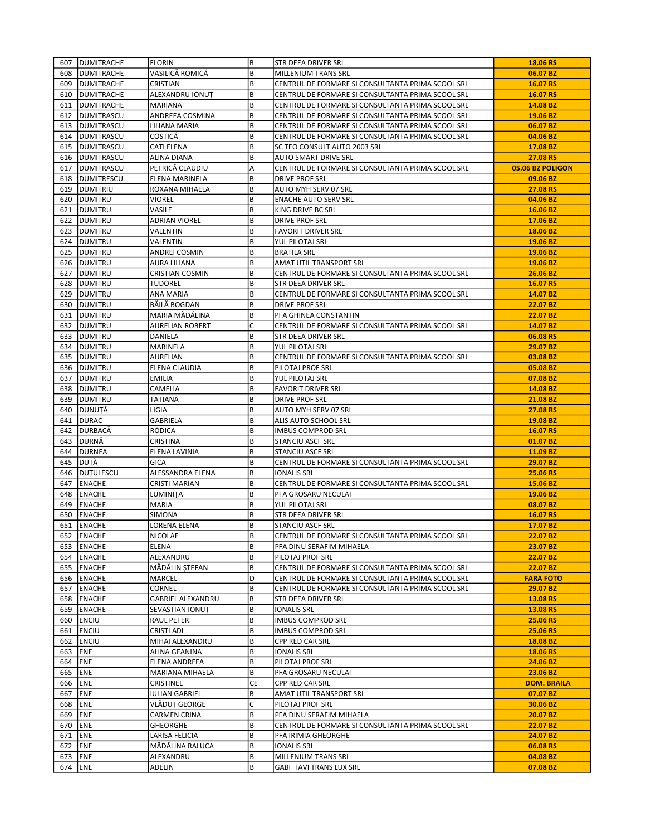|           | 607   DUMITRACHE       | FLORIN                 | B  | STR DEEA DRIVER SRL                               | 18.06 RS           |
|-----------|------------------------|------------------------|----|---------------------------------------------------|--------------------|
|           | 608 <b>IDUMITRACHE</b> | VASILICĂ ROMICĂ        | B  | MILLENIUM TRANS SRL                               | 06.07 BZ           |
| 609       | <b>DUMITRACHE</b>      | CRISTIAN               | B  | CENTRUL DE FORMARE SI CONSULTANTA PRIMA SCOOL SRL | 16.07 RS           |
|           | 610   DUMITRACHE       | ALEXANDRU IONUȚ        | B  | CENTRUL DE FORMARE SI CONSULTANTA PRIMA SCOOL SRL | 16.07 RS           |
|           | 611   DUMITRACHE       | MARIANA                | B  | CENTRUL DE FORMARE SI CONSULTANTA PRIMA SCOOL SRL | 14.08 BZ           |
| 612       | <b>DUMITRAȘCU</b>      | ANDREEA COSMINA        | B  | CENTRUL DE FORMARE SI CONSULTANTA PRIMA SCOOL SRL | 19.06 BZ           |
|           | 613   DUMITRAȘCU       | LILIANA MARIA          | B  | CENTRUL DE FORMARE SI CONSULTANTA PRIMA SCOOL SRL | 06.07 BZ           |
|           |                        |                        | B  |                                                   |                    |
|           | 614   DUMITRAȘCU       | <b>COSTICĂ</b>         | B  | CENTRUL DE FORMARE SI CONSULTANTA PRIMA SCOOL SRL | 04.06 BZ           |
|           | 615   DUMITRAȘCU       | CATI ELENA             |    | SC TEO CONSULT AUTO 2003 SRL                      | 17.08 BZ           |
|           | 616   DUMITRAȘCU       | ALINA DIANA            | B  | AUTO SMART DRIVE SRL                              | 27.08 RS           |
|           | 617   DUMITRAȘCU       | PETRICĂ CLAUDIU        | A  | CENTRUL DE FORMARE SI CONSULTANTA PRIMA SCOOL SRL | 05.06 BZ POLIGON   |
|           | 618   DUMITRESCU       | ELENA MARINELA         | B  | DRIVE PROF SRL                                    | 09.06 BZ           |
|           | 619 DUMITRIU           | ROXANA MIHAELA         | B  | AUTO MYH SERV 07 SRL                              | 27.08 RS           |
|           | 620   DUMITRU          | VIOREL                 | B  | <b>ENACHE AUTO SERV SRL</b>                       | 04.06 BZ           |
| 621       | <b>DUMITRU</b>         | VASILE                 | B  | KING DRIVE BC SRL                                 | 16.06 BZ           |
|           | 622   DUMITRU          | ADRIAN VIOREL          | B  | DRIVE PROF SRL                                    | 17.06 BZ           |
|           | 623   DUMITRU          | VALENTIN               | B  | <b>FAVORIT DRIVER SRL</b>                         | 18.06 BZ           |
| 624       | <b>DUMITRU</b>         | VALENTIN               | B  | YUL PILOTAJ SRL                                   | 19.06 BZ           |
|           | 625   DUMITRU          | ANDREI COSMIN          | В  | BRATILA SRL                                       | 19.06 BZ           |
|           | 626   DUMITRU          | AURA LILIANA           | B  | AMAT UTIL TRANSPORT SRL                           | 19.06 BZ           |
| 627       | <b>DUMITRU</b>         | <b>CRISTIAN COSMIN</b> | B  | CENTRUL DE FORMARE SI CONSULTANTA PRIMA SCOOL SRL | 26.06 BZ           |
|           | 628   DUMITRU          | <b>TUDOREL</b>         | В  | STR DEEA DRIVER SRL                               | 16.07 RS           |
|           | 629   DUMITRU          | ANA MARIA              | B  | CENTRUL DE FORMARE SI CONSULTANTA PRIMA SCOOL SRL | 14.07 BZ           |
|           | 630   DUMITRU          | BĂILĂ BOGDAN           | B  | <b>DRIVE PROF SRL</b>                             | 22.07 BZ           |
|           | 631   DUMITRU          | MARIA MĂDĂLINA         | В  | PFA GHINEA CONSTANTIN                             | 22.07 BZ           |
|           | 632   DUMITRU          | AURELIAN ROBERT        | C  | CENTRUL DE FORMARE SI CONSULTANTA PRIMA SCOOL SRL | 14.07 BZ           |
|           | 633 IDUMITRU           | DANIELA                | B  | STR DEEA DRIVER SRL                               | 06.08 RS           |
|           | 634   DUMITRU          | MARINELA               | В  | YUL PILOTAJ SRL                                   | 29.07 BZ           |
|           | 635 IDUMITRU           |                        | B  |                                                   | 03.08 BZ           |
|           |                        | <b>AURELIAN</b>        |    | CENTRUL DE FORMARE SI CONSULTANTA PRIMA SCOOL SRL |                    |
|           | 636   DUMITRU          | ELENA CLAUDIA          | B  | PILOTAJ PROF SRL                                  | 05.08 BZ           |
| 637       | <b>DUMITRU</b>         | EMILIA                 | B  | YUL PILOTAJ SRL                                   | 07.08 BZ           |
|           | 638   DUMITRU          | CAMELIA                | B  | <b>FAVORIT DRIVER SRL</b>                         | 14.08 BZ           |
|           | 639   DUMITRU          | TATIANA                | B  | <b>DRIVE PROF SRL</b>                             | 21.08 BZ           |
|           | 640  DUNUTĂ            | LIGIA                  | B  | AUTO MYH SERV 07 SRL                              | 27.08 RS           |
| 641       | DURAC                  | GABRIELA               | B  | ALIS AUTO SCHOOL SRL                              | 19.08 BZ           |
| 642       | <b>JDURBACĂ</b>        | <b>RODICA</b>          | B  | <b>IMBUS COMPROD SRL</b>                          | 16.07 RS           |
| 643       | <b>JDURNĂ</b>          | CRISTINA               | B  | STANCIU ASCF SRL                                  | 01.07 BZ           |
| 644       | DURNEA                 | ELENA LAVINIA          | B  | <b>STANCIU ASCF SRL</b>                           | 11.09 BZ           |
|           | 645   DUTĂ             | GICA                   | B  | CENTRUL DE FORMARE SI CONSULTANTA PRIMA SCOOL SRL | 29.07 BZ           |
|           | 646   DUTULESCU        | ALESSANDRA ELENA       | B  | <b>IONALIS SRL</b>                                | 25.06 RS           |
| 647       | <b>LENACHE</b>         | CRISTI MARIAN          | B  | CENTRUL DE FORMARE SI CONSULTANTA PRIMA SCOOL SRL | 15.06 BZ           |
|           | 648 ENACHE             | LUMINITA               | B  | PFA GROSARU NECULAI                               | 19.06 BZ           |
| 649       | ENACHE                 | MARIA                  | B  | YUL PILOTAJ SRL                                   | 08.07 BZ           |
|           | 650 ENACHE             | SIMONA                 | B  | STR DEEA DRIVER SRL                               | 16.07 RS           |
|           | 651 ENACHE             | <b>LORENA ELENA</b>    | B  | <b>STANCIU ASCF SRL</b>                           | 17.07 BZ           |
|           | 652 ENACHE             | NICOLAE                | B  | CENTRUL DE FORMARE SI CONSULTANTA PRIMA SCOOL SRL | 22.07 BZ           |
|           | 653 ENACHE             | ELENA                  | B  | PFA DINU SERAFIM MIHAELA                          | 23.07 BZ           |
|           | 654   ENACHE           | ALEXANDRU              | В  | PILOTAJ PROF SRL                                  | 22.07 BZ           |
|           | 655 ENACHE             | MĂDĂLIN STEFAN         | B  | CENTRUL DE FORMARE SI CONSULTANTA PRIMA SCOOL SRL | 22.07 BZ           |
|           |                        | MARCEL                 | D  | CENTRUL DE FORMARE SI CONSULTANTA PRIMA SCOOL SRL | <b>FARA FOTO</b>   |
|           | 656   ENACHE           |                        |    |                                                   |                    |
|           | 657   ENACHE           | CORNEL                 | B  | CENTRUL DE FORMARE SI CONSULTANTA PRIMA SCOOL SRL | 29.07 BZ           |
|           | 658 ENACHE             | GABRIEL ALEXANDRU      | B  | STR DEEA DRIVER SRL                               | 13.08 RS           |
|           | 659 ENACHE             | SEVASTIAN IONUT        | B  | <b>IONALIS SRL</b>                                | 13.08 RS           |
|           | 660 ENCIU              | RAUL PETER             | В  | <b>IMBUS COMPROD SRL</b>                          | 25.06 RS           |
|           | 661 ENCIU              | CRISTI ADI             | B  | <b>IMBUS COMPROD SRL</b>                          | 25.06 RS           |
| 662       | <b>ENCIU</b>           | MIHAI ALEXANDRU        | B  | CPP RED CAR SRL                                   | 18.08 BZ           |
| 663 ENE   |                        | ALINA GEANINA          | B  | <b>IONALIS SRL</b>                                | 18.06 RS           |
| 664 ENE   |                        | ELENA ANDREEA          | B  | PILOTAJ PROF SRL                                  | 24.06 BZ           |
| 665       | <b>ENE</b>             | MARIANA MIHAELA        | B  | PFA GROSARU NECULAI                               | 23.06 BZ           |
| 666   ENE |                        | CRISTINEL              | СE | CPP RED CAR SRL                                   | <b>DOM. BRAILA</b> |
| 667       | <b>ENE</b>             | <b>IULIAN GABRIEL</b>  | B  | AMAT UTIL TRANSPORT SRL                           | 07.07 BZ           |
| 668       | <b>ENE</b>             | VLĂDUȚ GEORGE          | C  | PILOTAJ PROF SRL                                  | 30.06 BZ           |
| 669       | <b>ENE</b>             | CARMEN CRINA           | В  | PFA DINU SERAFIM MIHAELA                          | 20.07 BZ           |
| 670       | ENE                    | GHEORGHE               | B  | CENTRUL DE FORMARE SI CONSULTANTA PRIMA SCOOL SRL | 22.07 BZ           |
| 671       | <b>ENE</b>             | LARISA FELICIA         | B  | PFA IRIMIA GHEORGHE                               | 24.07 BZ           |
| 672   ENE |                        | MĂDĂLINA RALUCA        | В  | IONALIS SRL                                       | 06.08 RS           |
| 673   ENE |                        | ALEXANDRU              | B  | MILLENIUM TRANS SRL                               | 04.08 BZ           |
| 674   ENE |                        | ADELIN                 | B  | GABI TAVI TRANS LUX SRL                           | 07.08 BZ           |
|           |                        |                        |    |                                                   |                    |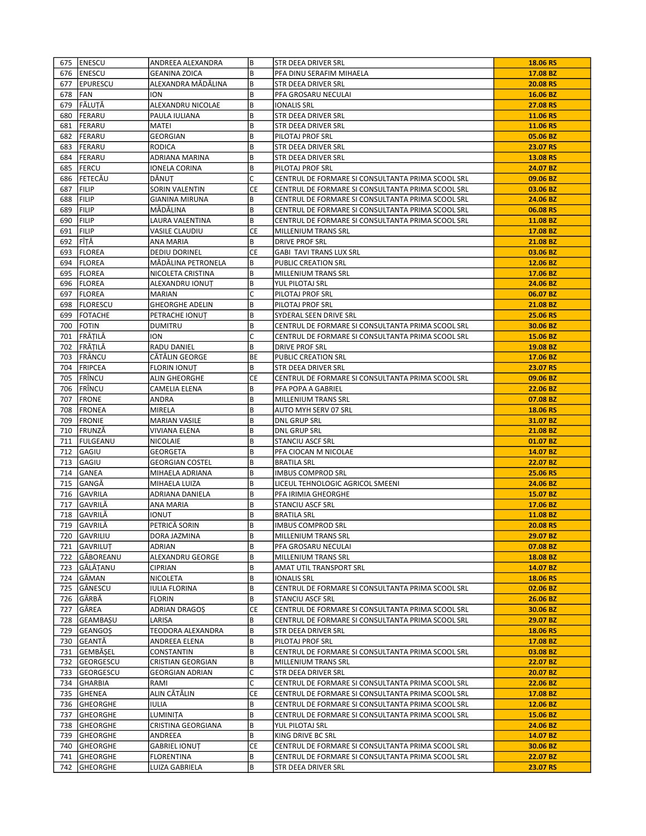|     | 675   ENESCU             | ANDREEA ALEXANDRA                   | B         | STR DEEA DRIVER SRL                                                          | 18.06 RS             |
|-----|--------------------------|-------------------------------------|-----------|------------------------------------------------------------------------------|----------------------|
|     | 676 ENESCU               | <b>GEANINA ZOICA</b>                | B         | PFA DINU SERAFIM MIHAELA                                                     | 17.08 BZ             |
|     | 677   EPURESCU           | ALEXANDRA MĂDĂLINA                  | B         | STR DEEA DRIVER SRL                                                          | 20.08 RS             |
|     | 678 FAN                  | ION                                 | B         | PFA GROSARU NECULAI                                                          | 16.06 BZ             |
| 679 | <b>FĂLUTĂ</b>            | ALEXANDRU NICOLAE                   | B         | <b>IONALIS SRL</b>                                                           | 27.08 RS             |
| 680 | FERARU                   | PAULA IULIANA                       | B         | STR DEEA DRIVER SRL                                                          | 11.06 RS             |
|     | 681 FERARU               | MATEI                               | B         | <b>STR DEEA DRIVER SRL</b>                                                   | 11.06 RS             |
| 682 | FERARU                   | GEORGIAN                            | B         | PILOTAJ PROF SRL                                                             | 05.06 BZ             |
|     | 683   FERARU             | <b>RODICA</b>                       | B         | STR DEEA DRIVER SRL                                                          | 23.07 RS             |
| 684 | FERARU                   | ADRIANA MARINA                      | B         | STR DEEA DRIVER SRL                                                          | 13.08 RS             |
| 685 | IFERCU                   | IONELA CORINA                       | В         | PILOTAJ PROF SRL                                                             | 24.07 BZ             |
|     | 686 FETECĂU              | DĂNUȚ                               | C         | CENTRUL DE FORMARE SI CONSULTANTA PRIMA SCOOL SRL                            | 09.06 BZ             |
| 687 | FILIP                    | SORIN VALENTIN                      | CE        | CENTRUL DE FORMARE SI CONSULTANTA PRIMA SCOOL SRL                            | 03.06 BZ             |
| 688 | FILIP                    | GIANINA MIRUNA                      | B         | CENTRUL DE FORMARE SI CONSULTANTA PRIMA SCOOL SRL                            | 24.06 BZ             |
| 689 | FILIP                    | MĂDĂLINA                            | В         | CENTRUL DE FORMARE SI CONSULTANTA PRIMA SCOOL SRL                            | 06.08 RS             |
|     | 690 FILIP                | LAURA VALENTINA                     | B         | CENTRUL DE FORMARE SI CONSULTANTA PRIMA SCOOL SRL                            | 11.08 BZ             |
| 691 | FILIP                    | VASILE CLAUDIU                      | СE        | MILLENIUM TRANS SRL                                                          | 17.08 BZ             |
| 692 | FÎTĂ                     | ANA MARIA                           | В         | DRIVE PROF SRL                                                               | 21.08 BZ             |
|     | 693   FLOREA             | <b>DEDIU DORINEL</b>                | CE        | <b>GABI TAVI TRANS LUX SRL</b>                                               | 03.06 BZ             |
| 694 | FLOREA                   | MĂDĂLINA PETRONELA                  | B         | PUBLIC CREATION SRL                                                          | 12.06 BZ             |
|     | 695   FLOREA             | NICOLETA CRISTINA                   | B         | MILLENIUM TRANS SRL                                                          | 17.06 BZ             |
|     | 696   FLOREA             | ALEXANDRU IONUT                     | B         | YUL PILOTAJ SRL                                                              | 24.06 BZ             |
| 697 | FLOREA                   | <b>MARIAN</b>                       | C         | PILOTAJ PROF SRL                                                             | 06.07 BZ             |
|     | 698   FLORESCU           | <b>GHEORGHE ADELIN</b>              | В         | PILOTAJ PROF SRL                                                             | 21.08 BZ             |
|     | 699 FOTACHE              | PETRACHE IONUȚ                      | B         | SYDERAL SEEN DRIVE SRL                                                       | 25.06 RS             |
| 700 | <b>FOTIN</b>             | DUMITRU                             | B         | CENTRUL DE FORMARE SI CONSULTANTA PRIMA SCOOL SRL                            | 30.06 BZ             |
| 701 | FRĂȚILĂ                  | ION                                 | C         | CENTRUL DE FORMARE SI CONSULTANTA PRIMA SCOOL SRL                            | 15.06 BZ             |
| 702 | FRĂȚILĂ                  | RADU DANIEL                         | B         | DRIVE PROF SRL                                                               | 19.08 BZ             |
| 703 | FRÂNCU                   | CĂTĂLIN GEORGE                      | BE        | PUBLIC CREATION SRL                                                          | 17.06 BZ             |
| 704 | <b>FRIPCEA</b>           | <b>FLORIN IONUT</b>                 | В         | STR DEEA DRIVER SRL                                                          | 23.07 RS             |
|     | 705 FRÎNCU               | <b>ALIN GHEORGHE</b>                | <b>CE</b> | CENTRUL DE FORMARE SI CONSULTANTA PRIMA SCOOL SRL                            | 09.06 BZ             |
|     | 706 FRÎNCU               | CAMELIA ELENA                       | В         | PFA POPA A GABRIEL                                                           | 22.06 BZ             |
| 707 | <b>FRONE</b>             | ANDRA                               | В         | MILLENIUM TRANS SRL                                                          | 07.08 BZ             |
| 708 | <b>FRONEA</b>            | MIRELA                              | B         | AUTO MYH SERV 07 SRL                                                         | 18.06 RS             |
| 709 | <b>FRONIE</b>            | <b>MARIAN VASILE</b>                | B         | <b>DNL GRUP SRL</b>                                                          | 31.07 BZ             |
|     | 710 FRUNZĂ               | VIVIANA ELENA                       | B         | DNL GRUP SRL                                                                 | 21.08 BZ             |
| 711 | FULGEANU                 | <b>NICOLAIE</b>                     | B         | STANCIU ASCF SRL                                                             | 01.07 BZ             |
| 712 | <b>GAGIU</b>             | GEORGETA                            | B         | PFA CIOCAN M NICOLAE                                                         | 14.07 BZ             |
| 713 | GAGIU                    | <b>GEORGIAN COSTEL</b>              | B         | <b>BRATILA SRL</b>                                                           | 22.07 BZ             |
| 714 | <b>GANEA</b>             | MIHAELA ADRIANA                     | B         | <b>IMBUS COMPROD SRL</b>                                                     | 25.06 RS             |
| 715 | GANGĂ                    | MIHAELA LUIZA                       | B         | LICEUL TEHNOLOGIC AGRICOL SMEENI                                             | 24.06 BZ             |
|     | 716 GAVRILA              | ADRIANA DANIELA                     | В         | PFA IRIMIA GHEORGHE                                                          | 15.07 BZ             |
| 717 | <b>GAVRILĂ</b>           | ANA MARIA                           | B         | <b>STANCIU ASCF SRL</b>                                                      | 17.06 BZ             |
|     | 718 GAVRILA              | ionut                               | B         | <b>BRATILA SRL</b>                                                           | 11.08 BZ             |
|     | 719 GAVRILĂ              | PETRICĂ SORIN                       | B         | <b>IMBUS COMPROD SRL</b>                                                     | 20.08 RS             |
|     |                          |                                     | B         | MILLENIUM TRANS SRL                                                          | 29.07 BZ             |
|     | 720 GAVRILIU             | DORA JAZMINA                        | B         |                                                                              |                      |
|     | 721   GAVRILUT           | ADRIAN                              | B         | PFA GROSARU NECULAI                                                          | 07.08 BZ             |
|     | 722 GĂBOREANU            | ALEXANDRU GEORGE                    | B         | MILLENIUM TRANS SRL                                                          | 18.08 BZ             |
|     | 723 GĂLĂȚANU             | <b>CIPRIAN</b>                      | B         | AMAT UTIL TRANSPORT SRL                                                      | 14.07 BZ             |
|     | 724 GĂMAN                | NICOLETA                            |           | <b>IONALIS SRL</b>                                                           | 18.06 RS             |
|     | 725 GĂNESCU              | IULIA FLORINA                       | B<br>B    | CENTRUL DE FORMARE SI CONSULTANTA PRIMA SCOOL SRL<br><b>STANCIU ASCF SRL</b> | 02.06 BZ             |
| 726 | GÂRBĂ                    | <b>FLORIN</b>                       |           |                                                                              | 26.06 BZ             |
|     | 727 GÂREA                | ADRIAN DRAGOȘ                       | CE        | CENTRUL DE FORMARE SI CONSULTANTA PRIMA SCOOL SRL                            | 30.06 BZ             |
| 728 | GEAMBAŞU                 | LARISA                              | B         | CENTRUL DE FORMARE SI CONSULTANTA PRIMA SCOOL SRL                            | 29.07 BZ             |
| 729 | GEANGOȘ                  | TEODORA ALEXANDRA                   | B         | STR DEEA DRIVER SRL                                                          | 18.06 RS             |
|     | 730 GEANTĂ               | ANDREEA ELENA                       | B         | PILOTAJ PROF SRL                                                             | 17.08 BZ             |
| 731 | GEMBĂȘEL                 | CONSTANTIN                          | B         | CENTRUL DE FORMARE SI CONSULTANTA PRIMA SCOOL SRL                            | 03.08 BZ             |
| 732 | GEORGESCU                | CRISTIAN GEORGIAN                   | B         | MILLENIUM TRANS SRL                                                          | 22.07 BZ             |
|     | 733 GEORGESCU            | <b>GEORGIAN ADRIAN</b>              | С         | STR DEEA DRIVER SRL                                                          | 20.07 BZ             |
|     | 734 GHARBIA              | RAMI                                | C         | CENTRUL DE FORMARE SI CONSULTANTA PRIMA SCOOL SRL                            | 22.06 BZ             |
| 735 | GHENEA                   | ALIN CĂTĂLIN                        | CE        | CENTRUL DE FORMARE SI CONSULTANTA PRIMA SCOOL SRL                            | 17.08 BZ             |
|     |                          |                                     |           |                                                                              | 12.06 BZ             |
|     | 736 GHEORGHE             | <b>IULIA</b>                        | B         | CENTRUL DE FORMARE SI CONSULTANTA PRIMA SCOOL SRL                            |                      |
| 737 | <b>GHEORGHE</b>          | LUMINIȚA                            | B         | CENTRUL DE FORMARE SI CONSULTANTA PRIMA SCOOL SRL                            | 15.06 BZ             |
| 738 | GHEORGHE                 | CRISTINA GEORGIANA                  | B         | YUL PILOTAJ SRL                                                              | 24.06 BZ             |
|     | 739 GHEORGHE             | ANDREEA                             | В         | KING DRIVE BC SRL                                                            | 14.07 BZ             |
|     | 740 GHEORGHE             | <b>GABRIEL IONUT</b>                | CE        | CENTRUL DE FORMARE SI CONSULTANTA PRIMA SCOOL SRL                            | 30.06 BZ             |
| 741 | GHEORGHE<br>742 GHEORGHE | <b>FLORENTINA</b><br>LUIZA GABRIELA | B<br>B    | CENTRUL DE FORMARE SI CONSULTANTA PRIMA SCOOL SRL<br>STR DEEA DRIVER SRL     | 22.07 BZ<br>23.07 RS |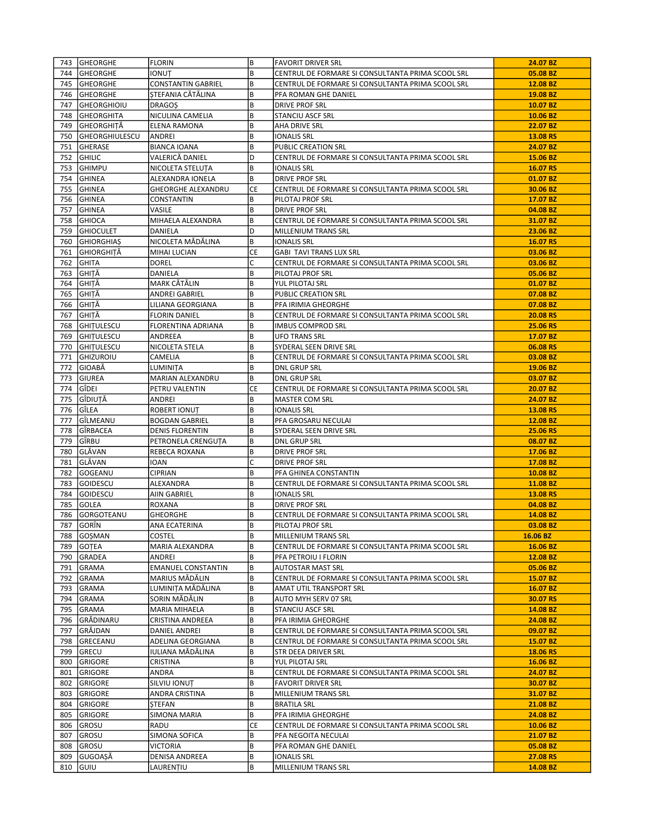|     | 743 GHEORGHE          | <b>FLORIN</b>             | lв        | <b>FAVORIT DRIVER SRL</b>                         | 24.07 BZ             |
|-----|-----------------------|---------------------------|-----------|---------------------------------------------------|----------------------|
| 744 | <b>GHEORGHE</b>       | <b>IONUT</b>              | B         | CENTRUL DE FORMARE SI CONSULTANTA PRIMA SCOOL SRL | 05.08 BZ             |
| 745 | <b>GHEORGHE</b>       | <b>CONSTANTIN GABRIEL</b> | B         | CENTRUL DE FORMARE SI CONSULTANTA PRIMA SCOOL SRL | 12.08 BZ             |
| 746 | <b>GHEORGHE</b>       | ȘTEFANIA CĂTĂLINA         | B         | PFA ROMAN GHE DANIEL                              | 19.08 BZ             |
| 747 | <b>GHEORGHIOIU</b>    | <b>DRAGOS</b>             | B         | <b>DRIVE PROF SRL</b>                             | 10.07 BZ             |
| 748 | GHEORGHITA            | NICULINA CAMELIA          | B         | STANCIU ASCF SRL                                  | 10.06 BZ             |
| 749 | GHEORGHITĂ            | ELENA RAMONA              | B         | AHA DRIVE SRL                                     | 22.07 BZ             |
| 750 | <b>GHEORGHIULESCU</b> | ANDREI                    | B         | <b>IONALIS SRL</b>                                | 13.08 RS             |
| 751 | GHERASE               | <b>BIANCA IOANA</b>       | B         | PUBLIC CREATION SRL                               | 24.07 BZ             |
| 752 | <b>GHILIC</b>         | VALERICĂ DANIEL           | D         | CENTRUL DE FORMARE SI CONSULTANTA PRIMA SCOOL SRL | 15.06 BZ             |
| 753 | <b>GHIMPU</b>         | NICOLETA STELUTA          | B         | <b>IONALIS SRL</b>                                | 16.07 RS             |
| 754 | <b>GHINEA</b>         | ALEXANDRA IONELA          | B         | <b>DRIVE PROF SRL</b>                             | 01.07 BZ             |
| 755 | GHINEA                | <b>GHEORGHE ALEXANDRU</b> | CE        | CENTRUL DE FORMARE SI CONSULTANTA PRIMA SCOOL SRL | 30.06 BZ             |
| 756 | <b>GHINEA</b>         | CONSTANTIN                | B         | PILOTAJ PROF SRL                                  | 17.07 BZ             |
| 757 | <b>GHINEA</b>         | VASILE                    | B         | <b>DRIVE PROF SRL</b>                             | 04.08 BZ             |
| 758 | <b>GHIOCA</b>         | MIHAELA ALEXANDRA         | B         | CENTRUL DE FORMARE SI CONSULTANTA PRIMA SCOOL SRL | 31.07 BZ             |
|     |                       |                           |           |                                                   |                      |
| 759 | <b>GHIOCULET</b>      | DANIELA                   | D         | MILLENIUM TRANS SRL                               | 23.06 BZ             |
| 760 | <b>GHIORGHIAS</b>     | NICOLETA MĂDĂLINA         | B         | <b>IONALIS SRL</b>                                | 16.07 RS             |
| 761 | GHIORGHITĂ            | MIHAI LUCIAN              | СE        | <b>GABI TAVI TRANS LUX SRL</b>                    | 03.06 BZ             |
| 762 | <b>GHITA</b>          | <b>DOREL</b>              | C         | CENTRUL DE FORMARE SI CONSULTANTA PRIMA SCOOL SRL | 03.06 BZ             |
| 763 | GHITĂ                 | DANIELA                   | B         | PILOTAJ PROF SRL                                  | 05.06 BZ             |
| 764 | GHITĂ                 | MARK CĂTĂLIN              | B         | YUL PILOTAJ SRL                                   | 01.07 BZ             |
| 765 | GHITĂ                 | ANDREI GABRIEL            | B         | PUBLIC CREATION SRL                               | 07.08 BZ             |
| 766 | GHITĂ                 | LILIANA GEORGIANA         | B         | PFA IRIMIA GHEORGHE                               | 07.08 BZ             |
| 767 | GHITĂ                 | <b>FLORIN DANIEL</b>      | B         | CENTRUL DE FORMARE SI CONSULTANTA PRIMA SCOOL SRL | 20.08 RS             |
| 768 | <b>GHITULESCU</b>     | FLORENTINA ADRIANA        | B         | <b>IMBUS COMPROD SRL</b>                          | 25.06 RS             |
|     | 769 GHITULESCU        | ANDREEA                   | B         | <b>UFO TRANS SRL</b>                              | 17.07 BZ             |
| 770 | <b>GHITULESCU</b>     | NICOLETA STELA            | B         | SYDERAL SEEN DRIVE SRL                            | 06.08 RS             |
| 771 | <b>GHIZUROIU</b>      | CAMELIA                   | B         | CENTRUL DE FORMARE SI CONSULTANTA PRIMA SCOOL SRL | 03.08 BZ             |
| 772 | GIOABĂ                | LUMINITA                  | B         | <b>DNL GRUP SRL</b>                               | 19.06 BZ             |
| 773 | <b>GIUREA</b>         | MARIAN ALEXANDRU          | B         | <b>DNL GRUP SRL</b>                               | 03.07 BZ             |
| 774 | Gîdel                 | PETRU VALENTIN            | <b>CE</b> | CENTRUL DE FORMARE SI CONSULTANTA PRIMA SCOOL SRL | 20.07 BZ             |
| 775 | GÎDIUTĂ               | ANDREI                    | B         | MASTER COM SRL                                    | 24.07 BZ             |
| 776 | GÎLEA                 | ROBERT IONUT              | B         | <b>IONALIS SRL</b>                                | 13.08 RS             |
| 777 | GÎLMEANU              | <b>BOGDAN GABRIEL</b>     | B         | PFA GROSARU NECULAI                               | 12.08 BZ             |
| 778 | GÎRBACEA              | <b>DENIS FLORENTIN</b>    | B         | SYDERAL SEEN DRIVE SRL                            | 25.06 RS             |
| 779 | <b>GÎRBU</b>          | PETRONELA CRENGUTA        | B         | <b>DNL GRUP SRL</b>                               | 08.07 BZ             |
| 780 | GLĂVAN                | REBECA ROXANA             | B         | <b>DRIVE PROF SRL</b>                             | 17.06 BZ             |
| 781 | GLĂVAN                | IOAN                      | lC.       | DRIVE PROF SRL                                    | 17.08 BZ             |
| 782 | GOGEANU               | <b>CIPRIAN</b>            | B         | PFA GHINEA CONSTANTIN                             | 10.08 BZ             |
| 783 | GOIDESCU              | ALEXANDRA                 | B         | CENTRUL DE FORMARE SI CONSULTANTA PRIMA SCOOL SRL | 11.08 BZ             |
| 784 | GOIDESCU              | AIIN GABRIEL              | B         | <b>IONALIS SRL</b>                                | 13.08 RS             |
| 785 | <b>GOLEA</b>          | <b>ROXANA</b>             | B         | <b>DRIVE PROF SRL</b>                             | 04.08 BZ             |
| 786 | GORGOTEANU            | <b>GHEORGHE</b>           | B         | CENTRUL DE FORMARE SI CONSULTANTA PRIMA SCOOL SRL | 14.08 BZ             |
| 787 | GORÎN                 | ANA ECATERINA             | B         | PILOTAJ PROF SRL                                  | 03.08 BZ             |
|     | 788 GOSMAN            | <b>COSTEL</b>             | B         | MILLENIUM TRANS SRL                               | 16.06 BZ             |
| 789 | GOTEA                 | MARIA ALEXANDRA           | B         | CENTRUL DE FORMARE SI CONSULTANTA PRIMA SCOOL SRL | 16.06 BZ             |
|     | 790 GRADEA            | ANDREI                    | B         | PFA PETROIU I FLORIN                              | 12.08 BZ             |
| 791 | GRAMA                 | <b>EMANUEL CONSTANTIN</b> | B         | <b>AUTOSTAR MAST SRL</b>                          | 05.06 BZ             |
| 792 |                       | MARIUS MĂDĂLIN            | B         |                                                   |                      |
|     | GRAMA                 |                           |           | CENTRUL DE FORMARE SI CONSULTANTA PRIMA SCOOL SRL | 15.07 BZ             |
| 793 | GRAMA                 | LUMINIȚA MĂDĂLINA         | B         | AMAT UTIL TRANSPORT SRL                           | 16.07 BZ<br>30.07 RS |
| 794 | GRAMA                 | SORIN MĂDĂLIN             | B         | AUTO MYH SERV 07 SRL                              |                      |
| 795 | GRAMA                 | MARIA MIHAELA             | B         | <b>STANCIU ASCF SRL</b>                           | 14.08 BZ             |
| 796 | <b>GRĂDINARU</b>      | CRISTINA ANDREEA          | B         | PFA IRIMIA GHEORGHE                               | 24.08 BZ             |
| 797 | GRĂJDAN               | DANIEL ANDREI             | B         | CENTRUL DE FORMARE SI CONSULTANTA PRIMA SCOOL SRL | 09.07 BZ             |
| 798 | GRECEANU              | ADELINA GEORGIANA         | B         | CENTRUL DE FORMARE SI CONSULTANTA PRIMA SCOOL SRL | 15.07 BZ             |
| 799 | <b>GRECU</b>          | IULIANA MĂDĂLINA          | B         | STR DEEA DRIVER SRL                               | 18.06 RS             |
| 800 | GRIGORE               | CRISTINA                  | B         | YUL PILOTAJ SRL                                   | 16.06 BZ             |
| 801 | GRIGORE               | ANDRA                     | B         | CENTRUL DE FORMARE SI CONSULTANTA PRIMA SCOOL SRL | 24.07 BZ             |
| 802 | <b>GRIGORE</b>        | SILVIU IONUT              | B         | <b>FAVORIT DRIVER SRL</b>                         | 30.07 BZ             |
| 803 | GRIGORE               | ANDRA CRISTINA            | B         | MILLENIUM TRANS SRL                               | 31.07 BZ             |
| 804 | GRIGORE               | <b>STEFAN</b>             | B         | <b>BRATILA SRL</b>                                | 21.08 BZ             |
| 805 | GRIGORE               | SIMONA MARIA              | B         | PFA IRIMIA GHEORGHE                               | 24.08 BZ             |
| 806 | <b>GROSU</b>          | RADU                      | CE        | CENTRUL DE FORMARE SI CONSULTANTA PRIMA SCOOL SRL | 10.06 BZ             |
| 807 | GROSU                 | SIMONA SOFICA             | B         | PFA NEGOITA NECULAI                               | 21.07 BZ             |
| 808 | <b>GROSU</b>          | VICTORIA                  | B         | PFA ROMAN GHE DANIEL                              | 05.08 BZ             |
| 809 | GUGOAȘĂ               | DENISA ANDREEA            | B         | <b>IONALIS SRL</b>                                | 27.08 RS             |
|     | 810 GUIU              | LAURENȚIU                 | B         | MILLENIUM TRANS SRL                               | 14.08 BZ             |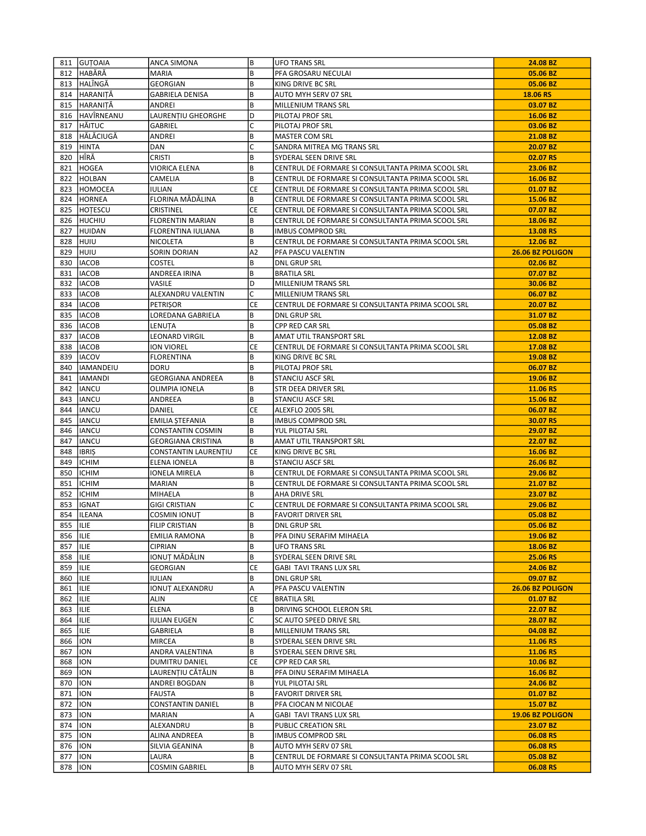|            | 811 GUTOAIA                  | <b>ANCA SIMONA</b>       | B              | <b>UFO TRANS SRL</b>                                                                                   | 24.08 BZ         |
|------------|------------------------------|--------------------------|----------------|--------------------------------------------------------------------------------------------------------|------------------|
|            | 812 HABĂRĂ                   | <b>MARIA</b>             | B              | PFA GROSARU NECULAI                                                                                    | 05.06 BZ         |
|            | 813 HALÎNGĂ                  | GEORGIAN                 | B              | KING DRIVE BC SRL                                                                                      | 05.06 BZ         |
|            | 814 HARANITĂ                 | GABRIELA DENISA          | B              | AUTO MYH SERV 07 SRL                                                                                   | 18.06 RS         |
|            | 815 HARANITĂ                 | ANDREI                   | B              | MILLENIUM TRANS SRL                                                                                    | 03.07 BZ         |
|            | 816 HAVÎRNEANU               | LAURENTIU GHEORGHE       | D              | PILOTAJ PROF SRL                                                                                       | 16.06 BZ         |
| 817        | <b>HÄITUC</b>                | GABRIEL                  | C              | PILOTAJ PROF SRL                                                                                       | 03.06 BZ         |
|            | 818 HĂLĂCIUGĂ                | ANDREI                   | B              | <b>MASTER COM SRL</b>                                                                                  | 21.08 BZ         |
| 819        | HINTA                        | DAN                      | C              | SANDRA MITREA MG TRANS SRL                                                                             | 20.07 BZ         |
| 820        | HÎRĂ                         | CRISTI                   | B              | SYDERAL SEEN DRIVE SRL                                                                                 | 02.07 RS         |
| 821        | HOGEA                        | VIORICA ELENA            | B              | CENTRUL DE FORMARE SI CONSULTANTA PRIMA SCOOL SRL                                                      | 23.06 BZ         |
| 822        | <b>HOLBAN</b>                | CAMELIA                  | B              | CENTRUL DE FORMARE SI CONSULTANTA PRIMA SCOOL SRL                                                      | 16.06 BZ         |
| 823        | HOMOCEA                      | <b>IULIAN</b>            | CE             | CENTRUL DE FORMARE SI CONSULTANTA PRIMA SCOOL SRL                                                      | 01.07 BZ         |
| 824        | HORNEA                       | FLORINA MĂDĂLINA         | B              | CENTRUL DE FORMARE SI CONSULTANTA PRIMA SCOOL SRL                                                      | 15.06 BZ         |
|            |                              |                          | CE             |                                                                                                        |                  |
| 825        | <b>HOTESCU</b><br>826 HUCHIU | CRISTINEL                | B              | CENTRUL DE FORMARE SI CONSULTANTA PRIMA SCOOL SRL<br>CENTRUL DE FORMARE SI CONSULTANTA PRIMA SCOOL SRL | 07.07 BZ         |
|            |                              | <b>FLORENTIN MARIAN</b>  |                |                                                                                                        | 18.06 BZ         |
| 827        | HUIDAN                       | FLORENTINA IULIANA       | B              | <b>IMBUS COMPROD SRL</b>                                                                               | 13.08 RS         |
|            | 828 HUIU                     | NICOLETA                 | B              | CENTRUL DE FORMARE SI CONSULTANTA PRIMA SCOOL SRL                                                      | 12.06 BZ         |
| 829        | <b>HUIU</b>                  | SORIN DORIAN             | A <sub>2</sub> | PFA PASCU VALENTIN                                                                                     | 26.06 BZ POLIGON |
| 830        | <b>IACOB</b>                 | COSTEL                   | B              | <b>DNL GRUP SRL</b>                                                                                    | 02.06 BZ         |
|            | 831   IACOB                  | ANDREEA IRINA            | В              | <b>BRATILA SRL</b>                                                                                     | 07.07 BZ         |
|            | 832   IACOB                  | VASILE                   | D              | MILLENIUM TRANS SRL                                                                                    | 30.06 BZ         |
| 833        | <b>IACOB</b>                 | ALEXANDRU VALENTIN       | C              | MILLENIUM TRANS SRL                                                                                    | 06.07 BZ         |
|            | 834   IACOB                  | PETRIȘOR                 | СE             | CENTRUL DE FORMARE SI CONSULTANTA PRIMA SCOOL SRL                                                      | 20.07 BZ         |
|            | 835   IACOB                  | LOREDANA GABRIELA        | B              | <b>DNL GRUP SRL</b>                                                                                    | 31.07 BZ         |
|            | 836   IACOB                  | LENUTA                   | B              | CPP RED CAR SRL                                                                                        | 05.08 BZ         |
| 837        | <b>IACOB</b>                 | LEONARD VIRGIL           | В              | AMAT UTIL TRANSPORT SRL                                                                                | 12.08 BZ         |
| 838        | <b>IACOB</b>                 | ION VIOREL               | СE             | CENTRUL DE FORMARE SI CONSULTANTA PRIMA SCOOL SRL                                                      | 17.08 BZ         |
| 839        | <b>IACOV</b>                 | <b>FLORENTINA</b>        | B              | KING DRIVE BC SRL                                                                                      | 19.08 BZ         |
|            | 840  IAMANDEIU               | DORU                     | B              | PILOTAJ PROF SRL                                                                                       | 06.07 BZ         |
|            | 841  IAMANDI                 | <b>GEORGIANA ANDREEA</b> | B              | <b>STANCIU ASCF SRL</b>                                                                                | 19.06 BZ         |
| 842        | <b>IANCU</b>                 | <b>OLIMPIA IONELA</b>    | B              | STR DEEA DRIVER SRL                                                                                    | 11.06 RS         |
| 843        | <b>IANCU</b>                 | ANDREEA                  | B              | <b>STANCIU ASCF SRL</b>                                                                                | 15.06 BZ         |
| 844        | <b>IANCU</b>                 | DANIEL                   | CE             | ALEXFLO 2005 SRL                                                                                       | 06.07 BZ         |
| 845        | <b>IANCU</b>                 | EMILIA ȘTEFANIA          | B              | <b>IMBUS COMPROD SRL</b>                                                                               | 30.07 RS         |
| 846        | <b>IANCU</b>                 | CONSTANTIN COSMIN        | В              | YUL PILOTAJ SRL                                                                                        | 29.07 BZ         |
| 847        | <b>IANCU</b>                 | GEORGIANA CRISTINA       | B              | AMAT UTIL TRANSPORT SRL                                                                                | 22.07 BZ         |
| 848        | <b>IBRIS</b>                 | CONSTANTIN LAURENȚIU     | CE             | KING DRIVE BC SRL                                                                                      | 16.06 BZ         |
| 849        | ICHIM                        | ELENA IONELA             | В              | STANCIU ASCF SRL                                                                                       | 26.06 BZ         |
| 850        | <b>ICHIM</b>                 | <b>IONELA MIRELA</b>     | B              | CENTRUL DE FORMARE SI CONSULTANTA PRIMA SCOOL SRL                                                      | 29.06 BZ         |
| 851        | <b>ICHIM</b>                 | MARIAN                   | B              | CENTRUL DE FORMARE SI CONSULTANTA PRIMA SCOOL SRL                                                      | 21.07 BZ         |
| 852        | <b>ICHIM</b>                 | MIHAELA                  | В              | AHA DRIVE SRL                                                                                          | 23.07 BZ         |
| 853        | <b>IGNAT</b>                 | <b>GIGI CRISTIAN</b>     | C              | CENTRUL DE FORMARE SI CONSULTANTA PRIMA SCOOL SRL                                                      | 29.06 BZ         |
| 854        | <b>ILEANA</b>                | <b>COSMIN IONUT</b>      | B              | <b>FAVORIT DRIVER SRL</b>                                                                              | 05.08 BZ         |
| 855   ILIE |                              | <b>FILIP CRISTIAN</b>    | B              | <b>DNL GRUP SRL</b>                                                                                    | 05.06 BZ         |
|            |                              |                          | B              | PFA DINU SERAFIM MIHAELA                                                                               |                  |
| 856   ILIE |                              | EMILIA RAMONA            |                |                                                                                                        | 19.06 BZ         |
| 857        | IILIE                        | <b>CIPRIAN</b>           | B<br>B         | <b>UFO TRANS SRL</b>                                                                                   | 18.06 BZ         |
| 858   ILIE |                              | IONUT MĂDĂLIN            |                | SYDERAL SEEN DRIVE SRL                                                                                 | 25.06 RS         |
| 859   ILIE |                              | GEORGIAN                 | СE             | <b>GABI TAVI TRANS LUX SRL</b>                                                                         | 24.06 BZ         |
| 860        | <b>IILIE</b>                 | IULIAN                   | В              | <b>DNL GRUP SRL</b>                                                                                    | 09.07 BZ         |
| 861   ILIE |                              | <b>IONUT ALEXANDRU</b>   | Α              | PFA PASCU VALENTIN                                                                                     | 26.06 BZ POLIGON |
| 862        | ILIE                         | ALIN                     | СE             | <b>BRATILA SRL</b>                                                                                     | 01.07 BZ         |
| 863        | IILIE                        | ELENA                    | В              | DRIVING SCHOOL ELERON SRL                                                                              | 22.07 BZ         |
| 864   ILIE |                              | <b>IULIAN EUGEN</b>      | C              | SC AUTO SPEED DRIVE SRL                                                                                | 28.07 BZ         |
| 865        | <b>IILIE</b>                 | GABRIELA                 | B              | MILLENIUM TRANS SRL                                                                                    | 04.08 BZ         |
| 866        | 11ON                         | MIRCEA                   | B              | SYDERAL SEEN DRIVE SRL                                                                                 | 11.06 RS         |
| 867        | <b>ION</b>                   | ANDRA VALENTINA          | B              | SYDERAL SEEN DRIVE SRL                                                                                 | 11.06 RS         |
| 868        | 11ON                         | DUMITRU DANIEL           | <b>CE</b>      | CPP RED CAR SRL                                                                                        | 10.06 BZ         |
| 869        | ION                          | LAURENȚIU CĂTĂLIN        | В              | PFA DINU SERAFIM MIHAELA                                                                               | 16.06 BZ         |
| 870        | <b>ION</b>                   | ANDREI BOGDAN            | B              | YUL PILOTAJ SRL                                                                                        | 24.06 BZ         |
| 871        | 11ON                         | <b>FAUSTA</b>            | B              | <b>FAVORIT DRIVER SRL</b>                                                                              | 01.07 BZ         |
| 872        | ION                          | CONSTANTIN DANIEL        | B              | PFA CIOCAN M NICOLAE                                                                                   | 15.07 BZ         |
| 873        | 11ON                         | MARIAN                   | А              | <b>GABI TAVI TRANS LUX SRL</b>                                                                         | 19.06 BZ POLIGON |
| 874        | 11ON                         | ALEXANDRU                | B              | PUBLIC CREATION SRL                                                                                    | 23.07 BZ         |
| 875        | ION                          | ALINA ANDREEA            | B              | <b>IMBUS COMPROD SRL</b>                                                                               | 06.08 RS         |
| 876        | <b>ION</b>                   | SILVIA GEANINA           | B              | AUTO MYH SERV 07 SRL                                                                                   | 06.08 RS         |
| 877        | ION                          | LAURA                    | В              | CENTRUL DE FORMARE SI CONSULTANTA PRIMA SCOOL SRL                                                      | 05.08 BZ         |
| 878   ION  |                              | <b>COSMIN GABRIEL</b>    | B              | AUTO MYH SERV 07 SRL                                                                                   | 06.08 RS         |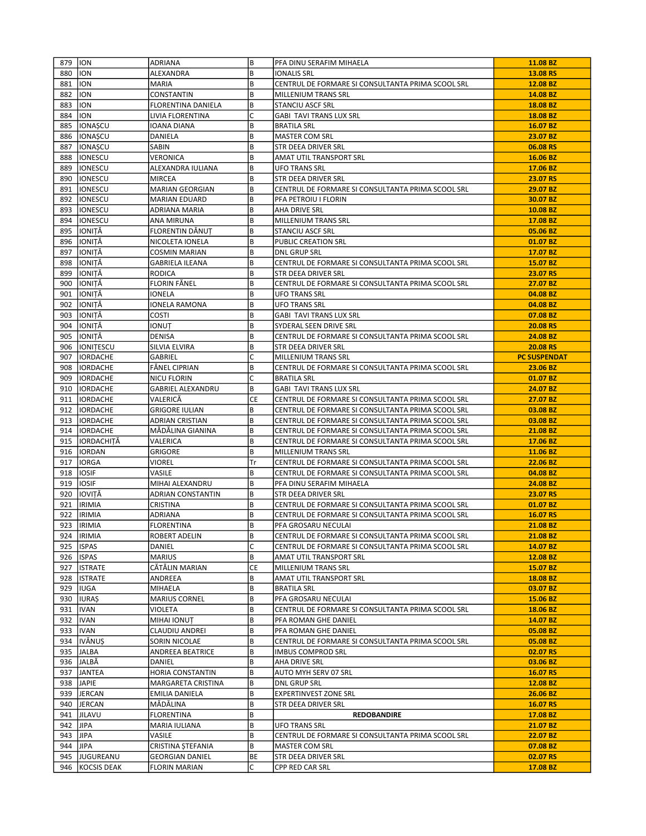| 879 | <b>ION</b>        | ADRIANA                  | B         | PFA DINU SERAFIM MIHAELA                          | 11.08 BZ            |
|-----|-------------------|--------------------------|-----------|---------------------------------------------------|---------------------|
| 880 | <b>ION</b>        | ALEXANDRA                | B         | <b>IONALIS SRL</b>                                | 13.08 RS            |
| 881 | <b>ION</b>        | MARIA                    | B         | CENTRUL DE FORMARE SI CONSULTANTA PRIMA SCOOL SRL | 12.08 BZ            |
| 882 | <b>ION</b>        | CONSTANTIN               | B         | <b>MILLENIUM TRANS SRL</b>                        | 14.08 BZ            |
| 883 | <b>ION</b>        | FLORENTINA DANIELA       | B         | STANCIU ASCF SRL                                  | 18.08 BZ            |
| 884 | <b>ION</b>        | LIVIA FLORENTINA         | C         | <b>GABI TAVI TRANS LUX SRL</b>                    | 18.08 BZ            |
| 885 | IONAȘCU           | IOANA DIANA              | B         | <b>BRATILA SRL</b>                                | 16.07 BZ            |
| 886 | IONAȘCU           | DANIELA                  | B         | <b>MASTER COM SRL</b>                             | 23.07 BZ            |
| 887 | <b>IONAȘCU</b>    | SABIN                    | B         | STR DEEA DRIVER SRL                               | 06.08 RS            |
| 888 | <b>IONESCU</b>    | VERONICA                 | B         | AMAT UTIL TRANSPORT SRL                           | 16.06 BZ            |
| 889 | <b>IONESCU</b>    | ALEXANDRA IULIANA        | B         | <b>UFO TRANS SRL</b>                              | 17.06 BZ            |
| 890 | <b>IONESCU</b>    | <b>MIRCEA</b>            | B         | STR DEEA DRIVER SRL                               | 23.07 RS            |
| 891 | <b>IONESCU</b>    | <b>MARIAN GEORGIAN</b>   | B         | CENTRUL DE FORMARE SI CONSULTANTA PRIMA SCOOL SRL | 29.07 BZ            |
| 892 | IONESCU           | <b>MARIAN EDUARD</b>     | B         | PFA PETROIU I FLORIN                              | 30.07 BZ            |
| 893 | <b>IONESCU</b>    | ADRIANA MARIA            | B         | AHA DRIVE SRL                                     | 10.08 BZ            |
| 894 | <b>IONESCU</b>    | ANA MIRUNA               | B         | MILLENIUM TRANS SRL                               | 17.08 BZ            |
| 895 | IONIȚĂ            | FLORENTIN DĂNUȚ          | B         | STANCIU ASCF SRL                                  | 05.06 BZ            |
| 896 | IONIȚĂ            | NICOLETA IONELA          | B         | PUBLIC CREATION SRL                               | 01.07 BZ            |
| 897 | IONITĂ            | <b>COSMIN MARIAN</b>     | B         | <b>DNL GRUP SRL</b>                               | 17.07 BZ            |
| 898 | IONIȚĂ            | <b>GABRIELA ILEANA</b>   | B         | CENTRUL DE FORMARE SI CONSULTANTA PRIMA SCOOL SRL | 15.07 BZ            |
| 899 | IONITĂ            | <b>RODICA</b>            | B         | STR DEEA DRIVER SRL                               | 23.07 RS            |
| 900 | IIONITĂ           | FLORIN FĂNEL             | B         | CENTRUL DE FORMARE SI CONSULTANTA PRIMA SCOOL SRL | 27.07 BZ            |
| 901 | IIONITĂ           | IONELA                   | B         | <b>UFO TRANS SRL</b>                              | 04.08 BZ            |
| 902 | IONIȚĂ            | IONELA RAMONA            | B         | <b>UFO TRANS SRL</b>                              | 04.08 BZ            |
| 903 | IONITĂ            | COSTI                    | B         | <b>GABI TAVI TRANS LUX SRL</b>                    | 07.08 BZ            |
| 904 | IONIȚĂ            | IONUȚ                    | B         | SYDERAL SEEN DRIVE SRL                            | 20.08 RS            |
| 905 | IONIȚĂ            | DENISA                   | B         | CENTRUL DE FORMARE SI CONSULTANTA PRIMA SCOOL SRL | 24.08 BZ            |
| 906 | <b>IONITESCU</b>  | SILVIA ELVIRA            | B         | STR DEEA DRIVER SRL                               | 20.08 RS            |
| 907 | <b>IORDACHE</b>   | GABRIEL                  | C         | <b>MILLENIUM TRANS SRL</b>                        | <b>PC SUSPENDAT</b> |
| 908 | IORDACHE          | FÅNEL CIPRIAN            | B         | CENTRUL DE FORMARE SI CONSULTANTA PRIMA SCOOL SRL | 23.06 BZ            |
| 909 | <b>IORDACHE</b>   | <b>NICU FLORIN</b>       | C         | <b>BRATILA SRL</b>                                | 01.07 BZ            |
| 910 | IORDACHE          | <b>GABRIEL ALEXANDRU</b> | B         | <b>GABI TAVI TRANS LUX SRL</b>                    | 24.07 BZ            |
| 911 | IORDACHE          | VALERICĂ                 | <b>CE</b> | CENTRUL DE FORMARE SI CONSULTANTA PRIMA SCOOL SRL | 27.07 BZ            |
| 912 | <b>IORDACHE</b>   | <b>GRIGORE IULIAN</b>    | B         | CENTRUL DE FORMARE SI CONSULTANTA PRIMA SCOOL SRL | 03.08 BZ            |
| 913 | <b>IORDACHE</b>   | ADRIAN CRISTIAN          | B         | CENTRUL DE FORMARE SI CONSULTANTA PRIMA SCOOL SRL | 03.08 BZ            |
| 914 | <b>IORDACHE</b>   | MĂDĂLINA GIANINA         | B         | CENTRUL DE FORMARE SI CONSULTANTA PRIMA SCOOL SRL | 21.08 BZ            |
| 915 | IORDACHITĂ        | VALERICA                 | B         | CENTRUL DE FORMARE SI CONSULTANTA PRIMA SCOOL SRL | 17.06 BZ            |
| 916 | <b>IORDAN</b>     | GRIGORE                  | B         | MILLENIUM TRANS SRL                               | 11.06 BZ            |
| 917 | IORGA             | VIOREL                   | Tr        | CENTRUL DE FORMARE SI CONSULTANTA PRIMA SCOOL SRL | 22.06 BZ            |
| 918 | <b>IOSIF</b>      | VASILE                   | B         | CENTRUL DE FORMARE SI CONSULTANTA PRIMA SCOOL SRL | 04.08 BZ            |
| 919 | <b>IOSIF</b>      | MIHAI ALEXANDRU          | B         | PFA DINU SERAFIM MIHAELA                          | 24.08 BZ            |
| 920 | IIOVITĂ           | ADRIAN CONSTANTIN        | В         | <b>STR DEEA DRIVER SRL</b>                        | 23.07 RS            |
| 921 | <b>IRIMIA</b>     | CRISTINA                 | B         | CENTRUL DE FORMARE SI CONSULTANTA PRIMA SCOOL SRL | 01.07 BZ            |
| 922 | <b>IRIMIA</b>     | ADRIANA                  | B         | CENTRUL DE FORMARE SI CONSULTANTA PRIMA SCOOL SRL | 16.07 RS            |
|     | 923  IRIMIA       | <b>FLORENTINA</b>        | B         | PFA GROSARU NECULAI                               | 21.08 BZ            |
|     | 924  IRIMIA       | <b>ROBERT ADELIN</b>     | B         | CENTRUL DE FORMARE SI CONSULTANTA PRIMA SCOOL SRL | 21.08 BZ            |
|     | 925   ISPAS       | DANIEL                   | C         | CENTRUL DE FORMARE SI CONSULTANTA PRIMA SCOOL SRL | 14.07 BZ            |
|     | 926   ISPAS       | <b>MARIUS</b>            | B         | AMAT UTIL TRANSPORT SRL                           | 12.08 BZ            |
|     | 927   ISTRATE     | CĂTĂLIN MARIAN           | CE        | MILLENIUM TRANS SRL                               | 15.07 BZ            |
| 928 | <b>ISTRATE</b>    | ANDREEA                  | B         | AMAT UTIL TRANSPORT SRL                           | 18.08 BZ            |
|     | 929   IUGA        | MIHAELA                  | B         | <b>BRATILA SRL</b>                                | 03.07 BZ            |
| 930 | <b>IURAȘ</b>      | <b>MARIUS CORNEL</b>     | B         | PFA GROSARU NECULAI                               | 15.06 BZ            |
| 931 | <b>IVAN</b>       | VIOLETA                  | B         | CENTRUL DE FORMARE SI CONSULTANTA PRIMA SCOOL SRL | 18.06 BZ            |
|     | 932   IVAN        | MIHAI IONUT              | B         | PFA ROMAN GHE DANIEL                              | 14.07 BZ            |
|     | 933   IVAN        | CLAUDIU ANDREI           | B         | PFA ROMAN GHE DANIEL                              | 05.08 BZ            |
|     | 934  IVĂNUȘ       | SORIN NICOLAE            | B         | CENTRUL DE FORMARE SI CONSULTANTA PRIMA SCOOL SRL | 05.08 BZ            |
|     | 935 JALBA         | ANDREEA BEATRICE         | B         | <b>IMBUS COMPROD SRL</b>                          | 02.07 RS            |
|     | 936 JALBĂ         | DANIEL                   | B         | AHA DRIVE SRL                                     | 03.06 BZ            |
| 937 | <b>JANTEA</b>     | HORIA CONSTANTIN         | B         | AUTO MYH SERV 07 SRL                              | 16.07 RS            |
|     | 938 JAPIE         | MARGARETA CRISTINA       | B         | <b>DNL GRUP SRL</b>                               | 12.08 BZ            |
| 939 | JERCAN            | EMILIA DANIELA           | B         | <b>EXPERTINVEST ZONE SRL</b>                      | 26.06 BZ            |
| 940 | JERCAN            | MĂDĂLINA                 | B         | STR DEEA DRIVER SRL                               | 16.07 RS            |
| 941 | JILAVU            | <b>FLORENTINA</b>        | B         | <b>REDOBANDIRE</b>                                | 17.08 BZ            |
| 942 | <b>JIPA</b>       | MARIA IULIANA            | B         | <b>UFO TRANS SRL</b>                              | 21.07 BZ            |
| 943 | <b>JIPA</b>       | VASILE                   | B         | CENTRUL DE FORMARE SI CONSULTANTA PRIMA SCOOL SRL | 22.07 BZ            |
| 944 | JIPA              | CRISTINA ȘTEFANIA        | B         | MASTER COM SRL                                    | 07.08 BZ            |
| 945 | JUGUREANU         | <b>GEORGIAN DANIEL</b>   | BE        | STR DEEA DRIVER SRL                               | 02.07 RS            |
|     | 946   KOCSIS DEAK | <b>FLORIN MARIAN</b>     | C         | CPP RED CAR SRL                                   | 17.08 BZ            |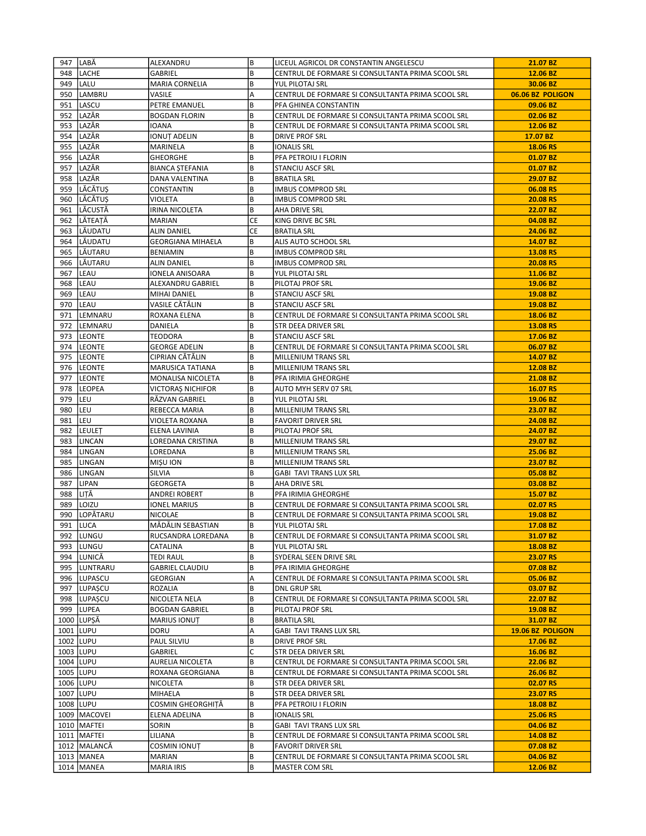| 947 | LABĂ           | ALEXANDRU                | B   | LICEUL AGRICOL DR CONSTANTIN ANGELESCU            | 21.07 BZ         |
|-----|----------------|--------------------------|-----|---------------------------------------------------|------------------|
| 948 | <b>LACHE</b>   | GABRIEL                  | B   | CENTRUL DE FORMARE SI CONSULTANTA PRIMA SCOOL SRL | 12.06 BZ         |
|     | 949   LALU     | MARIA CORNELIA           | B   | YUL PILOTAJ SRL                                   | 30.06 BZ         |
| 950 | LAMBRU         | VASILE                   | А   | CENTRUL DE FORMARE SI CONSULTANTA PRIMA SCOOL SRL | 06.06 BZ POLIGON |
| 951 | LASCU          | PETRE EMANUEL            | B   | PFA GHINEA CONSTANTIN                             | 09.06 BZ         |
| 952 | LAZĂR          | <b>BOGDAN FLORIN</b>     | В   | CENTRUL DE FORMARE SI CONSULTANTA PRIMA SCOOL SRL | 02.06 BZ         |
| 953 | LAZĂR          | <b>IOANA</b>             | B   | CENTRUL DE FORMARE SI CONSULTANTA PRIMA SCOOL SRL | 12.06 BZ         |
| 954 | LAZĂR          | IONUȚ ADELIN             | В   | DRIVE PROF SRL                                    | 17.07 BZ         |
|     | 955  LAZĂR     | MARINELA                 | B   | IONALIS SRL                                       | 18.06 RS         |
| 956 | LAZĂR          | <b>GHEORGHE</b>          | B   | PFA PETROIU I FLORIN                              | 01.07 BZ         |
| 957 | LAZĂR          | <b>BIANCA STEFANIA</b>   | B   | <b>STANCIU ASCF SRL</b>                           | 01.07 BZ         |
|     | 958 LAZĂR      | DANA VALENTINA           | B   | <b>BRATILA SRL</b>                                | 29.07 BZ         |
| 959 | <b>LĂCĂTUS</b> | CONSTANTIN               | B   | <b>IMBUS COMPROD SRL</b>                          | 06.08 RS         |
|     | 960 LĂCĂTUS    | VIOLETA                  | B   | <b>IMBUS COMPROD SRL</b>                          | 20.08 RS         |
| 961 | LĂCUSTĂ        | IRINA NICOLETA           | В   | AHA DRIVE SRL                                     | 22.07 BZ         |
|     | 962 LĂTEATĂ    | <b>MARIAN</b>            | СE  | KING DRIVE BC SRL                                 | 04.08 BZ         |
| 963 | <b>LĂUDATU</b> | <b>ALIN DANIEL</b>       | CE  | <b>BRATILA SRL</b>                                | 24.06 BZ         |
|     | 964 LĂUDATU    | <b>GEORGIANA MIHAELA</b> | В   | ALIS AUTO SCHOOL SRL                              | 14.07 BZ         |
|     | 965 LÄUTARU    | <b>BENIAMIN</b>          | B   | <b>IMBUS COMPROD SRL</b>                          | 13.08 RS         |
| 966 | <b>LĂUTARU</b> | <b>ALIN DANIEL</b>       | B   | <b>IMBUS COMPROD SRL</b>                          | 20.08 RS         |
| 967 | ILEAU          | IONELA ANISOARA          | В   | YUL PILOTAJ SRL                                   | 11.06 BZ         |
| 968 | <b>LEAU</b>    | ALEXANDRU GABRIEL        | B   | PILOTAJ PROF SRL                                  | 19.06 BZ         |
| 969 | LEAU           | MIHAI DANIEL             | B   | <b>STANCIU ASCF SRL</b>                           | 19.08 BZ         |
|     | 970 LEAU       | VASILE CĂTĂLIN           | B   | STANCIU ASCF SRL                                  | 19.08 BZ         |
| 971 | <b>LEMNARU</b> | ROXANA ELENA             | B   | CENTRUL DE FORMARE SI CONSULTANTA PRIMA SCOOL SRL | 18.06 BZ         |
| 972 | LEMNARU        | DANIELA                  | B   | STR DEEA DRIVER SRL                               | 13.08 RS         |
|     | 973  LEONTE    | TEODORA                  | B   | STANCIU ASCF SRL                                  | 17.06 BZ         |
|     | 974  LEONTE    | <b>GEORGE ADELIN</b>     | B   | CENTRUL DE FORMARE SI CONSULTANTA PRIMA SCOOL SRL | 06.07 BZ         |
| 975 | ILEONTE        | CIPRIAN CĂTĂLIN          | B   | MILLENIUM TRANS SRL                               | 14.07 BZ         |
|     | 976  LEONTE    | MARUSICA TATIANA         | В   | MILLENIUM TRANS SRL                               | 12.08 BZ         |
| 977 | <b>LEONTE</b>  | MONALISA NICOLETA        | B   | PFA IRIMIA GHEORGHE                               | 21.08 BZ         |
| 978 | <b>LEOPEA</b>  | VICTORAȘ NICHIFOR        | B   | AUTO MYH SERV 07 SRL                              | 16.07 RS         |
| 979 | lleu           | RĂZVAN GABRIEL           | В   | YUL PILOTAJ SRL                                   | 19.06 BZ         |
| 980 | lleu           | REBECCA MARIA            | B   | MILLENIUM TRANS SRL                               | 23.07 BZ         |
| 981 | LEU            | VIOLETA ROXANA           | B   | <b>FAVORIT DRIVER SRL</b>                         | 24.08 BZ         |
| 982 | <b>LEULET</b>  | ELENA LAVINIA            | В   | PILOTAJ PROF SRL                                  | 24.07 BZ         |
| 983 | LINCAN         | LOREDANA CRISTINA        | B   | MILLENIUM TRANS SRL                               | 29.07 BZ         |
| 984 | LINGAN         | LOREDANA                 | B   | MILLENIUM TRANS SRL                               | 25.06 BZ         |
| 985 | <b>LINGAN</b>  | MIŞU ION                 | B   | MILLENIUM TRANS SRL                               | 23.07 BZ         |
| 986 | LINGAN         | SILVIA                   | B   | GABI TAVI TRANS LUX SRL                           | 05.08 BZ         |
| 987 | <b>LIPAN</b>   | <b>GEORGETA</b>          | B   | AHA DRIVE SRL                                     | 03.08 BZ         |
| 988 | ILITĂ.         | ANDREI ROBERT            | B   | PFA IRIMIA GHEORGHE                               | 15.07 BZ         |
| 989 | LOIZU          | <b>IONEL MARIUS</b>      | B   | CENTRUL DE FORMARE SI CONSULTANTA PRIMA SCOOL SRL | 02.07 RS         |
| 990 | LOPĂTARU       | <b>NICOLAE</b>           | В   | CENTRUL DE FORMARE SI CONSULTANTA PRIMA SCOOL SRL | 19.08 BZ         |
|     | 991 LUCA       | MĂDĂLIN SEBASTIAN        | B   | YUL PILOTAJ SRL                                   | 17.08 BZ         |
|     | 992   LUNGU    | RUCSANDRA LOREDANA       | l B | CENTRUL DE FORMARE SI CONSULTANTA PRIMA SCOOL SRL | 31.07 BZ         |
| 993 | llungu         | CATALINA                 | B   | YUL PILOTAJ SRL                                   | 18.08 BZ         |
| 994 | Ilunică        | TEDI RAUL                | B   | SYDERAL SEEN DRIVE SRL                            | 23.07 RS         |
|     | 995  LUNTRARU  | <b>GABRIEL CLAUDIU</b>   | B   | PFA IRIMIA GHEORGHE                               | 07.08 BZ         |
|     | 996   LUPASCU  | GEORGIAN                 | Α   | CENTRUL DE FORMARE SI CONSULTANTA PRIMA SCOOL SRL | 05.06 BZ         |
| 997 | <b>LUPAȘCU</b> | ROZALIA                  | B   | DNL GRUP SRL                                      | 03.07 BZ         |
|     | 998 LUPAȘCU    | NICOLETA NELA            | B   | CENTRUL DE FORMARE SI CONSULTANTA PRIMA SCOOL SRL | 22.07 BZ         |
|     | 999 LUPEA      | <b>BOGDAN GABRIEL</b>    | B   | PILOTAJ PROF SRL                                  | 19.08 BZ         |
|     | 1000 LUPȘĂ     | <b>MARIUS IONUT</b>      | B   | <b>BRATILA SRL</b>                                | 31.07 BZ         |
|     | 1001 LUPU      | DORU                     | Α   | <b>GABI TAVI TRANS LUX SRL</b>                    | 19.06 BZ POLIGON |
|     | 1002 LUPU      | PAUL SILVIU              | B   | DRIVE PROF SRL                                    | 17.06 BZ         |
|     | 1003 LUPU      | GABRIEL                  | C   | <b>STR DEEA DRIVER SRL</b>                        | 16.06 BZ         |
|     | 1004 LUPU      | AURELIA NICOLETA         | B   | CENTRUL DE FORMARE SI CONSULTANTA PRIMA SCOOL SRL | 22.06 BZ         |
|     | 1005   LUPU    | ROXANA GEORGIANA         | B   | CENTRUL DE FORMARE SI CONSULTANTA PRIMA SCOOL SRL | 26.06 BZ         |
|     | 1006 LUPU      | NICOLETA                 | B   | STR DEEA DRIVER SRL                               | 02.07 RS         |
|     | 1007 LUPU      | MIHAELA                  | B   | STR DEEA DRIVER SRL                               | 23.07 RS         |
|     | 1008   LUPU    | COSMIN GHEORGHITĂ        | В   | PFA PETROIU I FLORIN                              | 18.08 BZ         |
|     | 1009   MACOVEI | ELENA ADELINA            | B   | <b>IONALIS SRL</b>                                | 25.06 RS         |
|     | 1010   MAFTEI  | <b>SORIN</b>             | B   | <b>GABI TAVI TRANS LUX SRL</b>                    | 04.06 BZ         |
|     | 1011   MAFTEI  | LILIANA                  | B   | CENTRUL DE FORMARE SI CONSULTANTA PRIMA SCOOL SRL | 14.08 BZ         |
|     | 1012 MALANCĂ   | <b>COSMIN IONUT</b>      | B   | FAVORIT DRIVER SRL                                | 07.08 BZ         |
|     | 1013   MANEA   | MARIAN                   | B   | CENTRUL DE FORMARE SI CONSULTANTA PRIMA SCOOL SRL | 04.06 BZ         |
|     | 1014   MANEA   | MARIA IRIS               | B   | MASTER COM SRL                                    | 12.06 BZ         |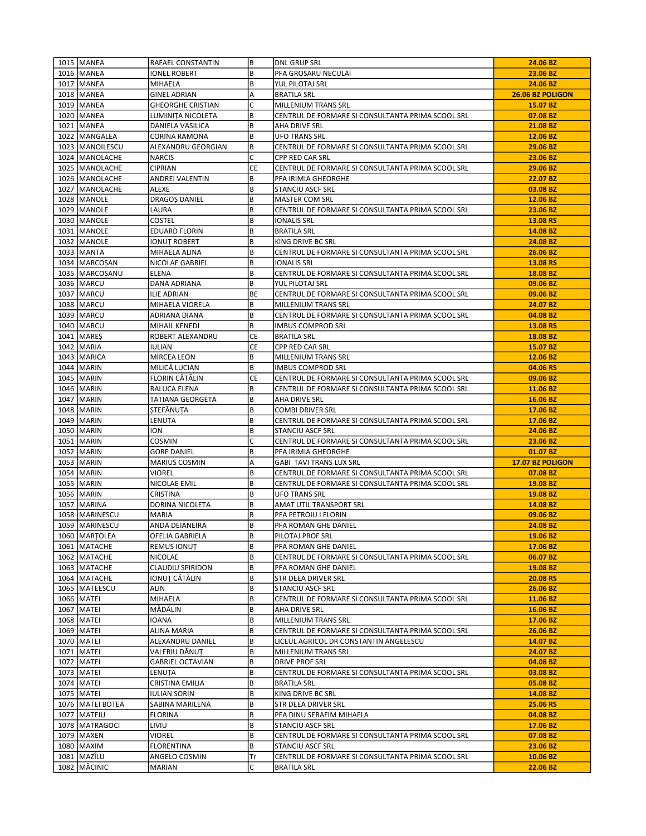| 1015   MANEA       | RAFAEL CONSTANTIN        | B         | <b>DNL GRUP SRL</b>                               | 24.06 BZ         |
|--------------------|--------------------------|-----------|---------------------------------------------------|------------------|
| 1016   MANEA       | <b>IONEL ROBERT</b>      | B         | PFA GROSARU NECULAI                               | 23.06 BZ         |
| 1017   MANEA       | MIHAELA                  | B         | YUL PILOTAJ SRL                                   | 24.06 BZ         |
| 1018   MANEA       | <b>GINEL ADRIAN</b>      | Α         | <b>BRATILA SRL</b>                                | 26.06 BZ POLIGON |
| 1019 MANEA         | <b>GHEORGHE CRISTIAN</b> | C         | MILLENIUM TRANS SRL                               | 15.07 BZ         |
| 1020   MANEA       | LUMINIȚA NICOLETA        | B         | CENTRUL DE FORMARE SI CONSULTANTA PRIMA SCOOL SRL | 07.08 BZ         |
| 1021 MANEA         | DANIELA VASILICA         | B         | AHA DRIVE SRL                                     | 21.08 BZ         |
| 1022 MANGALEA      | CORINA RAMONA            | B         | <b>UFO TRANS SRL</b>                              | 12.06 BZ         |
| 1023   MANOILESCU  | ALEXANDRU GEORGIAN       | B         | CENTRUL DE FORMARE SI CONSULTANTA PRIMA SCOOL SRL | 29.06 BZ         |
| 1024   MANOLACHE   | <b>NARCIS</b>            | C         | CPP RED CAR SRL                                   | 23.06 BZ         |
| 1025   MANOLACHE   | <b>CIPRIAN</b>           | СE        | CENTRUL DE FORMARE SI CONSULTANTA PRIMA SCOOL SRL | 29.06 BZ         |
| 1026   MANOLACHE   | ANDREI VALENTIN          | B         | PFA IRIMIA GHEORGHE                               | 22.07 BZ         |
| 1027   MANOLACHE   | <b>ALEXE</b>             | B         | <b>STANCIU ASCF SRL</b>                           | 03.08 BZ         |
| 1028   MANOLE      | DRAGOȘ DANIEL            | B         | <b>MASTER COM SRL</b>                             | 12.06 BZ         |
| 1029   MANOLE      | LAURA                    | B         | CENTRUL DE FORMARE SI CONSULTANTA PRIMA SCOOL SRL | 23.06 BZ         |
| 1030 MANOLE        | COSTEL                   | B         | <b>IONALIS SRL</b>                                | 13.08 RS         |
| 1031   MANOLE      | <b>EDUARD FLORIN</b>     | B         | <b>BRATILA SRL</b>                                | 14.08 BZ         |
| 1032   MANOLE      | IONUT ROBERT             | B         | KING DRIVE BC SRL                                 | 24.08 BZ         |
| 1033   MANTA       | MIHAELA ALINA            | B         | CENTRUL DE FORMARE SI CONSULTANTA PRIMA SCOOL SRL | 26.06 BZ         |
| 1034   MARCOSAN    | NICOLAE GABRIEL          | B         | <b>IONALIS SRL</b>                                | 13.08 RS         |
| 1035   MARCOSANU   | ELENA                    | B         | CENTRUL DE FORMARE SI CONSULTANTA PRIMA SCOOL SRL | 18.08 BZ         |
| 1036 MARCU         | DANA ADRIANA             | B         | YUL PILOTAJ SRL                                   | 09.06 BZ         |
| 1037   MARCU       | ILIE ADRIAN              | BE        | CENTRUL DE FORMARE SI CONSULTANTA PRIMA SCOOL SRL | 09.06 BZ         |
| 1038   MARCU       | MIHAELA VIORELA          | В         | <b>MILLENIUM TRANS SRL</b>                        | 24.07 BZ         |
| 1039 MARCU         | ADRIANA DIANA            | B         | CENTRUL DE FORMARE SI CONSULTANTA PRIMA SCOOL SRL | 04.08 BZ         |
| 1040   MARCU       | MIHAIL KENEDI            | B         | <b>IMBUS COMPROD SRL</b>                          | 13.08 RS         |
| 1041   MARES       | ROBERT ALEXANDRU         | CE        | <b>BRATILA SRL</b>                                | 18.08 BZ         |
| 1042   MARIA       | <b>IULIAN</b>            | <b>CE</b> | CPP RED CAR SRL                                   | 15.07 BZ         |
| 1043   MARICA      | MIRCEA LEON              | B         | MILLENIUM TRANS SRL                               | 12.06 BZ         |
| 1044   MARIN       | MILICĂ LUCIAN            | В         | <b>IMBUS COMPROD SRL</b>                          | 04.06 RS         |
| 1045   MARIN       | FLORIN CĂTĂLIN           | СE        | CENTRUL DE FORMARE SI CONSULTANTA PRIMA SCOOL SRL | 09.06 BZ         |
| 1046   MARIN       | RALUCA ELENA             | B         | CENTRUL DE FORMARE SI CONSULTANTA PRIMA SCOOL SRL | 11.06 BZ         |
| 1047   MARIN       | TATIANA GEORGETA         | В         | AHA DRIVE SRL                                     | 16.06 BZ         |
| 1048   MARIN       | STEFÅNUTA                | B         | <b>COMBI DRIVER SRL</b>                           | 17.06 BZ         |
| 1049   MARIN       | LENUTA                   | B         | CENTRUL DE FORMARE SI CONSULTANTA PRIMA SCOOL SRL | 17.06 BZ         |
| 1050   MARIN       | ION                      | B         | <b>STANCIU ASCF SRL</b>                           | 24.06 BZ         |
| 1051   MARIN       | COSMIN                   | C         | CENTRUL DE FORMARE SI CONSULTANTA PRIMA SCOOL SRL | 23.06 BZ         |
| 1052   MARIN       | <b>GORE DANIEL</b>       | B         | PFA IRIMIA GHEORGHE                               | 01.07 BZ         |
| 1053   MARIN       | MARIUS COSMIN            | А         | GABI TAVI TRANS LUX SRL                           | 17.07 BZ POLIGON |
| 1054   MARIN       | <b>VIOREL</b>            | B         | CENTRUL DE FORMARE SI CONSULTANTA PRIMA SCOOL SRL | 07.08 BZ         |
| 1055 MARIN         | NICOLAE EMIL             | B         | CENTRUL DE FORMARE SI CONSULTANTA PRIMA SCOOL SRL | 19.08 BZ         |
| 1056   MARIN       | <b>CRISTINA</b>          | B         | UFO TRANS SRL                                     | 19.08 BZ         |
| 1057 MARINA        | DORINA NICOLETA          | B         | AMAT UTIL TRANSPORT SRL                           | 14.08 BZ         |
| 1058   MARINESCU   | MARIA                    | B         | PFA PETROIU I FLORIN                              | 09.06 BZ         |
| 1059 MARINESCU     | ANDA DEIANEIRA           | B         | PFA ROMAN GHE DANIEL                              | 24.08 BZ         |
| 1060   MARȚOLEA    | OFELIA GABRIELA          | B         | PILOTAJ PROF SRL                                  | 19.06 BZ         |
| 1061   MATACHE     | <b>REMUS IONUT</b>       | B         | PFA ROMAN GHE DANIEL                              | 17.06 BZ         |
| 1062   MATACHE     | NICOLAE                  | B         | CENTRUL DE FORMARE SI CONSULTANTA PRIMA SCOOL SRL | 06.07 BZ         |
| 1063   MATACHE     | CLAUDIU SPIRIDON         | B         | PFA ROMAN GHE DANIEL                              | 19.08 BZ         |
| 1064   MATACHE     | IONUT CĂTĂLIN            | B         | STR DEEA DRIVER SRL                               | 20.08 RS         |
| 1065   MATEESCU    | ALIN                     | B         | <b>STANCIU ASCF SRL</b>                           | 26.06 BZ         |
| 1066 MATEI         | MIHAELA                  | B         | CENTRUL DE FORMARE SI CONSULTANTA PRIMA SCOOL SRL | 11.06 BZ         |
| 1067   MATEI       | MĂDĂLIN                  | B         | AHA DRIVE SRL                                     | 16.06 BZ         |
| 1068   MATEI       | IOANA                    | B         | MILLENIUM TRANS SRL                               | 17.06 BZ         |
| 1069   MATEI       | ALINA MARIA              | B         | CENTRUL DE FORMARE SI CONSULTANTA PRIMA SCOOL SRL | 26.06 BZ         |
| 1070   MATEI       | ALEXANDRU DANIEL         | B         | LICEUL AGRICOL DR CONSTANTIN ANGELESCU            | 14.07 BZ         |
| 1071   MATEI       | VALERIU DĂNUT            | B         | <b>MILLENIUM TRANS SRL</b>                        | 24.07 BZ         |
| 1072   MATEI       | <b>GABRIEL OCTAVIAN</b>  | B         | <b>DRIVE PROF SRL</b>                             | 04.08 BZ         |
| 1073   MATEI       | LENUȚA                   | B         | CENTRUL DE FORMARE SI CONSULTANTA PRIMA SCOOL SRL | 03.08 BZ         |
| 1074   MATEI       | CRISTINA EMILIA          | B         | <b>BRATILA SRL</b>                                | 05.08 BZ         |
| 1075   MATEI       | <b>IULIAN SORIN</b>      | B         | KING DRIVE BC SRL                                 | 14.08 BZ         |
| 1076   MATEI BOTEA | SABINA MARILENA          | B         | STR DEEA DRIVER SRL                               | 25.06 RS         |
| 1077   MATEIU      | <b>FLORINA</b>           | B         | PFA DINU SERAFIM MIHAELA                          | 04.08 BZ         |
| 1078   MATRAGOCI   | LIVIU                    | B         | STANCIU ASCF SRL                                  | 17.06 BZ         |
| 1079   MAXEN       | VIOREL                   | B         | CENTRUL DE FORMARE SI CONSULTANTA PRIMA SCOOL SRL | 07.08 BZ         |
| 1080   MAXIM       | <b>FLORENTINA</b>        | B         | STANCIU ASCF SRL                                  | 23.06 BZ         |
| 1081   MAZÎLU      | ANGELO COSMIN            | Tr        | CENTRUL DE FORMARE SI CONSULTANTA PRIMA SCOOL SRL | 10.06 BZ         |
| 1082   MĂCINIC     | MARIAN                   | C         | <b>BRATILA SRL</b>                                | 22.06 BZ         |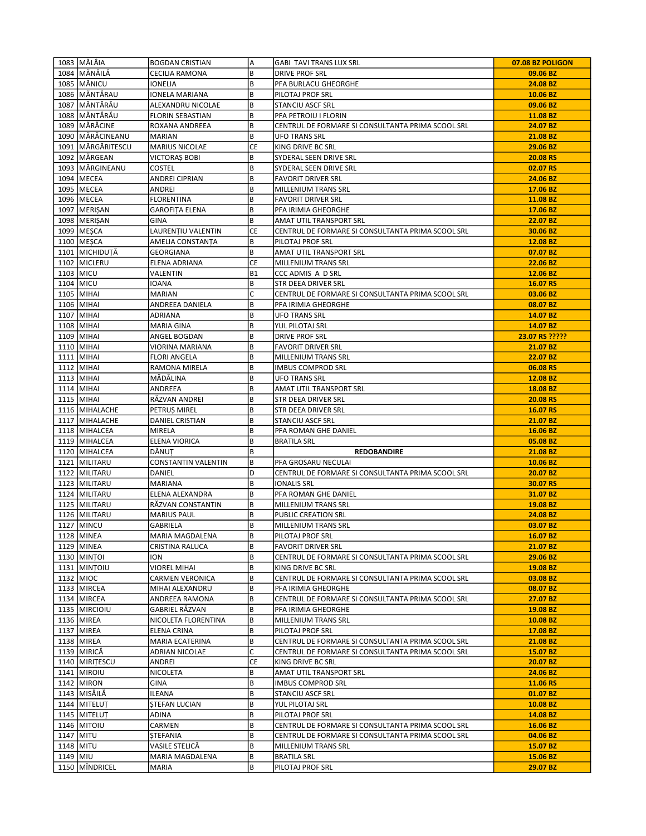|          | 1083 MĂLÂIA         | <b>BOGDAN CRISTIAN</b>  | A         | <b>GABI TAVI TRANS LUX SRL</b>                    | 07.08 BZ POLIGON |
|----------|---------------------|-------------------------|-----------|---------------------------------------------------|------------------|
|          | 1084 MĂNĂILĂ        | CECILIA RAMONA          | B         | <b>DRIVE PROF SRL</b>                             | 09.06 BZ         |
|          | 1085   MĂNICU       | IONELIA                 | B         | PFA BURLACU GHEORGHE                              | 24.08 BZ         |
|          | 1086 MĂNTĂRAU       | IONELA MARIANA          | B         | PILOTAJ PROF SRL                                  | 10.06 BZ         |
|          | 1087 MĂNTĂRĂU       | ALEXANDRU NICOLAE       | B         | <b>STANCIU ASCF SRL</b>                           | 09.06 BZ         |
|          | 1088 MĂNTĂRĂU       | <b>FLORIN SEBASTIAN</b> | B         | PFA PETROIU I FLORIN                              | 11.08 BZ         |
|          | 1089 MĂRĂCINE       | ROXANA ANDREEA          | B         | CENTRUL DE FORMARE SI CONSULTANTA PRIMA SCOOL SRL | 24.07 BZ         |
|          | 1090   MĂRĂCINEANU  | <b>MARIAN</b>           | B         | <b>UFO TRANS SRL</b>                              | 21.08 BZ         |
|          | 1091   MĂRGĂRITESCU | <b>MARIUS NICOLAE</b>   | CE        | KING DRIVE BC SRL                                 | 29.06 BZ         |
|          | 1092   MÅRGEAN      | VICTORAȘ BOBI           | B         | SYDERAL SEEN DRIVE SRL                            | 20.08 RS         |
|          | 1093 MÄRGINEANU     | COSTEL                  | B         | SYDERAL SEEN DRIVE SRL                            | 02.07 RS         |
|          | 1094   MECEA        | ANDREI CIPRIAN          | B         | <b>FAVORIT DRIVER SRL</b>                         | 24.06 BZ         |
|          | 1095   MECEA        | ANDREI                  | B         | MILLENIUM TRANS SRL                               | 17.06 BZ         |
|          | 1096   MECEA        | <b>FLORENTINA</b>       | B         | <b>FAVORIT DRIVER SRL</b>                         | 11.08 BZ         |
|          | 1097   MERIŞAN      | <b>GAROFITA ELENA</b>   | B         | PFA IRIMIA GHEORGHE                               | 17.06 BZ         |
|          | 1098   MERIŞAN      | GINA                    | B         | AMAT UTIL TRANSPORT SRL                           | 22.07 BZ         |
|          | 1099   MESCA        | LAURENȚIU VALENTIN      | CE        | CENTRUL DE FORMARE SI CONSULTANTA PRIMA SCOOL SRL | 30.06 BZ         |
|          | 1100   MESCA        | AMELIA CONSTANȚA        | B         | PILOTAJ PROF SRL                                  | 12.08 BZ         |
|          | 1101   MICHIDUTĂ    | GEORGIANA               | B         | AMAT UTIL TRANSPORT SRL                           | 07.07 BZ         |
|          | 1102 MICLERU        | ELENA ADRIANA           | CE        | MILLENIUM TRANS SRL                               | 22.06 BZ         |
|          | 1103   MICU         | VALENTIN                | <b>B1</b> | CCC ADMIS A D SRL                                 | 12.06 BZ         |
|          | 1104 MICU           | IOANA                   | B         | STR DEEA DRIVER SRL                               | 16.07 RS         |
|          | 1105 MIHAI          | <b>MARIAN</b>           | C         | CENTRUL DE FORMARE SI CONSULTANTA PRIMA SCOOL SRL | 03.06 BZ         |
|          | 1106 MIHAI          | ANDREEA DANIELA         | B         | PFA IRIMIA GHEORGHE                               | 08.07 BZ         |
|          | 1107 MIHAI          | <b>ADRIANA</b>          | B         | <b>UFO TRANS SRL</b>                              | 14.07 BZ         |
|          | 1108 MIHAI          | MARIA GINA              | B         | YUL PILOTAJ SRL                                   | 14.07 BZ         |
|          | 1109   MIHAI        | ANGEL BOGDAN            | B         | DRIVE PROF SRL                                    | 23.07 RS ?????   |
|          | 1110 MIHAI          | VIORINA MARIANA         | B         | <b>FAVORIT DRIVER SRL</b>                         | 21.07 BZ         |
|          | 1111 MIHAI          | <b>FLORI ANGELA</b>     | B         | MILLENIUM TRANS SRL                               | 22.07 BZ         |
|          | 1112 MIHAI          | RAMONA MIRELA           | B         | <b>IMBUS COMPROD SRL</b>                          | 06.08 RS         |
|          | 1113 MIHAI          | MĂDĂLINA                | B         | <b>UFO TRANS SRL</b>                              | 12.08 BZ         |
|          | 1114 MIHAI          | ANDREEA                 | B         | AMAT UTIL TRANSPORT SRL                           | 18.08 BZ         |
|          | 1115   MIHAI        | RĂZVAN ANDREI           | B         | STR DEEA DRIVER SRL                               | 20.08 RS         |
|          | 1116   MIHALACHE    | PETRUS MIREL            | B         | STR DEEA DRIVER SRL                               | 16.07 RS         |
|          | 1117 MIHALACHE      | DANIEL CRISTIAN         | B         | <b>STANCIU ASCF SRL</b>                           | 21.07 BZ         |
|          | 1118 MIHALCEA       | MIRELA                  | B         | PFA ROMAN GHE DANIEL                              | 16.06 BZ         |
|          | 1119 MIHALCEA       | ELENA VIORICA           | B         | <b>BRATILA SRL</b>                                | 05.08 BZ         |
|          | 1120 MIHALCEA       | DĂNUT                   | B         | <b>REDOBANDIRE</b>                                | 21.08 BZ         |
|          | 1121   MILITARU     | CONSTANTIN VALENTIN     | В         | PFA GROSARU NECULAI                               | 10.06 BZ         |
|          | 1122 MILITARU       | DANIEL                  | D         | CENTRUL DE FORMARE SI CONSULTANTA PRIMA SCOOL SRL | 20.07 BZ         |
|          | 1123 MILITARU       | <b>MARIANA</b>          | B         | <b>IONALIS SRL</b>                                | 30.07 RS         |
|          | 1124   MILITARU     | ELENA ALEXANDRA         | В         | PFA ROMAN GHE DANIEL                              | 31.07 BZ         |
|          | 1125 MILITARU       | RĂZVAN CONSTANTIN       | B         | MILLENIUM TRANS SRL                               | 19.08 BZ         |
|          | 1126 MILITARU       | <b>MARIUS PAUL</b>      | B         | PUBLIC CREATION SRL                               | 24.08 BZ         |
|          | 1127 MINCU          | GABRIELA                | B         | <b>MILLENIUM TRANS SRL</b>                        | 03.07 BZ         |
|          | 1128 MINEA          | MARIA MAGDALENA         | B         | PILOTAJ PROF SRL                                  | 16.07 BZ         |
|          | 1129 MINEA          | CRISTINA RALUCA         | B         | <b>FAVORIT DRIVER SRL</b>                         | 21.07 BZ         |
|          | 1130   MINTOI       | ION                     | B         | CENTRUL DE FORMARE SI CONSULTANTA PRIMA SCOOL SRL | 29.06 BZ         |
|          | 1131   MINTOIU      | VIOREL MIHAI            | B         | KING DRIVE BC SRL                                 | 19.08 BZ         |
|          | 1132 MIOC           | CARMEN VERONICA         | B         | CENTRUL DE FORMARE SI CONSULTANTA PRIMA SCOOL SRL | 03.08 BZ         |
|          | 1133 MIRCEA         | MIHAI ALEXANDRU         | B         | PFA IRIMIA GHEORGHE                               | 08.07 BZ         |
|          | 1134 MIRCEA         | ANDREEA RAMONA          | B         | CENTRUL DE FORMARE SI CONSULTANTA PRIMA SCOOL SRL | 27.07 BZ         |
|          | 1135   MIRCIOIU     | GABRIEL RĂZVAN          | B         | PFA IRIMIA GHEORGHE                               | 19.08 BZ         |
|          | 1136   MIREA        | NICOLETA FLORENTINA     | B         | MILLENIUM TRANS SRL                               | 10.08 BZ         |
|          | 1137   MIREA        | ELENA CRINA             | B         | PILOTAJ PROF SRL                                  | 17.08 BZ         |
|          | 1138   MIREA        | MARIA ECATERINA         | B         | CENTRUL DE FORMARE SI CONSULTANTA PRIMA SCOOL SRL | 21.08 BZ         |
|          | 1139 MIRICĂ         | ADRIAN NICOLAE          | C         | CENTRUL DE FORMARE SI CONSULTANTA PRIMA SCOOL SRL | 15.07 BZ         |
|          | 1140 MIRITESCU      | ANDREI                  | <b>CE</b> | KING DRIVE BC SRL                                 | 20.07 BZ         |
|          | 1141   MIROIU       | NICOLETA                | B         | AMAT UTIL TRANSPORT SRL                           | 24.06 BZ         |
|          | 1142   MIRON        | GINA                    | B         | <b>IMBUS COMPROD SRL</b>                          | 11.06 RS         |
|          | 1143 MISĂILĂ        | ILEANA                  | B         | STANCIU ASCF SRL                                  | 01.07 BZ         |
|          | 1144   MITELUT      | <b>STEFAN LUCIAN</b>    | B         | YUL PILOTAJ SRL                                   | 10.08 BZ         |
|          | 1145   MITELUT      | ADINA                   | B         | PILOTAJ PROF SRL                                  | 14.08 BZ         |
|          | 1146   MITOIU       | CARMEN                  | B         | CENTRUL DE FORMARE SI CONSULTANTA PRIMA SCOOL SRL | 16.06 BZ         |
|          | 1147 MITU           | <b>STEFANIA</b>         | B         | CENTRUL DE FORMARE SI CONSULTANTA PRIMA SCOOL SRL | 04.06 BZ         |
|          | 1148 MITU           | VASILE STELICĂ          | B         | MILLENIUM TRANS SRL                               | 15.07 BZ         |
| 1149 MIU |                     | MARIA MAGDALENA         | B         | <b>BRATILA SRL</b>                                | 15.06 BZ         |
|          | 1150 MÎNDRICEL      | MARIA                   | B         | PILOTAJ PROF SRL                                  | 29.07 BZ         |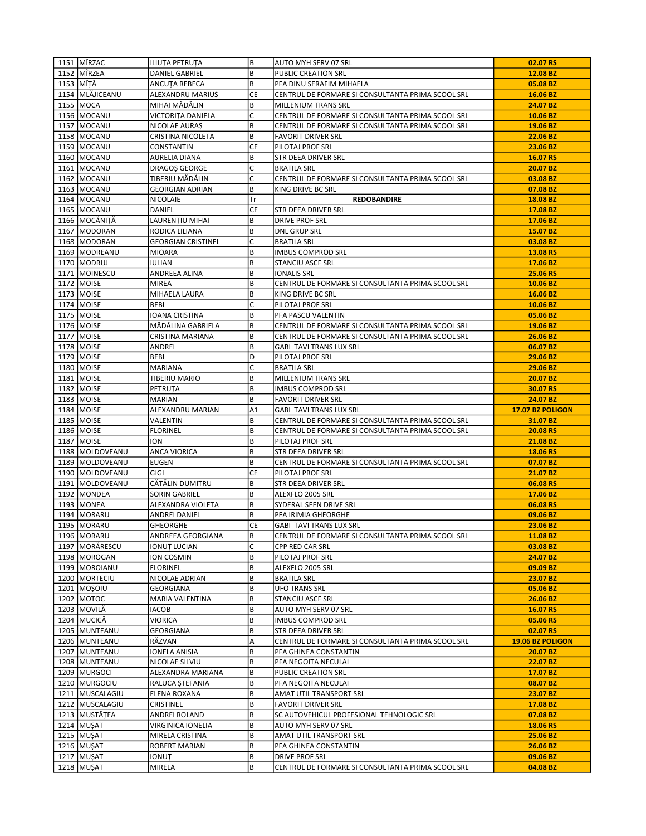| 1151 MÎRZAC       | <b>ILIUTA PETRUTA</b>     | B  | AUTO MYH SERV 07 SRL                              | 02.07 RS         |
|-------------------|---------------------------|----|---------------------------------------------------|------------------|
| 1152 MÎRZEA       | <b>DANIEL GABRIEL</b>     | B  | <b>PUBLIC CREATION SRL</b>                        | 12.08 BZ         |
| 1153 MÎTĂ         | ANCUTA REBECA             | B  | PFA DINU SERAFIM MIHAELA                          | 05.08 BZ         |
| 1154 MLĂJICEANU   | ALEXANDRU MARIUS          | CE | CENTRUL DE FORMARE SI CONSULTANTA PRIMA SCOOL SRL | 16.06 BZ         |
| 1155 MOCA         | MIHAI MĂDĂLIN             | B  | MILLENIUM TRANS SRL                               | 24.07 BZ         |
| 1156 MOCANU       | VICTORITA DANIELA         | C  | CENTRUL DE FORMARE SI CONSULTANTA PRIMA SCOOL SRL | 10.06 BZ         |
| 1157 MOCANU       | NICOLAE AURAS             | B  | CENTRUL DE FORMARE SI CONSULTANTA PRIMA SCOOL SRL | 19.06 BZ         |
| 1158   MOCANU     | CRISTINA NICOLETA         | B  | <b>FAVORIT DRIVER SRL</b>                         | 22.06 BZ         |
| 1159   MOCANU     | CONSTANTIN                | CE | PILOTAJ PROF SRL                                  | 23.06 BZ         |
| 1160   MOCANU     | AURELIA DIANA             | B  | STR DEEA DRIVER SRL                               | 16.07 RS         |
| 1161   MOCANU     | DRAGOS GEORGE             | C  | <b>BRATILA SRL</b>                                | 20.07 BZ         |
| 1162 MOCANU       | TIBERIU MĂDĂLIN           | C  | CENTRUL DE FORMARE SI CONSULTANTA PRIMA SCOOL SRL | 03.08 BZ         |
| 1163 MOCANU       | <b>GEORGIAN ADRIAN</b>    | B  | KING DRIVE BC SRL                                 | 07.08 BZ         |
| 1164   MOCANU     | <b>NICOLAIE</b>           | Tr | <b>REDOBANDIRE</b>                                | 18.08 BZ         |
| 1165   MOCANU     | DANIEL                    | СE | STR DEEA DRIVER SRL                               | 17.08 BZ         |
| 1166 MOCĂNIȚĂ     | LAURENȚIU MIHAI           | B  | <b>DRIVE PROF SRL</b>                             | 17.06 BZ         |
| 1167   MODORAN    | RODICA LILIANA            | B  | DNL GRUP SRL                                      | 15.07 BZ         |
| 1168   MODORAN    | <b>GEORGIAN CRISTINEL</b> | C  | <b>BRATILA SRL</b>                                | 03.08 BZ         |
| 1169   MODREANU   | <b>MIOARA</b>             | B  | <b>IMBUS COMPROD SRL</b>                          | 13.08 RS         |
| 1170   MODRUJ     | <b>IULIAN</b>             | B  | STANCIU ASCF SRL                                  | 17.06 BZ         |
| 1171   MOINESCU   | ANDREEA ALINA             | B  | <b>IONALIS SRL</b>                                | 25.06 RS         |
| 1172 MOISE        | MIREA                     | B  | CENTRUL DE FORMARE SI CONSULTANTA PRIMA SCOOL SRL | 10.06 BZ         |
| 1173   MOISE      | MIHAELA LAURA             | B  | KING DRIVE BC SRL                                 | 16.06 BZ         |
| 1174 MOISE        | BEBI                      | C  | PILOTAJ PROF SRL                                  | 10.06 BZ         |
| 1175   MOISE      | IOANA CRISTINA            | B  | PFA PASCU VALENTIN                                | 05.06 BZ         |
| 1176   MOISE      | MĂDĂLINA GABRIELA         | B  | CENTRUL DE FORMARE SI CONSULTANTA PRIMA SCOOL SRL | 19.06 BZ         |
| 1177 MOISE        | CRISTINA MARIANA          | B  | CENTRUL DE FORMARE SI CONSULTANTA PRIMA SCOOL SRL | 26.06 BZ         |
| 1178   MOISE      | ANDREI                    | B  | <b>GABI TAVI TRANS LUX SRL</b>                    | 06.07 BZ         |
| 1179 MOISE        | BEBI                      | D  | PILOTAJ PROF SRL                                  | 29.06 BZ         |
| 1180   MOISE      | MARIANA                   | C  | <b>BRATILA SRL</b>                                | 29.06 BZ         |
| 1181   MOISE      | TIBERIU MARIO             | B  | MILLENIUM TRANS SRL                               | 20.07 BZ         |
| 1182   MOISE      | PETRUTA                   | B  | <b>IMBUS COMPROD SRL</b>                          | 30.07 RS         |
| 1183   MOISE      | MARIAN                    | B  | <b>FAVORIT DRIVER SRL</b>                         | 24.07 BZ         |
| 1184   MOISE      | ALEXANDRU MARIAN          | A1 | GABI TAVI TRANS LUX SRL                           | 17.07 BZ POLIGON |
| 1185   MOISE      | VALENTIN                  | B  | CENTRUL DE FORMARE SI CONSULTANTA PRIMA SCOOL SRL | 31.07 BZ         |
| 1186   MOISE      | <b>FLORINEL</b>           | B  | CENTRUL DE FORMARE SI CONSULTANTA PRIMA SCOOL SRL | 20.08 RS         |
| 1187   MOISE      | ION                       | B  | PILOTAJ PROF SRL                                  | 21.08 BZ         |
| 1188   MOLDOVEANU | <b>ANCA VIORICA</b>       | B  | STR DEEA DRIVER SRL                               | 18.06 RS         |
| 1189   MOLDOVEANU | EUGEN                     | B  | CENTRUL DE FORMARE SI CONSULTANTA PRIMA SCOOL SRL | 07.07 BZ         |
| 1190   MOLDOVEANU | GIGI                      | CE | PILOTAJ PROF SRL                                  | 21.07 BZ         |
| 1191   MOLDOVEANU | CĂTĂLIN DUMITRU           | B  | STR DEEA DRIVER SRL                               | 06.08 RS         |
| 1192 MONDEA       | SORIN GABRIEL             | В  | ALEXFLO 2005 SRL                                  | 17.06 BZ         |
| 1193   MONEA      | ALEXANDRA VIOLETA         | B  | SYDERAL SEEN DRIVE SRL                            | 06.08 RS         |
| 1194   MORARU     | ANDREI DANIEL             | B  | PFA IRIMIA GHEORGHE                               | 09.06 BZ         |
| 1195   MORARU     | <b>GHEORGHE</b>           | СE | <b>GABI TAVI TRANS LUX SRL</b>                    | 23.06 BZ         |
| 1196   MORARU     | ANDREEA GEORGIANA         | B  | CENTRUL DE FORMARE SI CONSULTANTA PRIMA SCOOL SRL | 11.08 BZ         |
| 1197   MORĂRESCU  | IONUȚ LUCIAN              | C  | CPP RED CAR SRL                                   | 03.08 BZ         |
| 1198   MOROGAN    | ION COSMIN                | B  | PILOTAJ PROF SRL                                  | 24.07 BZ         |
| 1199 MOROIANU     | <b>FLORINEL</b>           | B  | ALEXFLO 2005 SRL                                  | 09.09 BZ         |
| 1200   MORTECIU   | NICOLAE ADRIAN            | B  | <b>BRATILA SRL</b>                                | 23.07 BZ         |
| 1201 MOSOIU       | GEORGIANA                 | B  | <b>UFO TRANS SRL</b>                              | 05.06 BZ         |
| 1202 MOTOC        | MARIA VALENTINA           | B  | STANCIU ASCF SRL                                  | 26.06 BZ         |
| 1203   MOVILĂ     | IACOB                     | B  | AUTO MYH SERV 07 SRL                              | 16.07 RS         |
| 1204 MUCICĂ       | VIORICA                   | B  | <b>IMBUS COMPROD SRL</b>                          | 05.06 RS         |
| 1205 MUNTEANU     | GEORGIANA                 | B  | STR DEEA DRIVER SRL                               | 02.07 RS         |
| 1206 MUNTEANU     | RĂZVAN                    | Α  | CENTRUL DE FORMARE SI CONSULTANTA PRIMA SCOOL SRL | 19.06 BZ POLIGON |
| 1207   MUNTEANU   | IONELA ANISIA             | B  | PFA GHINEA CONSTANTIN                             | 20.07 BZ         |
| 1208 MUNTEANU     | NICOLAE SILVIU            | B  | PFA NEGOITA NECULAI                               | 22.07 BZ         |
| 1209   MURGOCI    | ALEXANDRA MARIANA         | B  | PUBLIC CREATION SRL                               | 17.07 BZ         |
| 1210   MURGOCIU   | RALUCA ȘTEFANIA           | B  | PFA NEGOITA NECULAI                               | 08.07 BZ         |
| 1211 MUSCALAGIU   | ELENA ROXANA              | B  | AMAT UTIL TRANSPORT SRL                           | 23.07 BZ         |
| 1212   MUSCALAGIU | CRISTINEL                 | B  | <b>FAVORIT DRIVER SRL</b>                         | 17.08 BZ         |
| 1213 MUSTĂȚEA     | ANDREI ROLAND             | B  | SC AUTOVEHICUL PROFESIONAL TEHNOLOGIC SRL         | 07.08 BZ         |
| 1214 MUŞAT        | VIRGINICA IONELIA         | B  | AUTO MYH SERV 07 SRL                              | 18.06 RS         |
| 1215   MUŞAT      | MIRELA CRISTINA           | B  | AMAT UTIL TRANSPORT SRL                           | 25.06 BZ         |
| 1216 MUŞAT        | ROBERT MARIAN             | B  | PFA GHINEA CONSTANTIN                             | 26.06 BZ         |
| 1217 MUŞAT        | IONUȚ                     | В  | DRIVE PROF SRL                                    | 09.06 BZ         |
| 1218 MUŞAT        | MIRELA                    | B  | CENTRUL DE FORMARE SI CONSULTANTA PRIMA SCOOL SRL | 04.08 BZ         |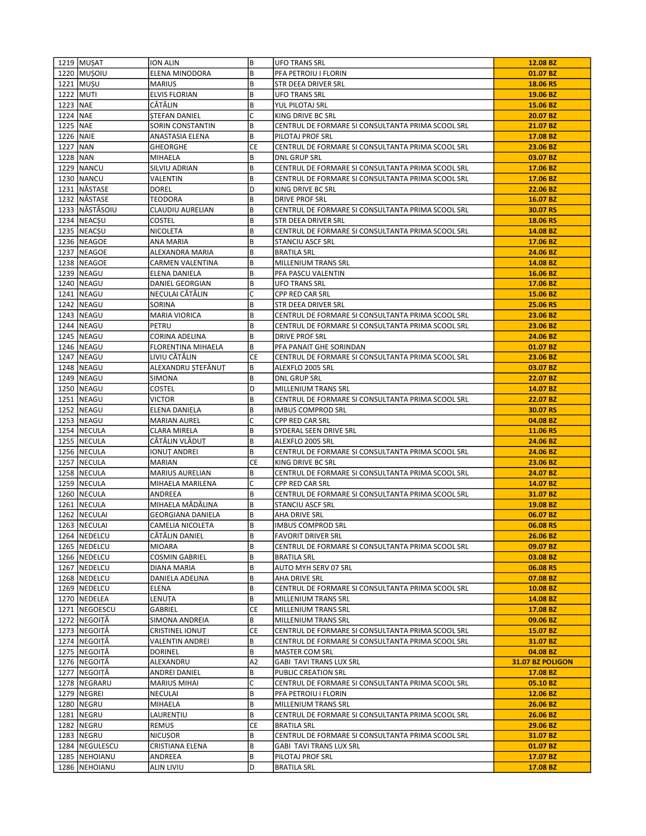|            | 1219 MUŞAT       | ION ALIN                  | B         | <b>UFO TRANS SRL</b>                              | 12.08 BZ         |
|------------|------------------|---------------------------|-----------|---------------------------------------------------|------------------|
|            | 1220 MUŞOIU      | ELENA MINODORA            | B         | PFA PETROIU I FLORIN                              | 01.07 BZ         |
|            | 1221 MUŞU        | <b>MARIUS</b>             | B         | STR DEEA DRIVER SRL                               | 18.06 RS         |
|            | 1222 MUTI        | <b>ELVIS FLORIAN</b>      | B         | UFO TRANS SRL                                     | 19.06 BZ         |
| 1223 NAE   |                  | CĂTĂLIN                   | B         | YUL PILOTAJ SRL                                   | 15.06 BZ         |
| 1224   NAE |                  | STEFAN DANIEL             | C         | KING DRIVE BC SRL                                 | 20.07 BZ         |
| 1225 INAE  |                  | SORIN CONSTANTIN          | B         | CENTRUL DE FORMARE SI CONSULTANTA PRIMA SCOOL SRL | 21.07 BZ         |
| 1226 NAIE  |                  | ANASTASIA ELENA           | B         | PILOTAJ PROF SRL                                  | 17.08 BZ         |
| 1227 NAN   |                  | <b>GHEORGHE</b>           | СE        | CENTRUL DE FORMARE SI CONSULTANTA PRIMA SCOOL SRL | 23.06 BZ         |
| 1228 NAN   |                  | MIHAELA                   | B         | DNL GRUP SRL                                      | 03.07 BZ         |
|            | 1229 NANCU       | SILVIU ADRIAN             | B         | CENTRUL DE FORMARE SI CONSULTANTA PRIMA SCOOL SRL | 17.06 BZ         |
|            | 1230   NANCU     | VALENTIN                  | B         | CENTRUL DE FORMARE SI CONSULTANTA PRIMA SCOOL SRL | 17.06 BZ         |
|            | 1231 NÄSTASE     | <b>DOREL</b>              | D         | KING DRIVE BC SRL                                 | 22.06 BZ         |
|            | 1232 NÄSTASE     | TEODORA                   | B         | DRIVE PROF SRL                                    | 16.07 BZ         |
|            | 1233 NĂSTĂSOIU   | <b>CLAUDIU AURELIAN</b>   | B         | CENTRUL DE FORMARE SI CONSULTANTA PRIMA SCOOL SRL | 30.07 RS         |
|            | 1234 NEACSU      | <b>COSTEL</b>             | B         | STR DEEA DRIVER SRL                               | 18.06 RS         |
|            | 1235   NEACȘU    | NICOLETA                  | B         | CENTRUL DE FORMARE SI CONSULTANTA PRIMA SCOOL SRL | 14.08 BZ         |
|            | 1236   NEAGOE    | ANA MARIA                 | B         | STANCIU ASCF SRL                                  | 17.06 BZ         |
|            | 1237   NEAGOE    | ALEXANDRA MARIA           | B         | <b>BRATILA SRL</b>                                | 24.06 BZ         |
|            | 1238   NEAGOE    | CARMEN VALENTINA          | B         | MILLENIUM TRANS SRL                               | 14.08 BZ         |
|            | 1239   NEAGU     | <b>ELENA DANIELA</b>      | B         | PFA PASCU VALENTIN                                | 16.06 BZ         |
|            | 1240   NEAGU     | DANIEL GEORGIAN           | B         | <b>UFO TRANS SRL</b>                              | 17.06 BZ         |
|            | 1241   NEAGU     | NECULAI CĂTĂLIN           | C         | CPP RED CAR SRL                                   | 15.06 BZ         |
|            | 1242   NEAGU     | SORINA                    | B         | STR DEEA DRIVER SRL                               | 25.06 RS         |
|            | 1243   NEAGU     | <b>MARIA VIORICA</b>      | B         | CENTRUL DE FORMARE SI CONSULTANTA PRIMA SCOOL SRL | 23.06 BZ         |
|            | 1244   NEAGU     | PETRU                     | B         | CENTRUL DE FORMARE SI CONSULTANTA PRIMA SCOOL SRL | 23.06 BZ         |
|            | 1245   NEAGU     | CORINA ADELINA            | B         | <b>DRIVE PROF SRL</b>                             | 24.06 BZ         |
|            | 1246 NEAGU       | <b>FLORENTINA MIHAELA</b> | B         | PFA PANAIT GHE SORINDAN                           | 01.07 BZ         |
|            | 1247 NEAGU       | LIVIU CĂTĂLIN             | СE        | CENTRUL DE FORMARE SI CONSULTANTA PRIMA SCOOL SRL | 23.06 BZ         |
|            | 1248   NEAGU     | ALEXANDRU ȘTEFĂNUT        | B         | ALEXFLO 2005 SRL                                  | 03.07 BZ         |
|            | 1249   NEAGU     | SIMONA                    | B         | DNL GRUP SRL                                      | 22.07 BZ         |
|            | 1250   NEAGU     | COSTEL                    | D         | MILLENIUM TRANS SRL                               | 14.07 BZ         |
|            | 1251   NEAGU     | VICTOR                    | B         | CENTRUL DE FORMARE SI CONSULTANTA PRIMA SCOOL SRL | 22.07 BZ         |
|            | 1252 NEAGU       | ELENA DANIELA             | B         | <b>IMBUS COMPROD SRL</b>                          | 30.07 RS         |
|            | 1253   NEAGU     | <b>MARIAN AUREL</b>       | C         | CPP RED CAR SRL                                   | 04.08 BZ         |
|            | 1254   NECULA    | CLARA MIRELA              | B         | SYDERAL SEEN DRIVE SRL                            | 11.06 RS         |
|            | 1255   NECULA    | CĂTĂLIN VLĂDUT            | B         | ALEXFLO 2005 SRL                                  | 24.06 BZ         |
|            | 1256   NECULA    | IONUȚ ANDREI              | B         | CENTRUL DE FORMARE SI CONSULTANTA PRIMA SCOOL SRL | 24.06 BZ         |
|            | 1257   NECULA    | MARIAN                    | СE        | KING DRIVE BC SRL                                 | 23.06 BZ         |
|            | 1258   NECULA    | <b>MARIUS AURELIAN</b>    | B         | CENTRUL DE FORMARE SI CONSULTANTA PRIMA SCOOL SRL | 24.07 BZ         |
|            | 1259   NECULA    | MIHAELA MARILENA          | С         | CPP RED CAR SRL                                   | 14.07 BZ         |
|            | 1260   NECULA    | ANDREEA                   | B         | CENTRUL DE FORMARE SI CONSULTANTA PRIMA SCOOL SRL | 31.07 BZ         |
|            | 1261   NECULA    | MIHAELA MĂDĂLINA          | B         | <b>STANCIU ASCF SRL</b>                           | 19.08 BZ         |
|            | 1262   NECULAI   | <b>GEORGIANA DANIELA</b>  | B         | AHA DRIVE SRL                                     | 06.07 BZ         |
|            | 1263   NECULAI   | CAMELIA NICOLETA          | B         | <b>IMBUS COMPROD SRL</b>                          | 06.08 RS         |
|            | 1264   NEDELCU   | CĂTĂLIN DANIEL            | В         | <b>FAVORIT DRIVER SRL</b>                         | 26.06 BZ         |
|            | 1265   NEDELCU   | <b>MIOARA</b>             | B         | CENTRUL DE FORMARE SI CONSULTANTA PRIMA SCOOL SRL | 09.07 BZ         |
|            | 1266   NEDELCU   | <b>COSMIN GABRIEL</b>     | В         | BRATILA SRL                                       | 03.08 BZ         |
|            | 1267   NEDELCU   | DIANA MARIA               | B         | AUTO MYH SERV 07 SRL                              | 06.08 RS         |
|            | 1268   NEDELCU   | DANIELA ADELINA           | B         | AHA DRIVE SRL                                     | 07.08 BZ         |
|            | 1269   NEDELCU   | ELENA                     | B         | CENTRUL DE FORMARE SI CONSULTANTA PRIMA SCOOL SRL | 10.08 BZ         |
|            | 1270 NEDELEA     | LENUȚA                    | B         | MILLENIUM TRANS SRL                               | 14.08 BZ         |
|            | 1271 NEGOESCU    | GABRIEL                   | СE        | MILLENIUM TRANS SRL                               | 17.08 BZ         |
|            | 1272 NEGOITĂ     | SIMONA ANDREIA            | B         | MILLENIUM TRANS SRL                               | 09.06 BZ         |
|            | 1273   NEGOITĂ   | CRISTINEL IONUT           | <b>CE</b> | CENTRUL DE FORMARE SI CONSULTANTA PRIMA SCOOL SRL | 15.07 BZ         |
|            | 1274 NEGOITĂ     | <b>VALENTIN ANDREI</b>    | В         | CENTRUL DE FORMARE SI CONSULTANTA PRIMA SCOOL SRL | 31.07 BZ         |
|            | 1275   NEGOITĂ   | <b>DORINEL</b>            | B         | MASTER COM SRL                                    | 04.08 BZ         |
|            | 1276 NEGOITĂ     | ALEXANDRU                 | A2        | GABI TAVI TRANS LUX SRL                           | 31.07 BZ POLIGON |
|            | 1277   NEGOITĂ   | ANDREI DANIEL             | В         | PUBLIC CREATION SRL                               | 17.08 BZ         |
|            | 1278   NEGRARU   | <b>MARIUS MIHAI</b>       | C         | CENTRUL DE FORMARE SI CONSULTANTA PRIMA SCOOL SRL | 05.10 BZ         |
|            | 1279   NEGREI    | <b>NECULAI</b>            | B         | PFA PETROIU I FLORIN                              | 12.06 BZ         |
|            | 1280   NEGRU     | MIHAELA                   | B         | MILLENIUM TRANS SRL                               | 26.06 BZ         |
|            | 1281   NEGRU     | LAURENȚIU                 | В         | CENTRUL DE FORMARE SI CONSULTANTA PRIMA SCOOL SRL | 26.06 BZ         |
|            | 1282   NEGRU     | <b>REMUS</b>              | СE        | <b>BRATILA SRL</b>                                | 29.06 BZ         |
|            | 1283   NEGRU     | <b>NICUȘOR</b>            | В         | CENTRUL DE FORMARE SI CONSULTANTA PRIMA SCOOL SRL | 31.07 BZ         |
|            | 1284   NEGULESCU | CRISTIANA ELENA           | B         | <b>GABI TAVI TRANS LUX SRL</b>                    | 01.07 BZ         |
|            | 1285   NEHOIANU  | ANDREEA                   | В         | PILOTAJ PROF SRL                                  | 17.07 BZ         |
|            | 1286   NEHOIANU  | ALIN LIVIU                | D         | <b>BRATILA SRL</b>                                | 17.08 BZ         |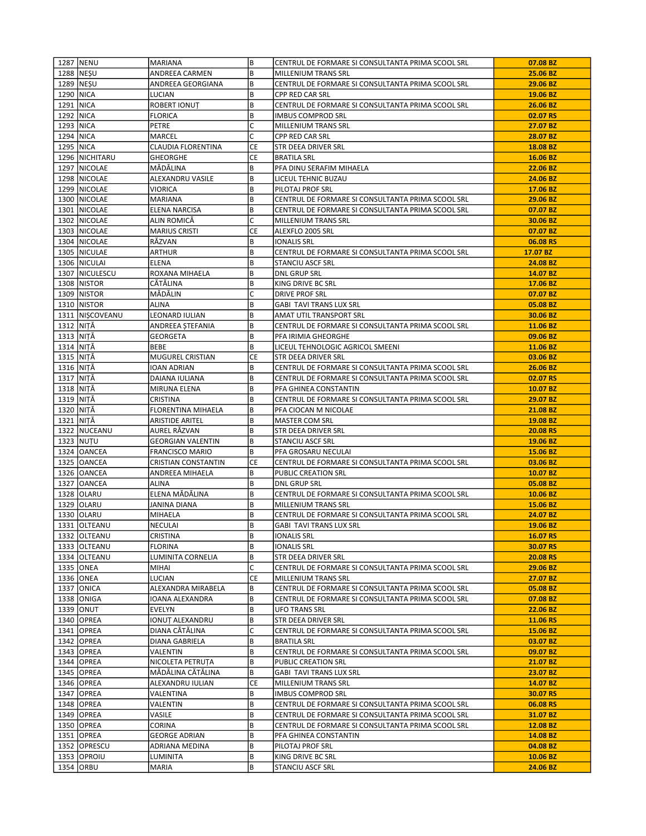|             | 1287   NENU       | MARIANA                | B         | CENTRUL DE FORMARE SI CONSULTANTA PRIMA SCOOL SRL | 07.08 BZ |
|-------------|-------------------|------------------------|-----------|---------------------------------------------------|----------|
|             | 1288   NESU       | ANDREEA CARMEN         | B         | MILLENIUM TRANS SRL                               | 25.06 BZ |
|             | 1289   NESU       | ANDREEA GEORGIANA      | B         | CENTRUL DE FORMARE SI CONSULTANTA PRIMA SCOOL SRL | 29.06 BZ |
| 1290 NICA   |                   | LUCIAN                 | В         | CPP RED CAR SRL                                   | 19.06 BZ |
| 1291   NICA |                   | ROBERT IONUT           | B         | CENTRUL DE FORMARE SI CONSULTANTA PRIMA SCOOL SRL | 26.06 BZ |
| 1292 NICA   |                   | <b>FLORICA</b>         | B         | <b>IMBUS COMPROD SRL</b>                          | 02.07 RS |
| 1293 NICA   |                   | <b>PETRE</b>           | C         | MILLENIUM TRANS SRL                               | 27.07 BZ |
| 1294 NICA   |                   | MARCEL                 | C         | CPP RED CAR SRL                                   | 28.07 BZ |
| 1295 NICA   |                   | CLAUDIA FLORENTINA     | CE        | STR DEEA DRIVER SRL                               | 18.08 BZ |
|             | 1296   NICHITARU  | <b>GHEORGHE</b>        | CE        | <b>BRATILA SRL</b>                                | 16.06 BZ |
|             | 1297   NICOLAE    | MĂDĂLINA               | B         | PFA DINU SERAFIM MIHAELA                          | 22.06 BZ |
|             | 1298 NICOLAE      | ALEXANDRU VASILE       | B         | LICEUL TEHNIC BUZAU                               | 24.06 BZ |
|             | 1299 INICOLAE     | VIORICA                | B         | PILOTAJ PROF SRL                                  | 17.06 BZ |
|             | 1300 NICOLAE      | <b>MARIANA</b>         | B         | CENTRUL DE FORMARE SI CONSULTANTA PRIMA SCOOL SRL | 29.06 BZ |
|             | 1301   NICOLAE    | ELENA NARCISA          | B         | CENTRUL DE FORMARE SI CONSULTANTA PRIMA SCOOL SRL | 07.07 BZ |
|             | 1302   NICOLAE    | ALIN ROMICA            | C         | MILLENIUM TRANS SRL                               | 30.06 BZ |
|             | 1303 NICOLAE      | <b>MARIUS CRISTI</b>   | <b>CE</b> | ALEXFLO 2005 SRL                                  | 07.07 BZ |
|             | 1304 NICOLAE      | RĂZVAN                 | B         | <b>IONALIS SRL</b>                                | 06.08 RS |
|             | 1305 NICULAE      | <b>ARTHUR</b>          | B         | CENTRUL DE FORMARE SI CONSULTANTA PRIMA SCOOL SRL | 17.07 BZ |
|             | 1306   NICULAI    | <b>ELENA</b>           | B         | <b>STANCIU ASCF SRL</b>                           | 24.08 BZ |
|             | 1307   NICULESCU  | ROXANA MIHAELA         | B         | <b>DNL GRUP SRL</b>                               | 14.07 BZ |
|             | 1308   NISTOR     | CĂTĂLINA               | B         | KING DRIVE BC SRL                                 | 17.06 BZ |
|             | 1309 NISTOR       | MĂDĂLIN                | C         | <b>DRIVE PROF SRL</b>                             | 07.07 BZ |
|             | 1310   NISTOR     | <b>ALINA</b>           | B         | <b>GABI TAVI TRANS LUX SRL</b>                    | 05.08 BZ |
|             | 1311   NISCOVEANU | LEONARD IULIAN         | B         | AMAT UTIL TRANSPORT SRL                           | 30.06 BZ |
| 1312 NITĂ   |                   | ANDREEA STEFANIA       | B         | CENTRUL DE FORMARE SI CONSULTANTA PRIMA SCOOL SRL | 11.06 BZ |
| 1313   NITA |                   | GEORGETA               | B         | PFA IRIMIA GHEORGHE                               | 09.06 BZ |
| 1314 INITĂ  |                   | <b>BEBE</b>            | B         | LICEUL TEHNOLOGIC AGRICOL SMEENI                  | 11.06 BZ |
| 1315 NITĂ   |                   | MUGUREL CRISTIAN       | CE        | STR DEEA DRIVER SRL                               | 03.06 BZ |
|             |                   |                        | B         |                                                   |          |
| 1316   NITA |                   | IOAN ADRIAN            | B         | CENTRUL DE FORMARE SI CONSULTANTA PRIMA SCOOL SRL | 26.06 BZ |
| 1317 NITĂ   |                   | DAIANA IULIANA         |           | CENTRUL DE FORMARE SI CONSULTANTA PRIMA SCOOL SRL | 02.07 RS |
| 1318 NITĂ   |                   | MIRUNA ELENA           | B         | PFA GHINEA CONSTANTIN                             | 10.07 BZ |
| 1319 NITĂ   |                   | CRISTINA               | B<br>B    | CENTRUL DE FORMARE SI CONSULTANTA PRIMA SCOOL SRL | 29.07 BZ |
| 1320   NITĂ |                   | FLORENTINA MIHAELA     |           | PFA CIOCAN M NICOLAE                              | 21.08 BZ |
| 1321 NITĂ   | 1322 NUCEANU      | ARISTIDE ARITEL        | B         | MASTER COM SRL                                    | 19.08 BZ |
|             |                   | AUREL RĂZVAN           | B<br>B    | STR DEEA DRIVER SRL                               | 20.08 RS |
|             | 1323 NUTU         | GEORGIAN VALENTIN      |           | <b>STANCIU ASCF SRL</b>                           | 19.06 BZ |
|             | 1324   OANCEA     | <b>FRANCISCO MARIO</b> | B         | PFA GROSARU NECULAI                               | 15.06 BZ |
|             | 1325 OANCEA       | CRISTIAN CONSTANTIN    | <b>CE</b> | CENTRUL DE FORMARE SI CONSULTANTA PRIMA SCOOL SRL | 03.06 BZ |
|             | 1326 OANCEA       | ANDREEA MIHAELA        | B         | PUBLIC CREATION SRL                               | 10.07 BZ |
|             | 1327   OANCEA     | <b>ALINA</b>           | B         | <b>DNL GRUP SRL</b>                               | 05.08 BZ |
|             | 1328 OLARU        | ELENA MĂDĂLINA         | B         | CENTRUL DE FORMARE SI CONSULTANTA PRIMA SCOOL SRL | 10.06 BZ |
|             | 1329 OLARU        | JANINA DIANA           | B         | MILLENIUM TRANS SRL                               | 15.06 BZ |
|             | 1330 OLARU        | MIHAELA                | B         | CENTRUL DE FORMARE SI CONSULTANTA PRIMA SCOOL SRL | 24.07 BZ |
|             | 1331 OLTEANU      | <b>NECULAI</b>         | B         | <b>GABI TAVI TRANS LUX SRL</b>                    | 19.06 BZ |
|             | 1332 OLTEANU      | CRISTINA               | B         | <b>IONALIS SRL</b>                                | 16.07 RS |
|             | 1333 OLTEANU      | FLORINA                | B         | <b>IONALIS SRL</b>                                | 30.07 RS |
|             | 1334 OLTEANU      | LUMINITA CORNELIA      | B         | STR DEEA DRIVER SRL                               | 20.08 RS |
|             | 1335 ONEA         | MIHAI                  | C         | CENTRUL DE FORMARE SI CONSULTANTA PRIMA SCOOL SRL | 29.06 BZ |
|             | 1336 ONEA         | LUCIAN                 | CE        | MILLENIUM TRANS SRL                               | 27.07 BZ |
|             | 1337 ONICA        | ALEXANDRA MIRABELA     | B         | CENTRUL DE FORMARE SI CONSULTANTA PRIMA SCOOL SRL | 05.08 BZ |
|             | 1338 ONIGA        | IOANA ALEXANDRA        | B         | CENTRUL DE FORMARE SI CONSULTANTA PRIMA SCOOL SRL | 07.08 BZ |
|             | 1339 ONUT         | EVELYN                 | B         | <b>UFO TRANS SRL</b>                              | 22.06 BZ |
|             | 1340 OPREA        | IONUT ALEXANDRU        | B         | STR DEEA DRIVER SRL                               | 11.06 RS |
|             | 1341 OPREA        | DIANA CĂTĂLINA         | C         | CENTRUL DE FORMARE SI CONSULTANTA PRIMA SCOOL SRL | 15.06 BZ |
|             | 1342 OPREA        | DIANA GABRIELA         | B         | <b>BRATILA SRL</b>                                | 03.07 BZ |
|             | 1343 OPREA        | VALENTIN               | B         | CENTRUL DE FORMARE SI CONSULTANTA PRIMA SCOOL SRL | 09.07 BZ |
|             | 1344 OPREA        | NICOLETA PETRUTA       | B         | PUBLIC CREATION SRL                               | 21.07 BZ |
|             | 1345 OPREA        | MĂDĂLINA CĂTĂLINA      | B         | <b>GABI TAVI TRANS LUX SRL</b>                    | 23.07 BZ |
|             | 1346 OPREA        | ALEXANDRU IULIAN       | CE        | MILLENIUM TRANS SRL                               | 14.07 BZ |
|             | 1347 OPREA        | VALENTINA              | B         | <b>IMBUS COMPROD SRL</b>                          | 30.07 RS |
|             | 1348 OPREA        | VALENTIN               | B         | CENTRUL DE FORMARE SI CONSULTANTA PRIMA SCOOL SRL | 06.08 RS |
|             | 1349 OPREA        | VASILE                 | B<br>B    | CENTRUL DE FORMARE SI CONSULTANTA PRIMA SCOOL SRL | 31.07 BZ |
|             | 1350 OPREA        | CORINA                 |           | CENTRUL DE FORMARE SI CONSULTANTA PRIMA SCOOL SRL | 12.08 BZ |
|             | 1351 OPREA        | GEORGE ADRIAN          | B         | PFA GHINEA CONSTANTIN                             | 14.08 BZ |
|             | 1352 OPRESCU      | ADRIANA MEDINA         | B         | PILOTAJ PROF SRL                                  | 04.08 BZ |
|             | 1353 OPROIU       | LUMINITA               | B         | KING DRIVE BC SRL                                 | 10.06 BZ |
|             | 1354 ORBU         | MARIA                  | B         | STANCIU ASCF SRL                                  | 24.06 BZ |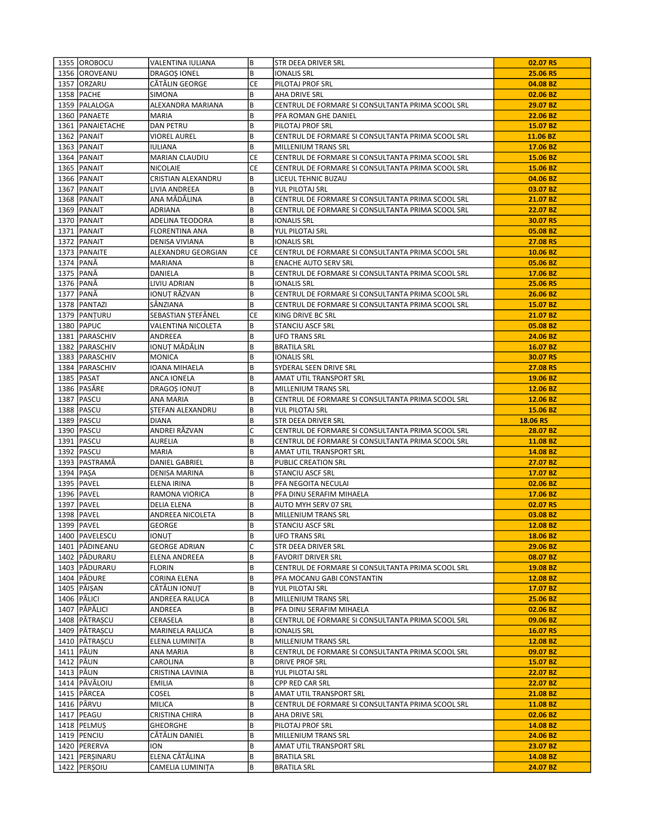|             | 1355 IOROBOCU                    | VALENTINA IULIANA                  | B         | STR DEEA DRIVER SRL                               | 02.07 RS             |
|-------------|----------------------------------|------------------------------------|-----------|---------------------------------------------------|----------------------|
|             | 1356 OROVEANU                    | <b>DRAGOS IONEL</b>                | B         | <b>IONALIS SRL</b>                                | 25.06 RS             |
|             | 1357 ORZARU                      | CĂTĂLIN GEORGE                     | СE        | PILOTAJ PROF SRL                                  | 04.08 BZ             |
|             | 1358   PACHE                     | <b>SIMONA</b>                      | B         | AHA DRIVE SRL                                     | 02.06 BZ             |
|             | 1359   PALALOGA                  | ALEXANDRA MARIANA                  | B         | CENTRUL DE FORMARE SI CONSULTANTA PRIMA SCOOL SRL | 29.07 BZ             |
|             | 1360 PANAETE                     | <b>MARIA</b>                       | B         | PFA ROMAN GHE DANIEL                              | 22.06 BZ             |
|             | 1361   PANAIETACHE               | <b>DAN PETRU</b>                   | B         | PILOTAJ PROF SRL                                  | 15.07 BZ             |
|             | 1362 PANAIT                      | VIOREL AUREL                       | B         | CENTRUL DE FORMARE SI CONSULTANTA PRIMA SCOOL SRL | 11.06 BZ             |
|             | 1363 PANAIT                      | IULIANA                            | B         | MILLENIUM TRANS SRL                               | 17.06 BZ             |
|             | 1364 PANAIT                      | MARIAN CLAUDIU                     | CE        | CENTRUL DE FORMARE SI CONSULTANTA PRIMA SCOOL SRL | 15.06 BZ             |
|             | 1365   PANAIT                    | NICOLAIE                           | СE        | CENTRUL DE FORMARE SI CONSULTANTA PRIMA SCOOL SRL | 15.06 BZ             |
|             | 1366 PANAIT                      | CRISTIAN ALEXANDRU                 | B         | LICEUL TEHNIC BUZAU                               | 04.06 BZ             |
|             | 1367 PANAIT                      | LIVIA ANDREEA                      | B         | YUL PILOTAJ SRL                                   | 03.07 BZ             |
|             | 1368   PANAIT                    | ANA MĂDĂLINA                       | B         | CENTRUL DE FORMARE SI CONSULTANTA PRIMA SCOOL SRL | 21.07 BZ             |
|             | 1369   PANAIT                    | ADRIANA                            | B         | CENTRUL DE FORMARE SI CONSULTANTA PRIMA SCOOL SRL | 22.07 BZ             |
|             | 1370   PANAIT                    | ADELINA TEODORA                    | B         | <b>IONALIS SRL</b>                                | 30.07 RS             |
|             | 1371   PANAIT                    | FLORENTINA ANA                     | B         | YUL PILOTAJ SRL                                   | 05.08 BZ             |
|             | 1372 PANAIT                      | DENISA VIVIANA                     | В         | <b>IONALIS SRL</b>                                | 27.08 RS             |
|             | 1373   PANAITE                   | ALEXANDRU GEORGIAN                 | СE        | CENTRUL DE FORMARE SI CONSULTANTA PRIMA SCOOL SRL | 10.06 BZ             |
|             | 1374   PANĂ                      | <b>MARIANA</b>                     | B         | <b>ENACHE AUTO SERV SRL</b>                       | 05.06 BZ             |
|             | 1375   PANĂ                      | DANIELA                            | B         | CENTRUL DE FORMARE SI CONSULTANTA PRIMA SCOOL SRL | 17.06 BZ             |
|             | 1376   PANĂ                      | LIVIU ADRIAN                       | B         | <b>IONALIS SRL</b>                                | 25.06 RS             |
|             | 1377 PANĂ                        | IONUȚ RĂZVAN                       | B         | CENTRUL DE FORMARE SI CONSULTANTA PRIMA SCOOL SRL | 26.06 BZ             |
|             | 1378   PANTAZI                   | SÄNZIANA                           | B         | CENTRUL DE FORMARE SI CONSULTANTA PRIMA SCOOL SRL | 15.07 BZ             |
|             | 1379   PANTURU                   | SEBASTIAN ȘTEFĂNEL                 | <b>CE</b> | KING DRIVE BC SRL                                 | 21.07 BZ             |
|             | 1380 PAPUC                       | VALENTINA NICOLETA                 | B         | <b>STANCIU ASCF SRL</b>                           | 05.08 BZ             |
|             | 1381   PARASCHIV                 | ANDREEA                            | B         | UFO TRANS SRL                                     | 24.06 BZ             |
|             | 1382   PARASCHIV                 | IONUȚ MĂDĂLIN                      | B         | <b>BRATILA SRL</b>                                | 16.07 BZ             |
|             | 1383   PARASCHIV                 | <b>MONICA</b>                      | B         | <b>IONALIS SRL</b>                                | 30.07 RS             |
|             | 1384   PARASCHIV                 | IOANA MIHAELA                      | B         | SYDERAL SEEN DRIVE SRL                            | 27.08 RS             |
|             | 1385 PASAT                       | ANCA IONELA                        | B         | AMAT UTIL TRANSPORT SRL                           | 19.06 BZ             |
|             | 1386   PASĂRE                    | DRAGOȘ IONUȚ                       | B         | MILLENIUM TRANS SRL                               | 12.06 BZ             |
|             | 1387   PASCU                     | ANA MARIA                          | B         | CENTRUL DE FORMARE SI CONSULTANTA PRIMA SCOOL SRL | 12.06 BZ             |
|             | 1388   PASCU                     | STEFAN ALEXANDRU                   | B         | YUL PILOTAJ SRL                                   | 15.06 BZ             |
|             |                                  |                                    |           |                                                   |                      |
|             | 1389   PASCU                     | DIANA                              | B         | STR DEEA DRIVER SRL                               | 18.06 RS             |
|             | 1390 PASCU                       | ANDREI RĂZVAN                      | C         | CENTRUL DE FORMARE SI CONSULTANTA PRIMA SCOOL SRL | 28.07 BZ             |
|             | 1391   PASCU                     | <b>AURELIA</b>                     | B         | CENTRUL DE FORMARE SI CONSULTANTA PRIMA SCOOL SRL | 11.08 BZ             |
|             | 1392   PASCU                     | MARIA                              | B         | AMAT UTIL TRANSPORT SRL                           | 14.08 BZ             |
|             | 1393   PASTRAMĀ                  | DANIEL GABRIEL                     | B         | PUBLIC CREATION SRL                               | 27.07 BZ             |
| 1394   PASA |                                  | DENISA MARINA                      | B         | STANCIU ASCF SRL                                  | 17.07 BZ             |
|             | 1395   PAVEL                     | ELENA IRINA                        | B         | PFA NEGOITA NECULAI                               | 02.06 BZ             |
|             | 1396   PAVEL                     | RAMONA VIORICA                     | B         | PFA DINU SERAFIM MIHAELA                          | 17.06 BZ             |
|             | 1397   PAVEL                     | <b>DELIA ELENA</b>                 | B         | AUTO MYH SERV 07 SRL                              | 02.07 RS             |
|             | 1398   PAVEL                     | ANDREEA NICOLETA                   | B         | MILLENIUM TRANS SRL                               | 03.08 BZ             |
|             | 1399   PAVEL                     | GEORGE                             | B         | <b>STANCIU ASCF SRL</b>                           | 12.08 BZ             |
|             | 1400 PAVELESCU                   | <b>IONUT</b>                       | B         | <b>UFO TRANS SRL</b>                              | 18.06 BZ             |
|             | 1401   PĂDINEANU                 | <b>GEORGE ADRIAN</b>               | C         | STR DEEA DRIVER SRL                               | 29.06 BZ             |
|             | 1402 PĂDURARU                    | <b>ELENA ANDREEA</b>               | B         | <b>FAVORIT DRIVER SRL</b>                         | 08.07 BZ             |
|             | 1403 PÄDURARU                    | <b>FLORIN</b>                      | B         | CENTRUL DE FORMARE SI CONSULTANTA PRIMA SCOOL SRL | 19.08 BZ             |
|             | 1404   PĂDURE                    | CORINA ELENA                       | B         | PFA MOCANU GABI CONSTANTIN                        | 12.08 BZ             |
|             | 1405 PĂIȘAN                      | CĂTĂLIN IONUT                      | B         | YUL PILOTAJ SRL                                   | 17.07 BZ             |
|             | 1406   PĂLICI                    | ANDREEA RALUCA                     | B         | MILLENIUM TRANS SRL                               | 25.06 BZ             |
|             | 1407   PĂPĂLICI                  | ANDREEA                            | B         | PFA DINU SERAFIM MIHAELA                          | 02.06 BZ             |
|             | 1408   PĂTRAȘCU                  | CERASELA                           | B         | CENTRUL DE FORMARE SI CONSULTANTA PRIMA SCOOL SRL | 09.06 BZ             |
|             | 1409   PĂTRAȘCU                  | MARINELA RALUCA                    | B         | <b>IONALIS SRL</b>                                | 16.07 RS             |
|             | 1410   PĂTRAȘCU                  | ELENA LUMINIȚA                     | B         | MILLENIUM TRANS SRL                               | 12.08 BZ             |
|             | 1411 PÅUN                        | ANA MARIA                          | B         | CENTRUL DE FORMARE SI CONSULTANTA PRIMA SCOOL SRL | 09.07 BZ             |
|             | 1412 PĂUN                        | CAROLINA                           | B         | <b>DRIVE PROF SRL</b>                             | 15.07 BZ             |
|             | 1413   PĂUN                      | CRISTINA LAVINIA                   | B         | YUL PILOTAJ SRL                                   | 22.07 BZ             |
|             | 1414 PĂVĂLOIU                    | <b>EMILIA</b>                      | B         | CPP RED CAR SRL                                   | 22.07 BZ             |
|             | 1415   PÂRCEA                    | COSEL                              | B         | AMAT UTIL TRANSPORT SRL                           | 21.08 BZ             |
|             | 1416 PÂRVU                       | MILICA                             | B         | CENTRUL DE FORMARE SI CONSULTANTA PRIMA SCOOL SRL | 11.08 BZ             |
|             | 1417   PEAGU                     | CRISTINA CHIRA                     | B         | AHA DRIVE SRL                                     | 02.06 BZ             |
|             | 1418   PELMUŞ                    | GHEORGHE                           | B         | PILOTAJ PROF SRL                                  | 14.08 BZ             |
|             | 1419   PENCIU                    | CĂTĂLIN DANIEL                     | B         | MILLENIUM TRANS SRL                               | 24.06 BZ             |
|             | 1420   PERERVA                   | ION                                | B         | AMAT UTIL TRANSPORT SRL                           | 23.07 BZ             |
|             | 1421   PERSINARU<br>1422 PERȘOIU | ELENA CĂTĂLINA<br>CAMELIA LUMINIȚA | B<br>B    | <b>BRATILA SRL</b><br><b>BRATILA SRL</b>          | 14.08 BZ<br>24.07 BZ |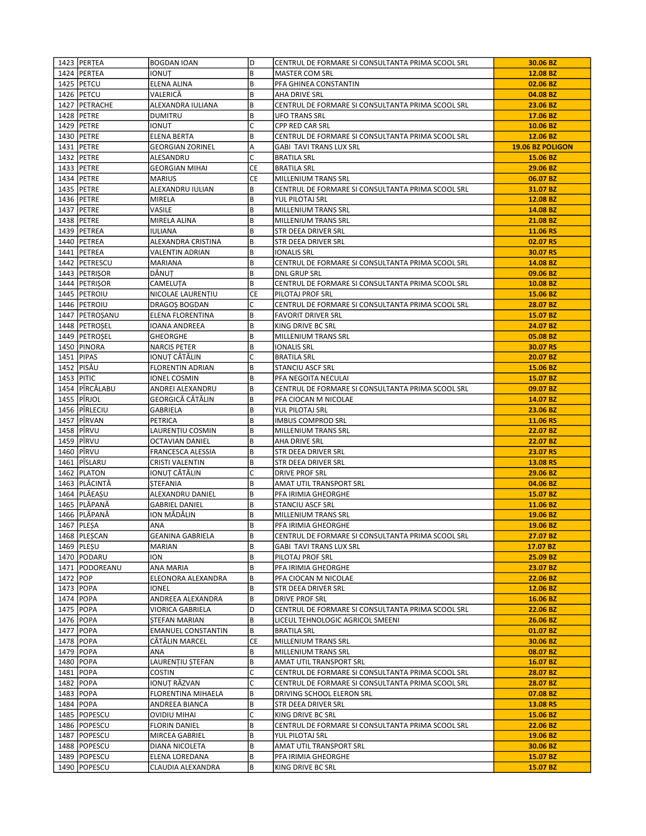|             | 1423   PERTEA                 | <b>BOGDAN IOAN</b>                    | D         | CENTRUL DE FORMARE SI CONSULTANTA PRIMA SCOOL SRL | 30.06 BZ             |
|-------------|-------------------------------|---------------------------------------|-----------|---------------------------------------------------|----------------------|
|             | 1424   PERTEA                 | IONUT                                 | B         | MASTER COM SRL                                    | 12.08 BZ             |
|             | 1425   PETCU                  | ELENA ALINA                           | B         | PFA GHINEA CONSTANTIN                             | 02.06 BZ             |
|             | 1426 PETCU                    | VALERICĂ                              | B         | AHA DRIVE SRL                                     | 04.08 BZ             |
|             | 1427   PETRACHE               | ALEXANDRA IULIANA                     | B         | CENTRUL DE FORMARE SI CONSULTANTA PRIMA SCOOL SRL | 23.06 BZ             |
|             | 1428 PETRE                    | <b>DUMITRU</b>                        | B         | <b>UFO TRANS SRL</b>                              | 17.06 BZ             |
|             | 1429 PETRE                    | IONUT                                 | C         | <b>CPP RED CAR SRL</b>                            | 10.06 BZ             |
|             | 1430 PETRE                    | <b>ELENA BERTA</b>                    | B         | CENTRUL DE FORMARE SI CONSULTANTA PRIMA SCOOL SRL | 12.06 BZ             |
|             | 1431   PETRE                  | <b>GEORGIAN ZORINEL</b>               | Α         | <b>GABI TAVI TRANS LUX SRL</b>                    | 19.06 BZ POLIGON     |
|             | 1432 PETRE                    | ALESANDRU                             | C         | <b>BRATILA SRL</b>                                | 15.06 BZ             |
|             | 1433   PETRE                  | <b>GEORGIAN MIHAI</b>                 | CE        | <b>BRATILA SRL</b>                                | 29.06 BZ             |
|             | 1434   PETRE                  | MARIUS                                | <b>CE</b> | MILLENIUM TRANS SRL                               | 06.07 BZ             |
|             | 1435 PETRE                    | ALEXANDRU IULIAN                      | B         | CENTRUL DE FORMARE SI CONSULTANTA PRIMA SCOOL SRL | 31.07 BZ             |
|             | 1436 PETRE                    | MIRELA                                | B         | YUL PILOTAJ SRL                                   | 12.08 BZ             |
|             | 1437   PETRE                  | VASILE                                | B         | MILLENIUM TRANS SRL                               | 14.08 BZ             |
|             | 1438 PETRE                    | MIRELA ALINA                          | B         | MILLENIUM TRANS SRL                               | 21.08 BZ             |
|             | 1439   PETREA                 | IULIANA                               | B         | STR DEEA DRIVER SRL                               | 11.06 RS             |
|             | 1440   PETREA                 | ALEXANDRA CRISTINA                    | B         | STR DEEA DRIVER SRL                               | 02.07 RS             |
|             | 1441   PETREA                 | <b>VALENTIN ADRIAN</b>                | B         | <b>IONALIS SRL</b>                                | 30.07 RS             |
|             | 1442 PETRESCU                 | <b>MARIANA</b>                        | B         | CENTRUL DE FORMARE SI CONSULTANTA PRIMA SCOOL SRL | 14.08 BZ             |
|             | 1443   PETRIŞOR               | DĂNUȚ                                 | B         | DNL GRUP SRL                                      | 09.06 BZ             |
|             | 1444   PETRIŞOR               | CAMELUȚA                              | B         | CENTRUL DE FORMARE SI CONSULTANTA PRIMA SCOOL SRL | 10.08 BZ             |
|             | 1445 PETROIU                  | NICOLAE LAURENTIU                     | CE        | PILOTAJ PROF SRL                                  | 15.06 BZ             |
|             | 1446 PETROIU                  | DRAGOS BOGDAN                         | C         | CENTRUL DE FORMARE SI CONSULTANTA PRIMA SCOOL SRL | 28.07 BZ             |
|             | 1447   PETROȘANU              | ELENA FLORENTINA                      | B         | <b>FAVORIT DRIVER SRL</b>                         | 15.07 BZ             |
|             | 1448   PETROȘEL               | IOANA ANDREEA                         | B         | KING DRIVE BC SRL                                 | 24.07 BZ             |
|             | 1449   PETROȘEL               | <b>GHEORGHE</b>                       | B         | MILLENIUM TRANS SRL                               | 05.08 BZ             |
|             | 1450   PINORA                 | <b>NARCIS PETER</b>                   | B         | <b>IONALIS SRL</b>                                | 30.07 RS             |
|             | 1451 PIPAS                    | IONUȚ CĂTĂLIN                         | C         | <b>BRATILA SRL</b>                                | 20.07 BZ             |
|             | 1452 PISĂU                    | FLORENTIN ADRIAN                      | B         | STANCIU ASCF SRL                                  | 15.06 BZ             |
| 1453 PITIC  |                               | IONEL COSMIN                          | B         | PFA NEGOITA NECULAI                               | 15.07 BZ             |
|             | 1454 PÎRCĂLABU                | ANDREI ALEXANDRU                      | B         | CENTRUL DE FORMARE SI CONSULTANTA PRIMA SCOOL SRL | 09.07 BZ             |
|             | 1455 PÎRJOL                   | GEORGICĂ CĂTĂLIN                      | B         | PFA CIOCAN M NICOLAE                              | 14.07 BZ             |
|             | 1456 PÎRLECIU                 | GABRIELA                              | B         | YUL PILOTAJ SRL                                   | 23.06 BZ             |
|             | 1457 PÎRVAN                   | PETRICA                               | B         | IMBUS COMPROD SRL                                 | 11.06 RS             |
|             | 1458 PÎRVU                    | LAURENȚIU COSMIN                      | B         | MILLENIUM TRANS SRL                               | 22.07 BZ             |
|             | 1459 PÎRVU                    | OCTAVIAN DANIEL                       | B         | AHA DRIVE SRL                                     | 22.07 BZ             |
|             | 1460   PÎRVU                  | FRANCESCA ALESSIA                     | B         | STR DEEA DRIVER SRL                               | 23.07 RS             |
|             | 1461 PÎSLARU                  | CRISTI VALENTIN                       | B         | STR DEEA DRIVER SRL                               | 13.08 RS             |
|             | 1462 PLATON                   | IONUȚ CĂTĂLIN                         | C         | <b>DRIVE PROF SRL</b>                             | 29.06 BZ             |
|             | 1463   PLĂCINTĂ               | <b>STEFANIA</b>                       | B         | AMAT UTIL TRANSPORT SRL                           | 04.06 BZ             |
|             | 1464   PLĂEAȘU                | ALEXANDRU DANIEL                      | B         | PFA IRIMIA GHEORGHE                               | 15.07 BZ             |
|             | 1465   PLĂPANĂ                | <b>GABRIEL DANIEL</b>                 | B         | STANCIU ASCF SRL                                  | 11.06 BZ             |
|             | 1466   PLĂPANĂ                | ION MĂDĂLIN                           | B         | MILLENIUM TRANS SRL                               | 19.06 BZ             |
|             | 1467   PLESA                  | ANA                                   | B         | PFA IRIMIA GHEORGHE                               | 19.06 BZ             |
|             | 1468   PLESCAN                | <b>GEANINA GABRIELA</b>               | B         | CENTRUL DE FORMARE SI CONSULTANTA PRIMA SCOOL SRL | 27.07 BZ             |
|             | 1469   PLEȘU                  | MARIAN                                | B         | GABI TAVI TRANS LUX SRL                           | 17.07 BZ             |
|             | 1470 PODARU                   | ION                                   | B         | PILOTAJ PROF SRL                                  | 25.09 BZ             |
|             | 1471   PODOREANU              | ANA MARIA                             | B         | PFA IRIMIA GHEORGHE                               | 23.07 BZ             |
| 1472 POP    |                               | ELEONORA ALEXANDRA                    | B         | PFA CIOCAN M NICOLAE                              | 22.06 BZ             |
|             | 1473   POPA                   | IONEL                                 | B         | STR DEEA DRIVER SRL                               | 12.06 BZ             |
|             | 1474   POPA                   | ANDREEA ALEXANDRA                     | B         | DRIVE PROF SRL                                    | 16.06 BZ             |
|             | 1475   POPA                   | VIORICA GABRIELA                      | D         | CENTRUL DE FORMARE SI CONSULTANTA PRIMA SCOOL SRL | 22.06 BZ             |
|             | 1476 POPA                     | STEFAN MARIAN                         | B         | LICEUL TEHNOLOGIC AGRICOL SMEENI                  | 26.06 BZ             |
|             | 1477 POPA                     | <b>EMANUEL CONSTANTIN</b>             | B         | <b>BRATILA SRL</b>                                | 01.07 BZ             |
|             | 1478   POPA                   | CĂTĂLIN MARCEL                        | СE        | MILLENIUM TRANS SRL                               | 30.06 BZ             |
| 1479   POPA |                               | ANA                                   | B         | MILLENIUM TRANS SRL                               | 08.07 BZ             |
|             | 1480   POPA                   | LAURENTIU STEFAN                      | B         | AMAT UTIL TRANSPORT SRL                           | 16.07 BZ             |
|             | 1481   POPA                   | COSTIN                                | C<br>C    | CENTRUL DE FORMARE SI CONSULTANTA PRIMA SCOOL SRL | 28.07 BZ             |
| 1482 POPA   | 1483 POPA                     | IONUȚ RĂZVAN<br>FLORENTINA MIHAELA    | B         | CENTRUL DE FORMARE SI CONSULTANTA PRIMA SCOOL SRL | 28.07 BZ<br>07.08 BZ |
|             |                               |                                       | B         | DRIVING SCHOOL ELERON SRL                         |                      |
|             | 1484   POPA<br>1485   POPESCU | ANDREEA BIANCA<br><b>OVIDIU MIHAI</b> | C         | STR DEEA DRIVER SRL<br>KING DRIVE BC SRL          | 13.08 RS<br>15.06 BZ |
|             | 1486   POPESCU                | <b>FLORIN DANIEL</b>                  | B         | CENTRUL DE FORMARE SI CONSULTANTA PRIMA SCOOL SRL | 22.06 BZ             |
|             | 1487   POPESCU                | MIRCEA GABRIEL                        | B         | YUL PILOTAJ SRL                                   | 19.06 BZ             |
|             | 1488   POPESCU                | DIANA NICOLETA                        | B         | AMAT UTIL TRANSPORT SRL                           | 30.06 BZ             |
|             | 1489   POPESCU                | ELENA LOREDANA                        | B         | PFA IRIMIA GHEORGHE                               | 15.07 BZ             |
|             | 1490   POPESCU                | CLAUDIA ALEXANDRA                     | B         | KING DRIVE BC SRL                                 | 15.07 BZ             |
|             |                               |                                       |           |                                                   |                      |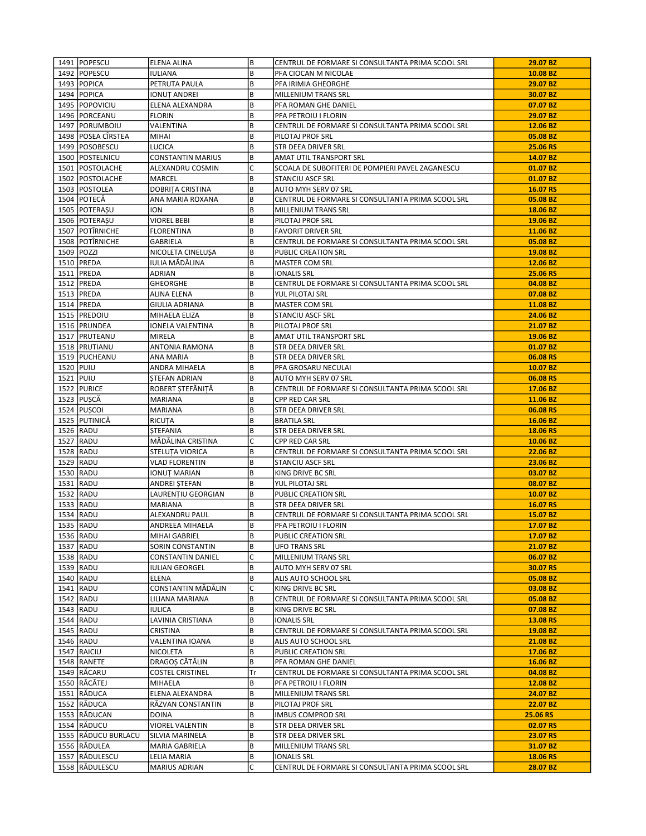|           | 1491   POPESCU       | ELENA ALINA             | B  | CENTRUL DE FORMARE SI CONSULTANTA PRIMA SCOOL SRL | 29.07 BZ |
|-----------|----------------------|-------------------------|----|---------------------------------------------------|----------|
|           | 1492   POPESCU       | IULIANA                 | B  | PFA CIOCAN M NICOLAE                              | 10.08 BZ |
|           | 1493   POPICA        | PETRUTA PAULA           | B  | PFA IRIMIA GHEORGHE                               | 29.07 BZ |
|           | 1494 POPICA          | IONUȚ ANDREI            | B  | <b>MILLENIUM TRANS SRL</b>                        | 30.07 BZ |
|           | 1495 POPOVICIU       | ELENA ALEXANDRA         | B  | PFA ROMAN GHE DANIEL                              | 07.07 BZ |
|           | 1496   PORCEANU      | <b>FLORIN</b>           | B  | PFA PETROIU I FLORIN                              | 29.07 BZ |
|           | 1497   PORUMBOIU     | VALENTINA               | B  | CENTRUL DE FORMARE SI CONSULTANTA PRIMA SCOOL SRL | 12.06 BZ |
|           | 1498   POSEA CÎRSTEA | MIHAI                   | B  | PILOTAJ PROF SRL                                  | 05.08 BZ |
|           | 1499   POSOBESCU     | LUCICA                  | B  | STR DEEA DRIVER SRL                               | 25.06 RS |
|           | 1500 POSTELNICU      | CONSTANTIN MARIUS       | B  | AMAT UTIL TRANSPORT SRL                           | 14.07 BZ |
|           | 1501   POSTOLACHE    | ALEXANDRU COSMIN        | C  | SCOALA DE SUBOFITERI DE POMPIERI PAVEL ZAGANESCU  | 01.07 BZ |
|           | 1502   POSTOLACHE    | MARCEL                  | B  | <b>STANCIU ASCF SRL</b>                           | 01.07 BZ |
|           | 1503 POSTOLEA        | <b>DOBRITA CRISTINA</b> | B  | AUTO MYH SERV 07 SRL                              | 16.07 RS |
|           | 1504 POTECĂ          | ANA MARIA ROXANA        | B  | CENTRUL DE FORMARE SI CONSULTANTA PRIMA SCOOL SRL | 05.08 BZ |
|           | 1505   POTERAȘU      | ION                     | B  | MILLENIUM TRANS SRL                               | 18.06 BZ |
|           | 1506   POTERAȘU      | <b>VIOREL BEBI</b>      | B  | PILOTAJ PROF SRL                                  | 19.06 BZ |
|           | 1507 POTÎRNICHE      | <b>FLORENTINA</b>       | B  | <b>FAVORIT DRIVER SRL</b>                         | 11.06 BZ |
|           | 1508 POTÎRNICHE      | GABRIELA                | B  | CENTRUL DE FORMARE SI CONSULTANTA PRIMA SCOOL SRL | 05.08 BZ |
|           | 1509 POZZI           | NICOLETA CINELUȘA       | B  | PUBLIC CREATION SRL                               | 19.08 BZ |
|           | 1510   PREDA         | IULIA MĂDĂLINA          | B  | <b>MASTER COM SRL</b>                             | 12.06 BZ |
|           | 1511   PREDA         | ADRIAN                  | B  | <b>IONALIS SRL</b>                                | 25.06 RS |
|           | 1512 PREDA           | GHEORGHE                | B  | CENTRUL DE FORMARE SI CONSULTANTA PRIMA SCOOL SRL | 04.08 BZ |
|           | 1513   PREDA         | ALINA ELENA             | B  | YUL PILOTAJ SRL                                   | 07.08 BZ |
|           | 1514   PREDA         |                         | B  |                                                   | 11.08 BZ |
|           |                      | GIULIA ADRIANA          | B  | MASTER COM SRL                                    | 24.06 BZ |
|           | 1515   PREDOIU       | MIHAELA ELIZA           |    | STANCIU ASCF SRL                                  |          |
|           | 1516 PRUNDEA         | IONELA VALENTINA        | B  | PILOTAJ PROF SRL                                  | 21.07 BZ |
|           | 1517   PRUTEANU      | MIRELA                  | B  | AMAT UTIL TRANSPORT SRL                           | 19.06 BZ |
|           | 1518   PRUTIANU      | ANTONIA RAMONA          | B  | STR DEEA DRIVER SRL                               | 01.07 BZ |
|           | 1519 PUCHEANU        | ANA MARIA               | B  | STR DEEA DRIVER SRL                               | 06.08 RS |
| 1520 PUIU |                      | ANDRA MIHAELA           | B  | PFA GROSARU NECULAI                               | 10.07 BZ |
| 1521 PUIU |                      | <b>STEFAN ADRIAN</b>    | B  | AUTO MYH SERV 07 SRL                              | 06.08 RS |
|           | 1522 PURICE          | ROBERT STEFĂNITĂ        | B  | CENTRUL DE FORMARE SI CONSULTANTA PRIMA SCOOL SRL | 17.06 BZ |
|           | 1523 PUSCĂ           | MARIANA                 | B  | CPP RED CAR SRL                                   | 11.06 BZ |
|           | 1524   PUȘCOI        | MARIANA                 | B  | STR DEEA DRIVER SRL                               | 06.08 RS |
|           | 1525 PUTINICĂ        | RICUȚA                  | B  | <b>BRATILA SRL</b>                                | 16.06 BZ |
|           | 1526 RADU            | <b>STEFANIA</b>         | B  | STR DEEA DRIVER SRL                               | 18.06 RS |
|           | 1527 RADU            | MĂDĂLINA CRISTINA       | C  | CPP RED CAR SRL                                   | 10.06 BZ |
|           | 1528 RADU            | STELUȚA VIORICA         | B  | CENTRUL DE FORMARE SI CONSULTANTA PRIMA SCOOL SRL | 22.06 BZ |
|           | 1529 RADU            | VLAD FLORENTIN          | B  | <b>STANCIU ASCF SRL</b>                           | 23.06 BZ |
|           | 1530 RADU            | IONUȚ MARIAN            | B  | KING DRIVE BC SRL                                 | 03.07 BZ |
|           | 1531 RADU            | ANDREI STEFAN           | B  | YUL PILOTAJ SRL                                   | 08.07 BZ |
|           | 1532 RADU            | LAURENȚIU GEORGIAN      | B  | PUBLIC CREATION SRL                               | 10.07 BZ |
|           | 1533 RADU            | <b>MARIANA</b>          | B  | STR DEEA DRIVER SRL                               | 16.07 RS |
|           | 1534 RADU            | ALEXANDRU PAUL          | B  | CENTRUL DE FORMARE SI CONSULTANTA PRIMA SCOOL SRL | 15.07 BZ |
|           | 1535 RADU            | ANDREEA MIHAELA         | B  | PFA PETROIU I FLORIN                              | 17.07 BZ |
|           | 1536 RADU            | MIHAI GABRIEL           | B  | PUBLIC CREATION SRL                               | 17.07 BZ |
|           | 1537 RADU            | SORIN CONSTANTIN        | B  | UFO TRANS SRL                                     | 21.07 BZ |
|           | 1538 RADU            | CONSTANTIN DANIEL       | C  | MILLENIUM TRANS SRL                               | 06.07 BZ |
|           | 1539 RADU            | IULIAN GEORGEL          | B  | AUTO MYH SERV 07 SRL                              | 30.07 RS |
|           | 1540 RADU            | <b>ELENA</b>            | B  | ALIS AUTO SCHOOL SRL                              | 05.08 BZ |
|           | 1541 RADU            | CONSTANTIN MĂDĂLIN      | C  | KING DRIVE BC SRL                                 | 03.08 BZ |
|           | 1542 RADU            | LILIANA MARIANA         | B  | CENTRUL DE FORMARE SI CONSULTANTA PRIMA SCOOL SRL | 05.08 BZ |
|           | 1543 RADU            | IULICA                  | B  | KING DRIVE BC SRL                                 | 07.08 BZ |
|           | 1544 RADU            | LAVINIA CRISTIANA       | B  | <b>IONALIS SRL</b>                                | 13.08 RS |
|           | 1545 RADU            | CRISTINA                | B  | CENTRUL DE FORMARE SI CONSULTANTA PRIMA SCOOL SRL | 19.08 BZ |
|           | 1546 RADU            | VALENTINA IOANA         | B  | ALIS AUTO SCHOOL SRL                              | 21.08 BZ |
|           | 1547 RAICIU          | NICOLETA                | B  | PUBLIC CREATION SRL                               | 17.06 BZ |
|           | 1548   RANETE        | DRAGOȘ CĂTĂLIN          | B  | PFA ROMAN GHE DANIEL                              | 16.06 BZ |
|           | 1549 RĂCARU          | <b>COSTEL CRISTINEL</b> | Tr | CENTRUL DE FORMARE SI CONSULTANTA PRIMA SCOOL SRL | 04.08 BZ |
|           | 1550 RĂCĂTEJ         | MIHAELA                 | B  | PFA PETROIU I FLORIN                              | 12.08 BZ |
|           | 1551 RADUCA          | ELENA ALEXANDRA         | B  | MILLENIUM TRANS SRL                               | 24.07 BZ |
|           | 1552 RĂDUCA          | RĂZVAN CONSTANTIN       | B  | PILOTAJ PROF SRL                                  | 22.07 BZ |
|           | 1553 RADUCAN         | <b>DOINA</b>            | B  | <b>IMBUS COMPROD SRL</b>                          | 25.06 RS |
|           | 1554 RADUCU          | VIOREL VALENTIN         | B  | STR DEEA DRIVER SRL                               | 02.07 RS |
|           | 1555 RĂDUCU BURLACU  | SILVIA MARINELA         | B  | STR DEEA DRIVER SRL                               | 23.07 RS |
|           | 1556 RĂDULEA         | MARIA GABRIELA          | B  | MILLENIUM TRANS SRL                               | 31.07 BZ |
|           | 1557 RADULESCU       | LELIA MARIA             | B  | <b>IONALIS SRL</b>                                | 18.06 RS |
|           | 1558 RADULESCU       | MARIUS ADRIAN           | C  | CENTRUL DE FORMARE SI CONSULTANTA PRIMA SCOOL SRL | 28.07 BZ |
|           |                      |                         |    |                                                   |          |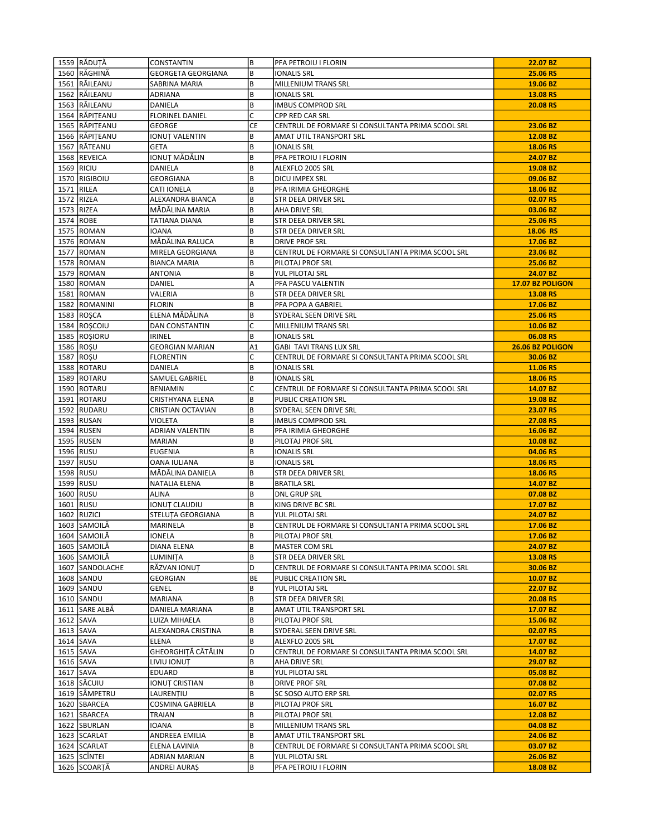|           | 1559 RĂDUȚĂ     | CONSTANTIN                | B  | PFA PETROIU I FLORIN                              | 22.07 BZ         |
|-----------|-----------------|---------------------------|----|---------------------------------------------------|------------------|
|           | 1560 RĂGHINĂ    | <b>GEORGETA GEORGIANA</b> | B  | <b>IONALIS SRL</b>                                | 25.06 RS         |
|           | 1561 RAILEANU   | SABRINA MARIA             | B  | <b>MILLENIUM TRANS SRL</b>                        | 19.06 BZ         |
|           | 1562 RĂILEANU   | ADRIANA                   | B  | <b>IONALIS SRL</b>                                | 13.08 RS         |
|           | 1563 RAILEANU   | DANIELA                   | B  | <b>IMBUS COMPROD SRL</b>                          | 20.08 RS         |
|           | 1564 RĂPIȚEANU  | <b>FLORINEL DANIEL</b>    | C  | <b>CPP RED CAR SRL</b>                            |                  |
|           | 1565 RĂPIȚEANU  | GEORGE                    | CE | CENTRUL DE FORMARE SI CONSULTANTA PRIMA SCOOL SRL | 23.06 BZ         |
|           | 1566 RĂPIȚEANU  | IONUȚ VALENTIN            | B  | AMAT UTIL TRANSPORT SRL                           | 12.08 BZ         |
|           | 1567 RĂTEANU    | <b>GETA</b>               | B  | <b>IONALIS SRL</b>                                | 18.06 RS         |
|           | 1568 REVEICA    | IONUT MĂDĂLIN             | B  | PFA PETROIU I FLORIN                              | 24.07 BZ         |
|           | 1569 RICIU      | <b>DANIELA</b>            | B  | ALEXFLO 2005 SRL                                  | 19.08 BZ         |
|           | 1570 RIGIBOIU   | <b>GEORGIANA</b>          | B  | DICU IMPEX SRL                                    | 09.06 BZ         |
|           | 1571 RILEA      | CATI IONELA               | B  | PFA IRIMIA GHEORGHE                               | 18.06 BZ         |
|           | 1572 RIZEA      | ALEXANDRA BIANCA          | B  | STR DEEA DRIVER SRL                               | 02.07 RS         |
|           | 1573 RIZEA      | MĂDĂLINA MARIA            | B  | AHA DRIVE SRL                                     | 03.06 BZ         |
|           | 1574 ROBE       | TATIANA DIANA             | B  | STR DEEA DRIVER SRL                               | 25.06 RS         |
|           | 1575 ROMAN      | IOANA                     | B  | STR DEEA DRIVER SRL                               | 18.06 RS         |
|           | 1576 ROMAN      | MĂDĂLINA RALUCA           | B  | DRIVE PROF SRL                                    | 17.06 BZ         |
|           | 1577 ROMAN      | MIRELA GEORGIANA          | B  | CENTRUL DE FORMARE SI CONSULTANTA PRIMA SCOOL SRL | 23.06 BZ         |
|           | 1578 ROMAN      | BIANCA MARIA              | B  | PILOTAJ PROF SRL                                  | 25.06 BZ         |
|           | 1579 ROMAN      |                           | B  |                                                   | 24.07 BZ         |
|           |                 | ANTONIA                   |    | YUL PILOTAJ SRL<br>PFA PASCU VALENTIN             |                  |
|           | 1580 ROMAN      | DANIEL                    | Α  |                                                   | 17.07 BZ POLIGON |
|           | 1581 ROMAN      | VALERIA                   | B  | STR DEEA DRIVER SRL                               | 13.08 RS         |
|           | 1582 ROMANINI   | <b>FLORIN</b>             | B  | PFA POPA A GABRIEL                                | 17.06 BZ         |
|           | 1583 ROSCA      | ELENA MĂDĂLINA            | B  | SYDERAL SEEN DRIVE SRL                            | 25.06 RS         |
|           | 1584 ROȘCOIU    | DAN CONSTANTIN            | C  | MILLENIUM TRANS SRL                               | 10.06 BZ         |
|           | 1585 ROŞIORU    | IRINEL                    | B  | <b>IONALIS SRL</b>                                | 06.08 RS         |
|           | 1586 ROSU       | GEORGIAN MARIAN           | A1 | GABI TAVI TRANS LUX SRL                           | 26.06 BZ POLIGON |
|           | 1587 ROSU       | <b>FLORENTIN</b>          | C  | CENTRUL DE FORMARE SI CONSULTANTA PRIMA SCOOL SRL | 30.06 BZ         |
|           | 1588 ROTARU     | DANIELA                   | B  | IONALIS SRL                                       | 11.06 RS         |
|           | 1589 ROTARU     | SAMUEL GABRIEL            | B  | <b>IONALIS SRL</b>                                | 18.06 RS         |
|           | 1590   ROTARU   | <b>BENIAMIN</b>           | C  | CENTRUL DE FORMARE SI CONSULTANTA PRIMA SCOOL SRL | 14.07 BZ         |
|           | 1591   ROTARU   | CRISTHYANA ELENA          | B  | PUBLIC CREATION SRL                               | 19.08 BZ         |
|           | 1592 RUDARU     | CRISTIAN OCTAVIAN         | B  | SYDERAL SEEN DRIVE SRL                            | 23.07 RS         |
|           | 1593 RUSAN      | VIOLETA                   | B  | <b>IMBUS COMPROD SRL</b>                          | 27.08 RS         |
|           | 1594 RUSEN      | ADRIAN VALENTIN           | B  | PFA IRIMIA GHEORGHE                               | 16.06 BZ         |
|           | 1595 RUSEN      | <b>MARIAN</b>             | B  | PILOTAJ PROF SRL                                  | 10.08 BZ         |
|           | 1596 RUSU       | EUGENIA                   | B  | <b>IONALIS SRL</b>                                | 04.06 RS         |
|           | 1597 RUSU       | OANA IULIANA              | B  | IONALIS SRL                                       | 18.06 RS         |
|           | 1598 RUSU       | MĂDĂLINA DANIELA          | B  | STR DEEA DRIVER SRL                               | 18.06 RS         |
|           | 1599 RUSU       | NATALIA ELENA             | B  | <b>BRATILA SRL</b>                                | 14.07 BZ         |
|           | 1600 RUSU       | ALINA                     | B  | <b>DNL GRUP SRL</b>                               | 07.08 BZ         |
|           | 1601 RUSU       | <b>IONUT CLAUDIU</b>      | B  | KING DRIVE BC SRL                                 | 17.07 BZ         |
|           | 1602 RUZICI     | STELUTA GEORGIANA         | B  | YUL PILOTAJ SRL                                   | 24.07 BZ         |
|           | 1603 SAMOILĂ    | MARINELA                  | B  | CENTRUL DE FORMARE SI CONSULTANTA PRIMA SCOOL SRL | 17.06 BZ         |
|           | 1604 SAMOILĂ    | IONELA                    | B  | PILOTAJ PROF SRL                                  | 17.06 BZ         |
|           | 1605 SAMOILĂ    | DIANA ELENA               | B  | <b>MASTER COM SRL</b>                             | 24.07 BZ         |
|           | 1606 SAMOILĂ    | LUMINIȚA                  | B  | STR DEEA DRIVER SRL                               | 13.08 RS         |
|           | 1607 SANDOLACHE | RĂZVAN IONUȚ              | D  | CENTRUL DE FORMARE SI CONSULTANTA PRIMA SCOOL SRL | 30.06 BZ         |
|           | 1608 SANDU      | GEORGIAN                  | BE | PUBLIC CREATION SRL                               | 10.07 BZ         |
|           | 1609 SANDU      | GENEL                     | В  | YUL PILOTAJ SRL                                   | 22.07 BZ         |
|           | 1610 SANDU      | MARIANA                   | B  | STR DEEA DRIVER SRL                               | 20.08 RS         |
|           | 1611 SARE ALBĂ  | DANIELA MARIANA           | B  | AMAT UTIL TRANSPORT SRL                           | 17.07 BZ         |
|           | 1612 SAVA       | LUIZA MIHAELA             | B  | PILOTAJ PROF SRL                                  | 15.06 BZ         |
|           | $1613$ SAVA     | ALEXANDRA CRISTINA        | B  | SYDERAL SEEN DRIVE SRL                            | 02.07 RS         |
| 1614 SAVA |                 | ELENA                     | B  | ALEXFLO 2005 SRL                                  | 17.07 BZ         |
|           | 1615 SAVA       | GHEORGHITĂ CĂTĂLIN        | D  | CENTRUL DE FORMARE SI CONSULTANTA PRIMA SCOOL SRL | 14.07 BZ         |
|           | 1616 SAVA       | LIVIU IONUT               | B  | AHA DRIVE SRL                                     | 29.07 BZ         |
|           | 1617 SAVA       | EDUARD                    | B  | YUL PILOTAJ SRL                                   | 05.08 BZ         |
|           | 1618 SĂCUIU     | IONUȚ CRISTIAN            | B  | DRIVE PROF SRL                                    | 07.08 BZ         |
|           | 1619 SÂMPETRU   | LAURENȚIU                 | B  | SC SOSO AUTO ERP SRL                              | 02.07 RS         |
|           |                 |                           | B  |                                                   |                  |
|           | 1620 SBARCEA    | COSMINA GABRIELA          |    | PILOTAJ PROF SRL                                  | 16.07 BZ         |
|           | 1621 SBARCEA    | TRAIAN                    | B  | PILOTAJ PROF SRL                                  | 12.08 BZ         |
|           | 1622 SBURLAN    | IOANA                     | B  | MILLENIUM TRANS SRL                               | 04.08 BZ         |
|           | 1623 SCARLAT    | ANDREEA EMILIA            | B  | AMAT UTIL TRANSPORT SRL                           | 24.06 BZ         |
|           | 1624 SCARLAT    | ELENA LAVINIA             | B  | CENTRUL DE FORMARE SI CONSULTANTA PRIMA SCOOL SRL | 03.07 BZ         |
|           | 1625 SCÎNTEI    | ADRIAN MARIAN             | B  | YUL PILOTAJ SRL                                   | 26.06 BZ         |
|           | 1626 SCOARȚĂ    | ANDREI AURAȘ              | B  | PFA PETROIU I FLORIN                              | 18.08 BZ         |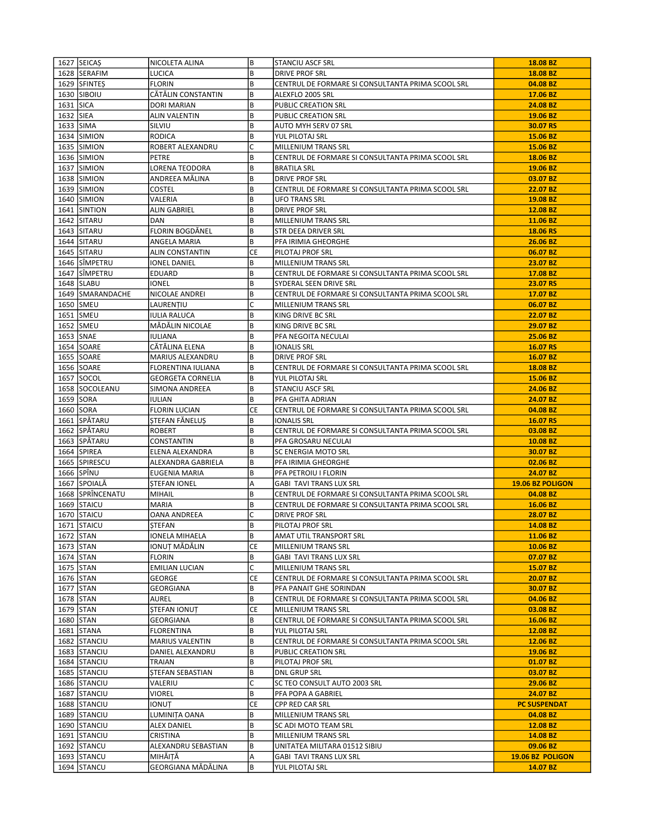| 1627 SEICAS                  | NICOLETA ALINA                             | B         | <b>STANCIU ASCF SRL</b>                                                         | 18.08 BZ                     |
|------------------------------|--------------------------------------------|-----------|---------------------------------------------------------------------------------|------------------------------|
| 1628 SERAFIM                 | <b>LUCICA</b>                              | B         | <b>DRIVE PROF SRL</b>                                                           | 18.08 BZ                     |
| 1629 SFINTES                 | <b>FLORIN</b>                              | B         | CENTRUL DE FORMARE SI CONSULTANTA PRIMA SCOOL SRL                               | 04.08 BZ                     |
| 1630 SIBOIU                  | CĂTĂLIN CONSTANTIN                         | B         | ALEXFLO 2005 SRL                                                                | 17.06 BZ                     |
| 1631 SICA                    | <b>DORI MARIAN</b>                         | B         | PUBLIC CREATION SRL                                                             | 24.08 BZ                     |
| 1632 SIEA                    | <b>ALIN VALENTIN</b>                       | B         | PUBLIC CREATION SRL                                                             | 19.06 BZ                     |
| 1633 SIMA                    | SILVIU                                     | B         | AUTO MYH SERV 07 SRL                                                            | 30.07 RS                     |
| 1634 SIMION                  | <b>RODICA</b>                              | B         | YUL PILOTAJ SRL                                                                 | 15.06 BZ                     |
| 1635 SIMION                  | ROBERT ALEXANDRU                           | C         | MILLENIUM TRANS SRL                                                             | 15.06 BZ                     |
| 1636 SIMION                  | PETRE                                      | B         | CENTRUL DE FORMARE SI CONSULTANTA PRIMA SCOOL SRL                               | 18.06 BZ                     |
| 1637 SIMION                  | LORENA TEODORA                             | B         | <b>BRATILA SRL</b>                                                              | 19.06 BZ                     |
| 1638 SIMION                  | ANDREEA MĂLINA                             | B         | DRIVE PROF SRL                                                                  | 03.07 BZ                     |
| 1639 SIMION                  | <b>COSTEL</b>                              | B         | CENTRUL DE FORMARE SI CONSULTANTA PRIMA SCOOL SRL                               | 22.07 BZ                     |
| 1640 SIMION                  | VALERIA                                    | B         | <b>UFO TRANS SRL</b>                                                            | 19.08 BZ                     |
| 1641 SINTION                 | ALIN GABRIEL                               | B         | DRIVE PROF SRL                                                                  | 12.08 BZ                     |
| 1642 SITARU                  | DAN                                        | B         | MILLENIUM TRANS SRL                                                             | 11.06 BZ                     |
| 1643 SITARU                  | FLORIN BOGDÄNEL                            | B         | STR DEEA DRIVER SRL                                                             | 18.06 RS                     |
| 1644 SITARU                  | ANGELA MARIA                               | B         | PFA IRIMIA GHEORGHE                                                             | 26.06 BZ                     |
| 1645 SITARU                  | ALIN CONSTANTIN                            | CE        | PILOTAJ PROF SRL                                                                | 06.07 BZ                     |
| 1646 SÎMPETRU                | IONEL DANIEL                               | B         | MILLENIUM TRANS SRL                                                             | 23.07 BZ                     |
| 1647 SÎMPETRU                | EDUARD                                     | B         | CENTRUL DE FORMARE SI CONSULTANTA PRIMA SCOOL SRL                               | 17.08 BZ                     |
| 1648 SLABU                   | IONEL                                      | B         | SYDERAL SEEN DRIVE SRL                                                          | 23.07 RS                     |
| 1649   SMARANDACHE           | NICOLAE ANDREI                             | B         | CENTRUL DE FORMARE SI CONSULTANTA PRIMA SCOOL SRL                               | 17.07 BZ                     |
| 1650 SMEU                    | LAURENȚIU                                  | С         | MILLENIUM TRANS SRL                                                             | 06.07 BZ                     |
| 1651 SMEU                    | <b>IULIA RALUCA</b>                        | B         | KING DRIVE BC SRL                                                               | 22.07 BZ                     |
| 1652 SMEU                    | MĂDĂLIN NICOLAE                            | B         | KING DRIVE BC SRL                                                               | 29.07 BZ                     |
| 1653 SNAE                    | IULIANA                                    | B         | PFA NEGOITA NECULAI                                                             | 25.06 BZ                     |
| 1654 SOARE                   | CĂTĂLINA ELENA                             | B         | <b>IONALIS SRL</b>                                                              | 16.07 RS                     |
| 1655 SOARE                   | MARIUS ALEXANDRU                           | B         | <b>DRIVE PROF SRL</b>                                                           | 16.07 BZ                     |
| 1656 SOARE                   | FLORENTINA IULIANA                         | В         | CENTRUL DE FORMARE SI CONSULTANTA PRIMA SCOOL SRL                               | 18.08 BZ                     |
| 1657 SOCOL                   |                                            | B         | YUL PILOTAJ SRL                                                                 | 15.06 BZ                     |
| 1658 SOCOLEANU               | <b>GEORGETA CORNELIA</b><br>SIMONA ANDREEA | B         | <b>STANCIU ASCF SRL</b>                                                         | 24.06 BZ                     |
| 1659 SORA                    |                                            | В         |                                                                                 | 24.07 BZ                     |
| 1660 SORA                    | IULIAN<br><b>FLORIN LUCIAN</b>             | <b>CE</b> | PFA GHITA ADRIAN<br>CENTRUL DE FORMARE SI CONSULTANTA PRIMA SCOOL SRL           | 04.08 BZ                     |
| 1661 SPĂTARU                 | STEFAN FĂNELUȘ                             | B         | <b>IONALIS SRL</b>                                                              | 16.07 RS                     |
|                              |                                            | B         |                                                                                 |                              |
| 1662 SPÄTARU                 | <b>ROBERT</b>                              | B         | CENTRUL DE FORMARE SI CONSULTANTA PRIMA SCOOL SRL                               | 03.08 BZ                     |
| 1663 SPÄTARU<br>1664 SPIREA  | CONSTANTIN<br>ELENA ALEXANDRA              | B         | PFA GROSARU NECULAI<br>SC ENERGIA MOTO SRL                                      | 10.08 BZ<br>30.07 BZ         |
| 1665 SPIRESCU                | ALEXANDRA GABRIELA                         | B         |                                                                                 | 02.06 BZ                     |
| 1666 SPÎNU                   | EUGENIA MARIA                              | B         | PFA IRIMIA GHEORGHE<br>PFA PETROIU I FLORIN                                     | 24.07 BZ                     |
| 1667 SPOIALĂ                 | <b>STEFAN IONEL</b>                        | Α         | <b>GABI TAVI TRANS LUX SRL</b>                                                  | 19.06 BZ POLIGON             |
| 1668 SPRÎNCENATU             |                                            | B         | CENTRUL DE FORMARE SI CONSULTANTA PRIMA SCOOL SRL                               |                              |
| 1669 STAICU                  | MIHAIL<br><b>MARIA</b>                     | B         | CENTRUL DE FORMARE SI CONSULTANTA PRIMA SCOOL SRL                               | 04.08 BZ<br>16.06 BZ         |
| 1670 STAICU                  | <b>OANA ANDREEA</b>                        | C         | <b>DRIVE PROF SRL</b>                                                           | 28.07 BZ                     |
| 1671 STAICU                  | STEFAN                                     | B         | PILOTAJ PROF SRL                                                                | 14.08 BZ                     |
| 1672 STAN                    | IONELA MIHAELA                             | B         |                                                                                 | 11.06 BZ                     |
|                              | IONUT MĂDĂLIN                              | CE        | AMAT UTIL TRANSPORT SRL                                                         |                              |
| 1673 STAN<br>1674 STAN       | FLORIN                                     | B         | MILLENIUM TRANS SRL<br>GABI TAVI TRANS LUX SRL                                  | 10.06 BZ<br>07.07 BZ         |
| 1675 STAN                    | <b>EMILIAN LUCIAN</b>                      | C         | MILLENIUM TRANS SRL                                                             | 15.07 BZ                     |
| 1676 STAN                    | <b>GEORGE</b>                              | CE        | CENTRUL DE FORMARE SI CONSULTANTA PRIMA SCOOL SRL                               | 20.07 BZ                     |
| 1677 STAN                    |                                            | B         | PFA PANAIT GHE SORINDAN                                                         | 30.07 BZ                     |
| 1678 STAN                    | GEORGIANA<br>AUREL                         | B         | CENTRUL DE FORMARE SI CONSULTANTA PRIMA SCOOL SRL                               | 04.06 BZ                     |
| 1679 STAN                    | <b>STEFAN IONUT</b>                        | CE        |                                                                                 | 03.08 BZ                     |
| 1680 STAN                    | GEORGIANA                                  | B         | MILLENIUM TRANS SRL<br>CENTRUL DE FORMARE SI CONSULTANTA PRIMA SCOOL SRL        | 16.06 BZ                     |
| 1681 STANA                   | FLORENTINA                                 | B         | YUL PILOTAJ SRL                                                                 | 12.08 BZ                     |
|                              |                                            |           |                                                                                 |                              |
| 1682 STANCIU<br>1683 STANCIU | MARIUS VALENTIN<br>DANIEL ALEXANDRU        | B<br>B    | CENTRUL DE FORMARE SI CONSULTANTA PRIMA SCOOL SRL<br><b>PUBLIC CREATION SRL</b> | 12.06 BZ<br>19.06 BZ         |
|                              |                                            |           | PILOTAJ PROF SRL                                                                |                              |
| 1684 STANCIU<br>1685 STANCIU | TRAIAN<br><b>STEFAN SEBASTIAN</b>          | B<br>B    |                                                                                 | 01.07 BZ<br>03.07 BZ         |
| 1686 STANCIU                 | VALERIU                                    | C         | DNL GRUP SRL<br>SC TEO CONSULT AUTO 2003 SRL                                    | 29.06 BZ                     |
| 1687 STANCIU                 | VIOREL                                     | B         | PFA POPA A GABRIEL                                                              | 24.07 BZ                     |
|                              |                                            | CE        |                                                                                 | <b>PC SUSPENDAT</b>          |
| 1688 STANCIU<br>1689 STANCIU | IONUȚ<br>LUMINITA OANA                     | B         | CPP RED CAR SRL<br>MILLENIUM TRANS SRL                                          | 04.08 BZ                     |
| 1690 STANCIU                 | <b>ALEX DANIEL</b>                         | B         | SC ADI MOTO TEAM SRL                                                            | 12.08 BZ                     |
| 1691 STANCIU                 |                                            | B         |                                                                                 | 14.08 BZ                     |
| 1692 STANCU                  | CRISTINA<br>ALEXANDRU SEBASTIAN            | B         | MILLENIUM TRANS SRL<br>UNITATEA MILITARA 01512 SIBIU                            | 09.06 BZ                     |
|                              |                                            |           |                                                                                 |                              |
|                              |                                            |           |                                                                                 |                              |
| 1693 STANCU<br>1694 STANCU   | MIHĂITĂ<br>GEORGIANA MĂDĂLINA              | А<br>B    | GABI TAVI TRANS LUX SRL<br>YUL PILOTAJ SRL                                      | 19.06 BZ POLIGON<br>14.07 BZ |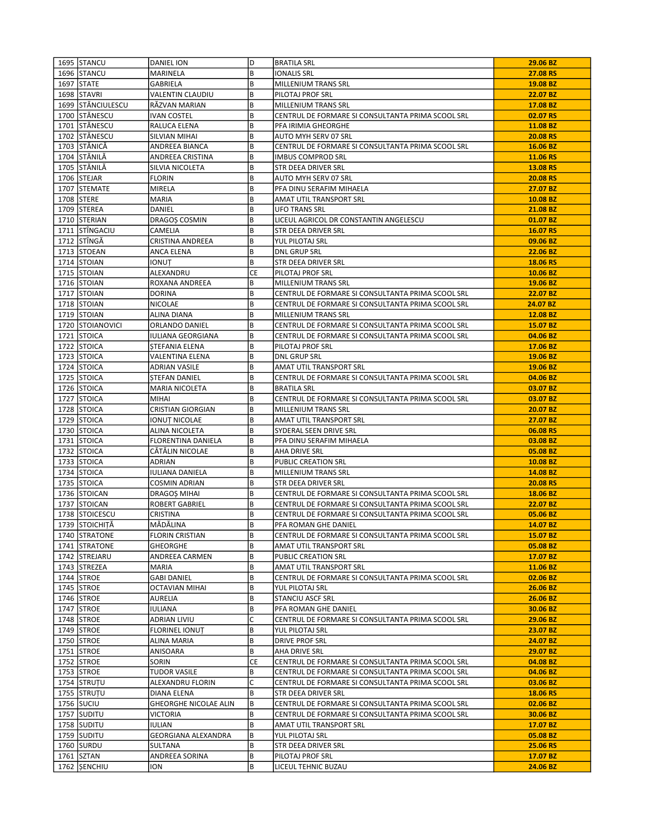| 1695 STANCU       | DANIEL ION                   | D         | <b>BRATILA SRL</b>                                | 29.06 BZ |
|-------------------|------------------------------|-----------|---------------------------------------------------|----------|
| 1696 STANCU       | MARINELA                     | B         | <b>IONALIS SRL</b>                                | 27.08 RS |
| 1697 STATE        | GABRIELA                     | B         | <b>MILLENIUM TRANS SRL</b>                        | 19.08 BZ |
| 1698 STAVRI       | VALENTIN CLAUDIU             | B         | PILOTAJ PROF SRL                                  | 22.07 BZ |
| 1699 STĂNCIULESCU | RĂZVAN MARIAN                | B         | MILLENIUM TRANS SRL                               | 17.08 BZ |
| 1700 STĂNESCU     | <b>IVAN COSTEL</b>           | B         | CENTRUL DE FORMARE SI CONSULTANTA PRIMA SCOOL SRL | 02.07 RS |
| 1701 STĂNESCU     | RALUCA ELENA                 | B         | PFA IRIMIA GHEORGHE                               | 11.08 BZ |
| 1702 STĂNESCU     | SILVIAN MIHAI                | B         | AUTO MYH SERV 07 SRL                              | 20.08 RS |
| 1703 STĂNICĂ      | ANDREEA BIANCA               | B         | CENTRUL DE FORMARE SI CONSULTANTA PRIMA SCOOL SRL | 16.06 BZ |
| 1704 STĂNILĂ      | ANDREEA CRISTINA             | B         | IMBUS COMPROD SRL                                 | 11.06 RS |
| 1705 STĂNILĂ      | SILVIA NICOLETA              | B         | STR DEEA DRIVER SRL                               | 13.08 RS |
| 1706 STEJAR       | <b>FLORIN</b>                | B         | AUTO MYH SERV 07 SRL                              | 20.08 RS |
| 1707 STEMATE      | <b>MIRELA</b>                | B         | PFA DINU SERAFIM MIHAELA                          | 27.07 BZ |
| 1708 STERE        | <b>MARIA</b>                 | B         | AMAT UTIL TRANSPORT SRL                           | 10.08 BZ |
| 1709 STEREA       | DANIEL                       | B         | <b>UFO TRANS SRL</b>                              | 21.08 BZ |
| 1710 STERIAN      |                              | B         |                                                   | 01.07 BZ |
|                   | DRAGOȘ COSMIN                | B         | LICEUL AGRICOL DR CONSTANTIN ANGELESCU            |          |
| 1711 STÎNGACIU    | CAMELIA                      |           | STR DEEA DRIVER SRL                               | 16.07 RS |
| 1712 STÎNGĂ       | CRISTINA ANDREEA             | B         | YUL PILOTAJ SRL                                   | 09.06 BZ |
| 1713 STOEAN       | ANCA ELENA                   | B         | <b>DNL GRUP SRL</b>                               | 22.06 BZ |
| 1714 STOIAN       | IONUT                        | B         | STR DEEA DRIVER SRL                               | 18.06 RS |
| 1715 STOIAN       | ALEXANDRU                    | <b>CE</b> | PILOTAJ PROF SRL                                  | 10.06 BZ |
| 1716 STOIAN       | ROXANA ANDREEA               | B         | MILLENIUM TRANS SRL                               | 19.06 BZ |
| 1717 STOIAN       | <b>DORINA</b>                | B         | CENTRUL DE FORMARE SI CONSULTANTA PRIMA SCOOL SRL | 22.07 BZ |
| 1718 STOIAN       | <b>NICOLAE</b>               | B         | CENTRUL DE FORMARE SI CONSULTANTA PRIMA SCOOL SRL | 24.07 BZ |
| 1719 STOIAN       | ALINA DIANA                  | B         | MILLENIUM TRANS SRL                               | 12.08 BZ |
| 1720 STOIANOVICI  | ORLANDO DANIEL               | B         | CENTRUL DE FORMARE SI CONSULTANTA PRIMA SCOOL SRL | 15.07 BZ |
| 1721 STOICA       | IULIANA GEORGIANA            | B         | CENTRUL DE FORMARE SI CONSULTANTA PRIMA SCOOL SRL | 04.06 BZ |
| 1722 STOICA       | <b>STEFANIA ELENA</b>        | B         | PILOTAJ PROF SRL                                  | 17.06 BZ |
| 1723 STOICA       | VALENTINA ELENA              | B         | <b>DNL GRUP SRL</b>                               | 19.06 BZ |
| 1724 STOICA       | ADRIAN VASILE                | B         | AMAT UTIL TRANSPORT SRL                           | 19.06 BZ |
| 1725 STOICA       | <b>STEFAN DANIEL</b>         | B         | CENTRUL DE FORMARE SI CONSULTANTA PRIMA SCOOL SRL | 04.06 BZ |
| 1726 STOICA       | MARIA NICOLETA               | B         | <b>BRATILA SRL</b>                                | 03.07 BZ |
| 1727 STOICA       | MIHAI                        | B         | CENTRUL DE FORMARE SI CONSULTANTA PRIMA SCOOL SRL | 03.07 BZ |
| 1728 STOICA       | <b>CRISTIAN GIORGIAN</b>     | B         | MILLENIUM TRANS SRL                               | 20.07 BZ |
| 1729 STOICA       | IONUȚ NICOLAE                | B         | AMAT UTIL TRANSPORT SRL                           | 27.07 BZ |
| 1730 STOICA       | ALINA NICOLETA               | B         | SYDERAL SEEN DRIVE SRL                            | 06.08 RS |
| 1731 STOICA       | <b>FLORENTINA DANIELA</b>    | B         | PFA DINU SERAFIM MIHAELA                          | 03.08 BZ |
| 1732 STOICA       | CĂTĂLIN NICOLAE              | B         | AHA DRIVE SRL                                     | 05.08 BZ |
| 1733 STOICA       | ADRIAN                       | B         | PUBLIC CREATION SRL                               | 10.08 BZ |
| 1734 STOICA       | IULIANA DANIELA              | B         | <b>MILLENIUM TRANS SRL</b>                        | 14.08 BZ |
| 1735 STOICA       | <b>COSMIN ADRIAN</b>         | B         | STR DEEA DRIVER SRL                               | 20.08 RS |
| 1736 STOICAN      | DRAGOȘ MIHAI                 | B         | CENTRUL DE FORMARE SI CONSULTANTA PRIMA SCOOL SRL | 18.06 BZ |
| 1737 STOICAN      | <b>ROBERT GABRIEL</b>        | B         | CENTRUL DE FORMARE SI CONSULTANTA PRIMA SCOOL SRL | 22.07 BZ |
| 1738 STOICESCU    | CRISTINA                     | B         | CENTRUL DE FORMARE SI CONSULTANTA PRIMA SCOOL SRL | 05.06 BZ |
| 1739 STOICHITĂ    | MĂDĂLINA                     | B         | PFA ROMAN GHE DANIEL                              | 14.07 BZ |
|                   |                              |           |                                                   |          |
| 1740 STRATONE     | <b>FLORIN CRISTIAN</b>       | B<br>B    | CENTRUL DE FORMARE SI CONSULTANTA PRIMA SCOOL SRL | 15.07 BZ |
| 1741 STRATONE     | <b>GHEORGHE</b>              |           | AMAT UTIL TRANSPORT SRL                           | 05.08 BZ |
| 1742 STREJARU     | ANDREEA CARMEN               | B         | PUBLIC CREATION SRL                               | 17.07 BZ |
| 1743 STREZEA      | MARIA                        | B         | AMAT UTIL TRANSPORT SRL                           | 11.06 BZ |
| 1744 STROE        | <b>GABI DANIEL</b>           | B         | CENTRUL DE FORMARE SI CONSULTANTA PRIMA SCOOL SRL | 02.06 BZ |
| 1745 STROE        | OCTAVIAN MIHAI               | B         | YUL PILOTAJ SRL                                   | 26.06 BZ |
| 1746 STROE        | AURELIA                      | B         | STANCIU ASCF SRL                                  | 26.06 BZ |
| 1747 STROE        | IULIANA                      | B         | PFA ROMAN GHE DANIEL                              | 30.06 BZ |
| 1748 STROE        | ADRIAN LIVIU                 | C         | CENTRUL DE FORMARE SI CONSULTANTA PRIMA SCOOL SRL | 29.06 BZ |
| 1749 STROE        | <b>FLORINEL IONUT</b>        | B         | YUL PILOTAJ SRL                                   | 23.07 BZ |
| 1750 STROE        | ALINA MARIA                  | B         | DRIVE PROF SRL                                    | 24.07 BZ |
| 1751 STROE        | ANISOARA                     | B         | AHA DRIVE SRL                                     | 29.07 BZ |
| 1752 STROE        | SORIN                        | СE        | CENTRUL DE FORMARE SI CONSULTANTA PRIMA SCOOL SRL | 04.08 BZ |
| 1753 STROE        | <b>TUDOR VASILE</b>          | B         | CENTRUL DE FORMARE SI CONSULTANTA PRIMA SCOOL SRL | 04.06 BZ |
| 1754 STRUTU       | ALEXANDRU FLORIN             | C         | CENTRUL DE FORMARE SI CONSULTANTA PRIMA SCOOL SRL | 03.06 BZ |
| 1755 STRUTU       | DIANA ELENA                  | B         | STR DEEA DRIVER SRL                               | 18.06 RS |
| 1756 SUCIU        | <b>GHEORGHE NICOLAE ALIN</b> | B         | CENTRUL DE FORMARE SI CONSULTANTA PRIMA SCOOL SRL | 02.06 BZ |
| 1757 SUDITU       | VICTORIA                     | B         | CENTRUL DE FORMARE SI CONSULTANTA PRIMA SCOOL SRL | 30.06 BZ |
| 1758 SUDITU       | IULIAN                       | B         | AMAT UTIL TRANSPORT SRL                           | 17.07 BZ |
| 1759 SUDITU       | GEORGIANA ALEXANDRA          | B         | YUL PILOTAJ SRL                                   | 05.08 BZ |
| 1760 SURDU        | SULTANA                      | B         | STR DEEA DRIVER SRL                               | 25.06 RS |
| $1761$ SZTAN      | ANDREEA SORINA               | B         | PILOTAJ PROF SRL                                  | 17.07 BZ |
| 1762 SENCHIU      | ION                          | B         | LICEUL TEHNIC BUZAU                               | 24.06 BZ |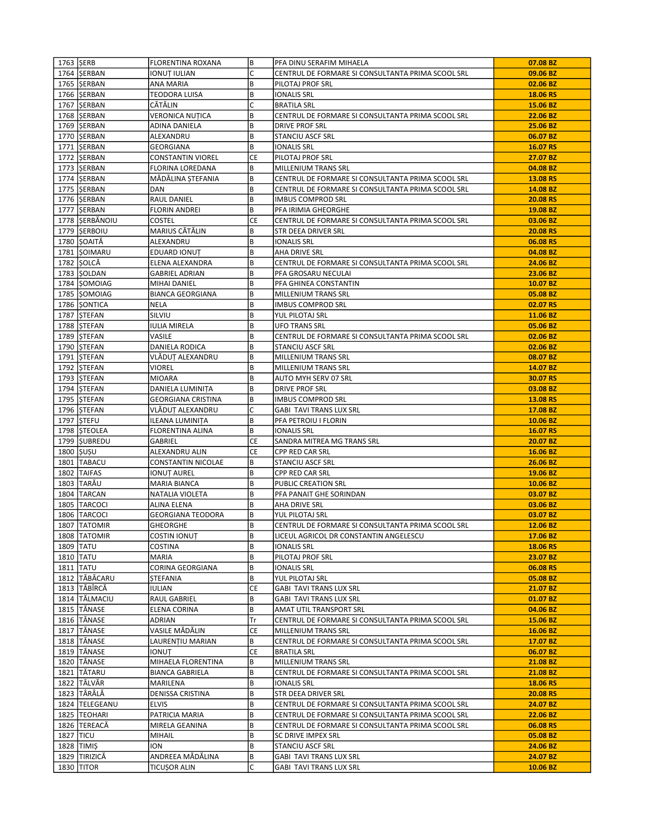| 1763   SERB |                 | <b>FLORENTINA ROXANA</b> | B              | PFA DINU SERAFIM MIHAELA                                                     | 07.08 BZ |
|-------------|-----------------|--------------------------|----------------|------------------------------------------------------------------------------|----------|
|             | 1764 SERBAN     | IONUȚ IULIAN             | C              | CENTRUL DE FORMARE SI CONSULTANTA PRIMA SCOOL SRL                            | 09.06 BZ |
|             | 1765 SERBAN     | ANA MARIA                | B              | PILOTAJ PROF SRL                                                             | 02.06 BZ |
|             | 1766 SERBAN     | TEODORA LUISA            | B              | <b>IONALIS SRL</b>                                                           | 18.06 RS |
|             | 1767 SERBAN     | CĂTĂLIN                  | C              | <b>BRATILA SRL</b>                                                           | 15.06 BZ |
|             | 1768 SERBAN     | <b>VERONICA NUTICA</b>   | B              | CENTRUL DE FORMARE SI CONSULTANTA PRIMA SCOOL SRL                            | 22.06 BZ |
|             | 1769 SERBAN     | <b>ADINA DANIELA</b>     | B              | <b>DRIVE PROF SRL</b>                                                        | 25.06 BZ |
|             | 1770 SERBAN     | ALEXANDRU                | B              | <b>STANCIU ASCF SRL</b>                                                      | 06.07 BZ |
|             | 1771   SERBAN   | GEORGIANA                | B              | <b>IONALIS SRL</b>                                                           | 16.07 RS |
|             | 1772 SERBAN     | <b>CONSTANTIN VIOREL</b> | <b>CE</b>      | PILOTAJ PROF SRL                                                             | 27.07 BZ |
|             | 1773 SERBAN     | FLORINA LOREDANA         | B              | MILLENIUM TRANS SRL                                                          | 04.08 BZ |
|             | 1774   SERBAN   | MĂDĂLINA STEFANIA        | B              | CENTRUL DE FORMARE SI CONSULTANTA PRIMA SCOOL SRL                            | 13.08 RS |
|             | 1775 SERBAN     | DAN                      | B              | CENTRUL DE FORMARE SI CONSULTANTA PRIMA SCOOL SRL                            | 14.08 BZ |
|             | 1776 SERBAN     | RAUL DANIEL              | B              | <b>IMBUS COMPROD SRL</b>                                                     | 20.08 RS |
|             | 1777   SERBAN   | <b>FLORIN ANDREI</b>     | B              | PFA IRIMIA GHEORGHE                                                          | 19.08 BZ |
|             | 1778 SERBĂNOIU  | <b>COSTEL</b>            | CE             | CENTRUL DE FORMARE SI CONSULTANTA PRIMA SCOOL SRL                            | 03.06 BZ |
|             | 1779 SERBOIU    | MARIUS CĂTĂLIN           | B              | STR DEEA DRIVER SRL                                                          | 20.08 RS |
|             | 1780 SOAITĂ     | ALEXANDRU                | B              | <b>IONALIS SRL</b>                                                           | 06.08 RS |
|             | 1781 SOIMARU    | EDUARD IONUT             | B              | AHA DRIVE SRL                                                                | 04.08 BZ |
|             | 1782 SOLCĂ      | ELENA ALEXANDRA          | B              | CENTRUL DE FORMARE SI CONSULTANTA PRIMA SCOOL SRL                            | 24.06 BZ |
|             | 1783 SOLDAN     | <b>GABRIEL ADRIAN</b>    | B              | PFA GROSARU NECULAI                                                          | 23.06 BZ |
|             | 1784 SOMOIAG    | MIHAI DANIEL             | B              | PFA GHINEA CONSTANTIN                                                        | 10.07 BZ |
|             | 1785 SOMOIAG    | <b>BIANCA GEORGIANA</b>  | B              | MILLENIUM TRANS SRL                                                          | 05.08 BZ |
|             | 1786 SONTICA    | NELA                     | B              | <b>IMBUS COMPROD SRL</b>                                                     | 02.07 RS |
|             | 1787 STEFAN     | SILVIU                   | B              | YUL PILOTAJ SRL                                                              | 11.06 BZ |
|             | 1788 STEFAN     | IULIA MIRELA             | B              | <b>UFO TRANS SRL</b>                                                         | 05.06 BZ |
|             | 1789 STEFAN     | VASILE                   | B              | CENTRUL DE FORMARE SI CONSULTANTA PRIMA SCOOL SRL                            | 02.06 BZ |
|             | 1790 STEFAN     | DANIELA RODICA           | B              | STANCIU ASCF SRL                                                             | 02.06 BZ |
|             | 1791 STEFAN     | VLĂDUT ALEXANDRU         | B              | MILLENIUM TRANS SRL                                                          | 08.07 BZ |
|             | 1792 STEFAN     | VIOREL                   | B              | MILLENIUM TRANS SRL                                                          | 14.07 BZ |
|             | 1793 STEFAN     | <b>MIOARA</b>            | B              | AUTO MYH SERV 07 SRL                                                         | 30.07 RS |
|             | 1794 STEFAN     | DANIELA LUMINIȚA         | B              | <b>DRIVE PROF SRL</b>                                                        | 03.08 BZ |
|             | 1795 STEFAN     | GEORGIANA CRISTINA       | B              | <b>IMBUS COMPROD SRL</b>                                                     | 13.08 RS |
|             | 1796 STEFAN     | VLĂDUȚ ALEXANDRU         | C              | <b>GABI TAVI TRANS LUX SRL</b>                                               | 17.08 BZ |
|             | 1797 STEFU      | ILEANA LUMINITA          | B              | PFA PETROIU I FLORIN                                                         | 10.06 BZ |
|             | 1798 STEOLEA    | FLORENTINA ALINA         | B              | <b>IONALIS SRL</b>                                                           | 16.07 RS |
|             | 1799 SUBREDU    | GABRIEL                  | CE             | SANDRA MITREA MG TRANS SRL                                                   | 20.07 BZ |
| 1800 SUSU   |                 | ALEXANDRU ALIN           | СE             | CPP RED CAR SRL                                                              | 16.06 BZ |
|             | 1801 TABACU     | CONSTANTIN NICOLAE       | B              | <b>STANCIU ASCF SRL</b>                                                      | 26.06 BZ |
|             | 1802 TAIFAS     | IONUȚ AUREL              | B              | CPP RED CAR SRL                                                              | 19.06 BZ |
|             | 1803 TARÃU      | MARIA BIANCA             | B              | PUBLIC CREATION SRL                                                          | 10.06 BZ |
|             | 1804 TARCAN     | NATALIA VIOLETA          | B              | PFA PANAIT GHE SORINDAN                                                      | 03.07 BZ |
|             | 1805   TARCOCI  | ALINA ELENA              | B              | AHA DRIVE SRL                                                                | 03.06 BZ |
|             | 1806   TARCOCI  | GEORGIANA TEODORA        | B              | YUL PILOTAJ SRL                                                              | 03.07 BZ |
|             | 1807 TATOMIR    | <b>GHEORGHE</b>          | B              | CENTRUL DE FORMARE SI CONSULTANTA PRIMA SCOOL SRL                            | 12.06 BZ |
|             | 1808   TATOMIR  | <b>COSTIN IONUT</b>      | B              | LICEUL AGRICOL DR CONSTANTIN ANGELESCU                                       | 17.06 BZ |
| 1809   TATU |                 | COSTINA                  | B              | <b>IONALIS SRL</b>                                                           | 18.06 RS |
|             | 1810 TATU       | MARIA                    | B              | PILOTAJ PROF SRL                                                             | 23.07 BZ |
|             | 1811 TATU       | CORINA GEORGIANA         | B              | <b>IONALIS SRL</b>                                                           | 06.08 RS |
|             | 1812 TĂBĂCARU   | <b>STEFANIA</b>          | B              | YUL PILOTAJ SRL                                                              | 05.08 BZ |
|             | 1813   TĂBÎRCĂ  | IULIAN                   | CE             | <b>GABI TAVI TRANS LUX SRL</b>                                               | 21.07 BZ |
|             | 1814   TĂLMACIU | RAUL GABRIEL             | B              | GABI TAVI TRANS LUX SRL                                                      | 01.07 BZ |
|             | 1815 TĂNASE     | ELENA CORINA             | B<br>Tr        | AMAT UTIL TRANSPORT SRL<br>CENTRUL DE FORMARE SI CONSULTANTA PRIMA SCOOL SRL | 04.06 BZ |
|             | 1816 TĂNASE     | ADRIAN                   |                |                                                                              | 15.06 BZ |
|             | 1817   TĂNASE   | VASILE MĂDĂLIN           | СE             | MILLENIUM TRANS SRL                                                          | 16.06 BZ |
|             | 1818   TĂNASE   | LAURENȚIU MARIAN         | B<br><b>CE</b> | CENTRUL DE FORMARE SI CONSULTANTA PRIMA SCOOL SRL                            | 17.07 BZ |
|             | 1819 TĂNASE     | IONUT                    |                | <b>BRATILA SRL</b>                                                           | 06.07 BZ |
|             | 1820 TĂNASE     | MIHAELA FLORENTINA       | B              | MILLENIUM TRANS SRL                                                          | 21.08 BZ |
|             | 1821 TĂTARU     | <b>BIANCA GABRIELA</b>   | B              | CENTRUL DE FORMARE SI CONSULTANTA PRIMA SCOOL SRL                            | 21.08 BZ |
|             | 1822 TÂLVĂR     | MARILENA                 | B              | <b>IONALIS SRL</b>                                                           | 18.06 RS |
|             | 1823 TÂRÂLĂ     | DENISSA CRISTINA         | B              | STR DEEA DRIVER SRL                                                          | 20.08 RS |
|             | 1824  TELEGEANU | ELVIS                    | B<br>B         | CENTRUL DE FORMARE SI CONSULTANTA PRIMA SCOOL SRL                            | 24.07 BZ |
|             | 1825   TEOHARI  | PATRICIA MARIA           |                | CENTRUL DE FORMARE SI CONSULTANTA PRIMA SCOOL SRL                            | 22.06 BZ |
|             | 1826   TEREACĂ  | MIRELA GEANINA           | B              | CENTRUL DE FORMARE SI CONSULTANTA PRIMA SCOOL SRL                            | 06.08 RS |
| 1827   TICU |                 | <b>MIHAIL</b>            | B<br>B         | SC DRIVE IMPEX SRL                                                           | 05.08 BZ |
|             | 1828 TIMIŞ      | ION                      |                | STANCIU ASCF SRL                                                             | 24.06 BZ |
|             | 1829 TIRIZICĂ   | ANDREEA MĂDĂLINA         | В              | GABI TAVI TRANS LUX SRL                                                      | 24.07 BZ |
|             | 1830 TITOR      | TICUȘOR ALIN             | C              | GABI TAVI TRANS LUX SRL                                                      | 10.06 BZ |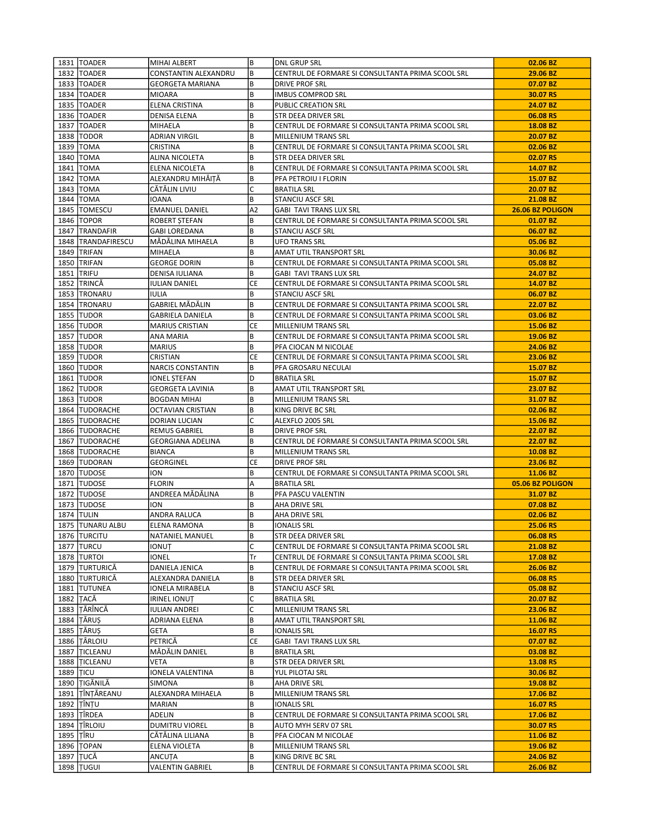|             | 1831   TOADER      | MIHAI ALBERT            | B         | <b>DNL GRUP SRL</b>                               | 02.06 BZ         |
|-------------|--------------------|-------------------------|-----------|---------------------------------------------------|------------------|
|             | 1832   TOADER      | CONSTANTIN ALEXANDRU    | B         | CENTRUL DE FORMARE SI CONSULTANTA PRIMA SCOOL SRL | 29.06 BZ         |
|             | 1833   TOADER      | <b>GEORGETA MARIANA</b> | B         | <b>DRIVE PROF SRL</b>                             | 07.07 BZ         |
|             | 1834   TOADER      | <b>MIOARA</b>           | B         | <b>IMBUS COMPROD SRL</b>                          | 30.07 RS         |
|             | 1835   TOADER      | ELENA CRISTINA          | B         | PUBLIC CREATION SRL                               | 24.07 BZ         |
|             | 1836   TOADER      | DENISA ELENA            | B         | STR DEEA DRIVER SRL                               | 06.08 RS         |
|             | 1837   TOADER      | MIHAELA                 | B         | CENTRUL DE FORMARE SI CONSULTANTA PRIMA SCOOL SRL | 18.08 BZ         |
|             | 1838   TODOR       | ADRIAN VIRGIL           | B         | MILLENIUM TRANS SRL                               | 20.07 BZ         |
|             | 1839   TOMA        | CRISTINA                | B         | CENTRUL DE FORMARE SI CONSULTANTA PRIMA SCOOL SRL | 02.06 BZ         |
|             | 1840   TOMA        | ALINA NICOLETA          | В         | STR DEEA DRIVER SRL                               | 02.07 RS         |
|             | 1841   TOMA        | ELENA NICOLETA          | B         | CENTRUL DE FORMARE SI CONSULTANTA PRIMA SCOOL SRL | 14.07 BZ         |
|             | 1842   TOMA        | ALEXANDRU MIHĂIȚĂ       | B         | PFA PETROIU I FLORIN                              | 15.07 BZ         |
|             | 1843   TOMA        | CĂTĂLIN LIVIU           | C         | <b>BRATILA SRL</b>                                | 20.07 BZ         |
|             | 1844   TOMA        | <b>IOANA</b>            | B         | <b>STANCIU ASCF SRL</b>                           | 21.08 BZ         |
|             | 1845 TOMESCU       | <b>EMANUEL DANIEL</b>   | A2        | <b>GABI TAVI TRANS LUX SRL</b>                    | 26.06 BZ POLIGON |
|             | 1846   TOPOR       | ROBERT ȘTEFAN           | B         | CENTRUL DE FORMARE SI CONSULTANTA PRIMA SCOOL SRL | 01.07 BZ         |
|             | 1847 TRANDAFIR     | <b>GABI LOREDANA</b>    | B         | <b>STANCIU ASCF SRL</b>                           | 06.07 BZ         |
|             | 1848 TRANDAFIRESCU | MĂDĂLINA MIHAELA        | B         | <b>UFO TRANS SRL</b>                              | 05.06 BZ         |
|             | 1849 TRIFAN        | MIHAELA                 | B         | AMAT UTIL TRANSPORT SRL                           | 30.06 BZ         |
|             | 1850 TRIFAN        | <b>GEORGE DORIN</b>     | B         | CENTRUL DE FORMARE SI CONSULTANTA PRIMA SCOOL SRL | 05.08 BZ         |
|             | 1851 TRIFU         | DENISA IULIANA          | B         | <b>GABI TAVI TRANS LUX SRL</b>                    | 24.07 BZ         |
|             | 1852 TRINCĂ        | <b>IULIAN DANIEL</b>    | СE        | CENTRUL DE FORMARE SI CONSULTANTA PRIMA SCOOL SRL | 14.07 BZ         |
|             | 1853 TRONARU       | IULIA                   | B         | <b>STANCIU ASCF SRL</b>                           | 06.07 BZ         |
|             | 1854 TRONARU       | GABRIEL MĂDĂLIN         | B         | CENTRUL DE FORMARE SI CONSULTANTA PRIMA SCOOL SRL | 22.07 BZ         |
|             | 1855 TUDOR         | <b>GABRIELA DANIELA</b> | B         | CENTRUL DE FORMARE SI CONSULTANTA PRIMA SCOOL SRL | 03.06 BZ         |
|             | 1856 TUDOR         | <b>MARIUS CRISTIAN</b>  | CE        | MILLENIUM TRANS SRL                               | 15.06 BZ         |
|             | 1857 TUDOR         | ANA MARIA               | B         | CENTRUL DE FORMARE SI CONSULTANTA PRIMA SCOOL SRL | 19.06 BZ         |
|             | 1858 TUDOR         | <b>MARIUS</b>           | B         | PFA CIOCAN M NICOLAE                              | 24.06 BZ         |
|             | 1859 TUDOR         | CRISTIAN                | СE        | CENTRUL DE FORMARE SI CONSULTANTA PRIMA SCOOL SRL | 23.06 BZ         |
|             | 1860 TUDOR         | NARCIS CONSTANTIN       | B         | PFA GROSARU NECULAI                               | 15.07 BZ         |
|             | 1861 TUDOR         | <b>IONEL STEFAN</b>     | D         | <b>BRATILA SRL</b>                                | 15.07 BZ         |
|             | 1862 TUDOR         | GEORGETA LAVINIA        | B         | AMAT UTIL TRANSPORT SRL                           | 23.07 BZ         |
|             | 1863 TUDOR         | <b>BOGDAN MIHAI</b>     | B         | MILLENIUM TRANS SRL                               | 31.07 BZ         |
|             | 1864   TUDORACHE   | OCTAVIAN CRISTIAN       | B         | KING DRIVE BC SRL                                 | 02.06 BZ         |
|             | 1865 TUDORACHE     | DORIAN LUCIAN           | C         | ALEXFLO 2005 SRL                                  | 15.06 BZ         |
|             | 1866   TUDORACHE   | <b>REMUS GABRIEL</b>    | B         | DRIVE PROF SRL                                    | 22.07 BZ         |
|             | 1867   TUDORACHE   | GEORGIANA ADELINA       | B         | CENTRUL DE FORMARE SI CONSULTANTA PRIMA SCOOL SRL | 22.07 BZ         |
|             | 1868   TUDORACHE   | <b>BIANCA</b>           | B         | MILLENIUM TRANS SRL                               | 10.08 BZ         |
|             | 1869 TUDORAN       | GEORGINEL               | <b>CE</b> | <b>DRIVE PROF SRL</b>                             | 23.06 BZ         |
|             | 1870 TUDOSE        | <b>ION</b>              | B         | CENTRUL DE FORMARE SI CONSULTANTA PRIMA SCOOL SRL | 11.06 BZ         |
|             | 1871 TUDOSE        | <b>FLORIN</b>           | Α         | <b>BRATILA SRL</b>                                | 05.06 BZ POLIGON |
|             | 1872 TUDOSE        | ANDREEA MĂDĂLINA        | В         | PFA PASCU VALENTIN                                | 31.07 BZ         |
|             | 1873 TUDOSE        | <b>ION</b>              | B         | AHA DRIVE SRL                                     | 07.08 BZ         |
|             | <b>1874 TULIN</b>  | ANDRA RALUCA            | B         | AHA DRIVE SRL                                     | 02.06 BZ         |
|             | 1875 TUNARU ALBU   | <b>ELENA RAMONA</b>     | B         | <b>IONALIS SRL</b>                                | 25.06 RS         |
|             | 1876   TURCITU     | <b>NATANIEL MANUEL</b>  | B         | STR DEEA DRIVER SRL                               | 06.08 RS         |
|             | 1877 TURCU         | ionuț                   | C         | CENTRUL DE FORMARE SI CONSULTANTA PRIMA SCOOL SRL | 21.08 BZ         |
|             | 1878 TURTOI        | IONEL                   | Tr        | CENTRUL DE FORMARE SI CONSULTANTA PRIMA SCOOL SRL | 17.08 BZ         |
|             | 1879 TURTURICĂ     | DANIELA JENICA          | B         | CENTRUL DE FORMARE SI CONSULTANTA PRIMA SCOOL SRL | 26.06 BZ         |
|             | 1880 TURTURICĂ     | ALEXANDRA DANIELA       | B         | STR DEEA DRIVER SRL                               | 06.08 RS         |
|             | 1881 TUTUNEA       | IONELA MIRABELA         | В         | <b>STANCIU ASCF SRL</b>                           | 05.08 BZ         |
|             | 1882 TACĂ          | <b>IRINEL IONUT</b>     | C         | <b>BRATILA SRL</b>                                | 20.07 BZ         |
|             | 1883 ITĂRÎNCĂ      | <b>IULIAN ANDREI</b>    | C         | MILLENIUM TRANS SRL                               | 23.06 BZ         |
|             | 1884 TĂRUS         | ADRIANA ELENA           | В         | AMAT UTIL TRANSPORT SRL                           | 11.06 BZ         |
|             | 1885 TĂRUȘ         | GETA                    | B         | <b>IONALIS SRL</b>                                | 16.07 RS         |
|             | 1886 TÂRLOIU       | PETRICĂ                 | CE        | <b>GABI TAVI TRANS LUX SRL</b>                    | 07.07 BZ         |
|             | 1887 TICLEANU      | MĂDĂLIN DANIEL          | B         | <b>BRATILA SRL</b>                                | 03.08 BZ         |
|             | 1888 TICLEANU      | VETA                    | B         | STR DEEA DRIVER SRL                               | 13.08 RS         |
| 1889   TICU |                    | IONELA VALENTINA        | B         | YUL PILOTAJ SRL                                   | 30.06 BZ         |
|             | 1890 TIGĂNILĂ      | SIMONA                  | B         | AHA DRIVE SRL                                     | 19.08 BZ         |
|             | 1891 TÎNTĂREANU    | ALEXANDRA MIHAELA       | B         | MILLENIUM TRANS SRL                               | 17.06 BZ         |
|             | 1892 TÎNȚU         | MARIAN                  | B         | <b>IONALIS SRL</b>                                | 16.07 RS         |
|             | 1893 TÎRDEA        | ADELIN                  | B         | CENTRUL DE FORMARE SI CONSULTANTA PRIMA SCOOL SRL | 17.06 BZ         |
|             | 1894 TÎRLOIU       | <b>DUMITRU VIOREL</b>   | B         | AUTO MYH SERV 07 SRL                              | 30.07 RS         |
| 1895 TÎRU   |                    | CĂTĂLINA LILIANA        | B         | PFA CIOCAN M NICOLAE                              | 11.06 BZ         |
|             | 1896   TOPAN       | ELENA VIOLETA           | B         | MILLENIUM TRANS SRL                               | 19.06 BZ         |
|             | 1897 TUCĂ          | ANCUȚA                  | B         | KING DRIVE BC SRL                                 | 24.06 BZ         |
|             | 1898 TUGUI         | VALENTIN GABRIEL        | B         | CENTRUL DE FORMARE SI CONSULTANTA PRIMA SCOOL SRL | 26.06 BZ         |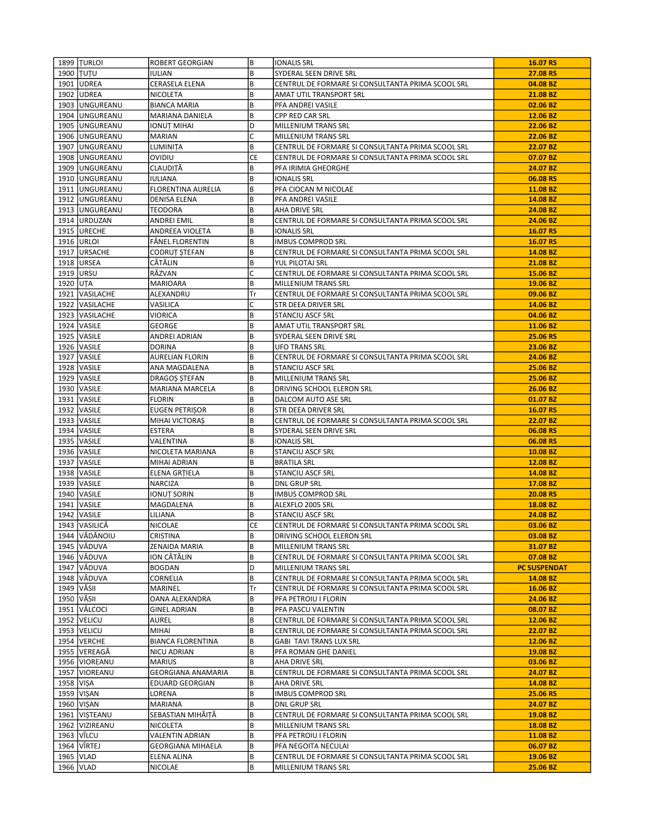|             | 1899 TURLOI      | ROBERT GEORGIAN          | B         | <b>IONALIS SRL</b>                                | 16.07 RS            |
|-------------|------------------|--------------------------|-----------|---------------------------------------------------|---------------------|
|             | 1900 TUTU        | IULIAN                   | B         | SYDERAL SEEN DRIVE SRL                            | 27.08 RS            |
|             | 1901   UDREA     | CERASELA ELENA           | B         | CENTRUL DE FORMARE SI CONSULTANTA PRIMA SCOOL SRL | 04.08 BZ            |
|             | 1902 UDREA       | NICOLETA                 | В         | AMAT UTIL TRANSPORT SRL                           | 21.08 BZ            |
|             | 1903   UNGUREANU | <b>BIANCA MARIA</b>      | B         | PFA ANDREI VASILE                                 | 02.06 BZ            |
|             | 1904 UNGUREANU   | MARIANA DANIELA          | B         | CPP RED CAR SRL                                   | 12.06 BZ            |
|             | 1905   UNGUREANU |                          | D         | MILLENIUM TRANS SRL                               | 22.06 BZ            |
|             |                  | IONUȚ MIHAI              | C         |                                                   |                     |
|             | 1906   UNGUREANU | MARIAN                   |           | MILLENIUM TRANS SRL                               | 22.06 BZ            |
|             | 1907 UNGUREANU   | LUMINIȚA                 | B         | CENTRUL DE FORMARE SI CONSULTANTA PRIMA SCOOL SRL | 22.07 BZ            |
|             | 1908   UNGUREANU | <b>OVIDIU</b>            | CE        | CENTRUL DE FORMARE SI CONSULTANTA PRIMA SCOOL SRL | 07.07 BZ            |
|             | 1909   UNGUREANU | CLAUDITĂ                 | B         | PFA IRIMIA GHEORGHE                               | 24.07 BZ            |
|             | 1910   UNGUREANU | <b>IULIANA</b>           | B         | <b>IONALIS SRL</b>                                | 06.08 RS            |
|             | 1911   UNGUREANU | FLORENTINA AURELIA       | B         | PFA CIOCAN M NICOLAE                              | 11.08 BZ            |
|             | 1912   UNGUREANU | <b>DENISA ELENA</b>      | B         | PFA ANDREI VASILE                                 | 14.08 BZ            |
|             | 1913 UNGUREANU   | <b>TEODORA</b>           | B         | AHA DRIVE SRL                                     | 24.08 BZ            |
|             | 1914 URDUZAN     | ANDREI EMIL              | B         | CENTRUL DE FORMARE SI CONSULTANTA PRIMA SCOOL SRL | 24.06 BZ            |
|             | 1915 URECHE      | ANDREEA VIOLETA          | B         | <b>IONALIS SRL</b>                                | 16.07 RS            |
|             | 1916   URLOI     | FÅNEL FLORENTIN          | B         | <b>IMBUS COMPROD SRL</b>                          | 16.07 RS            |
|             | 1917 URSACHE     | CODRUT ȘTEFAN            | B         | CENTRUL DE FORMARE SI CONSULTANTA PRIMA SCOOL SRL | 14.08 BZ            |
|             | 1918 URSEA       | CĂTĂLIN                  | B         | YUL PILOTAJ SRL                                   | 21.08 BZ            |
|             | 1919   URSU      | RĂZVAN                   | C         | CENTRUL DE FORMARE SI CONSULTANTA PRIMA SCOOL SRL | 15.06 BZ            |
|             |                  |                          |           |                                                   |                     |
| 1920 UTA    |                  | MARIOARA                 | B         | MILLENIUM TRANS SRL                               | 19.06 BZ            |
|             | 1921   VASILACHE | ALEXANDRU                | Tr        | CENTRUL DE FORMARE SI CONSULTANTA PRIMA SCOOL SRL | 09.06 BZ            |
|             | 1922   VASILACHE | VASILICA                 | C         | STR DEEA DRIVER SRL                               | 14.06 BZ            |
|             | 1923 VASILACHE   | VIORICA                  | B         | <b>STANCIU ASCF SRL</b>                           | 04.06 BZ            |
|             | 1924   VASILE    | GEORGE                   | B         | AMAT UTIL TRANSPORT SRL                           | 11.06 BZ            |
|             | 1925   VASILE    | ANDREI ADRIAN            | B         | SYDERAL SEEN DRIVE SRL                            | 25.06 RS            |
|             | 1926 VASILE      | <b>DORINA</b>            | B         | <b>UFO TRANS SRL</b>                              | 23.06 BZ            |
|             | 1927   VASILE    | <b>AURELIAN FLORIN</b>   | B         | CENTRUL DE FORMARE SI CONSULTANTA PRIMA SCOOL SRL | 24.06 BZ            |
|             | 1928   VASILE    | ANA MAGDALENA            | B         | <b>STANCIU ASCF SRL</b>                           | 25.06 BZ            |
|             | 1929 VASILE      | DRAGOȘ ȘTEFAN            | B         | MILLENIUM TRANS SRL                               | 25.06 BZ            |
|             | 1930   VASILE    | MARIANA MARCELA          | B         | DRIVING SCHOOL ELERON SRL                         | 26.06 BZ            |
|             | 1931   VASILE    | <b>FLORIN</b>            | B         | DALCOM AUTO ASE SRL                               | 01.07 BZ            |
|             | 1932   VASILE    | EUGEN PETRIŞOR           | B         | STR DEEA DRIVER SRL                               | 16.07 RS            |
|             | 1933   VASILE    | MIHAI VICTORAȘ           | B         | CENTRUL DE FORMARE SI CONSULTANTA PRIMA SCOOL SRL | 22.07 BZ            |
|             | 1934   VASILE    | ESTERA                   | B         | SYDERAL SEEN DRIVE SRL                            | 06.08 RS            |
|             |                  |                          | B         |                                                   |                     |
|             | 1935   VASILE    | VALENTINA                |           | <b>IONALIS SRL</b>                                | 06.08 RS            |
|             | 1936   VASILE    | NICOLETA MARIANA         | B         | STANCIU ASCF SRL                                  | 10.08 BZ            |
|             | 1937   VASILE    | MIHAI ADRIAN             | B         | <b>BRATILA SRL</b>                                | 12.08 BZ            |
|             | 1938 VASILE      | ELENA GRȚIELA            | B         | <b>STANCIU ASCF SRL</b>                           | 14.08 BZ            |
|             | 1939   VASILE    | NARCIZA                  | B         | <b>DNL GRUP SRL</b>                               | 17.08 BZ            |
|             | 1940   VASILE    | IONUȚ SORIN              | B         | <b>IMBUS COMPROD SRL</b>                          | 20.08 RS            |
|             | 1941   VASILE    | MAGDALENA                | B         | ALEXFLO 2005 SRL                                  | 18.08 BZ            |
|             | 1942 VASILE      | LILIANA                  | B         | STANCIU ASCF SRL                                  | 24.08 BZ            |
|             | 1943 VASILICĂ    | <b>NICOLAE</b>           | <b>CE</b> | CENTRUL DE FORMARE SI CONSULTANTA PRIMA SCOOL SRL | 03.06 BZ            |
|             | 1944 VĂDĂNOIU    | <b>CRISTINA</b>          | B         | DRIVING SCHOOL ELERON SRL                         | 03.08 BZ            |
|             | 1945 VĂDUVA      | ZENAIDA MARIA            | B         | MILLENIUM TRANS SRL                               | 31.07 BZ            |
|             | 1946 VĂDUVA      | ION CĂTĂLIN              | B         | CENTRUL DE FORMARE SI CONSULTANTA PRIMA SCOOL SRL | 07.08 BZ            |
|             | 1947 VĂDUVA      | <b>BOGDAN</b>            | D         | MILLENIUM TRANS SRL                               | <b>PC SUSPENDAT</b> |
|             | 1948 VĂDUVA      | CORNELIA                 | B         | CENTRUL DE FORMARE SI CONSULTANTA PRIMA SCOOL SRL | 14.08 BZ            |
| 1949 VĂSII  |                  |                          | Tr        |                                                   |                     |
|             |                  | MARINEL                  |           | CENTRUL DE FORMARE SI CONSULTANTA PRIMA SCOOL SRL | 16.06 BZ            |
| 1950 VÄSII  |                  | OANA ALEXANDRA           | B         | PFA PETROIU I FLORIN                              | 24.06 BZ            |
|             | 1951   VÂLCOCI   | <b>GINEL ADRIAN</b>      | B         | PFA PASCU VALENTIN                                | 08.07 BZ            |
|             | 1952   VELICU    | AUREL                    | B         | CENTRUL DE FORMARE SI CONSULTANTA PRIMA SCOOL SRL | 12.06 BZ            |
|             | 1953   VELICU    | MIHAI                    | B         | CENTRUL DE FORMARE SI CONSULTANTA PRIMA SCOOL SRL | 22.07 BZ            |
|             | 1954 VERCHE      | <b>BIANCA FLORENTINA</b> | B         | GABI TAVI TRANS LUX SRL                           | 12.06 BZ            |
|             | 1955 VEREAGĂ     | NICU ADRIAN              | B         | PFA ROMAN GHE DANIEL                              | 19.08 BZ            |
|             | 1956   VIOREANU  | <b>MARIUS</b>            | B         | AHA DRIVE SRL                                     | 03.06 BZ            |
|             | 1957   VIOREANU  | GEORGIANA ANAMARIA       | B         | CENTRUL DE FORMARE SI CONSULTANTA PRIMA SCOOL SRL | 24.07 BZ            |
| 1958 VIŞA   |                  | EDUARD GEORGIAN          | B         | AHA DRIVE SRL                                     | 14.08 BZ            |
|             | 1959   VIŞAN     | LORENA                   | B         | <b>IMBUS COMPROD SRL</b>                          | 25.06 RS            |
|             | 1960   VIŞAN     | MARIANA                  | B         | <b>DNL GRUP SRL</b>                               | 24.07 BZ            |
|             | 1961   VIȘTEANU  | SEBASTIAN MIHĂIȚĂ        | B         | CENTRUL DE FORMARE SI CONSULTANTA PRIMA SCOOL SRL | 19.08 BZ            |
|             | 1962   VIZIREANU | NICOLETA                 | B         | MILLENIUM TRANS SRL                               | 18.08 BZ            |
|             |                  |                          | B         |                                                   |                     |
|             | 1963   VÎLCU     | VALENTIN ADRIAN          |           | PFA PETROIU I FLORIN                              | 11.08 BZ            |
|             | 1964 VÎRTEJ      | GEORGIANA MIHAELA        | B         | PFA NEGOITA NECULAI                               | 06.07 BZ            |
| 1965   VLAD |                  | ELENA ALINA              | B         | CENTRUL DE FORMARE SI CONSULTANTA PRIMA SCOOL SRL | 19.06 BZ            |
|             | 1966   VLAD      | NICOLAE                  | B         | MILLENIUM TRANS SRL                               | 25.06 BZ            |